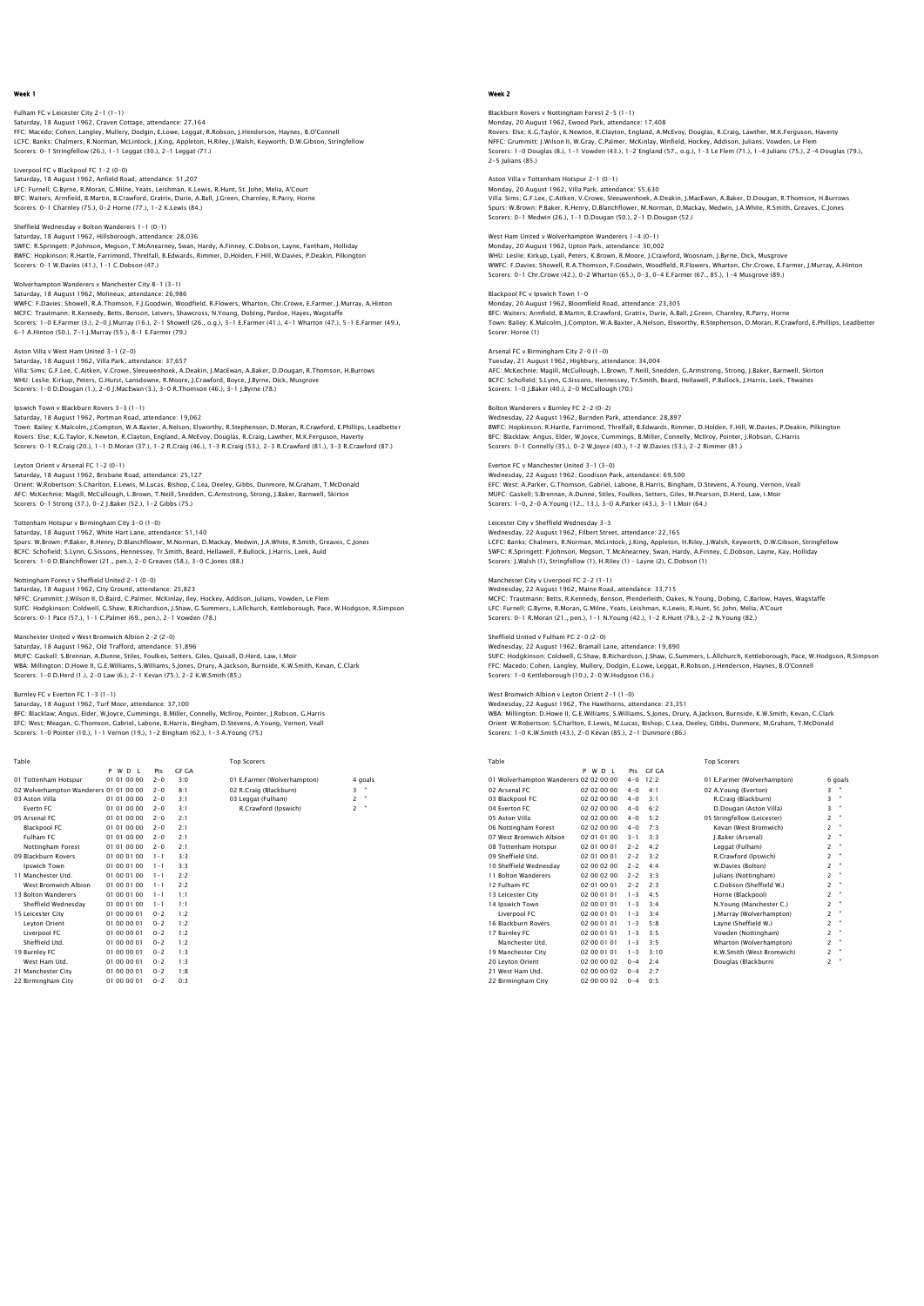### Fulham FC v Leicester City 2-1 (1-1) Saturday, 18 August 1962, Craven Cottage, attendance: 27,164 FFC: Macedo; Cohen, Langley, Mullery, Dodgin, E.Lowe, Leggat, R.Robson, J.Henderson, Haynes, B.O'Connell LCFC: Banks; Chalmers, R.Norman, McLintock, J.King, Appleton, H.Riley, J.Walsh, Keyworth, D.W.Gibson, Stringfellow Scorers: 0-1 Stringfellow (26.), 1-1 Leggat (30.), 2-1 Leggat (71.)

Liverpool FC v Blackpool FC 1-2 (0-0) Saturday, 18 August 1962, Anfield Road, attendance: 51,207 LFC: Furnell; G.Byrne, R.Moran, G.Milne, Yeats, Leishman, K.Lewis, R.Hunt, St. John, Melia, A'Court BFC: Waiters; Armfield, B.Martin, B.Crawford, Gratrix, Durie, A.Ball, J.Green, Charnley, R.Parry, Horne Scorers: 0-1 Charnley (75.), 0-2 Horne (77.), 1-2 K.Lewis (84.)

## Sheffield Wednesday v Bolton Wanderers 1-1 (0-1)

Saturday, 18 August 1962, Hillsborough, attendance: 28,036<br>SWFC: R.Springett; P.Johnson, Megson, T.McAnearney, Swan, Hardy, A.Finney, C.Dobson, Layne, Fantham, Holliday<br>BWFC: Hopkinson; R.Hartle, Farrimond, Threffall, B.Ed Scorers: 0-1 W.Davies (41.), 1-1 C.Dobson (47.)

#### Wolverhampton Wanderers v Manchester City 8-1 (3-1) Saturday, 18 August 1962, Molineux, attendance: 26,986

WWFC: F.Davies; Showell, R.A.Thomson, F.J.Goodwin, Woodfield, R.Flowers, Wharton, Chr.Crowe, E.Farmer, J.Murray, A.Hinton MCFC: Trautmann; R.Kennedy, Betts, Benson, Leivers, Shawcross, N.Young, Dobing, Pardoe, Hayes, Wagstaffe<br>Scores: 1-O E.Farmer (3.), 2-0 J.Murray (16.), 2-1 Showell (26., o.g.), 3-1 E.Farmer (41.), 4-1 Wharton (47.), 5-1 E.

## Aston Villa v West Ham United 3-1 (2-0)

Saturday, 18 August 1962, Villa Park, attendance: 37,657 Villa: Sims; G.F.Lee, C.Aitken, V.Crowe, Sleeuwenhoek, A.Deakin, J.MacEwan, A.Baker, D.Dougan, R.Thomson, H.Burrows WHU: Leslie; Kirkup, Peters, G.Hurst, Lansdowne, R.Moore, J.Crawford, Boyce, J.Byrne, Dick, Musgrove Scorers: 1-0 D.Dougan (1.), 2-0 J.MacEwan (3.), 3-0 R.Thomson (46.), 3-1 J.Byrne (78.)

lpswich Town v Blackburn Rovers 3–3 (1–1)<br>Saturday, 18 August 1962, Portman Road, attendance: 19,062<br>Town: Bailey, K.Malcolm, J.Compton, W.A.Baxter, A.Nelson, Elsworthy, R.Stephenson, D.Moran, R.Crawford, E.Phillips, Leadb Scorers: 0-1 R.Craig (20.), 1-1 D.Moran (37.), 1-2 R.Craig (46.), 1-3 R.Craig (53.), 2-3 R.Crawford (81.), 3-3 R.Crawford (87.)

## Leyton Orient v Arsenal FC 1-2 (0-1)

Saturday, 18 August 1962, Brisbane Road, attendance: 25,127 Orient: W.Robertson; S.Charlton, E.Lewis, M.Lucas, Bishop, C.Lea, Deeley, Gibbs, Dunmore, M.Graham, T.McDonald AFC: McKechnie; Magill, McCullough, L.Brown, T.Neill, Snedden, G.Armstrong, Strong, J.Baker, Barnwell, Skirton Scorers: 0-1 Strong (37.), 0-2 J.Baker (52.), 1-2 Gibbs (75.)

## Tottenham Hotspur v Birmingham City 3-0 (1-0)

Saturday, 18 August 1962, White Hart Lane, attendance: 51,140<br>Spurs: W.Brown; P.Baker, R.Henry, D.Blanchflower, M.Norman, D.Mackay, Medwin, J.A.White, R.Smith, Greaves, C.Jones<br>BCFC: Schofield; S.Lynn, G.Sissons, Hennessey

#### Nottingham Forest v Sheffield United 2-1 (0-0)

Saturday, 18 August 1962, City Ground, attendance: 25,823 NFFC: Grummitt; J.Wilson II, D.Baird, C.Palmer, McKinlay, Iley, Hockey, Addison, Julians, Vowden, Le Flem<br>SUFC: Hodqkinson; Coldwell, G.Shaw, B.Richardson, J.Shaw, G.Summers, L.Allchurch, Kettleborough, Pace, W.Hodqson, R. Scorers: 0-1 Pace (57.), 1-1 C.Palmer (69., pen.), 2-1 Vowden (78.)

## Manchester United v West Bromwich Albion 2-2 (2-0)

Saturday, 18 August 1962, Old Trafford, attendance: 51,896 MUFC: Gaskell; S.Brennan, A.Dunne, Stiles, Foulkes, Setters, Giles, Quixall, D.Herd, Law, I.Moir<br>WBA: Millington; D.Howe II, G.E.Williams, S.Williams, S.Jones, Drury, A.Jackson, Burnside, K.W.Smith, Kevan, C.Clark<br>Scorers:

### Burnley FC v Everton FC 1-3 (1-1)

Saturday, 18 August 1962, Turf Moor, attendance: 37,100<br>BFC: Blacklaw; Angus, Elder, W.Joyce, Cummings, B.Miller, Connelly, McIlroy, Pointer, J.Robson, G.Harris<br>EFC: West; Meagan, G.Thomson, Gabriel, Labone, B.Harris, Bing

| Table                                  |             |         |              | <b>Top Scorers</b>          |                     |
|----------------------------------------|-------------|---------|--------------|-----------------------------|---------------------|
|                                        | PWDL        | Pts     | <b>GF GA</b> |                             |                     |
| 01 Tottenham Hotspur                   | 01 01 00 00 | $2 - 0$ | 3:0          | 01 E.Farmer (Wolverhampton) | 4 goals             |
| 02 Wolverhampton Wanderers 01 01 00 00 |             | $2 - 0$ | 8:1          | 02 R.Craig (Blackburn)      | 3                   |
| 03 Aston Villa                         | 01 01 00 00 | $2 - 0$ | 3:1          | 03 Leggat (Fulham)          | $\overline{c}$<br>٠ |
| Evertn FC                              | 01 01 00 00 | $2 - 0$ | 3:1          | R.Crawford (Ipswich)        | ٠<br>$\overline{c}$ |
| 05 Arsenal FC                          | 01 01 00 00 | $2 - 0$ | 2:1          |                             |                     |
| Blackpool FC                           | 01 01 00 00 | $2 - 0$ | 2:1          |                             |                     |
| Fulham FC                              | 01 01 00 00 | $2 - 0$ | 2:1          |                             |                     |
| Nottingham Forest                      | 01 01 00 00 | $2 - 0$ | 2:1          |                             |                     |
| 09 Blackburn Rovers                    | 01 00 01 00 | $1 - 1$ | 3:3          |                             |                     |
| Ipswich Town                           | 01 00 01 00 | $1 - 1$ | 3:3          |                             |                     |
| 11 Manchester Utd.                     | 01 00 01 00 | $1 - 1$ | 2:2          |                             |                     |
| West Bromwich Albion                   | 01 00 01 00 | $1 - 1$ | 2:2          |                             |                     |
| 13 Bolton Wanderers                    | 01 00 01 00 | $1 - 1$ | 1:1          |                             |                     |
| Sheffield Wednesdav                    | 01 00 01 00 | $1 - 1$ | 1:1          |                             |                     |
| 15 Leicester City                      | 01 00 00 01 | $0 - 2$ | 1:2          |                             |                     |
| Leyton Orient                          | 01 00 00 01 | $0 - 2$ | 1:2          |                             |                     |
| Liverpool FC                           | 01 00 00 01 | $0 - 2$ | 1:2          |                             |                     |
| Sheffield Utd.                         | 01 00 00 01 | $0 - 2$ | 1:2          |                             |                     |
| 19 Burnley FC                          | 01 00 00 01 | $0 - 2$ | 1:3          |                             |                     |
| West Ham Utd.                          | 01 00 00 01 | $0 - 2$ | 1:3          |                             |                     |
| 21 Manchester City                     | 01 00 00 01 | $0 - 2$ | 1:8          |                             |                     |
| 22 Rirmingham City                     | 01.00.00.01 | $0 - 2$ | 0.3          |                             |                     |

## Week 2

# Blackburn Rovers v Nottingham Forest 2–5 (1–1)<br>Monday, 20 August 1962, Ewood Park, attendance: 17,408<br>Rovers: Else; K.G.Taylor, K.Newton, R.Clayton, Enqland, A.McEvoy, Douglas, R.Craig, Lawther, M.K.Ferguson, Haverty NFFC: Grummitt; J.Wilson II, W.Gray, C.Palmer, McKinlay, Winfield, Hockey, Addison, Julians, Vowden, Le Flem<br>Scorers: 1 – D Douglas (8.), 1–1 Vowden (43.), 1–2 England (57., o.g.), 1–3 Le Flem (71.), 1–4 Julians (75.), 2–4

Aston Villa v Tottenham Hotspur 2-1 (0-1) Monday, 20 August 1962, Villa Park, attendance: 55,630 Villa: Sims; G.F.Lee, C.Aitken, V.Crowe, Sleeuwenhoek, A.Deakin, J.MacEwan, A.Baker, D.Dougan, R.Thomson, H.Burrows Spurs: W.Brown; P.Baker, R.Henry, D.Blanchflower, M.Norman, D.Mackay, Medwin, J.A.White, R.Smith, Greaves, C.Jones Scorers: 0-1 Medwin (26.), 1-1 D.Dougan (50.), 2-1 D.Dougan (52.)

West Ham United v Wolverhampton Wanderers 1-4 (0-1) Monday, 20 August 1962, Upton Park, attendance: 30,002<br>WHU: Leslie; Kirkup, Lyall, Peters, K.Brown, R.Moore, J.Crawford, Woosnam, J.Byrne, Dick, Musgrove<br>WWFC: F.Davies; Showell, R.A.Thomson, F.Goodwin, Woodfield, R.Flower Scorers: 0-1 Chr.Crowe (42.), 0-2 Wharton (65.), 0-3, 0-4 E.Farmer (67., 85.), 1-4 Musgrove (89.)

Blackpool FC v Ipswich Town 1-0 Monday, 20 August 1962, Bloomfield Road, attendance: 23,305<br>BFC: Waiters; Armfield, B.Martin, B.Crawford, Gratrix, Durie, A.Ball, J.Green, Charnley, R.Parry, Horne<br>Town: Bailey: K.Malcolm, J.Compton, W.A.Baxter, A.Nelson, Scorer: Horne (1)

## Arsenal FC v Birmingham City 2-0 (1-0)

Tuesday, 21 August 1962, Highbury, attendance: 34,004<br>AFC: McKechnie: Magill, McCullough, I..Brown, T.Neill, Snedden, G.Armstrong, Strong, J.Baker, Barnwell, Skirton<br>BCFC: Schofield: S.Lynn, G.Sissons, Hennessey, Tr.Smith, Scorers: 1-0 J.Baker (40.), 2-0 McCullough (70.)

## Bolton Wanderers v Burnley FC 2-2 (0-2)

Wednesday, 22 August 1962, Burnden Park, attendance: 28,897 BWFC: Hopkinson; R.Hartle, Farrimond, Threlfall, B.Edwards, Rimmer, D.Holden, F.Hill, W.Davies, P.Deakin, Pilkington BFC: Blacklaw; Angus, Elder, W.Joyce, Cummings, B.Miller, Connelly, McIlroy, Pointer, J.Robson, G.Harris Scorers: 0-1 Connelly (35.), 0-2 W.Joyce (40.), 1-2 W.Davies (53.), 2-2 Rimmer (81.)

## Everton FC v Manchester United 3-1 (3-0)

Wednesday, 22 August 1962, Goodison Park, attendance: 69,500 EFC: West; A.Parker, G.Thomson, Gabriel, Labone, B.Harris, Bingham, D.Stevens, A.Young, Vernon, Veall MUFC: Gaskell; S.Brennan, A.Dunne, Stiles, Foulkes, Setters, Giles, M.Pearson, D.Herd, Law, I.Moir Scorers: 1-0, 2-0 A.Young (12., 13.), 3-0 A.Parker (43.), 3-1 I.Moir (64.)

#### Leicester City v Sheffield Wednesday 3-3

Wednesday, 22 August 1962, Filbert Street, attendance: 22,165<br>LCFC: Banks; Chalmers, R.Norman, McLintock, J.King, Appleton, H.Riley, J.Walsh, Keyworth, D.W.Gibson, Stringfellow<br>SWFC: R.Springett; P.Johnson, Megson, T.McAne

#### Manchester City v Liverpool FC 2-2 (1-1) Wednesday, 22 August 1962, Maine Road, attendance: 33,715

MCFC: Trautmann; Betts, R.Kennedy, Benson, Plenderleith, Oakes, N.Young, Dobing, C.Barlow, Hayes, Wagstaffe LFC: Furnell; G.Byrne, R.Moran, G.Milne, Yeats, Leishman, K.Lewis, R.Hunt, St. John, Melia, A'Court Scorers: 0-1 R.Moran (21., pen.), 1-1 N.Young (42.), 1-2 R.Hunt (78.), 2-2 N.Young (82.)

#### Sheffield United v Fulham FC 2-0 (2-0)

Wednesday, 22 August 1962, Bramall Lane, attendance: 19,890<br>SUFC: Hodgkinson, Coldwell, G.Shaw, B.Richardson, J.Shaw, G.Summers, L.Allchurch, Kettleborough, Pace, W.Hodgson, R.Simpsor<br>FFC: Macedo; Cohen, Langley, Mullery,

#### West Bromwich Albion v Leyton Orient 2-1 (1-0)

Wednesday, 22 August 1962, The Hawthorns, attendance: 23,351<br>WBA: Millington; D.Howe II, G.E.Williams, S.Williams, S.Jones, Drury, A.Jackson, Burnside, K.W.Smith, Kevan, C.Clark<br>Orient: W.Robertson; S.Charlton, E.Lewis, M.

| Table | <b>Top Scorers</b> |
|-------|--------------------|

|                                        | P<br>WD I   | Pts     | <b>GF GA</b> |                             |                |              |
|----------------------------------------|-------------|---------|--------------|-----------------------------|----------------|--------------|
| 01 Wolverhampton Wanderers 02 02 00 00 |             | $4 - 0$ | 12:2         | 01 E.Farmer (Wolverhampton) |                | 6 goals      |
| 02 Arsenal FC                          | 02 02 00 00 | $4 - 0$ | 4:1          | 02 A.Young (Everton)        | 3              |              |
| 03 Blackpool FC                        | 02 02 00 00 | $4 - 0$ | 3:1          | R.Craiq (Blackburn)         | 3              | $\mathbf{u}$ |
| 04 Everton FC                          | 02 02 00 00 | $4 - 0$ | 6:2          | D.Dougan (Aston Villa)      | 3              | $\mathbf{u}$ |
| 05 Aston Villa                         | 02 02 00 00 | $4 - 0$ | 5:2          | 05 Stringfellow (Leicester) | $\overline{2}$ | $\bullet$    |
| 06 Nottingham Forest                   | 02 02 00 00 | $4 - 0$ | 7:3          | Kevan (West Bromwich)       | $\overline{a}$ | ×            |
| 07 West Bromwich Albion                | 02 01 01 00 | $3 - 1$ | 3:3          | J.Baker (Arsenal)           | $\overline{c}$ | ×            |
| 08 Tottenham Hotspur                   | 02 01 00 01 | $2 - 2$ | 4:2          | Leggat (Fulham)             | $\overline{a}$ | $\mathbf{u}$ |
| 09 Sheffield Utd.                      | 02 01 00 01 | $2 - 2$ | 3:2          | R.Crawford (Ipswich)        | $\overline{2}$ | ×            |
| 10 Sheffield Wednesdav                 | 02 00 02 00 | $2 - 2$ | 4:4          | W.Davies (Bolton)           | $\overline{c}$ | ×            |
| 11 Bolton Wanderers                    | 02 00 02 00 | $2 - 2$ | 3:3          | Julians (Nottingham)        | $\overline{2}$ | ×            |
| 12 Fulham FC                           | 02 01 00 01 | $2 - 2$ | 2:3          | C.Dobson (Sheffield W.)     | $\overline{a}$ | $\mathbf{u}$ |
| 13 Leicester City                      | 02 00 01 01 | $1 - 3$ | 4:5          | Horne (Blackpool)           | $\overline{c}$ | $\mathbf{u}$ |
| 14 Ipswich Town                        | 02 00 01 01 | $1 - 3$ | 3:4          | N.Young (Manchester C.)     | $\overline{2}$ | ×            |
| Liverpool FC                           | 02 00 01 01 | $1 - 3$ | 3.4          | J.Murray (Wolverhampton)    | $\overline{a}$ | ×            |
| 16 Blackburn Rovers                    | 02 00 01 01 | $1 - 3$ | 5:8          | Layne (Sheffield W.)        | $\overline{a}$ | ×            |
| 17 Burnley FC                          | 02 00 01 01 | $1 - 3$ | 3:5          | Vowden (Nottingham)         | $\overline{2}$ | ×            |
| Manchester Utd.                        | 02 00 01 01 | $1 - 3$ | 3:5          | Wharton (Wolverhampton)     | $\overline{2}$ | $\mathbf{u}$ |
| 19 Manchester City                     | 02 00 01 01 | $1 - 3$ | 3:10         | K.W.Smith (West Bromwich)   | $\overline{a}$ | ×            |
| 20 Levton Orient                       | 02 00 00 02 | $0 - 4$ | 2:4          | Douglas (Blackburn)         | $\overline{z}$ | $\mathbf{u}$ |
| 21 West Ham Utd.                       | 02 00 00 02 | $0 - 4$ | 2:7          |                             |                |              |
| 22 Rirmingham City                     | 02.00.00.02 | $0 - 4$ | 0.5          |                             |                |              |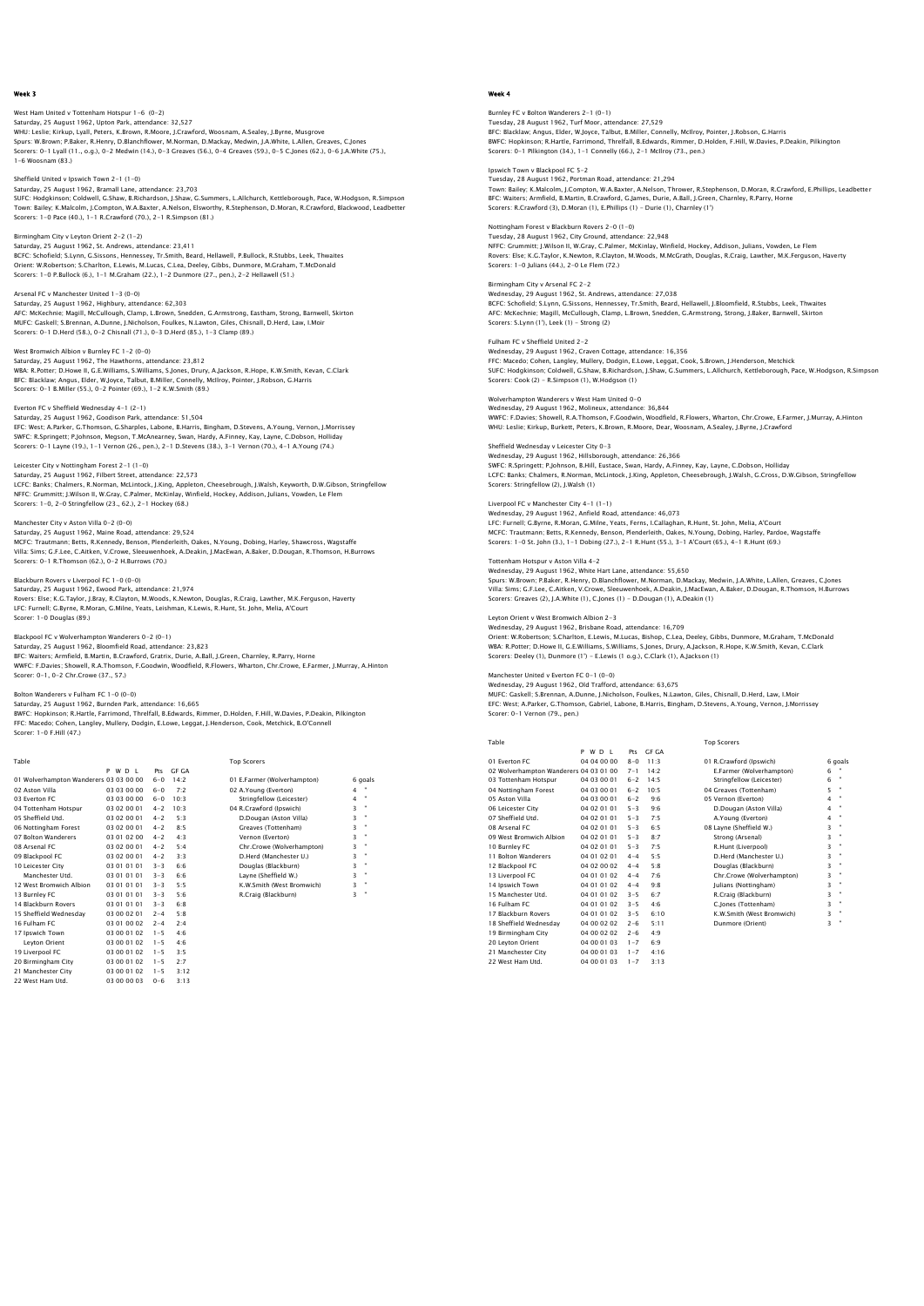## West Ham United v Tottenham Hotspur 1–6 (0–2)<br>Saturday, 25 August 1962, Upton Park, attendance: 32,527<br>WHU: Leslie; Kirkup, Lyall, Peters, K.Brown, R.Moore, J.Crawford, Woosnam, A.Sealey, J.Byrne, Musgrove Spurs: W.Brown; P.Baker, R.Henry, D.Blanchflower, M.Norman, D.Mackay, Medwin, J.A.White, L.Allen, Greaves, C.Jones Scorers: 0-1 Lyall (11., o.g.), 0-2 Medwin (14.), 0-3 Greaves (56.), 0-4 Greaves (59.), 0-5 C.Jones (62.), 0-6 J.A.White (75.), 1-6 Woosnam (83.)

Sheffield United v Ipswich Town 2-1 (1-0) Saturday, 25 August 1962, Bramall Lane, attendance: 23,703

SUFC: Hodgkinson; Coldwell, G.Shaw, B.Richardson, J.Shaw, G.Summers, L.Allchurch, Kettleborough, Pace, W.Hodgson, R.Simpson<br>Town: Bailey: K.Malcolm, J.Compton, W.A.Baxter, A.Nelson, Elsworthy, R.Stephenson, D.Moran, R.Craw Birmingham City v Leyton Orient 2-2 (1-2)

Saturday, 25 August 1962, St. Andrews, attendance: 23,411<br>BCFC: Schofield: S.Lynn, G.Sissons, Hennessey, Tr.Smith, Beard, Hellawell, P.Bullock, R.Stubbs, Leek, Thwaites<br>Orient: W.Robertson; S.Charlton, E.Lewis, M.Lucas, C.

Arsenal FC v Manchester United 1-3 (0-0) Saturday, 25 August 1962, Highbury, attendance: 62,303<br>AFC: McKechnie; Magill, McCullough, Clamp, L.Brown, Snedden, G.Armstrong, Eastham, Strong, Barnwell, Skirton<br>MUFC: Gaskell; S.Brennan, A.Dunne, J.Nicholson, Foulkes, N

## West Bromwich Albion v Burnley FC 1-2 (0-0)

Saturday, 25 August 1962, The Hawthorns, attendance: 23,812<br>WBA: R.Potter; D.Howe II, G.E.Williams, S.Williams, S.Jones, Drury, A.Jackson, R.Hope, K.W.Smith, Kevan, C.Clark<br>BFC: Blacklaw; Angus, Elder, W.Joyce, Talbut, B.M Scorers: 0-1 B.Miller (55.), 0-2 Pointer (69.), 1-2 K.W.Smith (89.)

Everton FC v Sheffield Wednesday 4–1 (2–1)<br>Saturday, 25 August 1962, Goodison Park, attendance: 51,504<br>EFC: West; A.Parker, G.Thomson, G.Sharples, Labone, B.Harris, Bingham, D.Stevens, A.Young, Vernon, J.Morrissey SWFC: R.Springett; P.Johnson, Megson, T.McAnearney, Swan, Hardy, A.Finney, Kay, Layne, C.Dobson, Holliday Scorers: 0-1 Layne (19.), 1-1 Vernon (26., pen.), 2-1 D.Stevens (38.), 3-1 Vernon (70.), 4-1 A.Young (74.)

Leicester City v Nottingham Forest 2-1 (1-0)

Saturday, 25 August 1962, Filbert Street, attendance: 22,573<br>LCFC: Banks; Chalmers, R.Norman, McLintock, J.King, Appleton, Cheesebrough, J.Walsh, Keyworth, D.W.Gibson, Stringfellow<br>NFFC: Grummitt: J.Wilson II, W.Gray, C.Pa Scorers: 1-0, 2-0 Stringfellow (23., 62.), 2-1 Hockey (68.)

Manchester City v Aston Villa 0-2 (0-0)

Saturday, 25 August 1962, Maine Road, attendance: 29,524 MCFC: Trautmann; Betts, R.Kennedy, Benson, Plenderleith, Oakes, N.Young, Dobing, Harley, Shawcross, Wagstaffe Villa: Sims; G.F.Lee, C.Aitken, V.Crowe, Sleeuwenhoek, A.Deakin, J.MacEwan, A.Baker, D.Dougan, R.Thomson, H.Burrows Scorers: 0-1 R.Thomson (62.), 0-2 H.Burrows (70.)

## Blackburn Rovers v Liverpool FC 1-0 (0-0)

Saturday, 25 August 1962, Ewood Park, attendance: 21,974 Rovers: Else; K.G.Taylor, J.Bray, R.Clayton, M.Woods, K.Newton, Douglas, R.Craig, Lawther, M.K.Ferguson, Haverty LFC: Furnell; G.Byrne, R.Moran, G.Milne, Yeats, Leishman, K.Lewis, R.Hunt, St. John, Melia, A'Court Scorer: 1-0 Douglas (89.)

## Blackpool FC v Wolverhampton Wanderers 0-2 (0-1)

Saturday, 25 August 1962, Bloomfield Road, attendance: 23,823 BFC: Waiters; Armfield, B.Martin, B.Crawford, Gratrix, Durie, A.Ball, J.Green, Charnley, R.Parry, Horne<br>WWFC: F.Davies; Showell, R.A.Thomson, F.Goodwin, Woodfield, R.Flowers, Wharton, Chr.Crowe, E.Farmer, J.Murray, A.Hinto

Bolton Wanderers v Fulham FC 1–0 (0–0)<br>Saturday, 25 August 1962, Burnden Park, attendance: 16,665<br>BWFC: Hopkinson; R.Hartle, Farrimond, Threlfall, B.Edwards, Rimmer, D.Holden, F.Hill, W.Davies, P.Deakin, Pilkington<br>FFC: Ma

Table Table Top Scorers<br>
P W D L Pts GF GA Pts GF GA<br>6-0 14:2<br>6-0 7:2 01 Wolverhampton Wanderers 03 03 00 00 6-0 14:2 01 E.Farmer (Wolverhampton) 6 goals 02 Aston Villa  $0.03030000 = 0$  7:2 02 A.Young (Everton)<br>03 Everton EC 03 03 00 00 6-0 10:3 (Tringfellow (Leicester) 03 Everton FC 03 03 00 00 6-0 10:3<br>04 Tottenham Hotspur 03 02 00 01 4-2 10:3<br>05 Sheffield Utd. 03 02 00 01 4-2 5:5<br>06 Nottingham Forest 03 02 00 01 4-2 8:5<br>07 Bolton Wanderers 03 01 02 00 4-2 4:3 04 Tottenham Hotspur 03 02 00 01 4-2 10:3 04 R.Crawford (Ipswich) 3 " 05 Sheffield Utd. 03 02 00 01 4-2 5:3 D.Dougan (Aston Villa) 3 " 06 Nottingham Forest 03 02 00 01 4-2 8:5 Greaves (Tottenham) 3 " 07 Bolton Wanderers 03 01 02 00 4-2 4:3 Vernon (Everton) 3 " 08 Arsenal FC 03 02 00 01 4-2 5:4 Chr.Crowe (Wolverhampton) 3 " 09 Blackpool FC 03 02 00 01 4-2 3:3 D.Herd (Manchester U.) 3 " 10 Leicester City 03 01 01 01 3-3 6:6 Douglas (Blackburn) 3 " Manchester Utd. 03 01 01 01 3-3 6:6 Layne (Sheffield W.) 3 " 18 Marshal No. 2012 01 01 4-2 3:3<br>
12 Marshal No. 2020 01 4-2 3:3<br>
12 Metal (Manchester Uld. 2010) 101 3-3 6:6 Douglas (Blackburn)<br>
12 West Bromwich Albion 03 01 01 01 3-3 5:5 K.W.Smith (West Bromwich)<br>
12 West Bromwich Al 03 01 01 01 3-3 5:6 R.Craig (Blackburn)<br>03 01 01 01 3-3 6:8 14 Blackburn Rovers 03 01 01 01 3-3 6:8 15 Sheffield Wednesday 03 00 02 01 2-4 5:8 16 Fulham FC 03 01 00 02 2-4 2:4 14 Blackburn Kovers<br>15 Sheffield Wednesday<br>16 Fulham FC 03 01 00 02 2-4 2:4<br>17 Ipswich Town 00 03 00 01 02 1-5 4:6<br>Leyton Orient 03 00 01 02 1-5 4:6 Leyton Orient 03 00 01 02 1-5<br>
1-5 biverpool FC 03 00 01 02 1-5<br>
1-6 10 03 00 01 02 1-5<br>
1-6 Manchester City 03 00 01 02 1-5<br>
2 West Ham Utd. 03 00 00 03 0-6 19 Liverpool FC 03 00 01 02 1-5 3:5 20 Birmingham City 03 00 01 02 1-5 2:7 21 Manchester City 03 00 01 02 1-5 3:12 22 West Ham Utd. 03 00 00 03 0-6 3:13

## Week 4

Burnley FC v Bolton Wanderers 2–1 (0–1)<br>Tuesday, 28 August 1962, Turf Moor, attendance: 27,529<br>BFC: Blacklaw; Angus, Elder, W.Joyce, Talbut, B.Miller, Connelly, McIlroy, Pointer, J.Robson, G.Harris BWFC: Hopkinson; R.Hartle, Farrimond, Threlfall, B.Edwards, Rimmer, D.Holden, F.Hill, W.Davies, P.Deakin, Pilkington Scorers: 0-1 Pilkington (34.), 1-1 Connelly (66.), 2-1 McIlroy (73., pen.)

Ipswich Town v Blackpool FC 5-2 Tuesday, 28 August 1962, Portman Road, attendance: 21,294

Town: Bailey; K.Malcolm, J.Compton, W.A.Baxter, A.Nelson, Thrower, R.Stephenson, D.Moran, R.Crawford, E.Phillips, Leadbetter<br>BFC: Waiters; Armfield, B.Martin, B.Crawford, G.James, Durie, A.Ball, J.Green, Charnley, R.Parry, Scorers: R.Crawford (3), D.Moran (1), E.Phillips (1) - Durie (1), Charnley (1')

## Nottingham Forest v Blackburn Rovers 2-0 (1-0)

Tuesday, 28 August 1962, City Ground, attendance: 22,948<br>NFFC: Grummitt; J.Wilson II, W.Gray, C.Palmer, McKinlay, Winfield, Hockey, Addison, Julians, Vowden, Le Flem<br>Rovers: Else; K.G.Taylor, K.Newton, R.Clayton, M.Woods,

#### Birmingham City v Arsenal FC 2-2

Wednesday, 29 August 1962, St. Andrews, attendance: 27,038 BCFC: Schofield; S.Lynn, G.Sissons, Hennessey, Tr.Smith, Beard, Hellawell, J.Bloomfield, R.Stubbs, Leek, Thwaites<br>AFC: McKechnie; Magill, McCullough, Clamp, L.Brown, Snedden, G.Armstrong, Strong, J.Baker, Barnwell, Skirton

#### Fulham FC v Sheffield United 2-2

Wednesday, 29 August 1962, Craven Cottage, attendance: 16,356<br>FFC: Macedo; Cohen, Langley, Mullery, Dodgin, E.Lowe, Leggat, Cook, S.Brown, J.Henderson, Metchick<br>SUFC: Hodgkinson; Coldwell, G.Shaw, B.Richardson, J.Shaw, G.S

### Wolverhampton Wanderers v West Ham United 0-0

Wednesday, 29 August 1962, Molineux, attendance: 36,844 WWFC: F.Davies; Showell, R.A.Thomson, F.Goodwin, Woodfield, R.Flowers, Wharton, Chr.Crowe, E.Farmer, J.Murray, A.Hinton WHU: Leslie; Kirkup, Burkett, Peters, K.Brown, R.Moore, Dear, Woosnam, A.Sealey, J.Byrne, J.Crawford

## Sheffield Wednesday v Leicester City 0-3

Wednesday, 29 August 1962, Hillsborough, attendance: 26,366 SWFC: R.Springett; P.Johnson, B.Hill, Eustace, Swan, Hardy, A.Finney, Kay, Layne, C.Dobson, Holliday LCFC: Banks; Chalmers, R.Norman, McLintock, J.King, Appleton, Cheesebrough, J.Walsh, G.Cross, D.W.Gibson, Stringfellow Scorers: Stringfellow (2), J.Walsh (1)

## Liverpool FC v Manchester City 4-1 (1-1)

Wednesday, 29 August 1962, Anfield Road, attendance: 46,073<br>LFC: Furnell; G.Byrne, R.Moran, G.Milne, Yeats, Ferns, I.Callaghan, R.Hunt, St. John, Melia, A'Court<br>MCFC: Trautmann; Betts, R.Kennedy, Benson, Pienderleith, Oaks

### Tottenham Hotspur v Aston Villa 4-2

Wednesday, 29 August 1962, White Hart Lane, attendance: 55,650 Spurs: W.Brown; P.Baker, R.Henry, D.Blanchflower, M.Norman, D.Mackay, Medwin, J.A.White, L.Allen, Greaves, C.Jones Villa: Sims; G.F.Lee, C.Aitken, V.Crowe, Sleeuwenhoek, A.Deakin, J.MacEwan, A.Baker, D.Dougan, R.Thomson, H.Burrows Scorers: Greaves (2), J.A.White (1), C.Jones (1) - D.Dougan (1), A.Deakin (1)

## Leyton Orient v West Bromwich Albion 2-3 Wednesday, 29 August 1962, Brisbane Road, attendance: 16,709

Orient: W.Robertson; S.Charlton, E.Lewis, M.Lucas, Bishop, C.Lea, Deeley, Gibbs, Dunmore, M.Graham, T.McDonald WBA: R.Potter; D.Howe II, G.E.Williams, S.Williams, S.Jones, Drury, A.Jackson, R.Hope, K.W.Smith, Kevan, C.Clark Scorers: Deeley (1), Dunmore (1') - E.Lewis (1 o.g.), C.Clark (1), A.Jackson (1)

## Manchester United v Everton FC 0-1 (0-0)

Wednesday, 29 August 1962, Old Trafford, attendance: 63,675 MUFC: Gaskell; S.Brennan, A.Dunne, J.Nicholson, Foulkes, N.Lawton, Giles, Chisnall, D.Herd, Law, I.Moir EFC: West; A.Parker, G.Thomson, Gabriel, Labone, B.Harris, Bingham, D.Stevens, A.Young, Vernon, J.Morrissey Scorer: 0-1 Vernon (79., pen.)

|                                        | WD I<br>P.  | Pts     | GE GA |                             |   |                |
|----------------------------------------|-------------|---------|-------|-----------------------------|---|----------------|
| 01 Everton EC                          | 04 04 00 00 | $8 - 0$ | 11:3  | 01 R.Crawford (Ipswich)     |   | 6 goals        |
| 02 Wolverhampton Wanderers 04 03 01 00 |             | $7 - 1$ | 14.2  | E.Farmer (Wolverhampton)    | 6 |                |
| 03 Tottenham Hotspur                   | 04 03 00 01 | $6 - 2$ | 14:5  | Stringfellow (Leicester)    | 6 | $\mathbf{u}$   |
| 04 Nottingham Forest                   | 04 03 00 01 | $6 - 2$ | 10:5  | 04 Greaves (Tottenham)      | 5 |                |
| 05 Aston Villa                         | 04 03 00 01 | $6 - 2$ | 9:6   | 05 Vernon (Everton)         | 4 |                |
| 06 Leicester City                      | 04 02 01 01 | $5 - 3$ | 9:6   | D.Dougan (Aston Villa)      | 4 | $\bullet$      |
| 07 Sheffield Utd.                      | 04 02 01 01 | $5 - 3$ | 7:5   | A.Young (Everton)           | 4 | $\bullet$      |
| 08 Arsenal FC                          | 04 02 01 01 | $5 - 3$ | 6:5   | 08 Layne (Sheffield W.)     | 3 | $\bullet$      |
| 09 West Bromwich Albion                | 04 02 01 01 | $5 - 3$ | 8.7   | Strong (Arsenal)            | 3 | ×              |
| 10 Burnley FC                          | 04 02 01 01 | $5 - 3$ | 7:5   | R.Hunt (Liverpool)          | 3 | ×              |
| 11 Bolton Wanderers                    | 04 01 02 01 | $4 - 4$ | 5:5   | D.Herd (Manchester U.)      | 3 | ×              |
| 12 Blackpool FC                        | 04 02 00 02 | $4 - 4$ | 5:8   | Douglas (Blackburn)         | 3 | ٠              |
| 13 Liverpool FC                        | 04 01 01 02 | $4 - 4$ | 7:6   | Chr.Crowe (Wolverhampton)   | 3 | ×              |
| 14 Ipswich Town                        | 04 01 01 02 | $4 - 4$ | 9:8   | <b>Iulians (Nottingham)</b> | 3 | $\bullet$      |
| 15 Manchester Utd.                     | 04 01 01 02 | $3 - 5$ | 6:7   | R.Craiq (Blackburn)         | 3 | ×              |
| 16 Fulham FC                           | 04 01 01 02 | $3 - 5$ | 4:6   | C.Jones (Tottenham)         | 3 | ×              |
| 17 Blackburn Rovers                    | 04 01 01 02 | $3 - 5$ | 6:10  | K.W.Smith (West Bromwich)   | 3 | $\mathbf{u}$   |
| 18 Sheffield Wednesday                 | 04 00 02 02 | $2 - 6$ | 5:11  | Dunmore (Orient)            | 3 | $\blacksquare$ |
| 19 Birmingham City                     | 04 00 02 02 | $2 - 6$ | 4:9   |                             |   |                |
| 20 Leyton Orient                       | 04 00 01 03 | $1 - 7$ | 6:9   |                             |   |                |
| 21 Manchester City                     | 04 00 01 03 | $1 - 7$ | 4:16  |                             |   |                |
| 22 West Ham Utd.                       | 04 00 01 03 | $1 - 7$ | 3:13  |                             |   |                |

Table Top Scorers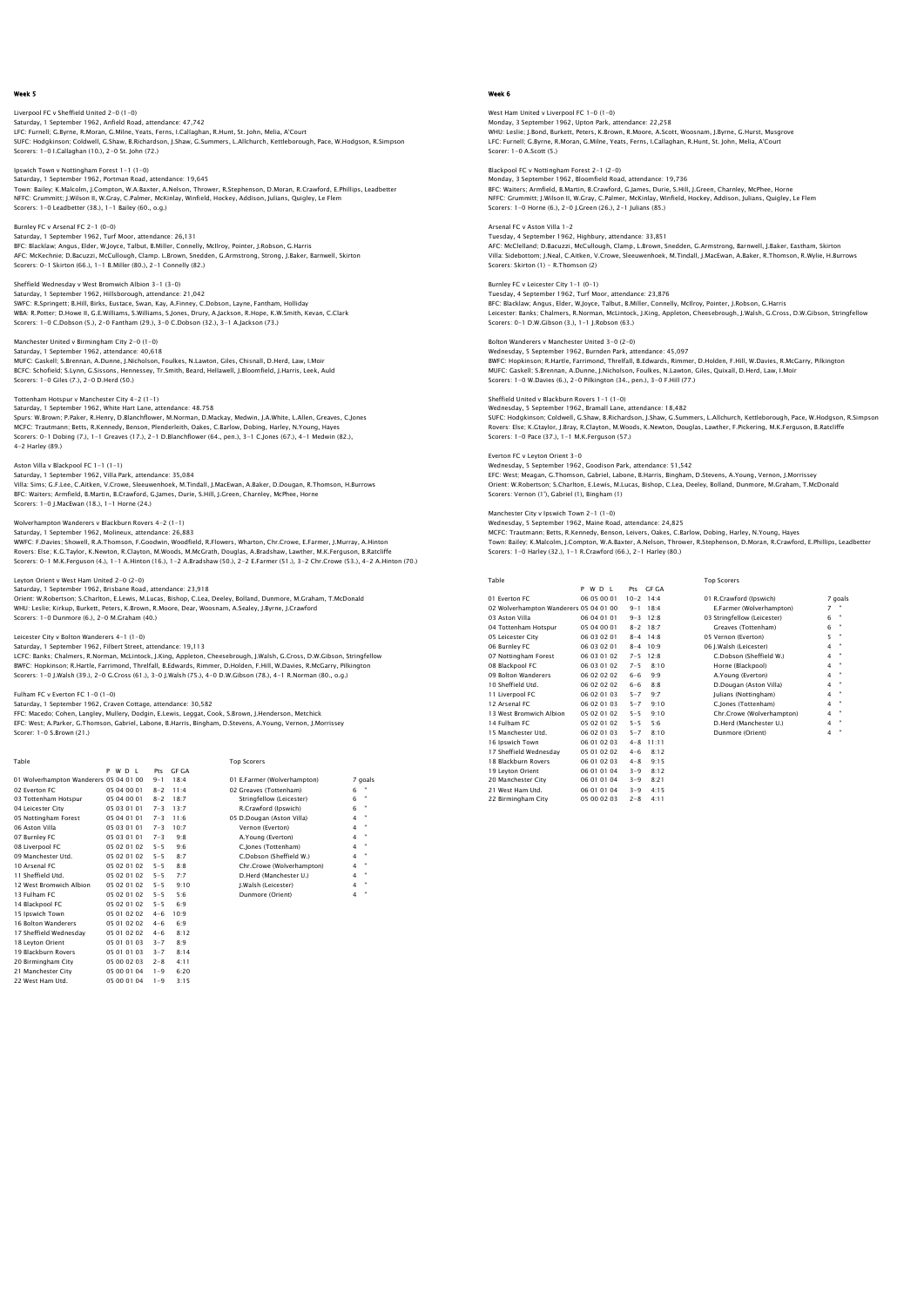## Liverpool FC v Sheffield United 2-0 (1-0)

Saturday, 1 September 1962, Anfield Road, attendance: 47,742 LFC: Furnell; G.Byrne, R.Moran, G.Milne, Yeats, Ferns, I.Callaghan, R.Hunt, St. John, Melia, A'Court SUFC: Hodgkinson; Coldwell, G.Shaw, B.Richardson, J.Shaw, G.Summers, L.Allchurch, Kettleborough, Pace, W.Hodgson, R.Simpson Scorers: 1-0 I.Callaghan (10.), 2-0 St. John (72.)

Ipswich Town v Nottingham Forest 1-1 (1-0) Saturday, 1 September 1962, Portman Road, attendance: 19,645

Town: Bailey; K.Malcolm, J.Compton, W.A.Baxter, A.Nelson, Thrower, R.Stephenson, D.Moran, R.Crawford, E.Phillips, Leadbetter NFFC: Grummitt; J.Wilson II, W.Gray, C.Palmer, McKinlay, Winfield, Hockey, Addison, Julians, Quigley, Le Flem Scorers: 1-0 Leadbetter (38.), 1-1 Bailey (60., o.g.)

Burnley FC v Arsenal FC 2-1 (0-0)

Saturday, 1 September 1962, Turf Moor, attendance: 26,131 BFC: Blacklaw; Angus, Elder, W.Joyce, Talbut, B.Miller, Connelly, McIlroy, Pointer, J.Robson, G.Harris<br>AFC: McKechnie; D.Bacuzzi, McCullough, Clamp. L.Brown, Snedden, G.Armstrong, Strong, J.Baker, Barnwell, Skirton<br>Scorers

Sheffield Wednesday v West Bromwich Albion 3-1 (3-0)

Saturday, 1 September 1962, Hillsborough, attendance: 21,042 SWFC: R.Springett; B.Hill, Birks, Eustace, Swan, Kay, A.Finney, C.Dobson, Layne, Fantham, Holliday<br>WBA: R.Potter; D.Howe II, G.E.Williams, S.Williams, S.Jones, Drury, A.Jackson, R.Hope, K.W.Smith, Kevan, C.Clark<br>Scorers: 1

Manchester United v Birmingham City 2-0 (1-0) Saturday, 1 September 1962, attendance: 40,618

MUFC: Gaskell; S.Brennan, A.Dunne, J.Nicholson, Foulkes, N.Lawton, Giles, Chisnall, D.Herd, Law, I.Moir<br>BCFC: Schofield; S.Lynn, G.Sissons, Hennessey, Tr.Smith, Beard, Hellawell, J.Bloomfield, J.Harris, Leek, Auld<br>Scorers:

### Tottenham Hotspur v Manchester City 4-2 (1-1)

Saturday, 1 September 1962, White Hart Lane, attendance: 48.758<br>Spurs: W.Brown; P.Paker, R.Henry, D.Blanchflower, M.Norman, D.Mackay, Medwin, J.A.White, L.Allen, Greaves, C.Jones<br>MCFC: Trautmann; Betts, R.Kennedy, Benson, 4-2 Harley (89.)

Aston Villa v Blackpool FC 1-1 (1-1)

Saturday, 1 September 1962, Villa Park, attendance: 35,084 Villa: Sims; G.F.Lee, C.Aitken, V.Crowe, Sleeuwenhoek, M.Tindall, J.MacEwan, A.Baker, D.Dougan, R.Thomson, H.Burrows BFC: Waiters; Armfield, B.Martin, B.Crawford, G.James, Durie, S.Hill, J.Green, Charnley, McPhee, Horne Scorers: 1-0 J.MacEwan (18.), 1-1 Horne (24.)

Wolverhampton Wanderers v Blackburn Rovers 4-2 (1-1)

Saturday, 1 September 1962, Molineux, attendance: 26,883<br>WWFC: F.Davies; Showell, R.A.Thomson, F.Goodwin, Woodfield, R.Flowers, Wharton, Chr.Crowe, E.Farmer, J.Murray, A.Hinton<br>Rovers: Ele; K.G.Taylor, K.Newton, R.Clayton,

#### Leyton Orient v West Ham United 2-0 (2-0)

Saturday, 1 September 1962, Brisbane Road, attendance: 23,918 Orient: W.Robertson; S.Charlton, E.Lewis, M.Lucas, Bishop, C.Lea, Deeley, Bolland, Dunmore, M.Graham, T.McDonald<br>WHU: Leslie; Kirkup, Burkett, Peters, K.Brown, R.Moore, Dear, Woosnam, A.Sealey, J.Byrne, J.Crawford Scorers: 1-0 Dunmore (6.), 2-0 M.Graham (40.)

#### Leicester City v Bolton Wanderers 4-1 (1-0)

Saturday, 1 September 1962, Filbert Street, attendance: 19,113 LCFC: Banks; Chalmers, R.Norman, McLintock, J.King, Appleton, Cheesebrough, J.Walsh, G.Cross, D.W.Gibson, Stringfellow<br>BWFC: Hopkinson; R.Hartle, Farrimond, Threffall, B.Edwards, Rimmer, D.Holden, F.Hill, W.Davies, R.McGar

### Fulham FC v Everton FC 1-0 (1-0)

Scorer: 1-0 S.Brown (21.)

Saturday, 1 September 1962, Craven Cottage, attendance: 30,582<br>FFC: Macedo; Cohen, Langley, Mullery, Dodgin, E.Lewis, Leggat, Cook, S.Brown, J.Henderson, Metchick<br>EFC: West: A.Parker, G.Thomson, Gabriel, Labone, B.Harris,

| Table                                  |             |         |       | <b>Top Scorers</b>          |                              |
|----------------------------------------|-------------|---------|-------|-----------------------------|------------------------------|
|                                        | P W D I     | Prs     | GE GA |                             |                              |
| 01 Wolverhampton Wanderers 05 04 01 00 |             | $9 - 1$ | 18.4  | 01 E.Farmer (Wolverhampton) | 7 goals                      |
| 02 Everton EC                          | 05 04 00 01 | $8 - 2$ | 11.4  | 02 Greaves (Tottenham)      | 6                            |
| 03 Tottenham Hotspur                   | 05 04 00 01 | $8 - 2$ | 18.7  | Stringfellow (Leicester)    | ٠<br>6                       |
| 04 Leicester City                      | 05 03 01 01 | $7 - 3$ | 13:7  | R.Crawford (Ipswich)        | ٠<br>6                       |
| 05 Nottingham Forest                   | 05 04 01 01 | $7 - 3$ | 11.6  | 05 D.Dougan (Aston Villa)   | ٠<br>4                       |
| 06 Aston Villa                         | 05 03 01 01 | $7 - 3$ | 10:7  | Vernon (Everton)            | ٠<br>$\overline{\mathbf{4}}$ |
| 07 Burnley FC                          | 05.03.01.01 | $7 - 3$ | 9:8   | A.Young (Everton)           | ٠<br>4                       |
| 08 Liverpool FC                        | 05 02 01 02 | $5 - 5$ | 9.6   | C.Jones (Tottenham)         | ٠<br>$\overline{\mathbf{4}}$ |
| 09 Manchester Utd.                     | 05 02 01 02 | $5 - 5$ | 8:7   | C.Dobson (Sheffield W.)     | ٠<br>4                       |
| 10 Arsenal FC                          | 05 02 01 02 | $5 - 5$ | 8:8   | Chr.Crowe (Wolverhampton)   | ٠<br>$\overline{4}$          |
| 11 Sheffield Utd.                      | 05 02 01 02 | $5 - 5$ | 7:7   | D.Herd (Manchester U.)      | ٠<br>$\overline{\mathbf{4}}$ |
| 12 West Bromwich Albion                | 05 02 01 02 | $5 - 5$ | 9:10  | J.Walsh (Leicester)         | ٠<br>4                       |
| 13 Fulham FC                           | 05 02 01 02 | $5 - 5$ | 5:6   | Dunmore (Orient)            | $\overline{\mathbf{4}}$      |
| 14 Blackpool FC                        | 05 02 01 02 | $5 - 5$ | 6:9   |                             |                              |
| 15 Ipswich Town                        | 05 01 02 02 | $4 - 6$ | 10.9  |                             |                              |
| 16 Bolton Wanderers                    | 05 01 02 02 | $4 - 6$ | 6:9   |                             |                              |
| 17 Sheffield Wednesdav                 | 05 01 02 02 | $4 - 6$ | 8:12  |                             |                              |
| 18 Leyton Orient                       | 05 01 01 03 | $3 - 7$ | 8:9   |                             |                              |
| 19 Blackburn Rovers                    | 05 01 01 03 | $3 - 7$ | 8:14  |                             |                              |
| 20 Birmingham City                     | 05 00 02 03 | $2 - 8$ | 4:11  |                             |                              |

20 Birmingham City 05 00 02 03 2-8 4:11 21 Manchester City 05 00 01 04 1-9 6:20 22 West Ham Utd. 05 00 01 04 1-9 3:15

## Week 6

West Ham United v Liverpool FC 1–0 (1–0)<br>Monday, 3 September 1962, Upton Park, attendance: 22,258<br>WHU: Leslie: J.Bond, Burkett, Peters, K.Brown, R.Moore, A.Scott, Woosnam, J.Byrne, G.Hurst, Musgrove LFC: Furnell; G.Byrne, R.Moran, G.Milne, Yeats, Ferns, I.Callaghan, R.Hunt, St. John, Melia, A'Court Scorer: 1-0 A.Scott (5.)

Blackpool FC v Nottingham Forest 2-1 (2-0) Monday, 3 September 1962, Bloomfield Road, attendance: 19,736

BFC: Waiters; Armfield, B.Martin, B.Crawford, G.James, Durie, S.Hill, J.Green, Charnley, McPhee, Horne NFFC: Grummitt; J.Wilson II, W.Gray, C.Palmer, McKinlay, Winfield, Hockey, Addison, Julians, Quigley, Le Flem Scorers: 1-0 Horne (6.), 2-0 J.Green (26.), 2-1 Julians (85.)

## Arsenal FC v Aston Villa 1-2

Tuesday, 4 September 1962, Highbury, attendance: 33,851 AFC: McClelland; D.Bacuzzi, McCullough, Clamp, L.Brown, Snedden, G.Armstrong, Barnwell, J.Baker, Eastham, Skirton<br>Villa: Sidebottom; J.Neal, C.Aitken, V.Crowe, Sleeuwenhoek, M.Tindall, J.MacEwan, A.Baker, R.Thomson, R.Wyli Scorers: Skirton (1) - R.Thomson (2)

Burnley FC v Leicester City 1-1 (0-1) Tuesday, 4 September 1962, Turf Moor, attendance: 23,876 BFC: Blacklaw; Angus, Elder, W.Joyce, Talbut, B.Miller, Connelly, McIlroy, Pointer, J.Robson, G.Harris<br>Leicester: Banks; Chalmers, R.Norman, McLintock, J.King, Appleton, Cheesebrough, J.Walsh, G.Cross, D.W.Gibson, Stringfe

Bolton Wanderers v Manchester United 3-0 (2-0) Wednesday, S September 1962, Burnden Park, attendance: 45,097<br>BWFC: Hopkinson; R.Hartle, Farrimond, Threlfall, B.Edwards, Rimmer, D.Holden, F.Hill, W.Davies, R.McGarry, Pilkingtor<br>MUFC: Gaskell; S.Brennan, A.Dunne, J.Nicho

Sheffield United v Blackburn Rovers 1-1 (1-0)

Wednesday, 5 September 1962, Bramall Lane, attendance: 18,482<br>SUFC: Hodgkinson; Coldwell, G.Shaw, B.Richardson, J.Shaw, G.Summers, L.Allchurch, Kettleborough, Pace, W.Hodgson, R.Simpsor<br>Rovers: Else; K.Gtaylor, J.Bray, R.C Scorers: 1-0 Pace (37.), 1-1 M.K.Ferguson (57.)

Everton FC v Leyton Orient 3-0 Wednesday, 5 September 1962, Goodison Park, attendance: 51,542 EFC: West; Meagan, G.Thomson, Gabriel, Labone, B.Harris, Bingham, D.Stevens, A.Young, Vernon, J.Morrissey Orient: W.Robertson; S.Charlton, E.Lewis, M.Lucas, Bishop, C.Lea, Deeley, Bolland, Dunmore, M.Graham, T.McDonald Scorers: Vernon (1'), Gabriel (1), Bingham (1)

#### Manchester City v Ipswich Town 2-1 (1-0) Wednesday, 5 September 1962, Maine Road, attendance: 24,825

MCFC: Trautmann; Betts, R.Kennedy, Benson, Leivers, Oakes, C.Barlow, Dobing, Harley, N.Young, Hayes Town: Bailey; K.Malcolm, J.Compton, W.A.Baxter, A.Nelson, Thrower, R.Stephenson, D.Moran, R.Crawford, E.Phillips, Leadbetter Scorers: 1-0 Harley (32.), 1-1 R.Crawford (66.), 2-1 Harley (80.)

Top Scorers

|                                        | P W D I     | GE GA<br>Pt s          |                             |                     |
|----------------------------------------|-------------|------------------------|-----------------------------|---------------------|
| 01 Everton EC                          | 06 05 00 01 | $10-2$<br>14.4         | 01 R.Crawford (Ipswich)     | 7 qo                |
| 02 Wolverhampton Wanderers 05 04 01 00 |             | 18.4<br>$9 - 1$        | E.Farmer (Wolverhampton)    | $\overline{7}$      |
| 03 Aston Villa                         | 06 04 01 01 | 12:8<br>$9 - 3$        | 03 Stringfellow (Leicester) | f<br>6              |
| 04 Tottenham Hotspur                   | 05 04 00 01 | $8 - 2$<br>18.7        | Greaves (Tottenham)         | t<br>6              |
| 05 Leicester City                      | 06 03 02 01 | 14.8<br>$8 - 4$        | 05 Vernon (Everton)         | 5                   |
| 06 Burnley FC                          | 06 03 02 01 | 10:9<br>$8 - 4$        | 06 J.Walsh (Leicester)      | $\overline{4}$      |
| 07 Nottingham Forest                   | 06 03 01 02 | $7-5$ 12.8             | C.Dobson (Sheffield W.)     | $\overline{4}$      |
| 08 Blackpool FC                        | 06 03 01 02 | $7 - 5$<br>8:10        | Horne (Blackpool)           | $\overline{4}$      |
| 09 Bolton Wanderers                    | 06 02 02 02 | $6 - 6$<br>$q \cdot q$ | A.Young (Everton)           | t<br>$\overline{4}$ |
| 10 Sheffield Utd.                      | 06 02 02 02 | $6 - 6$<br>8.8         | D.Dougan (Aston Villa)      | $\overline{4}$      |
| 11 Liverpool FC                        | 06 02 01 03 | $5 - 7$<br>9:7         | Julians (Nottingham)        | $\overline{4}$      |
| 12 Arsenal FC                          | 06 02 01 03 | $5 - 7$<br>9:10        | C.lones (Tottenham)         | t<br>$\overline{4}$ |
| 13 West Bromwich Albion                | 05 02 01 02 | $5 - 5$<br>9:10        | Chr.Crowe (Wolverhampton)   | $\overline{4}$      |
| 14 Fulham FC                           | 05 02 01 02 | 5.6<br>$5 - 5$         | D.Herd (Manchester U.)      | $\overline{4}$      |
| 15 Manchester Utd.                     | 06 02 01 03 | 8:10<br>$5 - 7$        | Dunmore (Orient)            | 4                   |
| 16 Ipswich Town                        | 06 01 02 03 | 11:11<br>$4 - 8$       |                             |                     |
| 17 Sheffield Wednesdav                 | 05 01 02 02 | 8:12<br>$4 - 6$        |                             |                     |
| 18 Blackburn Rovers                    | 06 01 02 03 | 9:15<br>$4 - 8$        |                             |                     |
| 19 Levton Orient                       | 06 01 01 04 | 8:12<br>$3 - 9$        |                             |                     |
| 20 Manchester City                     | 06 01 01 04 | 8:21<br>$3 - 9$        |                             |                     |
| 21 West Ham Utd.                       | 06 01 01 04 | 4:15<br>$3 - 9$        |                             |                     |
| 22 Rirmingham City                     | 05.00.02.03 | $2 - 8$<br>4:11        |                             |                     |

01 R.Crawford (Ipswich) 7 goals<br>F Farmer (Wolverhampton) 7 " E.Farmer (Wolverhampton) 7 "<br>
Stringfellow (Leicester) 6 "<br>
Greaves (Tottenham) 6 "<br>
Vernon (Everton) 7 "<br>
Vernon (Everton) 7 "<br>
UNalsh (I eicester) 4 " 05 Vernon (Everton) 06 LWalsh (Leicester) A.Young (Everton) D. Dougan (Aston Villa) 11 Liverpool Continues Continues Continues (Nottingham) -<br>C.Jones (Tottenham) Dunmore (Orient)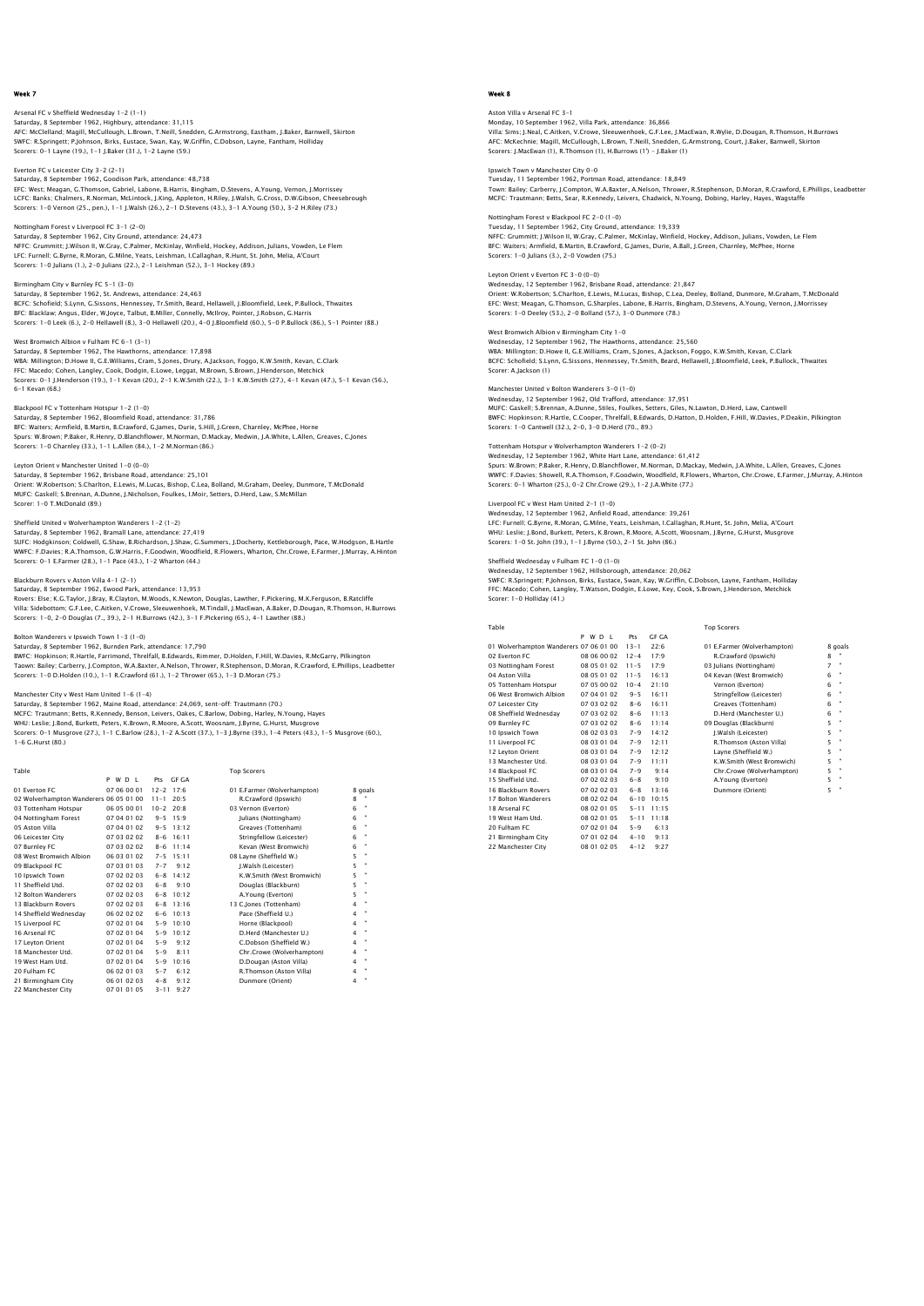### Arsenal FC v Sheffield Wednesday 1-2 (1-1) Saturday, 8 September 1962, Highbury, attendance: 31,115 AFC: McClelland; Magill, McCullough, L.Brown, T.Neill, Snedden, G.Armstrong, Eastham, J.Baker, Barnwell, Skirton SWFC: R.Springett; P.Johnson, Birks, Eustace, Swan, Kay, W.Griffin, C.Dobson, Layne, Fantham, Holliday Scorers: 0-1 Layne (19.), 1-1 J.Baker (31.), 1-2 Layne (59.)

Everton FC v Leicester City 3-2 (2-1) Saturday, 8 September 1962, Goodison Park, attendance: 48,738 EFC: West; Meagan, G.Thomson, Gabriel, Labone, B.Harris, Bingham, D.Stevens, A.Young, Vernon, J.Morrissey<br>LCFC: Banks; Chalmers, R.Norman, McLintock, J.King, Appleton, H.Riley, J.Walsh, G.Cross, D.W.Gibson, Cheesebrough<br>Sc

#### Nottingham Forest v Liverpool FC 3-1 (2-0) Saturday, 8 September 1962, City Ground, attendance: 24,473

NFFC: Grummitt: J.Wilson II, W.Gray, C.Palmer, McKinlay, Winfield, Hockey, Addison, Julians, Vowden, Le Flem<br>LFC: Furnell; G.Byrne, R.Moran, G.Milne, Yeats, Leishman, I.Callaghan, R.Hunt, St. John, Melia, A'Court<br>Scorers:

#### Birmingham City v Burnley FC 5-1 (3-0)

Saturday, 8 September 1962, St. Andrews, attendance: 24,463 BCFC: Schofield; S.Lynn, G.Sissons, Hennessey, Tr.Smith, Beard, Hellawell, J.Bloomfield, Leek, P.Bullock, Thwaites<br>BFC: Blacklaw; Angus, Elder, W.Joyce, Talbut, B.Miller, Connelly, Mcliroy, Pointer, J.Robson, G.Harris<br>Scor

#### West Bromwich Albion v Fulham FC 6-1 (3-1)

Saturday, 8 September 1962, The Hawthorns, attendance: 17,898 WBA: Millington; D.Howe II, G.E.Williams, Cram, S.Jones, Drury, A.Jackson, Foggo, K.W.Smith, Kevan, C.Clark<br>FFC: Macedo; Cohen, Langley, Cook, Dodgin, E.Lowe, Leggat, M.Brown, S.Brown, J.Henderson, Metchick<br>Scorers: 0–1 J. 6-1 Kevan (68.)

Blackpool FC v Tottenham Hotspur 1–2 (1–0)<br>Saturday, 8 September 1962, Bloomfield Road, attendance: 31,786<br>BFC: Waiters; Armfield, B.Martin, B.Crawford, G.James, Durie, S.Hill, J.Green, Charnley, McPhee, Horne<br>Spurs: W.Bro Scorers: 1-0 Charnley (33.), 1-1 L.Allen (84.), 1-2 M.Norman (86.)

## Leyton Orient v Manchester United 1-0 (0-0)

Saturday, 8 September 1962, Brisbane Road, attendance: 25,101 Orient: W.Robertson; S.Charlton, E.Lewis, M.Lucas, Bishop, C.Lea, Bolland, M.Graham, Deeley, Dunmore, T.McDonald MUFC: Gaskell; S.Brennan, A.Dunne, J.Nicholson, Foulkes, I.Moir, Setters, D.Herd, Law, S.McMillan Scorer: 1-0 T.McDonald (89.)

## ed v Wolverhampton Wanderers 1-2 (1-2)

Saturday, 8 September 1962, Bramall Lane, attendance: 27,419<br>SUFC: Hodgkinson; Coldwell, G.Shaw, B.Richardson, J.Shaw, G.Summers, J.Docherty, Kettleborough, Pace, W.Hodgson, B.Hartle<br>WWFC: F.Davies; R.A.Thomson, G.W.Harris Scorers: 0-1 E.Farmer (28.), 1-1 Pace (43.), 1-2 Wharton (44.)

### Blackburn Rovers v Aston Villa 4-1 (2-1)

Saturday, 8 September 1962, Ewood Park, attendance: 13,953 Rovers: Else; K.G.Taylor, J.Bray, R.Clayton, M.Woods, K.Newton, Douglas, Lawther, F.Pickering, M.K.Ferguson, B.Ratcliffe<br>Villa: Sidebottom; G.F.Lee, C.Aitken, V.Crowe, Sleeuwenhoek, M.Tindall, J.MacEwan, A.Baker, D.Dougan, Scorers: 1-0, 2-0 Douglas (7., 39.), 2-1 H.Burrows (42.), 3-1 F.Pickering (65.), 4-1 Lawther (88.)

#### Bolton Wanderers v Ipswich Town 1-3 (1-0)

Saturday, 8 September 1962, Burnden Park, attendance: 17,790 BWFC: Hopkinson; R.Hartle, Farrimond, Threlfall, B.Edwards, Rimmer, D.Holden, F.Hill, W.Davies, R.McCarry, Pilkington<br>Taown: Bailey; Carberry, J.Compton, W.A.Baxter, A.Nelson, Thrower, R.Stephenson, D.Moran, R.Crawford, E.

#### Manchester City v West Ham United 1-6 (1-4)

Saturday, 8 September 1962, Maine Road, attendance: 24,069, sent-off: Trautmann (70.)<br>MCFC: Trautmann; Betts, R.Kennedy, Benson, Leivers, Oakes, C.Barlow, Dobing, Harley, N.Young, Hayes<br>WHU: Leslie; J.Bond, Burkett, Peters 1-6 G.Hurst (80.)

| Table                                  |             |               |               | <b>Top Scorers</b>          |                         |         |
|----------------------------------------|-------------|---------------|---------------|-----------------------------|-------------------------|---------|
|                                        | P W D I     |               | Pts GE GA     |                             |                         |         |
| 01 Everton EC                          | 07 06 00 01 | $12 - 2$ 17:6 |               | 01 E.Farmer (Wolverhampton) |                         | 8 goals |
| 02 Wolverhampton Wanderers 06 05 01 00 |             | $11 - 1$      | 20.5          | R.Crawford (Ipswich)        | 8                       |         |
| 03 Tottenham Hotspur                   | 06 05 00 01 | $10-2$        | 20.8          | 03 Vernon (Everton)         | 6                       | ٠       |
| 04 Nottingham Forest                   | 07 04 01 02 |               | $9 - 5$ 15:9  | Julians (Nottingham)        | 6                       | ٠       |
| 05 Aston Villa                         | 07 04 01 02 | $9 - 5$       | 13:12         | Greaves (Tottenham)         | 6                       | ٠       |
| 06 Leicester City                      | 07 03 02 02 |               | $8 - 6$ 16:11 | Stringfellow (Leicester)    | 6                       |         |
| 07 Burnley FC                          | 07 03 02 02 | $8 - 6$       | 11:14         | Kevan (West Bromwich)       | 6                       | ٠       |
| 08 West Bromwich Albion                | 06 03 01 02 | $7 - 5$       | 15:11         | 08 Layne (Sheffield W.)     | 5                       | ٠       |
| 09 Blackpool FC                        | 07 03 01 03 | $7 - 7$       | 9:12          | J.Walsh (Leicester)         | 5                       | ٠       |
| 10 Ipswich Town                        | 07 02 02 03 | $6 - 8$       | 14:12         | K.W.Smith (West Bromwich)   | 5                       | ×       |
| 11 Sheffield Utd.                      | 07 02 02 03 | $6 - 8$       | 9:10          | Douglas (Blackburn)         | 5                       | ٠       |
| 12 Bolton Wanderers                    | 07 02 02 03 | $6 - 8$       | 10:12         | A.Young (Everton)           | 5                       | ٠       |
| 13 Blackburn Rovers                    | 07 02 02 03 |               | $6 - 8$ 13:16 | 13 C.Jones (Tottenham)      | 4                       |         |
| 14 Sheffield Wednesdav                 | 06 02 02 02 | $6 - 6$       | 10:13         | Pace (Sheffield U.)         | 4                       | ٠       |
| 15 Liverpool FC                        | 07 02 01 04 | $5 - 9$       | 10:10         | Horne (Blackpool)           | $\overline{\mathbf{4}}$ | ٠       |
| 16 Arsenal FC                          | 07 02 01 04 | $5 - 9$       | 10:12         | D.Herd (Manchester U.)      | $\overline{\mathbf{4}}$ | ٠       |
| 17 Levton Orient                       | 07 02 01 04 | $5 - 9$       | 9:12          | C.Dobson (Sheffield W.)     | 4                       | ٠       |
| 18 Manchester Utd.                     | 07 02 01 04 | $5 - 9$       | 8:11          | Chr.Crowe (Wolverhampton)   | $\overline{\mathbf{4}}$ |         |
| 19 West Ham Utd.                       | 07 02 01 04 | $5 - 9$       | 10:16         | D.Dougan (Aston Villa)      | 4                       | ٠       |
| 20 Fulham FC                           | 06 02 01 03 | $5 - 7$       | 6:12          | R.Thomson (Aston Villa)     | 4                       |         |
| 21 Birmingham City                     | 06 01 02 03 | $4 - 8$       | 9:12          | Dunmore (Orient)            | 4                       |         |
| 22 Manchester City                     | 07 01 01 05 | $3 - 11$      | 9:27          |                             |                         |         |

## Week 8

### Aston Villa v Arsenal FC 3-1 Monday, 10 September 1962, Villa Park, attendance: 36,866 Villa: Sims; J.Neal, C.Aitken, V.Crowe, Sleeuwenhoek, G.F.Lee, J.MacEwan, R.Wylie, D.Dougan, R.Thomson, H.Burrows AFC: McKechnie; Magill, McCullough, L.Brown, T.Neill, Snedden, G.Armstrong, Court, J.Baker, Barnwell, Skirton Scorers: J.MacEwan (1), R.Thomson (1), H.Burrows (1') - J.Baker (1)

Ipswich Town v Manchester City 0-0 Tuesday, 11 September 1962, Portman Road, attendance: 18,849 Town: Bailey; Carberry, J.Compton, W.A.Baxter, A.Nelson, Thrower, R.Stephenson, D.Moran, R.Crawford, E.Phillips, Leadbetteı<br>MCFC: Trautmann: Betts, Sear, R.Kennedy, Leivers, Chadwick, N.Young, Dobing, Harley, Hayes, Wagsta

### Nottingham Forest v Blackpool FC 2-0 (1-0) Tuesday, 11 September 1962, City Ground, attendance: 19,339 NFFC: Grummitt; J.Wilson II, W.Gray, C.Palmer, McKinlay, Winfield, Hockey, Addison, Julians, Vowden, Le Flem BFC: Waiters; Armfield, B.Martin, B.Crawford, G.James, Durie, A.Ball, J.Green, Charnley, McPhee, Horne Scorers: 1-0 Julians (3.), 2-0 Vowden (75.)

Leyton Orient v Everton FC 3-0 (0-0) Wednesday, 12 September 1962, Brisbane Road, attendance: 21,847 Orient: W.Robertson; S.Charlton, E.Lewis, M.Lucas, Bishop, C.Lea, Deeley, Bolland, Dunmore, M.Graham, T.McDonald EFC: West; Meagan, G.Thomson, G.Sharples, Labone, B.Harris, Bingham, D.Stevens, A.Young, Vernon, J.Morrissey Scorers: 1-0 Deeley (53.), 2-0 Bolland (57.), 3-0 Dunmore (78.)

#### West Bromwich Albion v Birmingham City 1-0

Wednesday, 12 September 1962, The Hawthorns, attendance: 25,560 WBA: Millington; D.Howe II, G.E.Williams, Cram, S.Jones, A.Jackson, Foggo, K.W.Smith, Kevan, C.Clark BCFC: Schofield; S.Lynn, G.Sissons, Hennessey, Tr.Smith, Beard, Hellawell, J.Bloomfield, Leek, P.Bullock, Thwaites Scorer: A.Jackson (1)

#### Manchester United v Bolton Wanderers 3-0 (1-0)

Wednesday, 12 September 1962, Old Trafford, attendance: 37,951 MUFC: Gaskell; S.Brennan, A.Dunne, Stiles, Foulkes, Setters, Giles, N.Lawton, D.Herd, Law, Cantwell BWFC: Hopkinson; R.Hartle, C.Cooper, Threlfall, B.Edwards, D.Hatton, D.Holden, F.Hill, W.Davies, P.Deakin, Pilkington Scorers: 1-0 Cantwell (32.), 2-0, 3-0 D.Herd (70., 89.)

## Tottenham Hotspur v Wolverhampton Wanderers 1-2 (0-2)

Wednesday, 12 September 1962, White Hart Lane, attendance: 61,412 Spurs: W.Brown; P.Baker, R.Henry, D.Blanchflower, M.Norman, D.Mackay, Medwin, J.A.White, L.Allen, Greaves, C.Jones WWFC: F.Davies; Showell, R.A.Thomson, F.Goodwin, Woodfield, R.Flowers, Wharton, Chr.Crowe, E.Farmer, J.Murray, A.Hinton Scorers: 0-1 Wharton (25.), 0-2 Chr.Crowe (29.), 1-2 J.A.White (77.)

## Liverpool FC v West Ham United 2-1 (1-0)

Wednesday, 12 September 1962, Anfield Road, attendance: 39,261<br>LFC: Furnell; G.Byrne, R.Moran, G.Milne, Yeats, Leishman, I.Callaghan, R.Hunt, St. John, Melia, A'Courl<br>WHU: Leslie: J.Bond, Burkett, Peters, K.Brown, R.Moore, Scorers: 1-0 St. John (39.), 1-1 J.Byrne (50.), 2-1 St. John (86.)

Sheffield Wednesday v Fulham FC 1–0 (1–0)<br>Wednesday, 12 September 1962, Hillsborough, attendance: 20,062<br>SWFC: R.Springett; P.Johnson, Birks, Eustace, Swan, Kay, W.Griffin, C.Dobson, Layne, Fantham, Holliday<br>FFC: Macedo: C Scorer: 1-0 Holliday (41.)

Table Top Scorers

| <b>GF GA</b> |
|--------------|
| 22.6         |
| 17.9         |
| 17.9         |
|              |

17 Bolton Wanderers<br>
18 Arsenal FC 08 2020 100 100 1015<br>
19 West Ham Utd. 08 20 20 105 5-11 11:18<br>
20 Fulham FC 07 20 104 5-9 6:13<br>
21 Birmingham City 07 01 02 20 4 -10 9:13<br>
22 Manchester City 08 01 02 05 4-12 9:27

| 01 Wolverhampton Wanderers 07 06 01 00 |             | $13 - 1$ | 22:6  | 01 E.Farmer (Wolverhampton) |   | 8 goals        |
|----------------------------------------|-------------|----------|-------|-----------------------------|---|----------------|
| 02 Everton EC                          | 08 06 00 02 | $12 - 4$ | 17:9  | R.Crawford (Ipswich)        | 8 |                |
| 03 Nottingham Forest                   | 08 05 01 02 | $11 - 5$ | 17:9  | 03 Julians (Nottingham)     | 7 | $\blacksquare$ |
| 04 Aston Villa                         | 08 05 01 02 | $11 - 5$ | 16:13 | 04 Kevan (West Bromwich)    | 6 | ٠              |
| 05 Tottenham Hotspur                   | 07 05 00 02 | $10 - 4$ | 21:10 | Vernon (Everton)            | 6 | $\bullet$      |
| 06 West Bromwich Albion                | 07 04 01 02 | $9 - 5$  | 16:11 | Stringfellow (Leicester)    | 6 | $\bullet$      |
| 07 Leicester City                      | 07 03 02 02 | $8 - 6$  | 16:11 | Greaves (Tottenham)         | 6 | $\bullet$      |
| 08 Sheffield Wednesdav                 | 07 03 02 02 | $8 - 6$  | 11:13 | D.Herd (Manchester U.)      | 6 | $\bullet$      |
| 09 Burnley FC                          | 07 03 02 02 | $8 - 6$  | 11:14 | 09 Douglas (Blackburn)      | 5 | ×              |
| 10 Ipswich Town                        | 08 02 03 03 | $7 - 9$  | 14:12 | I.Walsh (Leicester)         | 5 | ٠              |
| 11 Liverpool FC                        | 08 03 01 04 | $7 - 9$  | 12:11 | R.Thomson (Aston Villa)     | 5 | ×              |
| 12 Levton Orient                       | 08 03 01 04 | $7 - 9$  | 12:12 | Lavne (Sheffield W.)        | 5 | ×              |
| 13 Manchester Utd.                     | 08 03 01 04 | $7 - 9$  | 11:11 | K.W.Smith (West Bromwich)   | 5 | ×              |
| 14 Blackpool FC                        | 08 03 01 04 | $7 - 9$  | 9:14  | Chr.Crowe (Wolverhampton)   | 5 | ×              |
| 15 Sheffield Utd.                      | 07 02 02 03 | $6 - 8$  | 9:10  | A.Young (Everton)           | 5 | $\bullet$      |
| 16 Blackburn Rovers                    | 07 02 02 03 | $6 - 8$  | 13:16 | Dunmore (Orient)            | 5 | ٠              |
| 17 Bolton Wanderers                    | 08 02 02 04 | $6 - 10$ | 10:15 |                             |   |                |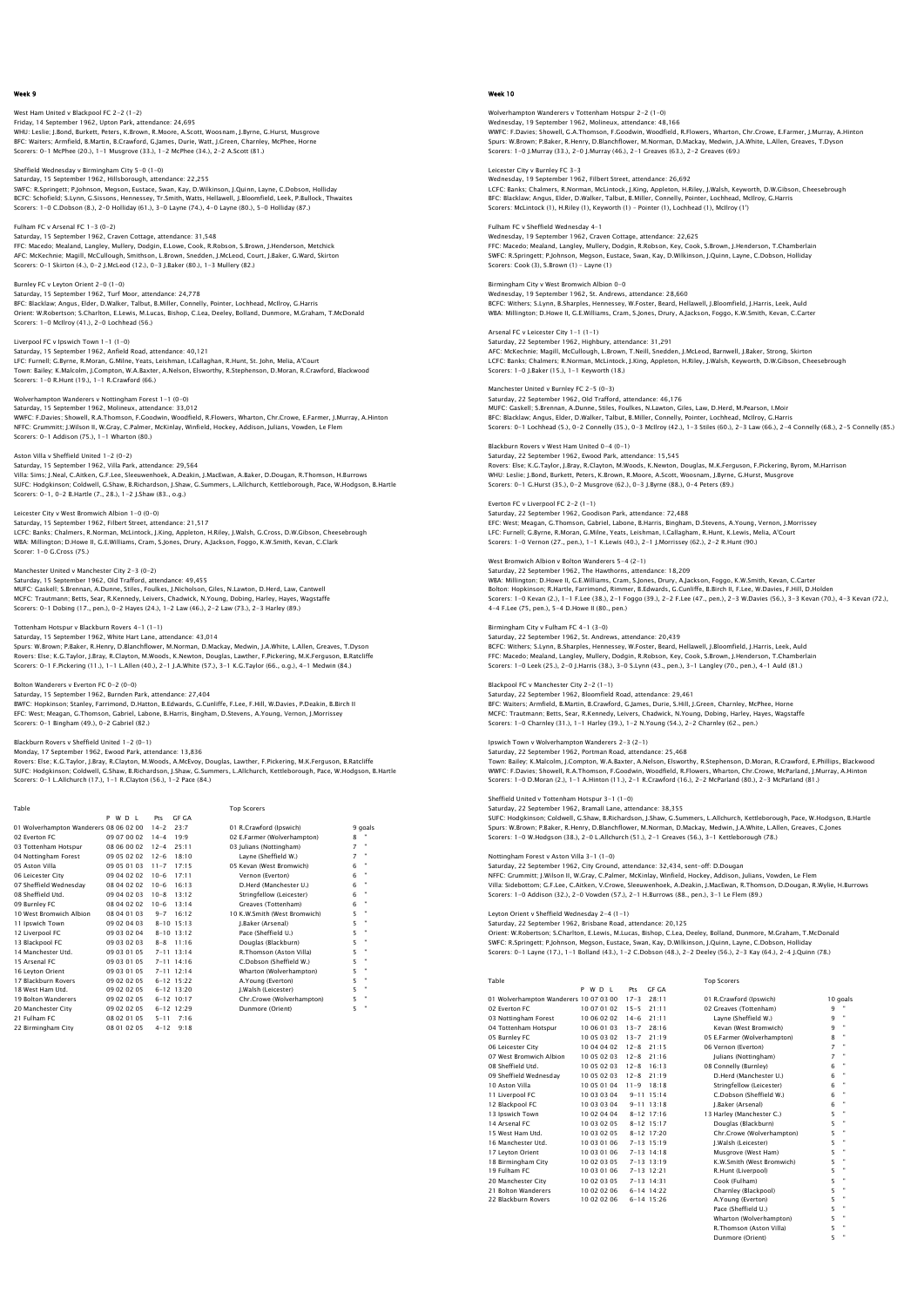## West Ham United v Blackpool FC 2-2 (1-2) Friday, 14 September 1962, Upton Park, attendance: 24,695 WHU: Leslie; J.Bond, Burkett, Peters, K.Brown, R.Moore, A.Scott, Woosnam, J.Byrne, G.Hurst, Musgrove BFC: Waiters; Armfield, B.Martin, B.Crawford, G.James, Durie, Watt, J.Green, Charnley, McPhee, Horne Scorers: 0-1 McPhee (20.), 1-1 Musgrove (33.), 1-2 McPhee (34.), 2-2 A.Scott (81.)

## Sheffield Wednesday v Birmingham City 5-0 (1-0) Saturday, 15 September 1962, Hillsborough, attendance: 22,255 SWFC: R.Springett; P.Johnson, Megson, Eustace, Swan, Kay, D.Wilkinson, J.Quinn, Layne, C.Dobson, Holliday BCFC: Schofield; S.Lynn, G.Sissons, Hennessey, Tr.Smith, Watts, Hellawell, J.Bloomfield, Leek, P.Bullock, Thwaites Scorers: 1-0 C.Dobson (8.), 2-0 Holliday (61.), 3-0 Layne (74.), 4-0 Layne (80.), 5-0 Holliday (87.)

Fulham FC v Arsenal FC 1-3 (0-2) Saturday, 15 September 1962, Craven Cottage, attendance: 31,548 FFC: Macedo; Mealand, Langley, Mullery, Dodgin, E.Lowe, Cook, R.Robson, S.Brown, J.Henderson, Metchick<br>AFC: McKechnie; Magill, MCCullough, Smithson, L.Brown, Snedden, J.McLeod, Court, J.Baker, G.Ward, Skirton<br>Scorers: O–1

## Burnley FC v Leyton Orient 2-0 (1-0) Saturday, 15 September 1962, Turf Moor, attendance: 24,778 BFC: Blacklaw; Angus, Elder, D.Walker, Talbut, B.Miller, Connelly, Pointer, Lochhead, McIlroy, G.Harris<br>Orient: W.Robertson; S.Charlton, E.Lewis, M.Lucas, Bishop, C.Lea, Deeley, Bolland, Dunmore, M.Graham, T.McDonald<br>Score

Liverpool FC v Ipswich Town 1-1 (1-0) Saturday, 15 September 1962, Anfield Road, attendance: 40,121 LFC: Furnell; G.Byrne, R.Moran, G.Milne, Yeats, Leishman, I.Callaghan, R.Hunt, St. John, Melia, A'Court<br>Town: Bailey; K.Malcolm, J.Compton, W.A.Baxter, A.Nelson, Elsworthy, R.Stephenson, D.Moran, R.Crawford, Blackwood<br>Scor

# Wolverhampton Wanderers v Nottingham Forest 1-1 (0-0)

Saturday, 15 September 1962, Molineux, attendance: 33,012 WWFC: F.Davies; Showell, R.A.Thomson, F.Goodwin, Woodfield, R.Flowers, Wharton, Chr.Crowe, E.Farmer, J.Murray, A.Hinton NFFC: Grummitt; J.Wilson II, W.Gray, C.Palmer, McKinlay, Winfield, Hockey, Addison, Julians, Vowden, Le Flem Scorers: 0-1 Addison (75.), 1-1 Wharton (80.)

Aston Villa v Sheffield United 1–2 (0–2)<br>Saturday, 15 September 1962, Villa Park, attendance: 29,564<br>Villa: Sims; J.Neal, C.Aitken, G.F.Lee, Sleeuwenhoek, A.Deakin, J.MacEwan, A.Baker, D.Dougan, R.Thomson, H.Burrows<br>SUFC: Scorers: 0-1, 0-2 B.Hartle (7., 28.), 1-2 J.Shaw (83., o.g.)

#### Leicester City v West Bromwich Albion 1-0 (0-0)

Saturday, 15 September 1962, Filbert Street, attendance: 21,517 LCFC: Banks; Chalmers, R.Norman, McLintock, J.King, Appleton, H.Riley, J.Walsh, G.Cross, D.W.Gibson, Cheesebrough WBA: Millington; D.Howe II, G.E.Williams, Cram, S.Jones, Drury, A.Jackson, Foggo, K.W.Smith, Kevan, C.Clark Scorer: 1-0 G.Cross (75.)

## Manchester United v Manchester City 2-3 (0-2)

Saturday, 15 September 1962, Old Trafford, attendance: 49,455 MUFC: Gaskell; S.Brennan, A.Dunne, Stiles, Foulkes, J.Nicholson, Giles, N.Lawton, D.Herd, Law, Cantwell MCFC: Trautmann; Betts, Sear, R.Kennedy, Leivers, Chadwick, N.Young, Dobing, Harley, Hayes, Wagstaffe Scorers: 0-1 Dobing (17., pen.), 0-2 Hayes (24.), 1-2 Law (46.), 2-2 Law (73.), 2-3 Harley (89.)

## Tottenham Hotspur v Blackburn Rovers 4-1 (1-1)

Saturday, 15 September 1962, White Hart Lane, attendance: 43,014 Spurs: W.Brown; P.Baker, R.Henry, D.Blanchflower, M.Norman, D.Mackay, Medwin, J.A.White, L.Allen, Greaves, T.Dyson Rovers: Else; K.G.Taylor, J.Bray, R.Clayton, M.Woods, K.Newton, Douglas, Lawther, F.Pickering, M.K.Ferguson, B.Ratcliffe<br>Scorers: 0–1 F.Pickering (11.), 1–1 L.Allen (40.), 2–1 J.A.White (57.), 3–1 K.G.Taylor (66., o.g.), 4

## Bolton Wanderers v Everton FC 0-2 (0-0)

Saturday, 15 September 1962, Burnden Park, attendance: 27,404 BWFC: Hopkinson; Stanley, Farrimond, D.Hatton, B.Edwards, G.Cunliffe, F.Lee, F.Hill, W.Davies, P.Deakin, B.Birch II<br>EFC: West; Meagan, G.Thomson, Gabriel, Labone, B.Harris, Bingham, D.Stevens, A.Young, Vernon, J.Morrissey<br>

#### Blackburn Rovers v Sheffield United 1-2 (0-1)

Monday, 17 September 1962, Ewood Park, attendance: 13,836<br>Rovers: Else; K.G.Taylor, J.Bray, R.Clayton, M.Woods, A.McEvoy, Douglas, Lawther, F.Pickering, M.K.Ferguson, B.Ratcliffe<br>SUFC: Hodgkinson; Coldwell, G.Shaw, B.Richa

| Table                                  |             |          |                  | <b>Top Scorers</b>           |   |                |   |
|----------------------------------------|-------------|----------|------------------|------------------------------|---|----------------|---|
|                                        | P W D I     | Pts      | GE GA            |                              |   |                |   |
| 01 Wolverhampton Wanderers 08 06 02 00 |             | $14 - 2$ | 23:7             | 01 R.Crawford (Ipswich)      |   | 9 goals        |   |
| 02 Everton EC                          | 09 07 00 02 | $14 - 4$ | 19.9             | 02 E.Farmer (Wolverhampton)  |   | 8              |   |
| 03 Tottenham Hotspur                   | 08 06 00 02 | $12 - 4$ | 25:11            | 03 Julians (Nottingham)      |   | $\overline{z}$ | ٠ |
| 04 Nottingham Forest                   | 09 05 02 02 | $12 - 6$ | 18:10            | Lavne (Sheffield W.)         |   | 7              |   |
| 05 Aston Villa                         | 09 05 01 03 | $11 - 7$ | 17:15            | 05 Kevan (West Bromwich)     | 6 |                |   |
| 06 Leicester City                      | 09 04 02 02 | $10 - 6$ | 17:11            | Vernon (Everton)             | 6 |                | ٠ |
| 07 Sheffield Wednesdav                 | 08 04 02 02 | $10 - 6$ | 16:13            | D.Herd (Manchester U.)       | 6 |                | ٠ |
| 08 Sheffield Utd.                      | 09 04 02 03 | $10 - 8$ | 13:12            | Stringfellow (Leicester)     | 6 |                | ٠ |
| 09 Burnley FC                          | 08 04 02 02 | $10 - 6$ | 13:14            | Greaves (Tottenham)          | 6 |                | ٠ |
| 10 West Bromwich Albion                | 08 04 01 03 | $9 - 7$  | 16:12            | 10 K.W.Smith (West Bromwich) | 5 |                | ٠ |
| 11 Ipswich Town                        | 09 02 04 03 |          | $8 - 10$ 15:13   | I.Baker (Arsenal)            | 5 |                | ٠ |
| 12 Liverpool FC                        | 09 03 02 04 |          | $8 - 10$ 13:12   | Pace (Sheffield U.)          | 5 |                | × |
| 13 Blackpool FC                        | 09 03 02 03 | $8 - 8$  | 11:16            | Douglas (Blackburn)          | 5 |                | ٠ |
| 14 Manchester Utd.                     | 09 03 01 05 |          | $7 - 11$ 13:14   | R.Thomson (Aston Villa)      | 5 |                | × |
| 15 Arsenal FC                          | 09 03 01 05 |          | $7 - 11$ 14 $16$ | C.Dobson (Sheffield W.)      | 5 |                | × |
| 16 Leyton Orient                       | 09 03 01 05 |          | $7 - 11$ 12:14   | Wharton (Wolverhampton)      | 5 |                | × |
| 17 Blackburn Rovers                    | 09 02 02 05 |          | $6 - 12$ 15:22   | A.Young (Everton)            | 5 |                | ٠ |
| 18 West Ham Utd.                       | 09 02 02 05 |          | $6 - 12$ 13:20   | I.Walsh (Leicester)          | 5 |                | ٠ |
| 19 Bolton Wanderers                    | 09 02 02 05 |          | $6 - 12$ 10:17   | Chr.Crowe (Wolverhampton)    | 5 |                | ٠ |
| 20 Manchester City                     | 09 02 02 05 |          | $6-12$ 12.29     | Dunmore (Orient)             | 5 |                | ٠ |
| 21 Fulham FC                           | 08 02 01 05 | $5 - 11$ | 7:16             |                              |   |                |   |
| 22 Birmingham City                     | 08 01 02 05 | $4 - 12$ | 9:18             |                              |   |                |   |

## Week 10

Wolverhampton Wanderers v Tottenham Hotspur 2–2 (1–0)<br>Wednesday, 19 September 1962, Molineux, attendance: 48,166<br>WWFC: F.Davies; Showell, G.A.Thomson, F.Goodwin, Woodfield, R.Flowers, Wharton, Chr.Crowe, E.Farmer, J.Murray Spurs: W.Brown; P.Baker, R.Henry, D.Blanchflower, M.Norman, D.Mackay, Medwin, J.A.White, L.Allen, Greaves, T.Dyson Scorers: 1-0 J.Murray (33.), 2-0 J.Murray (46.), 2-1 Greaves (63.), 2-2 Greaves (69.)

## Leicester City v Burnley FC 3-3 Wednesday, 19 September 1962, Filbert Street, attendance: 26,692 LCFC: Banks; Chalmers, R.Norman, McLintock, J.King, Appleton, H.Riley, J.Walsh, Keyworth, D.W.Gibson, Cheesebrough<br>BFC: Blacklaw; Anqus, Elder, D.Walker, Talbut, B.Miller, Connelly, Pointer, Lochhead, McIlroy, G.Harris Scorers: McLintock (1), H.Riley (1), Keyworth (1) - Pointer (1), Lochhead (1), McIlroy (1')

Fulham FC v Sheffield Wednesday 4-1 Wednesday, 19 September 1962, Craven Cottage, attendance: 22,625 FFC: Macedo; Mealand, Langley, Mullery, Dodgin, R.Robson, Key, Cook, S.Brown, J.Henderson, T.Chamberlair<br>SWFC: R.Springett; P.Johnson, Megson, Eustace, Swan, Kay, D.Wilkinson, J.Quinn, Layne, C.Dobson, Holliday<br>Scorers: Co

### Birmingham City v West Bromwich Albion 0-0 Wednesday, 19 September 1962, St. Andrews, attendance: 28,660 BCFC: Withers; S.Lynn, B.Sharples, Hennessey, W.Foster, Beard, Hellawell, J.Bloomfield, J.Harris, Leek, Auld WBA: Millington; D.Howe II, G.E.Williams, Cram, S.Jones, Drury, A.Jackson, Foggo, K.W.Smith, Kevan, C.Carter

Arsenal FC v Leicester City 1-1 (1-1) Saturday, 22 September 1962, Highbury, attendance: 31,291<br>AFC: McKechnie; Magill, McCullough, L.Brown, T.Nelll, Snedden, J.McLeod, Barnwell, J.Baker, Strong, Skirton<br>LCFC: Banks; Chalmers; R.Norman, McLintock, J.King, Appl Scorers: 1-0 J.Baker (15.), 1-1 Keyworth (18.)

#### Manchester United v Burnley FC 2-5 (0-3)

Saturday, 22 September 1962, Old Trafford, attendance: 46,176 MUFC: Gaskell; S.Brennan, A.Dunne, Stiles, Foulkes, N.Lawton, Giles, Law, D.Herd, M.Pearson, I.Moir<br>BFC: Blacklaw; Angus, Elder, D.Walker, Talbut, B.Miller, Connelly, Pointer, Lochhead, McIlroy, G.Harris<br>Scorers: 0–1 Lochh

## Blackburn Rovers v West Ham United 0-4 (0-1)

Saturday, 22 September 1962, Ewood Park, attendance: 15,545 Rovers: Else; K.G.Taylor, J.Bray, R.Clayton, M.Woods, K.Newton, Douglas, M.K.Ferguson, F.Pickering, Byrom, M.Harrison WHU: Leslie; J.Bond, Burkett, Peters, K.Brown, R.Moore, A.Scott, Woosnam, J.Byrne, G.Hurst, Musgrove Scorers: 0-1 G.Hurst (35.), 0-2 Musgrove (62.), 0-3 J.Byrne (88.), 0-4 Peters (89.)

## Everton FC v Liverpool FC 2-2 (1-1)

Saturday, 22 September 1962, Goodison Park, attendance: 72,488 EFC: West; Meagan, G.Thomson, Gabriel, Labone, B.Harris, Bingham, D.Stevens, A.Young, Vernon, J.Morrissey LFC: Furnell; G.Byrne, R.Moran, G.Milne, Yeats, Leishman, I.Callagham, R.Hunt, K.Lewis, Melia, A'Court Scorers: 1-0 Vernon (27., pen.), 1-1 K.Lewis (40.), 2-1 J.Morrissey (62.), 2-2 R.Hunt (90.)

West Bromwich Albion v Bolton Wanderers 5–4 (2–1)<br>Saturday, 22 September 1962, The Hawthorns, attendance: 18,209<br>WBA: Millington; D.Howe II, G.E.Williams, Cram, S.Jones, Drury, A.Jackson, Foggo, K.W.Smith, Kevan, C.Carter<br> Scorers: 1-0 Kevan (2.), 1-1 F.Lee (38.), 2-1 Foggo (39.), 2-2 F.Lee (47., pen.), 2-3 W.Davies (56.), 3-3 Kevan (70.), 4-3 Kevan (72.), 4-4 F.Lee (75, pen.), 5-4 D.Howe II (80., pen.)

## Birmingham City v Fulham FC 4-1 (3-0)

Saturday, 22 September 1962, St. Andrews, attendance: 20,439 BCFC: Withers; S.Lynn, B.Sharples, Hennessey, W.Foster, Beard, Hellawell, J.Bloomfield, J.Harris, Leek, Auld FFC: Macedo; Mealand, Langley, Mullery, Dodgin, R.Robson, Key, Cook, S.Brown, J.Henderson, T.Chamberlain Scorers: 1-0 Leek (25.), 2-0 J.Harris (38.), 3-0 S.Lynn (43., pen.), 3-1 Langley (70., pen.), 4-1 Auld (81.)

#### Blackpool FC v Manchester City 2-2 (1-1)

Saturday, 22 September 1962, Bloomfield Road, attendance: 29,461 BFC: Waiters; Armfield, B.Martin, B.Crawford, G.James, Durie, S.Hill, J.Green, Charnley, McPhee, Horne<br>MCFC: Trautmann; Betts, Sear, R.Kennedy, Leivers, Chadwick, N.Young, Dobing, Harley, Hayes, Wagstaffe<br>Scorers: 1–0 Char

#### Ipswich Town v Wolverhampton Wanderers 2-3 (2-1)

Saturday, 22 September 1962, Portman Road, attendance: 25,468<br>Town: Bailey; K.Malcolm, J.Compton, W.A.Baxter, A.Nelson, Elsworthy, R.Stephenson, D.Moran, R.Crawford, E.Phillips, Blackwoo<br>WWFC: F.Davies; Showell, R.A.Thomso

#### Sheffield United v Tottenham Hotspur 3-1 (1-0)

Saturday, 22 September 1962, Bramall Lane, attendance: 38,355<br>SUFC: Hodgkinson; Coldwell, G.Shaw, B.Richardson, J.Shaw, G.Summers, L.Allchurch, Kettleborough, Pace, W.Hodgson, B.Hartle<br>Spurs: W.Brown; P.Baker, R.Henry, D.B

## Nottingham Forest v Aston Villa 3-1 (1-0)

Saturday, 22 September 1962, City Ground, attendance: 32,434, sent-off: D.Dougan<br>NFFC: Grummitt; J.Wilson II, W.Gray, C.Palmer, McKinlay, Winfield, Hockey, Addison, Julians, Vowden, Le Flem<br>Villa: Sidebottom: G.F.Lee, C.Ai Scorers: 1-0 Addison (32.), 2-0 Vowden (57.), 2-1 H.Burrows (88., pen.), 3-1 Le Flem (89.)

Leyton Orient v Sheffield Wednesday 2–4 (1–1)<br>Saturday, 22 September 1962, Brisbane Road, attendance: 20,125<br>Orient: W.Robertson; S.Charlton, E.Lewis, M.Lucas, Bishop, C.Lea, Deeley, Bolland, Dunmore, M.Graham, T.McDonalc<br> Scorers: 0-1 Layne (17.), 1-1 Bolland (43.), 1-2 C.Dobson (48.), 2-2 Deeley (56.), 2-3 Kay (64.), 2-4 J.Quinn (78.)

|                                        | P | WD I        | Pts      | <b>GF GA</b>       |                             |          |                |
|----------------------------------------|---|-------------|----------|--------------------|-----------------------------|----------|----------------|
| 01 Wolverhampton Wanderers 10 07 03 00 |   |             | $17 - 3$ | 28:11              | 01 R.Crawford (Ipswich)     | 10 goal: |                |
| 02 Everton EC                          |   | 10 07 01 02 | $15 - 5$ | 21:11              | 02 Greaves (Tottenham)      | 9        |                |
| 03 Nottingham Forest                   |   | 10 06 02 02 | $14 - 6$ | 21:11              | Layne (Sheffield W.)        | 9        | $\blacksquare$ |
| 04 Tottenham Hotspur                   |   | 10 06 01 03 | $13 - 7$ | 28:16              | Kevan (West Bromwich)       | 9        | $\blacksquare$ |
| 05 Burnley FC                          |   | 10 05 03 02 | $13 - 7$ | 21:19              | 05 E.Farmer (Wolverhampton) | 8        | ٠              |
| 06 Leicester City                      |   | 10 04 04 02 | $12 - 8$ | 21:15              | 06 Vernon (Everton)         | 7        | ×              |
| 07 West Bromwich Albion                |   | 10 05 02 03 | $12 - 8$ | 21:16              | Iulians (Nottingham)        | 7        | $\blacksquare$ |
| 08 Sheffield Utd.                      |   | 10 05 02 03 | $12 - 8$ | 16:13              | 08 Connelly (Burnley)       | 6        | $\blacksquare$ |
| 09 Sheffield Wednesdav                 |   | 10 05 02 03 | $12 - 8$ | 21:19              | D.Herd (Manchester U.)      | 6        | $\blacksquare$ |
| 10 Aston Villa                         |   | 10 05 01 04 | $11 - 9$ | 18.18              | Stringfellow (Leicester)    | 6        | $\blacksquare$ |
| 11 Liverpool FC                        |   | 10 03 03 04 |          | $9 - 11$ 15:14     | C.Dobson (Sheffield W.)     | 6        | $\blacksquare$ |
| 12 Blackpool FC                        |   | 10 03 03 04 |          | $9 - 11$ 13:18     | J.Baker (Arsenal)           | 6        | ٠              |
| 13 Ipswich Town                        |   | 10 02 04 04 |          | $8 - 12$ 17:16     | 13 Harley (Manchester C.)   | 5        | ×              |
| 14 Arsenal FC                          |   | 10 03 02 05 |          | $8 - 12$ 15:17     | Douglas (Blackburn)         | 5        | ×              |
| 15 West Ham Utd.                       |   | 10 03 02 05 |          | 8-12 17:20         | Chr.Crowe (Wolverhampton)   | 5        | ×              |
| 16 Manchester Utd.                     |   | 10 03 01 06 |          | $7 - 13$ 15:19     | J.Walsh (Leicester)         | 5        |                |
| 17 Levton Orient                       |   | 10 03 01 06 |          | $7 - 13$ $14$ $18$ | Musgrove (West Ham)         | 5        | ×              |
| 18 Birmingham City                     |   | 10 02 03 05 |          | $7 - 13$ 13:19     | K.W.Smith (West Bromwich)   | 5        | ×              |
| 19 Fulham FC                           |   | 10 03 01 06 |          | $7 - 13$ 12:21     | R.Hunt (Liverpool)          | 5        | $\blacksquare$ |
| 20 Manchester City                     |   | 10 02 03 05 |          | $7 - 13$ 14:31     | Cook (Fulham)               | 5        | ×              |
| 21 Bolton Wanderers                    |   | 10 02 02 06 |          | $6 - 14$ 14:22     | Charnley (Blackpool)        | 5        | ×              |
| 22 Blackburn Rovers                    |   | 10 02 02 06 |          | $6 - 14$ 15.26     | A.Young (Everton)           | 5        | $\blacksquare$ |
|                                        |   |             |          |                    | Pace (Sheffield U.)         | 5        | $\blacksquare$ |

Table Top Scorers

2.<br>A Young (Everton) Pace (Sheffield U.) 5 " Wharton (Wolverhampton) 5 " R.Thomson (Aston Villa) 5 " Dunmore (Orient)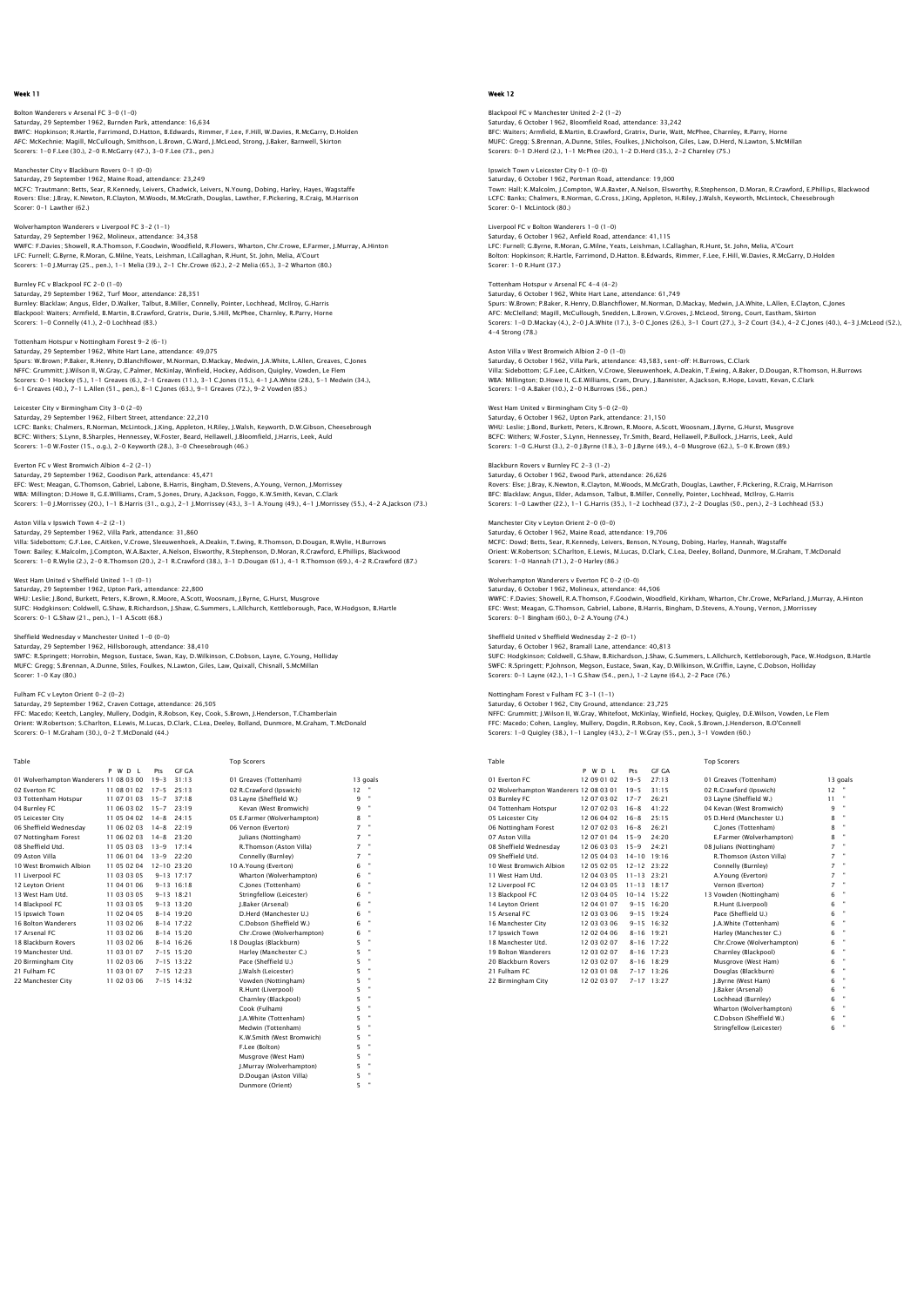Bolton Wanderers v Arsenal FC 3-0 (1-0) Saturday, 29 September 1962, Burnden Park, attendance: 16,634 BWFC: Hopkinson; R.Hartle, Farrimond, D.Hatton, B.Edwards, Rimmer, F.Lee, F.Hill, W.Davies, R.McGarry, D.Holden AFC: McKechnie; Magill, McCullough, Smithson, L.Brown, G.Ward, J.McLeod, Strong, J.Baker, Barnwell, Skirton Scorers: 1-0 F.Lee (30.), 2-0 R.McGarry (47.), 3-0 F.Lee (73., pen.)

Manchester City v Blackburn Rovers 0-1 (0-0) Saturday, 29 September 1962, Maine Road, attendance: 23,249 MCFC: Trautmann; Betts, Sear, R.Kennedy, Leivers, Chadwick, Leivers, N.Young, Dobing, Harley, Hayes, Wagstaffe Rovers: Else; J.Bray, K.Newton, R.Clayton, M.Woods, M.McGrath, Douglas, Lawther, F.Pickering, R.Craig, M.Harrison Scorer: 0-1 Lawther (62.)

Wolverhampton Wanderers v Liverpool FC 3-2 (1-1) Saturday, 29 September 1962, Molineux, attendance: 34,358 WWFC: F.Davies; Showell, R.A.Thomson, F.Goodwin, Woodfield, R.Flowers, Wharton, Chr.Crowe, E.Farmer, J.Murray, A.Hinton LFC: Furnell; G.Byrne, R.Moran, G.Milne, Yeats, Leishman, I.Callaghan, R.Hunt, St. John, Melia, A'Court Scorers: 1-0 J.Murray (25., pen.), 1-1 Melia (39.), 2-1 Chr.Crowe (62.), 2-2 Melia (65.), 3-2 Wharton (80.)

Burnley FC v Blackpool FC 2-0 (1-0) Saturday, 29 September 1962, Turf Moor, attendance: 28,351<br>Burnley: Blacklaw; Angus, Elder, D.Walker, Talbut, B.Miller, Connelly, Pointer, Lochhead, McIlroy, G.Harris<br>Blackpool: Waiters; Armfield, B.Martin, B.Crawford, Gra

#### Tottenham Hotspur v Nottingham Forest 9-2 (6-1)

Saturday, 29 September 1962, White Hart Lane, attendance: 49,075<br>Spurs: W.Brown; P.Baker, R.Henry, D.Blanchflower, M.Norman, D.Mackay, Medwin, J.A.White, L.Allen, Greaves, C.Jones<br>NFFC: Grummitt, J.Wilson II, W.Gray, C.Pal 6-1 Greaves (40.), 7-1 L.Allen (51., pen.), 8-1 C.Jones (63.), 9-1 Greaves (72.), 9-2 Vowden (85.)

Leicester City v Birmingham City 3–0 (2–0)<br>Saturday, 29 September 1962, Filbert Street, attendance: 22,210<br>LCFC: Banks; Chalmers, R.Norman, McLintock, J.King, Appleton, H.Riley, J.Walsh, Keyworth, D.W.Gibson, Cheesebrough BCFC: Withers; S.Lynn, B.Sharples, Hennessey, W.Foster, Beard, Hellawell, J.Bloomfield, J.Harris, Leek, Auld Scorers: 1-0 W.Foster (15., o.g.), 2-0 Keyworth (28.), 3-0 Cheesebrough (46.)

## Everton FC v West Bromwich Albion 4-2 (2-1)

Saturday, 29 September 1962, Goodison Park, attendance: 45,471<br>EFC: West; Meagan, G.Thomson, Gabriel, Labone, B.Harris, Bingham, D.Stevens, A.Young, Vernon, J.Morrissey<br>WBA: Millington; D.Howe II, G.E.Williams, Cram, S.Jon

## Aston Villa v Ipswich Town 4-2 (2-1)

Saturday, 29 September 1962, Villa Park, attendance: 31,860 Villa: Sidebottom; G.F.Lee, C.Aitken, V.Crowe, Sleeuwenhoek, A.Deakin, T.Ewing, R.Thomson, D.Dougan, R.Wylie, H.Burrows Town: Bailey; K.Malcolm, J.Compton, W.A.Baxter, A.Nelson, Elsworthy, R.Stephenson, D.Moran, R.Crawford, E.Phillips, Blackwood<br>Scorers: 1–0 R.Wylie (2.), 2–0 R.Thomson (20.), 2–1 R.Crawford (38.), 3–1 D.Dougan (61.), 4–1 R.

#### West Ham United v Sheffield United 1-1 (0-1)

Saturday, 29 September 1962, Upton Park, attendance: 22,800 under von Statemann von Statemann, Statemann von Statemann, Statemann, J.Byrne, G.Hurst, Musgrove<br>WHU: Leslie; J.Bond, Burkett, Peters, K.Brown, R.Moore, A.Scott, Woosnam, J.Byrne, G.Hurst, Musgrove<br>SUFC: Hodokinson: Coldw SUFC: Hodgkinson; Coldwell, G.Shaw, B.Richardson, J.Shaw, G.Summers, L.Allchurch, Kettleborough, Pace, W.Hodgson, B.Hartle Scorers: 0-1 G.Shaw (21., pen.), 1-1 A.Scott (68.)

#### Sheffield Wednesday v Manchester United 1-0 (0-0)

Saturday, 29 September 1962, Hillsborough, attendance: 38,410 SWFC: R.Springett; Horrobin, Megson, Eustace, Swan, Kay, D.Wilkinson, C.Dobson, Layne, G.Young, Holliday<br>MUFC: Gregg; S.Brennan, A.Dunne, Stiles, Foulkes, N.Lawton, Giles, Law, Quixall, Chisnall, S.McMillan<br>Scorer: 1-0 Kay

#### Fulham FC v Leyton Orient 0-2 (0-2)

Saturday, 29 September 1962, Craven Cottage, attendance: 26,505<br>FFC: Macedo; Keetch, Langley, Mullery, Dodgin, R.Robson, Key, Cook, S.Brown, J.Henderson, T.Chamberlain<br>Orient: W.Robertson; S.Charlton, E.Lewis, M.Lucas, D.C

 Table Top Scorers P W D L Pts GF GA 01 Wolverhampton Wanderers 11 08 03 00 19-3 31:13 01 Greaves (Tottenham) 13 goals 02 Everton FC 11 08 01 02 17-5 25:13 02 R.Crawford (Ipswich) 12 " 02 Everton FC 11 08 01 02 17-5 25:18 03 Layne (Sheffield W.) 12 °<br>
03 Layne (Sheffield W.) 9 °<br>
04 Burnley FC 11 06 03 02 15-7 23:19 Kevan (West Bromwich) 9 °<br>
05 Leicester City 11 05 04 02 14-8 22:19 05 Everton (West Romw 04 Burnley FC 11 06 03 02 15-7 23:19 Kevan (West Bromwich) 9 " 05 Leicester City 11 05 04 02 14-8 24:15 05 E.Farmer (Wolverhampton) 8 " 06 Sheffield Wednesday 11 06 02 03 14-8 22:19 06 Vernon (Everton) 7 " 07 Nottingham Forest 11 06 02 03 14-8 23:20 Julians (Nottingham) 7 " 08 Sheffield Utd. 11 05 03 03 13-9 17:14 R.Thomson (Aston Villa) 7 " 09 Aston Villa 11 06 01 04 13-9 22:20 Connelly (Burnley) 7 \*<br>10 West Bromwich Albion 11 05 02:04 10 A.Young (Everton) 6 \*<br>11 Liverpool FC 11 03 03 05 9-13 17:17 Wharton (Wolverhampton) 6 \* 12 Leyton Orient 11 04 01 06 9-13 16:18 C.Jones (Tottenham) 6 " 13 West Ham Utd. 11 03 03 05 09-13 18:21<br>
14 Blackpool FC 11 03 03 05 09-13 13:20<br>
15 Bowton Town 11 02 04 05 8-14 19:20<br>
16 Bolton Wanderers 10 02 04 06 18-14 17:22<br>
16 Machenster 11 03 02 06 8-14 17:22<br>
20 Chobson Gheffi 14 Blackpool FC 11 03 03 05 9-13 13:20 J.Baker (Arsenal) 6 " 15 Ipswich Town 11 02 04 05 8-14 19:20 D.Herd (Manchester U.) 6 " 16 Bolton Wanderers 11 03 02 06 8-14 17:22 C.Dobson (Sheffield W.) 6 " 17 Arsenal FC 11 03 02 06 8-14 15:20 Chr.Crowe (Wolverhampton) 6 " 18 Blackburn Rovers 11 03 02 06 8-14 16:26 18 Douglas (Blackburn) 5 " 19 Manchester Utd. 11 03 01 07 7-15 15:20 Harley (Manchester C.) 5 " 20 Birmingham City 11 02 03 06 7-15 13:22 Pace (Sheffield U.) 5 " 21 Fulham FC 11 03 01 07 7-15 12:23 J.Walsh (Leicester) 5 " 22 Manchester City 11 02 03 06 7-15 14:32 Vowden (Nottingham) 5 " Vowden (Nottingham)<br>R.Hunt (Liverpool) Charnley (Blackpool) Cook (Fulham) 5 " J.A.White (Tottenham) 5 " Medwin (Tottenham) 5 " K.W.Smith (West Bromwich) 5 " F.Lee (Bolton)

Musgrove (West Ham) 5 " J.Murray (Wolverhampton) 5 " D.Dougan (Aston Villa) 5 "

Dunmore (Orient)

## Week 12

# Blackpool FC v Manchester United 2–2 (1–2)<br>Saturday, 6 October 1962, Bloomfield Road, attendance: 33,242<br>BFC: Waiters; Armfield, B.Martin, B.Crawford, Gratrix, Durie, Watt, McPhee, Charnley, R.Parry, Horne MUFC: Gregg; S.Brennan, A.Dunne, Stiles, Foulkes, J.Nicholson, Giles, Law, D.Herd, N.Lawton, S.McMillan Scorers: 0-1 D.Herd (2.), 1-1 McPhee (20.), 1-2 D.Herd (35.), 2-2 Charnley (75.)

Ipswich Town v Leicester City 0-1 (0-0) Saturday, 6 October 1962, Portman Road, attendance: 19,000<br>Saturday, 6 October 1962, Portman Road, attendance: 19,000 Town: Hall; K.Malcolm, J.Compton, W.A.Baxter, A.Nelson, Elsworthy, R.Stephenson, D.Moran, R.Crawford, E.Phillips, Blackwood LCFC: Banks; Chalmers, R.Norman, G.Cross, J.King, Appleton, H.Riley, J.Walsh, Keyworth, McLintock, Cheesebrough Scorer: 0-1 McLintock (80.)

Liverpool FC v Bolton Wanderers 1-0 (1-0) Saturday, 6 October 1962, Anfield Road, attendance: 41,115 LFC: Furnell; G.Byrne, R.Moran, G.Milne, Yeats, Leishman, I.Callaghan, R.Hunt, St. John, Melia, A'Court Bolton: Hopkinson; R.Hartle, Farrimond, D.Hatton. B.Edwards, Rimmer, F.Lee, F.Hill, W.Davies, R.McGarry, D.Holden Scorer: 1-0 R.Hunt (37.)

Tottenham Hotspur v Arsenal FC 4-4 (4-2) Saturday, 6 October 1962, White Hart Lane, attendance: 61,749 Spurs: W.Brown; P.Baker, R.Henry, D.Blanchflower, M.Norman, D.Mackay, Medwin, J.A.White, L.Allen, E.Clayton, C.Jones AFC: McClelland; Magill, McCullough, Snedden, L.Brown, V.Groves, J.McLeod, Strong, Court, Eastham, Skirton<br>Scorers: 1–0 D.Mackay (4.), 2–0 J.A.White (17.), 3–0 C.Jones (26.), 3–1 Court (27.), 3–2 Court (34.), 4–2 C.Jones ( 4-4 Strong (78.)

Aston Villa v West Bromwich Albion 2-0 (1-0) Saturday, 6 October 1962, Villa Park, attendance: 43,583, sent-off: H.Burrows, C.Clark<br>Villa: Sidebottom; G.F.Lee, C.Aitken, V.Crowe, Sleeuwenhoek, A.Deakin, T.Ewing, A.Baker, D.Dougan, R.Thomson, H.Burrows<br>WBA: Millington Scorers: 1-0 A.Baker (10.), 2-0 H.Burrows (56., pen.)

West Ham United v Birmingham City 5–0 (2–0)<br>Saturday, 6 October 1962, Upton Park, attendance: 21,150<br>WHU: Leslie; J.Bond, Burkett, Peters, K.Brown, R.Moore, A.Scott, Woosnam, J.Byrne, G.Hurst, Musgrove BCFC: Withers; W.Foster, S.Lynn, Hennessey, Tr.Smith, Beard, Hellawell, P.Bullock, J.Harris, Leek, Auld Scorers: 1-0 G.Hurst (3.), 2-0 J.Byrne (18.), 3-0 J.Byrne (49.), 4-0 Musgrove (62.), 5-0 K.Brown (89.)

## Blackburn Rovers v Burnley FC 2-3 (1-2)

Saturday, 6 October 1962, Ewood Park, attendance: 26,626 Rovers: Else; J.Bray, K.Newton, R.Clayton, M.Woods, M.McGrath, Douglas, Lawther, F.Pickering, R.Craig, M.Harrison BFC: Blacklaw; Angus, Elder, Adamson, Talbut, B.Miller, Connelly, Pointer, Lochhead, McIlroy, G.Harris Scorers: 1-0 Lawther (22.), 1-1 G.Harris (35.), 1-2 Lochhead (37.), 2-2 Douglas (50., pen.), 2-3 Lochhead (53.)

### Manchester City v Leyton Orient 2-0 (0-0)

Saturday, 6 October 1962, Maine Road, attendance: 19,706 MCFC: Dowd; Betts, Sear, R.Kennedy, Leivers, Benson, N.Young, Dobing, Harley, Hannah, Wagstaffe Orient: W.Robertson; S.Charlton, E.Lewis, M.Lucas, D.Clark, C.Lea, Deeley, Bolland, Dunmore, M.Graham, T.McDonald Scorers: 1-0 Hannah (71.), 2-0 Harley (86.)

#### Wolverhampton Wanderers v Everton FC 0-2 (0-0) Saturday, 6 October 1962, Molineux, attendance: 44,506

WWFC: F.Davies; Showell, R.A.Thomson, F.Goodwin, Woodfield, Kirkham, Wharton, Chr.Crowe, McParland, J.Murray, A.Hinton EFC: West; Meagan, G.Thomson, Gabriel, Labone, B.Harris, Bingham, D.Stevens, A.Young, Vernon, J.Morrissey Scorers: 0-1 Bingham (60.), 0-2 A.Young (74.)

### Sheffield United v Sheffield Wednesday 2-2 (0-1)

Saturday, 6 October 1962, Bramall Lane, attendance: 40,813 SUFC: Hodgkinson; Coldwell, G.Shaw, B.Richardson, J.Shaw, G.Summers, L.Allchurch, Kettleborough, Pace, W.Hodgson, B.Hartle<br>SWFC: R.Springett; P.Johnson, Megson, Eustace, Swan, Kay, D.Wilkinson, W.Griffin, Layne, C.Dobson,

#### Nottingham Forest v Fulham FC 3-1 (1-1)

Saturday, 6 October 1962, City Ground, attendance: 23,725<br>NFFC: Grummitt; J.Wilson II, W.Gray, Whitefoot, McKinlay, Winfield, Hockey, Quigley, D.E.Wilson, Vowden, Le Flem<br>FFC: Macedo; Cohen, Langley, Mullery, Dogdin, R.Rob

| Table                                  |             |                     |                | <b>Top Scorers</b>        |    |                |
|----------------------------------------|-------------|---------------------|----------------|---------------------------|----|----------------|
|                                        | PWDL        | Pts                 | <b>GF GA</b>   |                           |    |                |
| 01 Everton EC                          | 12 09 01 02 | $19 - 5$            | 27:13          | 01 Greaves (Tottenham)    |    | 13 goals       |
| 02 Wolverhampton Wanderers 12 08 03 01 |             | $19 - 5$            | 31:15          | 02 R.Crawford (Ipswich)   | 12 |                |
| 03 Burnley FC                          | 12 07 03 02 | $17 - 7$            | 26:21          | 03 Layne (Sheffield W.)   | 11 |                |
| 04 Tottenham Hotspur                   | 12 07 02 03 | $16 - 8$            | 41:22          | 04 Kevan (West Bromwich)  | 9  | $\blacksquare$ |
| 05 Leicester City                      | 12 06 04 02 | $16 - 8$            | 25:15          | 05 D.Herd (Manchester U.) | 8  | ٠              |
| 06 Nottingham Forest                   | 12 07 02 03 | $16 - 8$            | 26:21          | C.Jones (Tottenham)       | 8  | $\mathbf{u}$   |
| 07 Aston Villa                         | 12 07 01 04 | $15 - 9$            | 24.20          | E.Farmer (Wolverhampton)  | 8  | ×              |
| 08 Sheffield Wednesdav                 | 12 06 03 03 | $15 - 9$            | 24:21          | 08 Julians (Nottingham)   | 7  | $\mathbf{u}$   |
| 09 Sheffield Utd.                      | 12 05 04 03 | $14 - 10$           | 19:16          | R.Thomson (Aston Villa)   | 7  | ×              |
| 10 West Bromwich Albion                | 12 05 02 05 | $12 - 12$ $23 - 22$ |                | Connelly (Burnley)        | 7  | ×              |
| 11 West Ham Utd.                       | 12 04 03 05 | $11 - 13$ 23:21     |                | A.Young (Everton)         | 7  | $\mathbf{u}$   |
| 12 Liverpool FC                        | 12 04 03 05 | $11 - 13$ 18:17     |                | Vernon (Everton)          | 7  | ٠              |
| 13 Blackpool FC                        | 12 03 04 05 | $10-14$ 15:22       |                | 13 Vowden (Nottingham)    | 6  |                |
| 14 Levton Orient                       | 12 04 01 07 |                     | $9 - 15$ 16:20 | R.Hunt (Liverpool)        | 6  | ٠              |
| 15 Arsenal FC                          | 12 03 03 06 |                     | $9 - 15$ 19:24 | Pace (Sheffield U.)       | 6  | ٠              |
| 16 Manchester City                     | 12 03 03 06 |                     | $9 - 15$ 16:32 | I.A.White (Tottenham)     | 6  | ×              |
| 17 Ipswich Town                        | 12 02 04 06 |                     | $8-16$ 19.21   | Harley (Manchester C.)    | 6  | ٠              |
| 18 Manchester Utd.                     | 12 03 02 07 | $8 - 16$            | 17:22          | Chr.Crowe (Wolverhampton) | 6  | ٠              |
| 19 Bolton Wanderers                    | 12 03 02 07 | $8 - 16$            | 17:23          | Charnley (Blackpool)      | 6  | ٠              |
| 20 Blackburn Rovers                    | 12 03 02 07 | $8 - 16$            | 18:29          | Musgrove (West Ham)       | 6  | ٠              |
| 21 Fulham FC                           | 12 03 01 08 |                     | $7 - 17$ 13:26 | Douglas (Blackburn)       | 6  | ٠              |
| 22 Birmingham City                     | 12 02 03 07 |                     | $7 - 17$ 13:27 | I.Bvrne (West Ham)        | 6  |                |
|                                        |             |                     |                | I.Baker (Arsenal)         | 6  | $\blacksquare$ |
|                                        |             |                     |                | Lochhead (Burnley)        | 6  |                |
|                                        |             |                     |                |                           |    |                |

arton (Wolverhampton) 6<br>
obson (Sheffield W.) 6<br>
prefellow (Leicester) 6 C.Dobson (Sheffield W.) 6 " Stringfellow (Leicester) 6 "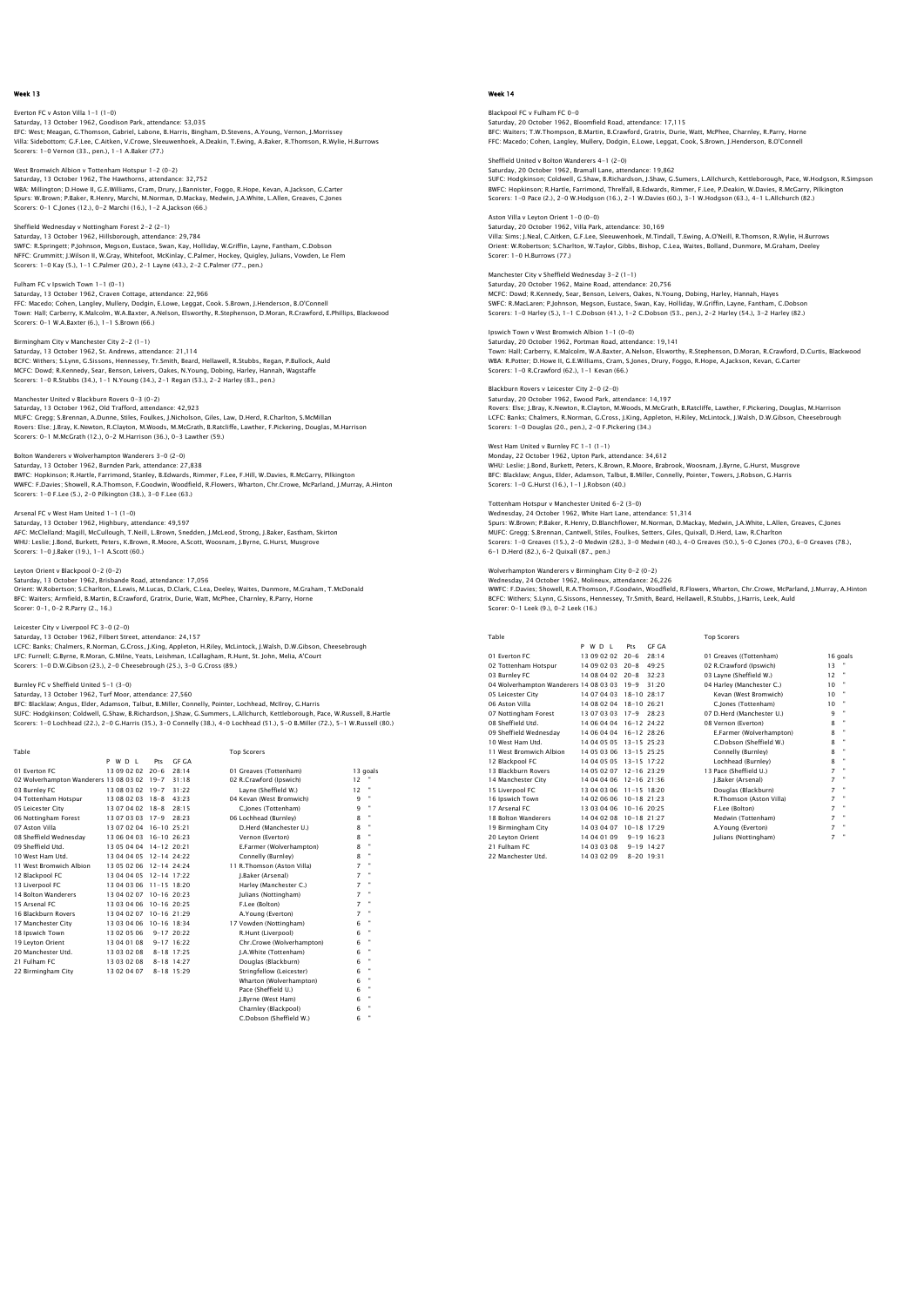### Everton FC v Aston Villa 1-1 (1-0) Saturday, 13 October 1962, Goodison Park, attendance: 53,035 EFC: West; Meagan, G.Thomson, Gabriel, Labone, B.Harris, Bingham, D.Stevens, A.Young, Vernon, J.Morrissey Villa: Sidebottom; G.F.Lee, C.Aitken, V.Crowe, Sleeuwenhoek, A.Deakin, T.Ewing, A.Baker, R.Thomson, R.Wylie, H.Burrows Scorers: 1-0 Vernon (33., pen.), 1-1 A.Baker (77.)

West Bromwich Albion v Tottenham Hotspur 1-2 (0-2) Saturday, 13 October 1962, The Hawthorns, attendance: 32,752 WBA: Millington; D.Howe II, G.E.Williams, Cram, Drury, J.Bannister, Foggo, R.Hope, Kevan, A.Jackson, G.Carter<br>Spurs: W.Brown; P.Baker, R.Henry, Marchi, M.Norman, D.Mackay, Medwin, J.A.White, L.Allen, Greaves, C.Jones<br>Score

# Sheffield Wednesday v Nottingham Forest 2-2 (2-1) Saturday, 13 October 1962, Hillsborough, attendance: 29,784<br>SWFC: R.Springett; P.Johnson, Megosn, Eustace, Swan, Kay, Holliday, W.Griffin, Layne, Fantham, C.Dobson<br>NFFC: Grummitt; J.Wilson II, W.Gray, Whitefoot, McKinlay,

Fulham FC v Ipswich Town 1-1 (0-1) Saturday, 13 October 1962, Craven Cottage, attendance: 22,966

FFC: Macedo; Cohen, Langley, Mullery, Dodgin, E.Lowe, Leggat, Cook. S.Brown, J.Henderson, B.O'Connell<br>Town: Hali; Carberry, K.Malcolm, W.A.Baxter, A.Nelson, Elsworthy, R.Stephenson, D.Moran, R.Crawford, E.Phillips, Blackwo

Birmingham City v Manchester City 2-2 (1-1) Saturday, 13 October 1962, St. Andrews, attendance: 21,114 BCFC: Withers; S.Lynn, G.Sissons, Hennessey, Tr.Smith, Beard, Hellawell, R.Stubbs, Regan, P.Bullock, Auld<br>MCFC: Dowd; R.Kennedy, Sear, Benson, Leivers, Oakes, N.Young, Dobing, Harley, Hannah, Wagstaffe<br>Scorers: 1–0 R.Stubb

## Manchester United v Blackburn Rovers 0-3 (0-2)

Saturday, 13 October 1962, Old Trafford, attendance: 42,923<br>MUFC: Gregg: S.Brennan, A.Dunne, Stiles, Foulkes, J.Nicholson, Giles, Law, D.Herd, R.Charlton, S.McMillan<br>Rovers: Else; J.Bray, K.Newton, R.Clayton, M.Woods, M.Mc

#### Bolton Wanderers v Wolverhampton Wanderers 3-0 (2-0) Saturday, 13 October 1962, Burnden Park, attendance: 27,838

BWFC: Hopkinson; R.Hartle, Farrimond, Stanley, B.Edwards, Rimmer, F.Lee, F.Hill, W.Davies, R.McGarry, Pilkington WWFC: F.Davies; Showell, R.A.Thomson, F.Goodwin, Woodfield, R.Flowers, Wharton, Chr.Crowe, McParland, J.Murray, A.Hinton Scorers: 1-0 F.Lee (5.), 2-0 Pilkington (38.), 3-0 F.Lee (63.)

## Arsenal FC v West Ham United 1-1 (1-0)

Saturday, 13 October 1962, Highbury, attendance: 49,597 AFC: McClelland; Magill, McCullough, T.Neill, L.Brown, Snedden, J.McLeod, Strong, J.Baker, Eastham, Skirton WHU: Leslie; J.Bond, Burkett, Peters, K.Brown, R.Moore, A.Scott, Woosnam, J.Byrne, G.Hurst, Musgrove Scorers: 1-0 J.Baker (19.), 1-1 A.Scott (60.)

## Leyton Orient v Blackpool 0-2 (0-2)

Saturday, 13 October 1962, Brisbande Road, attendance: 17,056 Orient: W.Robertson; S.Charlton, E.Lewis, M.Lucas, D.Clark, C.Lea, Deeley, Waites, Dunmore, M.Graham, T.McDonald BFC: Waiters; Armfield, B.Martin, B.Crawford, Gratrix, Durie, Watt, McPhee, Charnley, R.Parry, Horne Scorer: 0-1, 0-2 R.Parry (2., 16.)

## Leicester City v Liverpool FC 3-0 (2-0)

Saturday, 13 October 1962, Filbert Street, attendance: 24,157 LCFC: Banks; Chalmers, R.Norman, G.Cross, J.King, Appleton, H.Riley, McLintock, J.Walsh, D.W.Gibson, Cheesebrough LFC: Furnell; G.Byrne, R.Moran, G.Milne, Yeats, Leishman, I.Callagham, R.Hunt, St. John, Melia, A'Court Scorers: 1-0 D.W.Gibson (23.), 2-0 Cheesebrough (25.), 3-0 G.Cross (89.)

## Burnley FC v Sheffield United 5-1 (3-0)

Saturday, 13 October 1962, Turf Moor, attendance: 27,560 BFC: Blacklaw; Angus, Elder, Adamson, Talbut, B.Miller, Connelly, Pointer, Lochhead, Mcllroy, G.Harris<br>SUFC: Hodgkinson; Coldwell, G.Shaw, B.Richardson, J.Shaw, G.Summers, L.Allchurch, Kettleborough, Pace, W.Russell, B.Har

| Table                                  |                         |                 |                | <b>Top Scorers</b>         |                |                |
|----------------------------------------|-------------------------|-----------------|----------------|----------------------------|----------------|----------------|
|                                        | P W D I                 | Pts             | GE GA          |                            |                |                |
| 01 Everton EC                          | 13 09 02 02             | $20 - 6$        | 28:14          | 01 Greaves (Tottenham)     |                | 13 goals       |
| 02 Wolverhampton Wanderers 13 08 03 02 |                         | $19 - 7$        | 31:18          | 02 R.Crawford (Ipswich)    | 12             |                |
| 03 Burnley FC                          | 13 08 03 02 19-7        |                 | 31:22          | Lavne (Sheffield W.)       | 12             |                |
| 04 Tottenham Hotspur                   | 13 08 02 03 18-8        |                 | 43.23          | 04 Kevan (West Bromwich)   | 9              | ٠              |
| 05 Leicester City                      | 13 07 04 02 18-8        |                 | 28:15          | C.Jones (Tottenham)        | 9              | ×              |
| 06 Nottingham Forest                   | 13 07 03 03 17-9        |                 | 28.23          | 06 Lochhead (Burnley)      | 8              |                |
| 07 Aston Villa                         | 13 07 02 04 16-10 25:21 |                 |                | D.Herd (Manchester U.)     | 8              |                |
| 08 Sheffield Wednesdav                 | 13 06 04 03 16-10 26:23 |                 |                | Vernon (Everton)           | 8              |                |
| 09 Sheffield Utd.                      | 13 05 04 04 14-12 20:21 |                 |                | E.Farmer (Wolverhampton)   | 8              |                |
| 10 West Ham Utd.                       | 13 04 04 05 12-14 24:22 |                 |                | Connelly (Burnley)         | 8              |                |
| 11 West Bromwich Albion                | 13 05 02 06 12-14 24:24 |                 |                | 11 R.Thomson (Aston Villa) | 7              | ٠              |
| 12 Blackpool FC                        | 13 04 04 05 12-14 17:22 |                 |                | I.Baker (Arsenal)          | $\overline{z}$ |                |
| 13 Liverpool FC                        | 13 04 03 06 11-15 18:20 |                 |                | Harley (Manchester C.)     | 7              | ×              |
| 14 Bolton Wanderers                    | 13 04 02 07 10-16 20:23 |                 |                | Iulians (Nottingham)       | 7              |                |
| 15 Arsenal FC                          | 13 03 04 06             | $10 - 16$ 20:25 |                | F.Lee (Bolton)             | $\overline{z}$ | ×              |
| 16 Blackburn Rovers                    | 13 04 02 07 10-16 21:29 |                 |                | A.Young (Everton)          | 7              |                |
| 17 Manchester City                     | 13 03 04 06 10-16 18:34 |                 |                | 17 Vowden (Nottingham)     | 6              |                |
| 18 Ipswich Town                        | 13 02 05 06             |                 | $9 - 17220:22$ | R.Hunt (Liverpool)         | 6              | $\blacksquare$ |
| 19 Levton Orient                       | 13 04 01 08             |                 | $9 - 17$ 16.22 | Chr.Crowe (Wolverhampton)  | 6              |                |
| 20 Manchester Utd.                     | 13 03 02 08             |                 | $8 - 18$ 17:25 | I.A.White (Tottenham)      | 6              |                |
| 21 Fulham FC                           | 13030208                |                 | $8-18$ 14.27   | Douglas (Blackburn)        | 6              |                |
| 22 Birmingham City                     | 13 02 04 07             |                 | 8-18 15:29     | Stringfellow (Leicester)   | 6              |                |
|                                        |                         |                 |                | Wharton (Wolverhampton)    | 6              | ٠              |
|                                        |                         |                 |                | Pace (Sheffield U.)        | 6              |                |
|                                        |                         |                 |                | J.Byrne (West Ham)         | 6              |                |
|                                        |                         |                 |                | Charnley (Blackpool)       | 6              |                |
|                                        |                         |                 |                | C.Dobson (Sheffield W.)    | 6              |                |
|                                        |                         |                 |                |                            |                |                |

## Week 14

## Blackpool FC v Fulham FC 0-0 Saturday, 20 October 1962, Bloomfield Road, attendance: 17,115 BFC: Waiters; T.W.Thompson, B.Martin, B.Crawford, Gratrix, Durie, Watt, McPhee, Charnley, R.Parry, Horne FFC: Macedo; Cohen, Langley, Mullery, Dodgin, E.Lowe, Leggat, Cook, S.Brown, J.Henderson, B.O'Connell

Sheffield United v Bolton Wanderers 4–1 (2–0)<br>Saturday, 20 October 1962, Bramall Lane, attendance: 19,862<br>SUFC: Hodqkinson: Coldwell, G.Shaw, B.Richardson, J.Shaw, G.Sumers, L.Allchurch, Kettleborough, Pace, W.Hodgson, R.S BWFC: Hopkinson; R.Hartle, Farrimond, Threlfall, B.Edwards, Rimmer, F.Lee, P.Deakin, W.Davies, R.McGarry, Pilkington Scorers: 1-0 Pace (2.), 2-0 W.Hodgson (16.), 2-1 W.Davies (60.), 3-1 W.Hodgson (63.), 4-1 L.Allchurch (82.)

Aston Villa v Leyton Orient 1-0 (0-0) Saturday, 20 October 1962, Villa Park, attendance: 30,169 Villa: Sims; J.Neal, C.Aitken, G.F.Lee, Sleeuwenhoek, M.Tindall, T.Ewing, A.O'Neill, R.Thomson, R.Wylie, H.Burrows Orient: W.Robertson; S.Charlton, W.Taylor, Gibbs, Bishop, C.Lea, Waites, Bolland, Dunmore, M.Graham, Deeley Scorer: 1-0 H.Burrows (77.)

Manchester City v Sheffield Wednesday 3-2 (1-1) Saturday, 20 October 1962, Maine Road, attendance: 20,756 MCFC: Dowd; R.Kennedy, Sear, Benson, Leivers, Oakes, N.Young, Dobing, Harley, Hannah, Hayes<br>SWFC: R.MacLaren; P.Johnson, Megson, Eustace, Swan, Kay, Holilday, W.Griffin, Layne, Fantham, C.Dobsor<br>Scorers: 1–0 Harley (5.), 1

Ipswich Town v West Bromwich Albion 1-1 (0-0) Saturday, 20 October 1962, Portman Road, attendance: 19,141<br>Town: Hall; Carberry, K.Malcolm, W.A.Baxter, A.Nelson, Elsworthy, R.Stephenson, D.Moran, R.Crawford, D.Curtis, Blackwood<br>WBA: R.Potter; D.Howe II, G.E.Williams, C

### Blackburn Rovers v Leicester City 2-0 (2-0)

Saturday, 20 October 1962, Ewood Park, attendance: 14,197 Rovers: Else; J.Bray, K.Newton, R.Clayton, M.Woods, M.McGrath, B.Ratcliffe, Lawther, F.Pickering, Douglas, M.Harrison<br>LCFC: Banks; Chalmers, R.Norman, G.Cross, J.King, Appleton, H.Riley, McLintock, J.Walsh, D.W.Gibson, Che Scorers: 1-0 Douglas (20., pen.), 2-0 F.Pickering (34.)

## West Ham United v Burnley FC 1-1 (1-1)

Monday, 22 October 1962, Upton Park, attendance: 34,612<br>WHU: Leslie: J.Bond, Burkett, Peters, K.Brown, R.Moore, Brabrook, Woosnam, J.Byrne, G.Hurst, Musgrove<br>BFC: Blacklaw; Angus, Elder, Adamson, Talbut, B.Miller, Connelly

## Tottenham Hotspur v Manchester United 6-2 (3-0)

Wednesday, 24 October 1962, White Hart Lane, attendance: 51,314<br>Spurs: W.Brown; P.Baker, R.Henry, D.Blanchflower, M.Norman, D.Mackay, Medwin, J.A.White, L.Allen, Greaves, C.Jones<br>MUFC: Greqq: S.Brennan, Cantwell, Stiles, F Scorers: 1-0 Greaves (15.), 2-0 Medwin (28.), 3-0 Medwin (40.), 4-0 Greaves (50.), 5-0 C.Jones (70.), 6-0 Greaves (78.), 6-1 D.Herd (82.), 6-2 Quixall (87., pen.)

## Wolverhampton Wanderers v Birmingham City 0-2 (0-2)

Wednesday, 24 October 1962, Molineux, attendance: 26,226<br>WWFC: F.Davies; Showell, R.A.Thomson, F.Goodwin, Woodfield, R.Flowers, Wharton, Chr.Crowe, McParland, J.Murray, A.Hintor BCFC: Withers; S.Lynn, G.Sissons, Hennessey, Tr.Smith, Beard, Hellawell, R.Stubbs, J.Harris, Leek, Auld Scorer: 0-1 Leek (9.), 0-2 Leek (16.)

| Table                                  |  |             |             |                     |                  | <b>Top Scorers</b>                                          |
|----------------------------------------|--|-------------|-------------|---------------------|------------------|-------------------------------------------------------------|
|                                        |  | P W D I     |             | Prs                 | GE GA            |                                                             |
| 01 Everton EC                          |  | 13 09 02 02 |             | $20 - 6$            | 28:14            | 01 Greaves ((Tottenham)<br>16 goals                         |
| 02 Tottenham Hotspur                   |  |             | 14 09 02 03 | $20 - 8$            | 49.25            | 02 R.Crawford (Ipswich)<br>13                               |
| 03 Burnley FC                          |  | 14 08 04 02 |             | $20 - 8$            | 32.23            | $12^{12}$<br>03 Lavne (Sheffield W.)                        |
| 04 Wolverhampton Wanderers 14 08 03 03 |  |             |             | $19 - 9$            | 31:20            | 04 Harley (Manchester C.)<br>10                             |
| 05 Leicester City                      |  | 14 07 04 03 |             | $18 - 10$ $28.17$   |                  | Kevan (West Bromwich)<br>10                                 |
| 06 Aston Villa                         |  | 14 08 02 04 |             | $18 - 10$ $26 - 21$ |                  | C.lones (Tottenham)<br>10                                   |
| 07 Nottingham Forest                   |  | 13 07 03 03 |             | $17-9$              | 28.23            | $\blacksquare$<br>9<br>07 D.Herd (Manchester U.)            |
| 08 Sheffield Utd.                      |  | 14 06 04 04 |             | $16-12$ $24:22$     |                  | ×<br>8<br>08 Vernon (Everton)                               |
| 09 Sheffield Wednesdav                 |  | 14 06 04 04 |             | $16 - 12$ 28:26     |                  | $\blacksquare$<br>8<br>E.Farmer (Wolverhampton)             |
| 10 West Ham Utd.                       |  | 14 04 05 05 |             | $13 - 15$ $25:23$   |                  | $\blacksquare$<br>C.Dobson (Sheffield W.)<br>8              |
| 11 West Bromwich Albion                |  | 14 05 03 06 |             | $13 - 15$ $25.25$   |                  | 8<br>Connelly (Burnley)                                     |
| 12 Blackpool FC                        |  | 14 04 05 05 |             | 13-15 17:22         |                  | $\blacksquare$<br>8<br>Lochhead (Burnley)                   |
| 13 Blackburn Rovers                    |  | 14 05 02 07 |             | $12 - 16$ $23.29$   |                  | $\blacksquare$<br>$\overline{7}$<br>13 Pace (Sheffield U.)  |
| 14 Manchester City                     |  | 14 04 04 06 |             | $12 - 16$ 21:36     |                  | $\overline{7}$<br>J.Baker (Arsenal)                         |
| 15 Liverpool FC                        |  | 13 04 03 06 |             | $11 - 15$ $18.20$   |                  | $\blacksquare$<br>$\overline{7}$<br>Douglas (Blackburn)     |
| 16 Ipswich Town                        |  | 14 02 06 06 |             | $10 - 18$ $21.23$   |                  | $\blacksquare$<br>$\overline{7}$<br>R.Thomson (Aston Villa) |
| 17 Arsenal FC                          |  | 13 03 04 06 |             | $10 - 16$ 20:25     |                  | $\blacksquare$<br>$\overline{7}$<br>F.Lee (Bolton)          |
| <b>18 Bolton Wanderers</b>             |  | 14 04 02 08 |             | $10 - 18$ $21 - 27$ |                  | $\overline{7}$<br>Medwin (Tottenham)                        |
| 19 Birmingham City                     |  | 14 03 04 07 |             | $10 - 18$ 17:29     |                  | $\blacksquare$<br>$\overline{7}$<br>A.Young (Everton)       |
| 20 Levton Orient                       |  | 14 04 01 09 |             |                     | $9 - 19$ 16:23   | $\overline{7}$<br>Julians (Nottingham)                      |
| 21 Fulham FC                           |  | 14 03 03 08 |             |                     | $9 - 19$ $14.27$ |                                                             |
| 22 Manchester Utd.                     |  | 14 03 02 09 |             |                     | 8-20 19:31       |                                                             |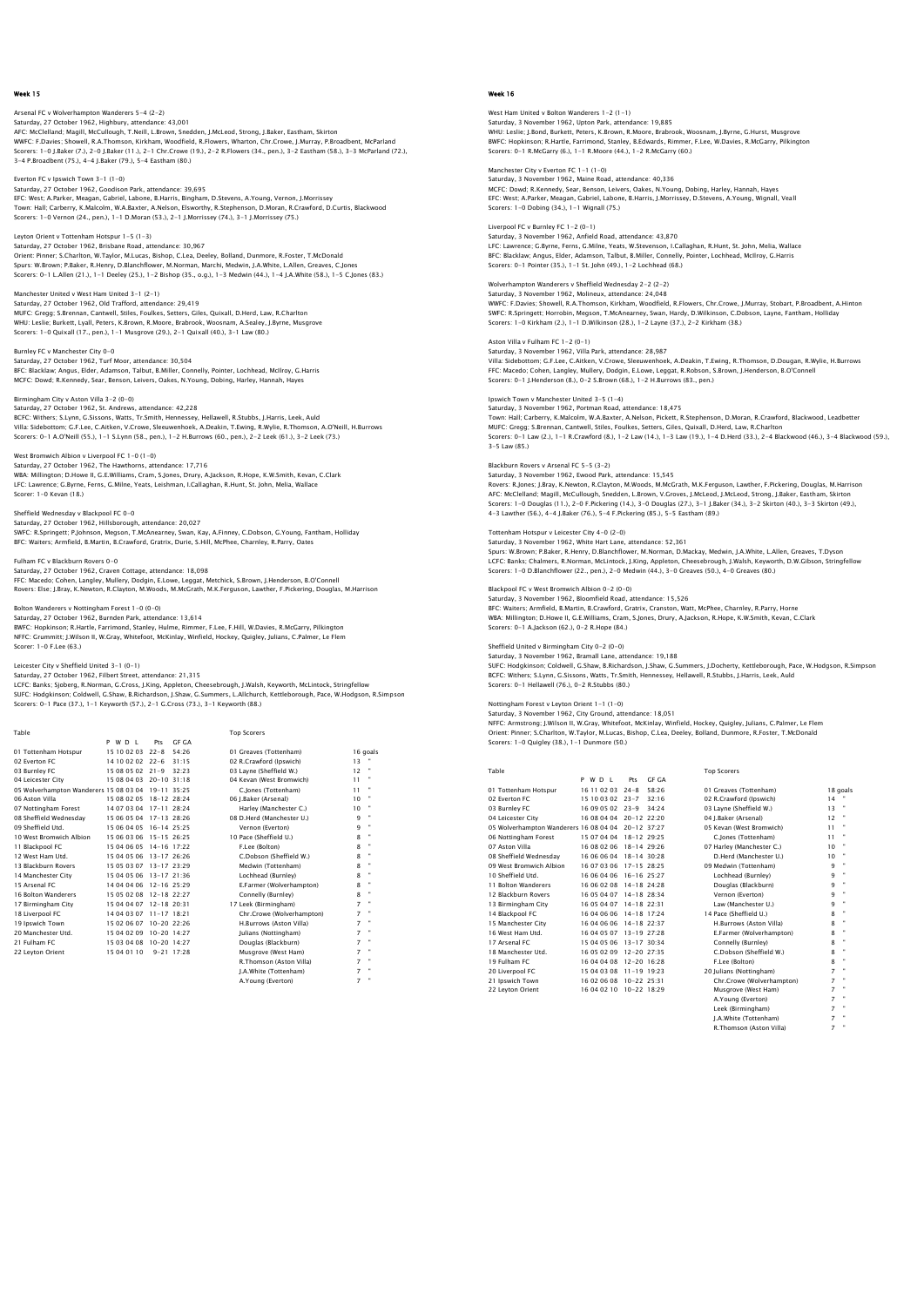Arsenal FC v Wolverhampton Wanderers 5-4 (2-2) Saturday, 27 October 1962, Highbury, attendance: 43,001 AFC: McClelland; Magill, McCullough, T.Neill, L.Brown, Snedden, J.McLeod, Strong, J.Baker, Eastham, Skirton WWFC: F.Davies; Showell, R.A.Thomson, Kirkham, Woodfield, R.Flowers, Wharton, Chr.Crowe, J.Murray, P.Broadbent, McParland<br>Scorers: 1–0 J.Baker (7.), 2–0 J.Baker (11.), 2–1 Chr.Crowe (19.), 2–2 R.Flowers (34., pen.), 3–2 Ea

Everton FC v Ipswich Town 3-1 (1-0) Saturday, 27 October 1962, Goodison Park, attendance: 39,695 EFC: West; A.Parker, Meagan, Gabriel, Labone, B.Harris, Bingham, D.Stevens, A.Young, Vernon, J.Morrissey<br>Town: Hali; Carberry, K.Malcolm, W.A.Baxter, A.Melson, Elsworthy, R.Stephenson, D.Moran, R.Crawford, D.Curtis, Blackw

Leyton Orient v Tottenham Hotspur 1-5 (1-3) Saturday, 27 October 1962, Brisbane Road, attendance: 30,967 Orient: Pinner; S.Charlton, W.Taylor, M.Lucas, Bishop, C.Lea, Deeley, Bolland, Dunmore, R.Foster, T.McDonald<br>Spurs: W.Brown; P.Baker, R.Henry, D.Blanchflower, M.Norman, Marchi, Medwin, J.A.White, L.Allen, Greaves, C.Jones<br>

Manchester United v West Ham United 3-1 (2-1) Saturday, 27 October 1962, Old Trafford, attendance: 29,419<br>MUFC: Gregg: S.Brennan, Cantwell, Stiles, Foulkes, Setters, Giles, Quixall, D.Herd, Law, R.Charlton<br>WHU: Leslie; Burkett, Lyall, Peters, K.Brown, R.Moore, Brabroo

Burnley FC v Manchester City 0-0 Saturday, 27 October 1962, Turf Moor, attendance: 30,504<br>BFC: Blacklaw; Angus, Elder, Adamson, Talbut, B.Miller, Connelly, Pointer, Lochhead, McIlroy, G.Harris<br>MCFC: Dowd; R.Kennedy, Sear, Benson, Leivers, Oakes, N.Young,

Birmingham City v Aston Villa 3-2 (0-0) Saturday, 27 October 1962, St. Andrews, attendance: 42,228<br>BCFC: Withers; S.Lynn, G.Sissons, Watts, Tr.Smith, Hennessey, Hellawell, R.Stubbs, J.Harris, Leek, Auld<br>Villa: Sidebottom; G.F.Lee, C.Aitken, V.Crowe, Sleeuwenhoek

West Bromwich Albion v Liverpool FC 1–0 (1–0)<br>Saturday, 27 October 1962, The Hawthorns, attendance: 17,716<br>WBA: Millington; D.Howe II, G.E.Williams, Cram, S.Jones, Drury, A.Jackson, R.Hope, K.W.Smith, Kevan, C.Clark<br>LFC: L Scorer: 1-0 Kevan (18.)

Sheffield Wednesday v Blackpool FC 0-0 Saturday, 27 October 1962, Hillsborough, attendance: 20,027<br>SWFC: R.Springett; P.Johnson, Megson, T.McAnearney, Swan, Kay, A.Finney, C.Dobson, G.Young, Fantham, Holliday<br>BFC: Waiters; Armfield, B.Martin, B.Crawford, Gratri

Fulham FC v Blackburn Rovers 0–0<br>Saturday, 27 October 1962, Craven Cottage, attendance: 18,098<br>FFC: Macedo; Cohen, Langley, Mullery, Dodgin, E.Lowe, Leggat, Metchick, S.Brown, J.Henderson, B.O'Connell<br>Rovers: Else: J.Bray,

Bolton Wanderers v Nottingham Forest 1-0 (0-0)

16 Bolton Wanderers 15 05 02 08 12-18 22:27<br>17 Birmingham City 15 04 04 07 12-18 20:31

22 Leyton Orient 15 04 01 10 9-21 17:28

Saturday, 27 October 1962, Burnden Park, attendance: 13,614<br>BWFC: Hopkinson; R.Hartle, Farrimond, Stanley, Hulme, Rimmer, F.Lee, F.Hill, W.Davies, R.McGarry, Pilkington<br>NFFC: Grummitt: J.Wilson II, W.Gray, Whitefoot, McKin Scorer: 1-0 F.Lee (63.)

Leicester City v Sheffield United 3–1 (0–1)<br>Saturday, 27 October 1962, Filbert Street, attendance: 21,315<br>LCFC: Banks; Sjoberg R.Norman, G.Cross, J.King, Appleton, Cheesebrough, J.Walsh, Keyworth, McLintock, Stringfellow<br>S Scorers: 0-1 Pace (37.), 1-1 Keyworth (57.), 2-1 G.Cross (73.), 3-1 Keyworth (88.)

 Table Top Scorers P W D L Pts GF GA

# 16 | 17 | 1890 | 1990 | 17 | 1890 | 1890 | 1890 | 1890 | 1890 | 1890 | 1890 | 1890 | 1890 | 1890 | 1890 | 189<br>| 1890 | 1890 | 1890 | 1890 | 1890 | 1890 | 1890 | 1890 | 1890 | 1890 | 1890 | 1890 | 1890 | 1890 | 1890 | 18<br>| 05 Wolverhampton Wanderers 15 08 03 04 19-11 35:25 C.Jones (Tottenham) 11 " 06 Aston Villa 15 08 02 05 18-12 28:24 06 J.Baker (Arsenal) 10 " 07 Nottingham Forest 14 07 03 04 17-11 28:24 Harley (Manchester C.) 10 " 08 Sheffield Wednesday 15 06 05 04 17-13 28:26 08 D.Herd (Manchester U.) 9 " 09 Sheffield Utd. 15 06 04 05 16-14 25:25 Vernon (Everton) 9 " 10 West Bromwich Albion 15 06 03 06 15-15 26:25 10 Pace (Sheffield U.) 8 " 11 Blackpool FC 15 04 06 05 14-16 17:22 F.Lee (Bolton)<br>12 West Ham Utd. 15 04 04 05 06 13-17 26:26 C.Dobson (Sheffield W.)<br>13 Blackburn Rovers 15 05 03 07 13-17 23:29 Medwin (Tottenham)<br>14 Manchester City 15 04 05 06 13-17

12 West Ham Utd. 15 04 05 06 13-17 26:26 C.Dobson (Sheffield W.) 8 " 13 Blackburn Rovers 15 05 03 07 13-17 23:29 Medwin (Tottenham) 8 " 14 Manchester City 15 04 05 06 13-17 21:36 Lochhead (Burnley) 8 " 12 Arsenal FC 14 04 05 01 01 12 12:29<br>
13 Blackburn Rovers 15 05 03 07 13-17 23:29<br>
14 Manchester City 15 04 05 06 13-17 21:36<br>
15 Arsenal FC 14 04 04 06 12-16 25:29<br>
16 Bolton Wanderers 15 05 02 08 12-18 22:27<br>
16 Bolton 17 Birmingham City 15 04 04 07 12-18 20:31 17 Leek (Birmingham) 7 " 18 Liverpool FC 14 04 03 07 11-17 18:21 Chr.Crowe (Wolverhampton) 7 " 19 Ipswich Town 15 02 06 07 10-20 22:26 H.Burrows (Aston Villa) 7 " 20 Manchester Utd. 15 04 02 09 10-20 14:27 Julians (Nottingham) 7 " 21 Fulham FC 15 03 04 08 10-20 14:27 Douglas (Blackburn) 7 "

R.Thomson (Aston Villa) 7 " J.A.White (Tottenham) 7 " A.Young (Everton) 7 "

## Week 16

West Ham United v Bolton Wanderers 1-2 (1-1) Saturday, 3 November 1962, Upton Park, attendance: 19,885 WHU: Leslie; J.Bond, Burkett, Peters, K.Brown, R.Moore, Brabrook, Woosnam, J.Byrne, G.Hurst, Musgrove BWFC: Hopkinson; R.Hartle, Farrimond, Stanley, B.Edwards, Rimmer, F.Lee, W.Davies, R.McGarry, Pilkington Scorers: 0-1 R.McGarry (6.), 1-1 R.Moore (44.), 1-2 R.McGarry (60.)

Manchester City v Everton FC 1-1 (1-0) Saturday, 3 November 1962, Maine Road, attendance: 40,336 MCFC: Dowd; R.Kennedy, Sear, Benson, Leivers, Oakes, N.Young, Dobing, Harley, Hannah, Hayes EFC: West; A.Parker, Meagan, Gabriel, Labone, B.Harris, J.Morrissey, D.Stevens, A.Young, Wignall, Veall Scorers: 1-0 Dobing (34.), 1-1 Wignall (75.)

Liverpool FC v Burnley FC 1-2 (0-1) Saturday, 3 November 1962, Anfield Road, attendance: 43,870

LFC: Lawrence; G.Byrne, Ferns, G.Milne, Yeats, W.Stevenson, I.Callaghan, R.Hunt, St. John, Melia, Wallace<br>BFC: Blacklaw, Angus, Elder, Adamson, Talbut, B.Miller, Connelly, Pointer, Lochhead, McIlroy, G.Harris<br>Scorers: 0–1

Wolverhampton Wanderers v Sheffield Wednesday 2-2 (2-2) Saturday, 3 November 1962, Molineux, attendance: 24,048 WWFC: F.Davies; Showell, R.A.Thomson, Kirkham, Woodfield, R.Flowers, Chr.Crowe, J.Murray, Stobart, P.Broadbent, A.Hintor<br>SWFC: R.Springett; Horrobin, Megson, T.McAnearney, Swan, Hardy, D.Wilkinson, C.Dobson, Layne, Fantham

Aston Villa v Fulham FC 1-2 (0-1) Saturday, 3 November 1962, Villa Park, attendance: 28,987 Villa: Sidebottom; G.F.Lee, C.Aitken, V.Crowe, Sleeuwenhoek, A.Deakin, T.Ewing, R.Thomson, D.Dougan, R.Wylie, H.Burrows<br>FFC: Macedo; Cohen, Langley, Mullery, Dodgin, E.Lowe, Leggat, R.Robson, S.Brown, J.Henderson, B.O'Conn

Ipswich Town v Manchester United 3-5 (1-4) Saturday, 3 November 1962, Portman Road, attendance: 18,475<br>Town: Hali; Carberry, K.Malcolm, W.A.Baxter, A.Nelson, Pickett, R.Stephenson, D.Moran, R.Crawford, Blackwood, Leadbetter<br>MUFC: Gregg: S.Brennan, Cantwell, Stiles, 3-5 Law (85.)

## Blackburn Rovers v Arsenal FC 5-5 (3-2)

Saturday, 3 November 1962, Ewood Park, attendance: 15,545 Rovers: R.Jones; J.Bray, K.Newton, R.Clayton, M.Woods, M.McGrath, M.K.Ferguson, Lawther, F.Pickering, Douglas, M.Harrison AFC: McClelland; Magill, McCullough, Snedden, L.Brown, V.Groves, J.McLeod, J.McLeod, Strong, J.Baker, Eastham, Skirton<br>Scorers: 1–0 Douglas (11.), 2–0 F.Pickering (14.), 3–0 Douglas (27.), 3–1 J.Baker (34.), 3–2 Skirton (4 4-3 Lawther (56.), 4-4 J.Baker (76.), 5-4 F.Pickering (85.), 5-5 Eastham (89.)

Tottenham Hotspur v Leicester City 4-0 (2-0) Saturday, 3 November 1962, White Hart Lane, attendance: 52,361

Spurs: W.Brown; P.Baker, R.Henry, D.Blanchflower, M.Norman, D.Mackay, Medwin, J.A.White, L.Allen, Greaves, T.Dyson<br>LCFC: Banks; Chalmers, R.Norman, McLintock, J.King, Appleton, Cheesebrough, J.Walsh, Keyworth, D.W.Gibson,

Blackpool FC v West Bromwich Albion 0-2 (0-0) Saturday, 3 November 1962, Bloomfield Road, attendance: 15,526 BFC: Walters; Armfield, B.Martin, B.Crawford, Gratrix, Cranston, Watt, McPhee, Charnley, R.Parry, Horne<br>WBA: Millington; D.Howe II, G.E.Williams, Cram, S.Jones, Drury, A.Jackson, R.Hope, K.W.Smith, Kevan, C.Clark<br>Scorers:

Sheffield United v Birmingham City 0-2 (0-0) Saturday, 3 November 1962, Bramall Lane, attendance: 19,188<br>SUFC: Hodgkinson; Coldwell, G.Shaw, B.Richardson, J.Shaw, G.Summers, J.Docherty, Kettleborough, Pace, W.Hodgson, R.Simpson<br>BCFC: Withers; S.Lynn, G.Sissons, Watts

Nottingham Forest v Leyton Orient 1-1 (1-0) Saturday, 3 November 1962, City Ground, attendance: 18,051<br>NFFC: Armstrong: J.Wilson II, W.Gray, Whitefoot, McKinlay, Winfield, Hockey, Quigley, Julians, C.Palmer, Le Flem<br>Orien: Pinner: S.Charlton, W.Taylor, M.Lucas, Bish

Top Scorers P W D L Pts GF GA 01 Tottenham Hotspur 16 11 02 03 24-8 58:26 01 Greaves (Tottenham) 18 goals 02 Everton FC 15 10 03 02 23-7 32:16 02 R.Crawford (Ipswich) 14<br>
03 Euroley FC 16 09 09 02 23-9 34:24 03 Layne (Sheffield W.) 13<br>
04 Leiester City 16 08 04 04 20-12 22:20 04 J.Baker (Arsenal) 12<br>
05 Wolverhampton Wanderer 108 Sheffield Wednesday 16 06 06 06 18 1-14 30:28<br>10 Medicine - Mark 10 16 07 03 06 17-15 28:25<br>10 Sheffield Utd. 16 06 04 06 16-16 25:27 10 Medicine (Burnley)<br>11 Bolton Wanderers 16 06 02 08 14-18 24:38<br>12 Blackburn Rover

| 13 Birmingham City | 16 05 04 07 14-18 22:31   | Law (Manchester U.)       | 9              |                             |
|--------------------|---------------------------|---------------------------|----------------|-----------------------------|
| 14 Blackpool FC    | 16 04 06 06 14-18 17:24   | 14 Pace (Sheffield U.)    | 8              |                             |
| 15 Manchester City | 16 04 06 06 14-18 22:37   | H.Burrows (Aston Villa)   | 8              |                             |
| 16 West Ham Utd.   | 16 04 05 07 13-19 27:28   | E.Farmer (Wolverhampton)  | 8              | ٠                           |
| 17 Arsenal FC      | 15 04 05 06 13-17 30:34   | Connelly (Burnley)        | 8              | ٠                           |
| 18 Manchester Utd. | 16 05 02 09 12-20 27:35   | C.Dobson (Sheffield W.)   | 8              |                             |
| 19 Fulham FC       | 16.04.04.08 12-20 16:28   | F.Lee (Bolton)            | 8              | ٠                           |
| 20 Liverpool FC    | 15 04 03 08 11-19 19:23   | 20 Julians (Nottingham)   | 7              | ٠                           |
| 21 Ipswich Town    | 16.02.06.08 10-22 25:31   | Chr.Crowe (Wolverhampton) | $\overline{7}$ | . .                         |
| 22 Levton Orient   | 16 04 02 10 10 - 22 18:29 | Musgrove (West Ham)       | $\overline{z}$ | $\mathcal{L}_{\mathcal{A}}$ |
|                    |                           | A.Young (Everton)         | 7              | ٠                           |
|                    |                           | Leek (Birmingham)         | $\overline{z}$ | ٠                           |
|                    |                           | I.A.White (Tottenham)     | $\overline{z}$ | ٠                           |
|                    |                           | R.Thomson (Aston Villa)   |                |                             |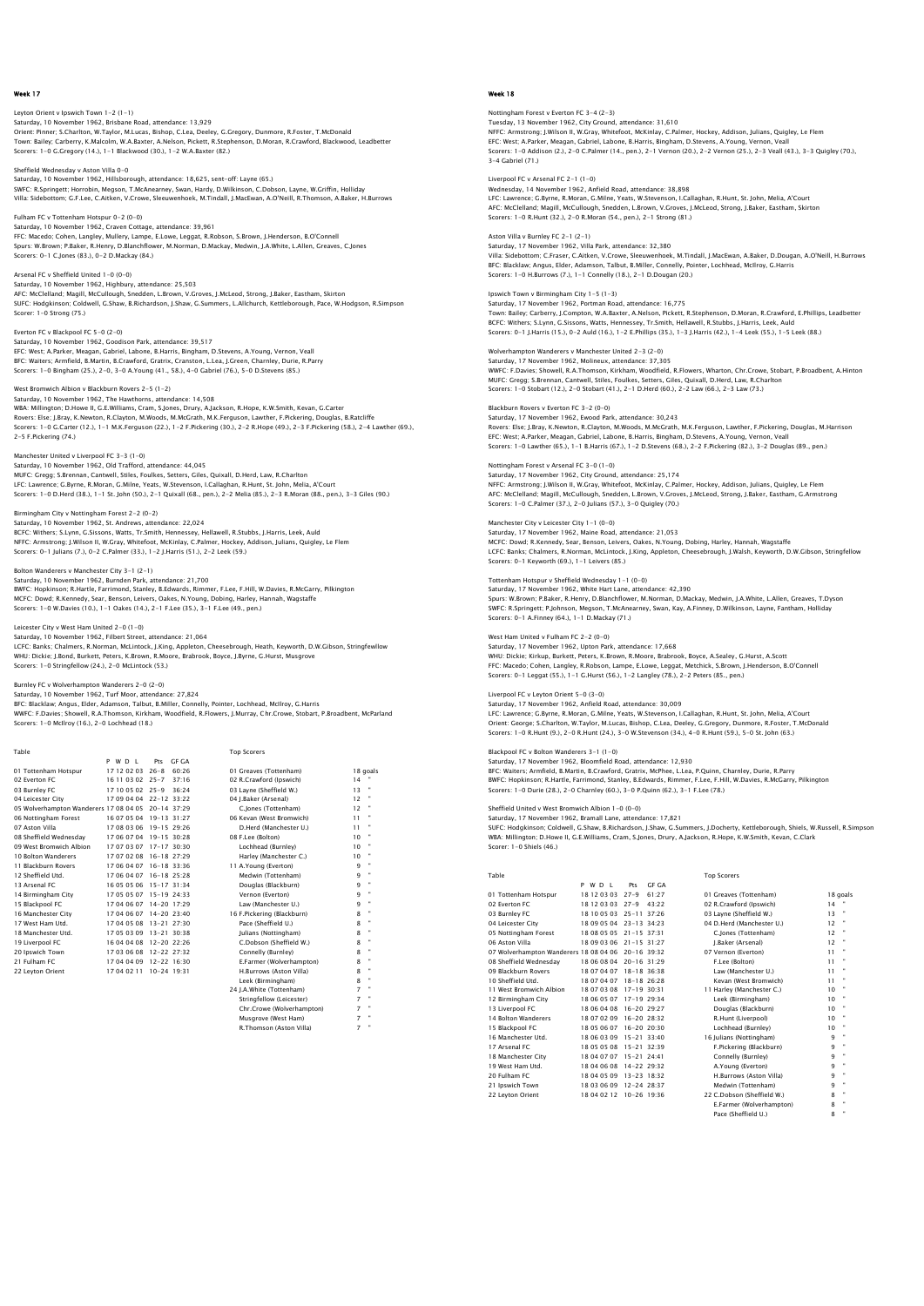## Leyton Orient v Ipswich Town 1–2 (1–1)<br>Saturday, 10 November 1962, Brisbane Road, attendance: 13,929<br>Orient: Pinner; S.Charlton, W.Taylor, M.Lucas, Bishop, C.Lea, Deeley, G.Gregory, Dunmore, R.Foster, T.McDonald Town: Bailey; Carberry, K.Malcolm, W.A.Baxter, A.Nelson, Pickett, R.Stephenson, D.Moran, R.Crawford, Blackwood, Leadbetter Scorers: 1-0 G.Gregory (14.), 1-1 Blackwood (30.), 1-2 W.A.Baxter (82.)

Sheffield Wednesday v Aston Villa 0-0 Saturday, 10 November 1962, Hillsborough, attendance: 18,625, sent-off: Layne (65.) SWFC: R.Springett; Horrobin, Megson, T.McAnearney, Swan, Hardy, D.Wilkinson, C.Dobson, Layne, W.Griffin, Holliday<br>Villa: Sidebottom; G.F.Lee, C.Aitken, V.Crowe, Sleeuwenhoek, M.Tindall, J.MacEwan, A.O'Neill, R.Thomson, A.B

## Fulham FC v Tottenham Hotspur 0-2 (0-0)

Saturday, 10 November 1962, Craven Cottage, attendance: 39,961 FFC: Macedo; Cohen, Langley, Mullery, Lampe, E.Lowe, Leggat, R.Robson, S.Brown, J.Henderson, B.O'Connell Spurs: W.Brown; P.Baker, R.Henry, D.Blanchflower, M.Norman, D.Mackay, Medwin, J.A.White, L.Allen, Greaves, C.Jones Scorers: 0-1 C.Jones (83.), 0-2 D.Mackay (84.)

#### Arsenal FC v Sheffield United 1-0 (0-0)

Saturday, 10 November 1962, Highbury, attendance: 25,503 AFC: McClelland; Magill, McCullough, Snedden, L.Brown, V.Groves, J.McLeod, Strong, J.Baker, Eastham, Skirton<br>SUFC: Hodqkinson; Coldwell, G.Shaw, B.Richardson, J.Shaw, G.Summers, L.Allchurch, Kettleborough, Pace, W.Hodqson, Scorer: 1-0 Strong (75.)

Everton FC v Blackpool FC 5-0 (2-0) Saturday, 10 November 1962, Goodison Park, attendance: 39,517<br>EFC: West; A.Parker, Meagan, Gabriel, Labone, B.Harris, Bingham, D.Stevens, A.Young, Vernon, Veall<br>BFC: Waiters; Armfield, B.Martin, B.Crawford, Gratrix, Cranst

#### West Bromwich Albion v Blackburn Rovers 2-5 (1-2)

Saturday, 10 November 1962, The Hawthorns, attendance: 14,508 WBA: Millington; D.Howe II, G.E.Williams, Cram, S.Jones, Drury, A.Jackson, R.Hope, K.W.Smith, Kevan, G.Carter<br>Rovers: Else; J.Bray, K.Newton, R.Clayton, M.Woods, M.McCrath, M.K.Ferguson, Lawther, F.Pickering, Douglas, B.Ra 2-5 F.Pickering (74.)

Manchester United v Liverpool FC 3-3 (1-0)<br>Saturday, 10 November 1962, Old Trafford, attendance: 44,045<br>MUFC: Gregg; S.Brennan, Cantwell, Stiles, Foulkes, Setters, Giles, Quixall, D.Herd, Law, R.Charlton LFC: Lawrence; G.Byrne, R.Moran, G.Milne, Yeats, W.Stevenson, I.Callaghan, R.Hunt, St. John, Melia, A'Court Scorers: 1-0 D.Herd (38.), 1-1 St. John (50.), 2-1 Quixall (68., pen.), 2-2 Melia (85.), 2-3 R.Moran (88., pen.), 3-3 Giles (90.)

## Birmingham City v Nottingham Forest 2-2 (0-2)

Saturday, 10 November 1962, St. Andrews, attendance: 22,024 BCFC: Withers; S.Lynn, G.Sissons, Watts, Tr.Smith, Hennessey, Hellawell, R.Stubbs, J.Harris, Leek, Auld NFFC: Armstrong; J.Wilson II, W.Gray, Whitefoot, McKinlay, C.Palmer, Hockey, Addison, Julians, Quigley, Le Flem Scorers: 0-1 Julians (7.), 0-2 C.Palmer (33.), 1-2 J.Harris (51.), 2-2 Leek (59.)

## ers v Manchester City 3-1 (2-1)

Saturday, 10 November 1962, Burnden Park, attendance: 21,700 BWFC: Hopkinson; R.Hartle, Farrimond, Stanley, B.Edwards, Rimmer, F.Lee, F.Hill, W.Davies, R.McGarry, Pilkington MCFC: Dowd; R.Kennedy, Sear, Benson, Leivers, Oakes, N.Young, Dobing, Harley, Hannah, Wagstaffe Scorers: 1-0 W.Davies (10.), 1-1 Oakes (14.), 2-1 F.Lee (35.), 3-1 F.Lee (49., pen.)

#### Leicester City v West Ham United 2-0 (1-0)

Saturday, 10 November 1962, Filbert Street, attendance: 21,064 LCFC: Banks; Chalmers, R.Norman, McLintock, J.King, Appleton, Cheesebrough, Heath, Keyworth, D.W.Gibson, Stringfewllow WHU: Dickie; J.Bond, Burkett, Peters, K.Brown, R.Moore, Brabrook, Boyce, J.Byrne, G.Hurst, Musgrove Scorers: 1-0 Stringfellow (24.), 2-0 McLintock (53.)

### Burnley FC v Wolverhampton Wanderers 2-0 (2-0)

Saturday, 10 November 1962, Turf Moor, attendance: 27,824<br>BFC: Blacklaw; Angus, Elder, Adamson, Talbut, B.Miller, Connelly, Pointer, Lochhead, McIlroy, G.Harris<br>WWFC: F.Davies; Showell, R.A.Thomson, Kirkham, Woodfield, R.F

| Table                                              |                  |                         | <b>Top Scorers</b>         |                     |
|----------------------------------------------------|------------------|-------------------------|----------------------------|---------------------|
|                                                    | PWDL             | GE GA<br>Pts            |                            |                     |
| 01 Tottenham Hotspur                               | 17 12 02 03 26-8 | 60.26                   | 01 Greaves (Tottenham)     | 18 goals            |
| 02 Everton EC                                      | 16 11 03 02 25-7 | 37:16                   | 02 R.Crawford (Ipswich)    | 14                  |
| 03 Burnley FC                                      | 17 10 05 02 25-9 | 36.24                   | 03 Lavne (Sheffield W.)    | 13                  |
| 04 Leicester City                                  |                  | 17 09 04 04 22-12 33:22 | 04 I.Baker (Arsenal)       | 12                  |
| 05 Wolverhampton Wanderers 17 08 04 05 20-14 37:29 |                  |                         | C.Jones (Tottenham)        | 12                  |
| 06 Nottingham Forest                               |                  | 16.07.05.04 19-13 31:27 | 06 Kevan (West Bromwich)   | 11                  |
| 07 Aston Villa                                     |                  | 17 08 03 06 19-15 29:26 | D.Herd (Manchester U.)     | 11                  |
| 08 Sheffield Wednesdav                             |                  | 17 06 07 04 19-15 30:28 | 08 F.Lee (Bolton)          | 10                  |
| 09 West Bromwich Albion                            |                  | 17 07 03 07 17-17 30:30 | Lochhead (Burnley)         | 10                  |
| 10 Bolton Wanderers                                |                  | 17 07 02 08 16-18 27:29 | Harley (Manchester C.)     | 10                  |
| 11 Blackburn Rovers                                |                  | 17 06 04 07 16-18 33:36 | 11 A.Young (Everton)       | 9                   |
| 12 Sheffield Utd.                                  |                  | 17 06 04 07 16-18 25:28 | Medwin (Tottenham)         | ٠<br>9              |
| 13 Arsenal FC                                      |                  | 16.05.05.06 15-17 31:34 | Douglas (Blackburn)        | ٠<br>q              |
| 14 Birmingham City                                 |                  | 17 05 05 07 15-19 24:33 | Vernon (Everton)           | 9                   |
| 15 Blackpool FC                                    |                  | 17 04 06 07 14-20 17:29 | Law (Manchester U.)        | 9                   |
| 16 Manchester City                                 |                  | 17 04 06 07 14-20 23:40 | 16 F.Pickering (Blackburn) | 8                   |
| 17 West Ham Utd.                                   |                  | 17 04 05 08 13-21 27:30 | Pace (Sheffield U.)        | ٠<br>8              |
| 18 Manchester Utd.                                 |                  | 17.05.03.09 13-21 30:38 | Iulians (Nottingham)       | 8                   |
| 19 Liverpool FC                                    |                  | 16 04 04 08 12-20 22:26 | C.Dobson (Sheffield W.)    | 8                   |
| 20 Ipswich Town                                    |                  | 17 03 06 08 12-22 27:32 | Connelly (Burnley)         | 8                   |
| 21 Fulham FC                                       |                  | 17 04 04 09 12-22 16:30 | E.Farmer (Wolverhampton)   | 8                   |
| 22 Leyton Orient                                   |                  | 17 04 02 11 10-24 19:31 | H.Burrows (Aston Villa)    | 8                   |
|                                                    |                  |                         | Leek (Birmingham)          | ٠<br>8              |
|                                                    |                  |                         | 24 J.A.White (Tottenham)   | ×<br>7              |
|                                                    |                  |                         | Stringfellow (Leicester)   | 7                   |
|                                                    |                  |                         | Chr.Crowe (Wolverhampton)  | $\blacksquare$<br>7 |
|                                                    |                  |                         | Musarove (West Ham)        | 7                   |
|                                                    |                  |                         | R.Thomson (Aston Villa)    | ٠<br>7              |

## Week 18

## ham Forest v Everton FC 3-4 (2-3) Tuesday, 13 November 1962, City Ground, attendance: 31,610 NFFC: Armstrong; J.Wilson II, W.Gray, Whitefoot, McKinlay, C.Palmer, Hockey, Addison, Julians, Quigley, Le Flem EFC: West; A.Parker, Meagan, Gabriel, Labone, B.Harris, Bingham, D.Stevens, A.Young, Vernon, Veall Scorers: 1-0 Addison (2.), 2-0 C.Palmer (14., pen.), 2-1 Vernon (20.), 2-2 Vernon (25.), 2-3 Veall (43.), 3-3 Quigley (70.), 3-4 Gabriel (71.)

Liverpool FC v Arsenal FC 2-1 (1-0) Wednesday, 14 November 1962, Anfield Road, attendance: 38,898 LFC: Lawrence; G.Byrne, R.Moran, G.Milne, Yeats, W.Stevenson, I.Callaghan, R.Hunt, St. John, Melia, A'Court<br>AFC: McClelland; Magill, McCullough, Snedden, L.Brown, V.Groves, J.McLeod, Strong, J.Baker, Eastham, Skirtor<br>Score

Aston Villa v Burnley FC 2-1 (2-1) Saturday, 17 November 1962, Villa Park, attendance: 32,380 Villa: Sidebottom; C.Fraser, C.Aitken, V.Crowe, Sleeuwenhoek, M.Tindall, J.MacEwan, A.Baker, D.Dougan, A.O'Neill, H.Burrows<br>BFC: Blacklaw; Angus, Elder, Adamson, Talbut, B.Miller, Connelly, Pointer, Lochhead, McIlroy, G.Ha Scorers: 1-0 H.Burrows (7.), 1-1 Connelly (18.), 2-1 D.Dougan (20.)

## Ipswich Town v Birmingham City 1-5 (1-3)

Saturday, 17 November 1962, Portman Road, attendance: 16,775<br>Town: Bailey; Carberry, J.Compton, W.A.Baxter, A.Nelson, Pickett, R.Stephenson, D.Moran, R.Crawford, E.Phillips, Leadbetter<br>BCFC: Withers; S.Lynn, G.Sissons, Wat Scorers: 0-1 J.Harris (15.), 0-2 Auld (16.), 1-2 E.Phillips (35.), 1-3 J.Harris (42.), 1-4 Leek (55.), 1-5 Leek (88.)

## Wolverhampton Wanderers v Manchester United 2-3 (2-0)

Saturday, 17 November 1962, Molineux, attendance: 37,305<br>WWFC: F.Davies; Showell, R.A.Thomson, Kirkham, Woodfield, R.Flowers, Wharton, Chr.Crowe, Stobart, P.Broadbent, A.Hinton<br>MUFC: Gregg; S.Brennan, Cantwell, Stiles, Fou Scorers: 1-0 Stobart (12.), 2-0 Stobart (41.), 2-1 D.Herd (60.), 2-2 Law (66.), 2-3 Law (73.)

## Blackburn Rovers v Everton FC 3-2 (0-0)

Saturday, 17 November 1962, Ewood Park, attendance: 30,243 Rovers: Else; J.Bray, K.Newton, R.Clayton, M.Woods, M.McGrath, M.K.Ferguson, Lawther, F.Pickering, Douglas, M.Harrison EFC: West; A.Parker, Meagan, Gabriel, Labone, B.Harris, Bingham, D.Stevens, A.Young, Vernon, Veall Scorers: 1-0 Lawther (65.), 1-1 B.Harris (67.), 1-2 D.Stevens (68.), 2-2 F.Pickering (82.), 3-2 Douglas (89., pen.)

#### Nottingham Forest v Arsenal FC 3-0 (1-0)

Saturday, 17 November 1962, City Ground, attendance: 25,174 NFFC: Armstrong; J.Wilson II, W.Gray, Whitefoot, McKinlay, C.Palmer, Hockey, Addison, Julians, Quigley, Le Flem AFC: McClelland; Magill, McCullough, Snedden, L.Brown, V.Groves, J.McLeod, Strong, J.Baker, Eastham, G.Armstrong Scorers: 1-0 C.Palmer (37.), 2-0 Julians (57.), 3-0 Quigley (70.)

## Manchester City v Leicester City 1-1 (0-0)

Saturday, 17 November 1962, Maine Road, attendance: 21,053 MCFC: Dowd; R.Kennedy, Sear, Benson, Leivers, Oakes, N.Young, Dobing, Harley, Hannah, Wagstaffe LCFC: Banks; Chalmers, R.Norman, McLintock, J.King, Appleton, Cheesebrough, J.Walsh, Keyworth, D.W.Gibson, Stringfellow Scorers: 0-1 Keyworth (69.), 1-1 Leivers (85.)

### Tottenham Hotspur v Sheffield Wednesday 1-1 (0-0)

Saturday, 17 November 1962, White Hart Lane, attendance: 42,390 Spurs: W.Brown; P.Baker, R.Henry, D.Blanchflower, M.Norman, D.Mackay, Medwin, J.A.White, L.Allen, Greaves, T.Dyson SWFC: R.Springett; P.Johnson, Megson, T.McAnearney, Swan, Kay, A.Finney, D.Wilkinson, Layne, Fantham, Holliday Scorers: 0-1 A.Finney (64.), 1-1 D.Mackay (71.)

#### West Ham United v Fulham FC 2-2 (0-0)

Saturday, 17 November 1962, Upton Park, attendance: 17,668 WHU: Dickie; Kirkup, Burkett, Peters, K.Brown, R.Moore, Brabrook, Boyce, A.Sealey, G.Hurst, A.Scott<br>FFC: Macedo; Cohen, Langley, R.Robson, Lampe, E.Lowe, Leggat, Metchick, S.Brown, J.Henderson, B.O'Connell<br>Scorers: O–1 Leq

## Liverpool FC v Leyton Orient 5-0 (3-0)

Saturday, 17 November 1962, Anfield Road, attendance: 30,009<br>LFC: Lawrence; C.Byrne, R.Moran, G.Milne, Yeats, W.Stevenson, I.Callaghan, R.Hunt, St. John, Melia, A'Court<br>Orient: George; S.Charlton, W.Taylor, M.Lucas, Bishop

Blackpool FC v Bolton Wanderers 3–1 (1–0)<br>Saturday, 17 November 1962, Bloomfield Road, attendance: 12,930<br>BFC: Walters; Armfield, B.Martin, B.Crawford, Gratrix, McPhee, L.Lea, P.Quinn, Charnley, Durie, R.Parry<br>BWFC: Hopkin

Sheffield United v West Bromwich Albion 1–0 (0–0)<br>Saturday, 17 November 1962, Bramail Lane, attendance: 17,821<br>SUFC: Hodgkinson; Coldwell, C.Shaw, B.Richardson, J.Shaw, G.Summers, J.Docherty, Kettleborough, Shiels, W.Russe Scorer: 1-0 Shiels (46.)

| Table                                  |                           |                     |       | <b>Top Scorers</b>              |    |                |
|----------------------------------------|---------------------------|---------------------|-------|---------------------------------|----|----------------|
|                                        | P W D I                   | Pts                 | GE GA |                                 |    |                |
| 01 Tottenham Hotspur                   | 18120303                  | $27 - 9$            | 61:27 | 01 Greaves (Tottenham)          |    | 18 goals       |
| 02 Everton EC                          | 18120303                  | $27-9$ 43:22        |       | 02 R.Crawford (Ipswich)         | 14 |                |
| 03 Burnley FC                          | 18100503                  | 25-11 37:26         |       | 03 Lavne (Sheffield W.)         | 13 | $\bullet$      |
| 04 Leicester City                      | 18 09 05 04               | 23-13 34:23         |       | 04 D.Herd (Manchester U.)       | 12 |                |
| 05 Nottingham Forest                   | 18 08 05 05 21 - 15 37:31 |                     |       | C.lones (Tottenham)             | 12 | ×              |
| 06 Aston Villa                         | 18 09 03 06               | $21 - 15$ 31:27     |       | I.Baker (Arsenal)               | 12 |                |
| 07 Wolverhampton Wanderers 18 08 04 06 |                           | 20-16 39:32         |       | 07 Vernon (Everton)             | 11 |                |
| 08 Sheffield Wednesdav                 | 18 06 08 04               | $20 - 16$ 31.29     |       | F.Lee (Bolton)                  | 11 |                |
| 09 Blackburn Rovers                    | 18 07 04 07 18-18 36:38   |                     |       | Law (Manchester U.)             | 11 |                |
| 10 Sheffield Utd.                      | 18070407                  | $18 - 18$ $26.28$   |       | Kevan (West Bromwich)           | 11 | ٠              |
| 11 West Bromwich Albion                | 18070308                  | $17 - 19$ 30.31     |       | 11 Harley (Manchester C.)       | 10 |                |
| 12 Birmingham City                     | 18 06 05 07               | $17 - 19$ 29:34     |       | Leek (Birmingham)               | 10 |                |
| 13 Liverpool FC                        | 18 06 04 08               | $16 - 20$ $29.27$   |       | Douglas (Blackburn)             | 10 |                |
| 14 Bolton Wanderers                    | 18070209                  | $16 - 20$ $28 - 32$ |       | R.Hunt (Liverpool)              | 10 | $\blacksquare$ |
| 15 Blackpool FC                        | 18050607                  | 16-20 20:30         |       | Lochhead (Burnley)              | 10 |                |
| 16 Manchester Utd.                     | 18 06 03 09               | $15-21$ 33:40       |       | 16 Julians (Nottingham)         | 9  | $\bullet$      |
| 17 Arsenal FC                          | 18050508                  | 15-21 32:39         |       | F.Pickering (Blackburn)         | 9  | $\mathbf{u}$   |
| 18 Manchester City                     | 18 04 07 07               | $15-21$ 24:41       |       | Connelly (Burnley)              | 9  | $\mathbf{u}$   |
| 19 West Ham Utd.                       | 18 04 06 08               | 14-22 29:32         |       | A.Young (Everton)               | 9  | $\mathbf{u}$   |
| 20 Fulham FC                           | 18 04 05 09               | 13-23 18:32         |       | H.Burrows (Aston Villa)         | 9  | $\mathbf{u}$   |
| 21 Ipswich Town                        | 18 03 06 09               | $12 - 24$ $28.37$   |       | Medwin (Tottenham)              | 9  | ×              |
| 22 Levton Orient                       | 18 04 02 12               | $10 - 26$ $19.36$   |       | 22 C.Dobson (Sheffield W.)      | 8  | $\blacksquare$ |
|                                        |                           |                     |       | <b>E.Farmer (Wolverhampton)</b> | 8  | ×              |

| í |  |  |
|---|--|--|
|   |  |  |

| 01 Greaves (Tottenham)     | 18 goa |    |
|----------------------------|--------|----|
| 02 R.Crawford (Ipswich)    | 14     |    |
| 03 Lavne (Sheffield W.)    | 13     | ×  |
| 04 D.Herd (Manchester U.)  | 12     |    |
| C.lones (Tottenham)        | 12     | ×  |
| I.Baker (Arsenal)          | 12     |    |
| 07 Vernon (Everton)        | 11     | ×  |
| F.Lee (Bolton)             | 11     | ×  |
| Law (Manchester U.)        | 11     | ×, |
| Kevan (West Bromwich)      | 11     | ×  |
| 11 Harley (Manchester C.)  | 10     | ×  |
| Leek (Birmingham)          | 10     | ×  |
| Douglas (Blackburn)        | 10     | ×  |
| R.Hunt (Liverpool)         | 10     |    |
| Lochhead (Burnley)         | 10     |    |
| 16 Julians (Nottingham)    | 9      | ×  |
| F.Pickering (Blackburn)    | 9      |    |
| Connelly (Burnley)         | 9      | ×  |
| A.Young (Everton)          | 9      | ×  |
| H.Burrows (Aston Villa)    | 9      |    |
| Medwin (Tottenham)         | 9      | ×  |
| 22 C.Dobson (Sheffield W.) | 8      |    |
| E.Farmer (Wolverhampton)   | 8      | ×  |
| Pace (Sheffield U.)        | 8      | ×  |
|                            |        |    |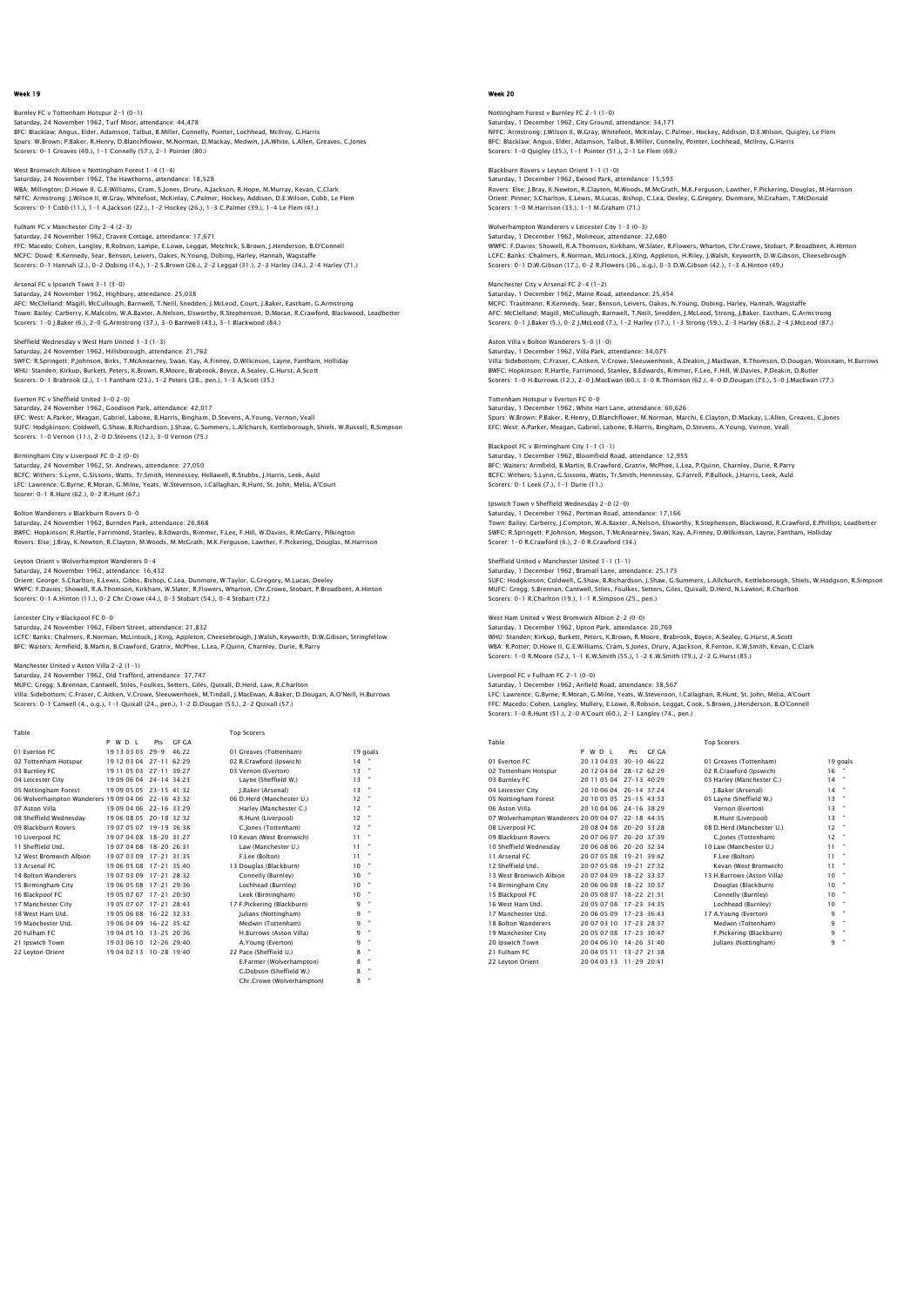## Burnley FC v Tottenham Hotspur 2–1 (0–1)<br>Saturday, 24 November 1962, Turf Moor, attendance: 44,478<br>BFC: Blacklaw; Angus, Elder, Adamson, Talbut, B.Miller, Connelly, Pointer, Lochhead, McIlroy, G.Harris Spurs: W.Brown; P.Baker, R.Henry, D.Blanchflower, M.Norman, D.Mackay, Medwin, J.A.White, L.Allen, Greaves, C.Jones Scorers: 0-1 Greaves (40.), 1-1 Connelly (57.), 2-1 Pointer (80.)

West Bromwich Albion v Nottingham Forest 1-4 (1-4) Saturday, 24 November 1962, The Hawthorns, attendance: 18,528 WBA: Millington; D.Howe II, G.E.Williams, Cram, S.Jones, Drury, A.Jackson, R.Hope, M.Murray, Kevan, C.Clark<br>NFFC: Armstrong; J.Wilson II, W.Gray, Whitefoot, McKinlay, C.Palmer, Hockey, Addison, D.E.Wison, Cobb, Le Flem<br>Sco

Fulham FC v Manchester City 2-4 (2-3) Saturday, 24 November 1962, Craven Cottage, attendance: 17,671<br>FFC: Macedo; Cohen, Langley, R.Robson, Lampe, E.Lowe, Leggat, Metchick, S.Brown, J.Henderson, B.O'Connell<br>MCFC: Dowd; R.Kennedy, Sear, Benson, Leivers, Oakes,

Arsenal FC v Ipswich Town 3-1 (3-0) Saturday, 24 November 1962, Highbury, attendance: 25,038 AFC: McClelland; Magill, McCullough, Barnwell, T.Neill, Snedden, J.McLeod, Court, J.Baker, Eastham, G.Armstrong<br>Town: Bailey; Carberry, K.Malcolm, W.A.Baxter, A.Nelson, Elsworthy, R.Stephenson, D.Moran, R.Crawford, Blackwo

Sheffield Wednesday v West Ham United 1-3 (1-3) Saturday, 24 November 1962, Hillsborough, attendance: 21,762<br>SWFC: R.Springett; P.Johnson, Birks, T.McAnearney, Swan, Kay, A.Finney, D.Wilkinson, Layne, Fantham, Holliday<br>WHU: Standen; Kirkup, Burkett, Peters, K.Brown, R.M

Everton FC v Sheffield United 3-0 2-0) Saturday, 24 November 1962, Goodison Park, attendance: 42,017<br>EFC: West; A.Parker, Meagan, Gabriel, Labone, B.Harris, Bingham, D.Stevens, A.Young, Vernon, Veall<br>SUFC: Hodgkinson; Coldwell, G.Shaw, B.Richardson, J.Shaw, G.S Scorers: 1-0 Vernon (11.), 2-0 D.Stevens (12.), 3-0 Vernon (75.)

## Birmingham City v Liverpool FC 0-2 (0-0) Saturday, 24 November 1962, St. Andrews, attendance: 27,050

BCFC: Withers; S.Lynn, G.Sissons, Watts, Tr.Smith, Hennessey, Hellawell, R.Stubbs, J.Harris, Leek, Auld LFC: Lawrence; G.Byrne, R.Moran, G.Milne, Yeats, W.Stevenson, I.Callaghan, R.Hunt, St. John, Melia, A'Court Scorer: 0-1 R.Hunt (62.), 0-2 R.Hunt (67.)

Bolton Wanderers v Blackburn Rovers 0-0

Saturday, 24 November 1962, Burnden Park, attendance: 26,868<br>BWFC: Hopkinson; R.Hartle, Farrimond, Stanley, B.Edwards, Rimmer, F.Lee, F.Hill, W.Davies, R.McGarry, Pilkington<br>Rovers: Else: J.Bray, K.Newton, R.Clayton, M.Woo

Leyton Orient v Wolverhampton Wanderers 0–4<br>Saturday, 24 November 1962, attendance: 16,432<br>Orient: George; S.Charlton, E.Lewis, Gibbs, Bishop, C.Lea, Dunmore, W.Taylor, G.Gregory, M.Lucas, Deeley<br>WWFC: F.Davies; Showell, R Scorers: 0-1 A.Hinton (11.), 0-2 Chr.Crowe (44.), 0-3 Stobart (54.), 0-4 Stobart (72.)

## Leicester City v Blackpool FC 0-0

Saturday, 24 November 1962, Filbert Street, attendance: 21,832<br>LCFC: Banks; Chalmers, R.Norman, McLintock, J.King, Appleton, Cheesebrough, J.Walsh, Keyworth, D.W.Gibson, Stringfellow<br>BFC: Waiters; Armfield, B.Martin, B.Cra

Manchester United v Aston Villa 2–2 (1–1)<br>Saturday, 24 November 1962, Old Trafford, attendance: 37,747<br>MUFC: Gregg; S.Brennan, Cantwell, Stiles, Foulkes, Setters, Giles, Quixall, D.Herd, Law, R.Charlton<br>Wila: Sidebottom; C Scorers: 0-1 Canwell (4., o.g.), 1-1 Quixall (24., pen.), 1-2 D.Dougan (53.), 2-2 Quixall (57.)

 Table Top Scorers P W D L Pts GF GA 01 Everton FC 19 13 03 03 29-9 46:22 01 Greaves (Tottenham) 19 goals 02 Tottenham Hotspur 19 12 03 04 27-11 62:29 02 R.Crawford (Ipswich) 14 " 03 Burnley FC 19 11 05 03 27-11 39:27 03 Vernon (Everton) 13 " 04 Leicester City 19 09 06 04 24-14 34:23 Layne (Sheffield W.) 13 " 01 Everton FC 19 01 05 1 1 1 1 1 1 1 20 0 06 04 27-11 62:22 0 1 Greaves (Tottenham)<br>
02 Tottenham Hotspur 19 12 03 04 27-11 62:29 02 R.Crawford (Ipswton) 1 14<br>
03 Burnley FC 19 10 10 5 03 27-11 39:22<br>
04 Leicester City 19 06 Wolverhampton Wanderers 19 09 04 06 22-16 43:32 06 D.Herd (Manchester U.) 12<br>
19 07 054 06 10 09 04 06 22-16 33:29 19 06 08 02-16 33:29 14 Marchester C.) 12<br>
19 08 D.Herd (Manchester C.) 12<br>
19 07 05 07 19-19 36:38 12 ( 07 Aston Villa 19 09 04 06 22-16 33:29 Harley (Manchester C.) 12 " 08 Sheffield Wednesday 19 06 08 05 20-18 32:32 R.Hunt (Liverpool) 12 " 09 Blackburn Rovers 19 07 05 07 19-19 36:38 C.Jones (Tottenham) 12 " 10 Liverpool FC 19 07 04 08 18-20 31:27 10 Kevan (West Bromwich) 11 " 10 Liverpool FC 19 07 04 08 18-20 31:27 10 Kevan (West Bromwich) 11<br>11 Sheffield Utd. 19 07 04 08 18-20 26:31 Law (Manchester U.) 11<br>12 West Bromwich Albion 19 07 03 09 17-21 31:36 F.Lee (Botton) 11<br>13 Arsenal FC 19 06 05 12 West Bromwich Albion 19 07 03 09 17-21 31:35 F.Lee (Bolton) 11 " 13 Arsenal FC 19 06 05 08 17-21 35:40 13 Douglas (Blackburn) 10 " 14 Bolton Wanderers 19 07 03 09 17-21 28:32 Connelly (Burnley) 10 " 15 Birmingham City 19 06 05 08 17-21 29:36 Lochhead (Burnley) 10 " 16 Blackpool FC 19 05 07 07 17-21 20:30 Leek (Birmingham) 10 " 17 Manchester City 19 05 07 07 17-21 28:43<br>
17 Manchester City 19 05 07 07 17-21 28:43 17 F.Pickering (Blackburn) 9<br>
18 West Ham Utd. 19 05 06 08 16-22 32:33 Julians (Nottingham) 9<br>
19 Manchester Utd. 19 06 04 09 16-22 35: 18 West Ham Utd. 19 05 06 08 16-22 32:33 Julians (Nottingham) 9 " 19 Manchester Utd. 19 06 04 09 16-22 35:42 Medwin (Tottenham) 9 " 20 Fulham FC 19 04 05 10 13-25 20:36 H.Burrows (Aston Villa) 9 " 21 Ipswich Town 19 03 06 10 12-26 29:40 A.Young (Everton) 9 " 22 Leyton Orient 19 04 02 13 10-28 19:40 22 Pace (Sheffield U.) E.Farmer (Wolverhampton) 8 " C.Dobson (Sheffield W.) 8 "

Chr.Crowe (Wolverhampton) 8 "

### Week 20

Nottingham Forest v Burnley FC 2-1 (1-0) Saturday, 1 December 1962, City Ground, attendance: 34,171 NFFC: Armstrong; J.Wilson II, W.Gray, Whitefoot, McKinlay, C.Palmer, Hockey, Addison, D.E.Wilson, Quigley, Le Flem BFC: Blacklaw; Angus, Elder, Adamson, Talbut, B.Miller, Connelly, Pointer, Lochhead, McIlroy, G.Harris Scorers: 1-0 Quigley (35.), 1-1 Pointer (51.), 2-1 Le Flem (69.)

Blackburn Rovers v Leyton Orient 1-1 (1-0) Saturday, 1 December 1962, Ewood Park, attendance: 15,593

Rovers: Else; J.Bray, K.Newton, R.Clayton, M.Woods, M.McGrath, M.K.Ferguson, Lawther, F.Pickering, Douglas, M.Harrison<br>Orient: Pinner; S.Charlton, E.Lewis, M.Lucas, Bishop, C.Lea, Deeley, G.Gregory, Dunmore, M.Graham, T.Mc Scorers: 1-0 M.Harrison (33.), 1-1 M.Graham (71.)

Wolverhampton Wanderers v Leicester City 1-3 (0-3) Saturday, 1 December 1962, Molineux, attendance: 22,680

WWFC: F.Davies; Showell, R.A.Thomson, Kirkham, W.Slater, R.Flowers, Wharton, Chr.Crowe, Stobart, P.Broadbent, A.Hinton LCFC: Banks; Chalmers, R.Norman, McLintock, J.King, Appleton, H.Riley, J.Walsh, Keyworth, D.W.Gibson, Cheesebrough Scorers: 0-1 D.W.Gibson (17.), 0-2 R.Flowers (36., o.g.), 0-3 D.W.Gibson (42.), 1-3 A.Hinton (49.)

Manchester City v Arsenal FC 2-4 (1-2) Saturday, 1 December 1962, Maine Road, attendance: 25,454 MCFC: Trautmann; R.Kennedy, Sear, Benson, Leivers, Oakes, N.Young, Dobing, Harley, Hannah, Wagstaffe<br>AFC: MCClelland; Magill, MCCullough, Barnwell, T.Neill, Snedden, J.McLeod, Strong, J.Baker, Eastham, G.Armstrong<br>Scorers:

Aston Villa v Bolton Wanderers 5-0 (1-0) Saturday, 1 December 1962, Villa Park, attendance: 34,075<br>Villa: Sidebottom; C.Fraser, C.Aitken, V.Crowe, Sleeuwenhoek, A.Deakin, J.MacEwan, R.Thomson, D.Dougan, Woosnam, H.Burrows<br>BWFC: Hopkinson; R.Hartle, Farrimond, Sta

Tottenham Hotspur v Everton FC 0-0 Saturday, 1 December 1962, White Hart Lane, attendance: 60,626 Spurs: W.Brown; P.Baker, R.Henry, D.Blanchflower, M.Norman, Marchi, E.Clayton, D.Mackay, L.Allen, Greaves, C.Jones EFC: West; A.Parker, Meagan, Gabriel, Labone, B.Harris, Bingham, D.Stevens, A.Young, Vernon, Veall

Blackpool FC v Birmingham City 1-1 (1-1)<br>Saturday, 1 December 1962, Bloomfield Road, attendance: 12 OFF Saturday, 1 December 1962, Bloomfield Road, attendance: 12,955<br>BFC: Waiters; Armfield, B.Martin, B.Crawford, Gratrix, McPhee, L.Lea, P.Quinn, Charnley, Durie, R.Parry<br>BCFC: Withers; S.Lynn, G.Sissons, Watts, Tr.Smith, Henn

Ipswich Town v Sheffield Wednesday 2-0 (2-0) Saturday, 1 December 1962, Portman Road, attendance: 17,166<br>Town: Bailey; Carberry, J.Compton, W.A.Baxter, A.Nelson, Elsworthy, R.Stephenson, Blackwood, R.Crawford, E.Phillips, Leadbettei<br>SWFC: R.Springett; P.Johnson, Megs Scorer: 1-0 R.Crawford (6.), 2-0 R.Crawford (34.)

Sheffield United v Manchester United 1-1 (1-1) Saturday, 1 December 1962, Bramall Lane, attendance: 25,173 SUFC: Hodgkinson; Coldwell, G.Shaw, B.Richardson, J.Shaw, G.Summers, L.Allchurch, Kettleborough, Shiels, W.Hodgson, R.Simpson MUFC: Gregg; S.Brennan, Cantwell, Stiles, Foulkes, Setters, Giles, Quixall, D.Herd, N.Lawton, R.Charlton Scorers: 0-1 R.Charlton (19.), 1-1 R.Simpson (25., pen.)

West Ham United v West Bromwich Albion 2-2 (0-0) Saturday, 1 December 1962, Upton Park, attendance: 20,769 WHU: Standen; Kirkup, Burkett, Peters, K.Brown, R.Moore, Brabrook, Boyce, A.Sealey, G.Hurst, A.Scott WBA: R.Potter; D.Howe II, G.E.Williams, Cram, S.Jones, Drury, A.Jackson, R.Fenton, K.W.Smith, Kevan, C.Clark Scorers: 1-0 R.Moore (52.), 1-1 K.W.Smith (55.), 1-2 K.W.Smith (79.), 2-2 G.Hurst (85.)

Liverpool FC v Fulham FC 2-1 (0-0) Saturday, 1 December 1962, Anfield Road, attendance: 38,567 LFC: Lawrence; G.Byrne, R.Moran, G.Milne, Yeats, W.Stevenson, I.Callaghan, R.Hunt, St. John, Melia, A'Court FFC: Macedo; Cohen, Langley, Mullery, E.Lowe, R.Robson, Leggat, Cook, S.Brown, J.Henderson, B.O'Connell Scorers: 1-0 R.Hunt (51.), 2-0 A'Court (60.), 2-1 Langley (74., pen.)

| Table                                  |                         |                     |       | <b>Top Scorers</b>         |    |                |
|----------------------------------------|-------------------------|---------------------|-------|----------------------------|----|----------------|
|                                        | P W D I                 | Pts                 | GE GA |                            |    |                |
| 01 Everton EC                          | 20 13 04 03             | 30-10 46:22         |       | 01 Greaves (Tottenham)     |    | 19 goals       |
| 02 Tottenham Hotspur                   | 20 12 04 04             | $28-1262.29$        |       | 02 R.Crawford (Ipswich)    | 16 |                |
| 03 Burnley FC                          | 20 11 05 04 27-13 40:29 |                     |       | 03 Harley (Manchester C.)  | 14 |                |
| 04 Leicester City                      | 20 10 06 04             | $26 - 14$ 37.24     |       | J.Baker (Arsenal)          | 14 | $\blacksquare$ |
| 05 Nottingham Forest                   | 20 10 05 05 25-15 43:33 |                     |       | 05 Layne (Sheffield W.)    | 13 |                |
| 06 Aston Villa                         | 20 10 04 06             | 24-16 38:29         |       | Vernon (Everton)           | 13 | $\bullet$      |
| 07 Wolverhampton Wanderers 20 09 04 07 |                         | 22-18 44:35         |       | R.Hunt (Liverpool)         | 13 |                |
| 08 Liverpool FC                        | 20 08 04 08             | 20-20 33:28         |       | 08 D.Herd (Manchester U.)  | 12 | $\bullet$      |
| 09 Blackburn Rovers                    | 20 07 06 07             | $20 - 20$ 37:39     |       | C.lones (Tottenham)        | 12 | ×              |
| 10 Sheffield Wednesday                 | 20 06 08 06             | 20-20 32:34         |       | 10 Law (Manchester U.)     | 11 |                |
| 11 Arsenal FC                          | 20 07 05 08             | 19-21 39:42         |       | F.Lee (Bolton)             | 11 | $\blacksquare$ |
| 12 Sheffield Utd.                      | 20 07 05 08             | $19 - 21$ $27 - 32$ |       | Kevan (West Bromwich)      | 11 | $\blacksquare$ |
| 13 West Bromwich Albion                | 20 07 04 09             | $18 - 22$ $33.37$   |       | 13 H.Burrows (Aston Villa) | 10 | $\bullet$      |
| 14 Birmingham City                     | 20 06 06 08             | 18-22 30:37         |       | Douglas (Blackburn)        | 10 |                |
| 15 Blackpool FC                        | 20 05 08 07             | 18-22 21:31         |       | Connelly (Burnley)         | 10 |                |
| 16 West Ham Utd.                       | 20 05 07 08             | 17-23 34:35         |       | Lochhead (Burnley)         | 10 | $\blacksquare$ |
| 17 Manchester Utd.                     | 20 06 05 09             | $17-23$ 36:43       |       | 17 A.Young (Everton)       | 9  | $\mathbf{u}$   |
| 18 Bolton Wanderers                    | 20 07 03 10             | 17-23 28:37         |       | Medwin (Tottenham)         | 9  | $\bullet$      |
| 19 Manchester City                     | 20 05 07 08             | $17-23$ 30:47       |       | F.Pickering (Blackburn)    | 9  | ٠              |
| 20 Ipswich Town                        | 20 04 06 10             | $14 - 26$ 31:40     |       | Julians (Nottingham)       | 9  | $\blacksquare$ |
| 21 Fulham FC                           | 20 04 05 11             | $13 - 27$ $21.38$   |       |                            |    |                |
| 22 Levton Orient                       | 20 04 03 13             | $11 - 29$ $20.41$   |       |                            |    |                |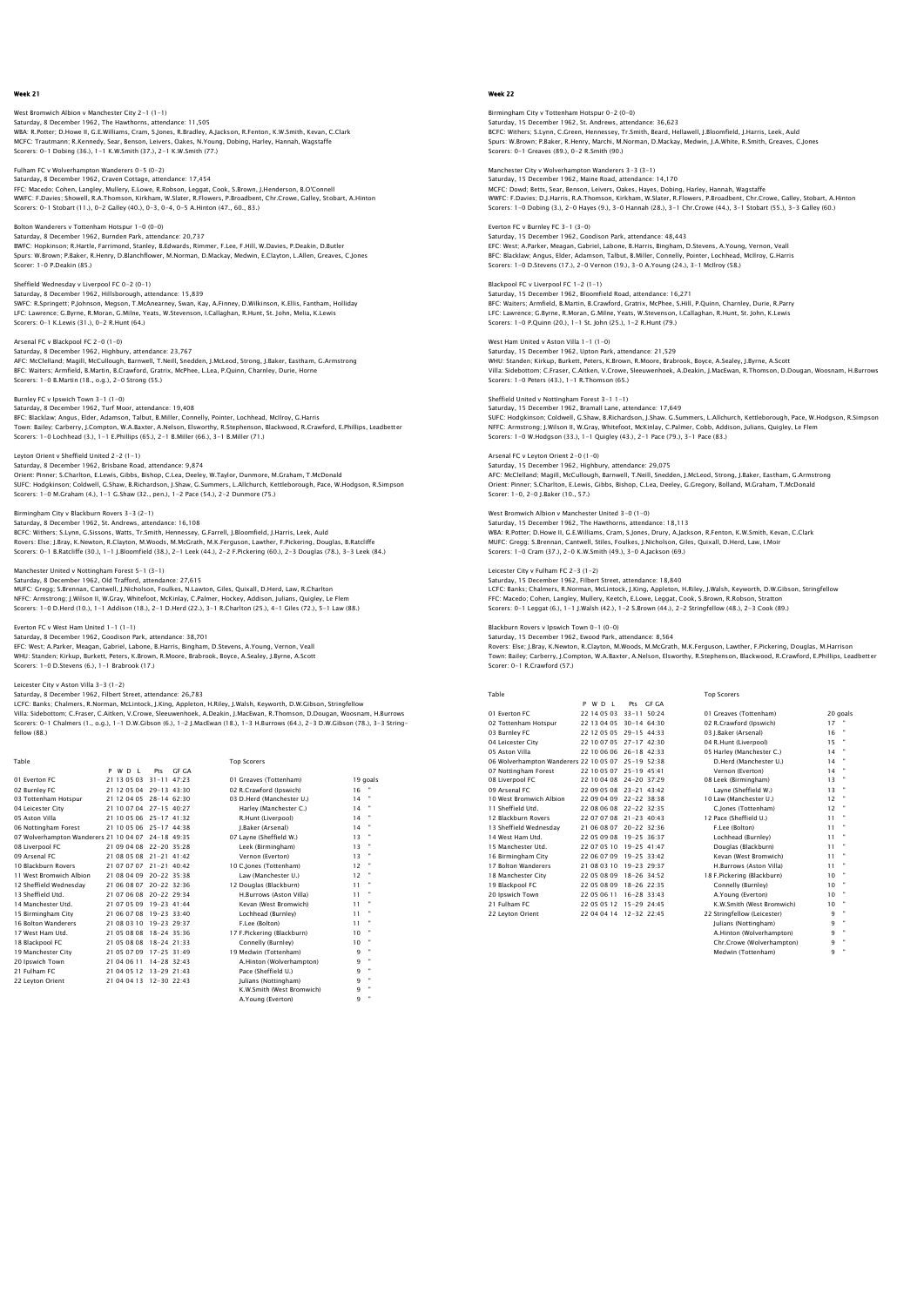West Bromwich Albion v Manchester City 2–1 (1–1)<br>Saturday, 8 December 1962, The Hawthorns, attendance: 11,505<br>WBA: R.Potter; D.Howe II, G.E.Williams, Cram, S.Jones, R.Bradley, A.Jackson, R.Fenton, K.W.Smith, Kevan, C.Clark MCFC: Trautmann; R.Kennedy, Sear, Benson, Leivers, Oakes, N.Young, Dobing, Harley, Hannah, Wagstaffe Scorers: 0-1 Dobing (36.), 1-1 K.W.Smith (37.), 2-1 K.W.Smith (77.)

Fulham FC v Wolverhampton Wanderers 0-5 (0-2) Saturday, 8 December 1962, Craven Cottage, attendance: 17,454

FFC: Macedo; Cohen, Langley, Mullery, E.Lowe, R.Robson, Leggat, Cook, S.Brown, J.Henderson, B.O'Connell WWFC: F.Davies; Showell, R.A.Thomson, Kirkham, W.Slater, R.Flowers, P.Broadbent, Chr.Crowe, Galley, Stobart, A.Hinton Scorers: 0-1 Stobart (11.), 0-2 Galley (40.), 0-3, 0-4, 0-5 A.Hinton (47., 60., 83.)

#### Bolton Wanderers v Tottenham Hotspur 1-0 (0-0) Saturday, 8 December 1962, Burnden Park, attendance: 20,737

BWFC: Hopkinson; R.Hartle, Farrimond, Stanley, B.Edwards, Rimmer, F.Lee, F.Hill, W.Davies, P.Deakin, D.Butler Spurs: W.Brown; P.Baker, R.Henry, D.Blanchflower, M.Norman, D.Mackay, Medwin, E.Clayton, L.Allen, Greaves, C.Jones Scorer: 1-0 P.Deakin (85.)

#### Sheffield Wednesday v Liverpool FC 0-2 (0-1)

Saturday, 8 December 1962, Hillsborough, attendance: 15,839<br>SWFC: R.Springett; P.Johnson, Megson, T.McAnearney, Swan, Kay, A.Finney, D.Wilkinson, K.Ellis, Fantham, Holliday<br>LFC: Lawrence; G.Byrne, R.Moran, G.Milne, Yeats,

Arsenal FC v Blackpool FC 2-0 (1-0)

Saturday, 8 December 1962, Highbury, attendance: 23,767<br>AFC: MCClelland; Magill, MCCullough, Barnwell, T.Neill, Snedden, J.McLeod, Strong, J.Baker, Eastham, G.Armstrong<br>BFC: Walters: Armfield, B.Martin, B.Crawford, Gratrix Scorers: 1-0 B.Martin (18., o.g.), 2-0 Strong (55.)

#### Burnley FC v Ipswich Town 3-1 (1-0)

Saturday, 8 December 1962, Turf Moor, attendance: 19,408 BFC: Blacklaw; Angus, Elder, Adamson, Talbut, B.Miller, Connelly, Pointer, Lochhead, McIlroy, G.Harris Town: Bailey; Carberry, J.Compton, W.A.Baxter, A.Nelson, Elsworthy, R.Stephenson, Blackwood, R.Crawford, E.Phillips, Leadbetter<br>Scorers: 1–0 Lochhead (3.), 1–1 E.Phillips (65.), 2–1 B.Miller (66.), 3–1 B.Miller (71.)

Leyton Orient v Sheffield United 2–2 (1–1)<br>Saturday, 8 December 1962, Brisbane Road, attendance: 9,874<br>Orient: Pinner; S.Charlton, E.Lewis, Gibbs, Bishop, C.Lea, Deeley, W.Taylor, Dunmore, M.Graham, T.McDonald<br>SUFC: Hodqki Scorers: 1-0 M.Graham (4.), 1-1 G.Shaw (32., pen.), 1-2 Pace (54.), 2-2 Dunmore (75.)

## Birmingham City v Blackburn Rovers 3-3 (2-1)

Saturday, 8 December 1962, St. Andrews, attendance: 16,108<br>BCFC: Withers; S.Lynn, G.Sissons, Watts, Tr.Smith, Hennessey, G.Farrell, J.Bloomfield, J.Harris, Leek, Auld<br>Rovers: Else; J.Bray, K.Newton, R.Clayton, M.Woods, M.M

## Manchester United v Nottingham Forest 5-1 (3-1)

Saturday, 8 December 1962, Old Trafford, attendance: 27,615 MUFC: Gregg; S.Brennan, Cantwell, J.Nicholson, Foulkes, N.Lawton, Giles, Quixall, D.Herd, Law, R.Charlton NFFC: Armstrong; J.Wilson II, W.Gray, Whitefoot, McKinlay, C.Palmer, Hockey, Addison, Julians, Quigley, Le Flem<br>Scorers: 1–0 D.Herd (10.), 1–1 Addison (18.), 2–1 D.Herd (22.), 3–1 R.Charlton (25.), 4–1 Giles (72.), 5–1 Law

#### Everton FC v West Ham United 1-1 (1-1)

Saturday, 8 December 1962, Goodison Park, attendance: 38,701 EFC: West; A.Parker, Meagan, Gabriel, Labone, B.Harris, Bingham, D.Stevens, A.Young, Vernon, Veall WHU: Standen; Kirkup, Burkett, Peters, K.Brown, R.Moore, Brabrook, Boyce, A.Sealey, J.Byrne, A.Scott Scorers: 1-0 D.Stevens (6.), 1-1 Brabrook (17.)

### Leicester City v Aston Villa 3-3 (1-2)

fellow (88.)

Saturday, 8 December 1962, Filbert Street, attendance: 26,783 LCFC: Banks; Chalmers, R.Norman, McLintock, J.King, Appleton, H.Riley, J.Walsh, Keyworth, D.W.Gibson, Stringfellow<br>Villa: Sidebottom; C.Fraser, C.Aitken, V.Crowe, Sleeuwenhoek, A.Deakin, J.MacEwan, R.Thomson, D.Dougan, Woo

| Table                                              |                         |                 |       | <b>Top Scorers</b>         |    |                |
|----------------------------------------------------|-------------------------|-----------------|-------|----------------------------|----|----------------|
|                                                    | P W D I                 | Prs             | GE GA |                            |    |                |
| 01 Everton EC                                      | 21 13 05 03             | $31 - 11$ 47.23 |       | 01 Greaves (Tottenham)     |    | 19 goals       |
| 02 Burnley FC                                      | 21 12 05 04 29-13 43:30 |                 |       | 02 R.Crawford (Ipswich)    | 16 |                |
| 03 Tottenham Hotspur                               | 21 12 04 05 28-14 62:30 |                 |       | 03 D.Herd (Manchester U.)  | 14 |                |
| 04 Leicester City                                  | 21 10 07 04 27-15 40:27 |                 |       | Harley (Manchester C.)     | 14 |                |
| 05 Aston Villa                                     | 21 10 05 06 25-17 41:32 |                 |       | R.Hunt (Liverpool)         | 14 |                |
| 06 Nottingham Forest                               | 21 10 05 06 25-17 44:38 |                 |       | I.Baker (Arsenal)          | 14 | $\blacksquare$ |
| 07 Wolverhampton Wanderers 21 10 04 07 24-18 49:35 |                         |                 |       | 07 Lavne (Sheffield W.)    | 13 |                |
| 08 Liverpool FC                                    | 21 09 04 08 22-20 35:28 |                 |       | Leek (Birmingham)          | 13 | ×              |
| 09 Arsenal FC                                      | 21 08 05 08 21-21 41:42 |                 |       | Vernon (Everton)           | 13 |                |
| 10 Blackburn Rovers                                | 21 07 07 07 21-21 40:42 |                 |       | 10 C. lones (Tottenham)    | 12 |                |
| 11 West Bromwich Albion                            | 21 08 04 09             | 20-22 35:38     |       | Law (Manchester U.)        | 12 |                |
| 12 Sheffield Wednesdav                             | 21 06 08 07 20-22 32:36 |                 |       | 12 Douglas (Blackburn)     | 11 | ٠              |
| 13 Sheffield Utd.                                  | 21 07 06 08 20-22 29:34 |                 |       | H.Burrows (Aston Villa)    | 11 |                |
| 14 Manchester Utd.                                 | 21 07 05 09 19-23 41:44 |                 |       | Kevan (West Bromwich)      | 11 |                |
| 15 Birmingham City                                 | 21 06 07 08 19-23 33:40 |                 |       | Lochhead (Burnley)         | 11 |                |
| 16 Bolton Wanderers                                | 21 08 03 10             | 19-23 29:37     |       | F.Lee (Bolton)             | 11 |                |
| 17 West Ham Utd.                                   | 21 05 08 08 18-24 35:36 |                 |       | 17 F.Pickering (Blackburn) | 10 |                |
| 18 Blackpool FC                                    | 21 05 08 08 18-24 21:33 |                 |       | Connelly (Burnley)         | 10 |                |
| 19 Manchester City                                 | 21 05 07 09 17-25 31:49 |                 |       | 19 Medwin (Tottenham)      | 9  | ٠              |
| 20 Ipswich Town                                    | 21 04 06 11             | $14 - 28$ 32:43 |       | A.Hinton (Wolverhampton)   | 9  | ×              |
| 21 Fulham FC                                       | 21 04 05 12 13-29 21:43 |                 |       | Pace (Sheffield U.)        | 9  | ٠              |
| 22 Levton Orient                                   | 21 04 04 13 12-30 22:43 |                 |       | Iulians (Nottingham)       | 9  | ×              |
|                                                    |                         |                 |       | K.W.Smith (West Bromwich)  | 9  | ٠              |
|                                                    |                         |                 |       | A.Young (Everton)          | 9  |                |

### Week 22

Birmingham City v Tottenham Hotspur 0–2 (0–0)<br>Saturday, 15 December 1962, St. Andrews, attendance: 36,623<br>BCFC: Withers; S.Lynn, C.Green, Hennessey, Tr.Smith, Beard, Hellawell, J.Bloomfield, J.Harris, Leek, Auld Spurs: W.Brown; P.Baker, R.Henry, Marchi, M.Norman, D.Mackay, Medwin, J.A.White, R.Smith, Greaves, C.Jones Scorers: 0-1 Greaves (89.), 0-2 R.Smith (90.)

Manchester City v Wolverhampton Wanderers 3-3 (3-1) Saturday, 15 December 1962, Maine Road, attendance: 14,170 MCFC: Dowd; Betts, Sear, Benson, Leivers, Oakes, Hayes, Dobing, Harley, Hannah, Wagstaffe WWFC: F.Davies; D.J.Harris, R.A.Thomson, Kirkham, W.Slater, R.Flowers, P.Broadbent, Chr.Crowe, Galley, Stobart, A.Hinton Scorers: 1-0 Dobing (3.), 2-0 Hayes (9.), 3-0 Hannah (28.), 3-1 Chr.Crowe (44.), 3-1 Stobart (55.), 3-3 Galley (60.)

### Everton FC v Burnley FC 3-1 (3-0)

Saturday, 15 December 1962, Goodison Park, attendance: 48,443 EFC: West; A.Parker, Meagan, Gabriel, Labone, B.Harris, Bingham, D.Stevens, A.Young, Vernon, Veall<br>BFC: Blacklaw; Angus, Elder, Adamson, Talbut, B.Miller, Connelly, Pointer, Lochhead, McIlroy, G.Harris<br>Scorers: 1–0 D.Steve

## Blackpool FC v Liverpool FC 1-2 (1-1) Saturday, 15 December 1962, Bloomfield Road, attendance: 16,271 BFC: Waiters; Armfield, B.Martin, B.Crawford, Gratrix, McPhee, S.Hill, P.Quinn, Charnley, Durie, R.Parry<br>LFC: Lawrence; G.Byrne, R.Moran, G.Milne, Yeats, W.Stevenson, I.Callaghan, R.Hunt, St. John, K.Lewis<br>Scorers: 1–0 P.Q

West Ham United v Aston Villa 1-1 (1-0) Saturday, 15 December 1962, Upton Park, attendance: 21,529<br>WHU: Standen; Kirkup, Burkett, Peters, K.Brown, R.Moore, Brabrook, Boyce, A.Sealey, J.Byrne, A.Scott<br>Villa: Sidebottom; C.Fraser, C.Aitken, V.Crowe, Sleeuwenhoek,

### Sheffield United v Nottingham Forest 3-1 1-1)

Saturday, 15 December 1962, Bramall Lane, attendance: 17,649<br>SUFC: Hodgkinson; Coldwell, G.Shaw, B.Richardson, J.Shaw. G.Summers, L.Allchurch, Kettleborough, Pace, W.Hodgson, R.Simpsor<br>NFFC: Armstrong: J.Wilson II, W.Gray, Scorers: 1-0 W.Hodgson (33.), 1-1 Quigley (43.), 2-1 Pace (79.), 3-1 Pace (83.)

Arsenal FC v Leyton Orient 2-0 (1-0)<br>Saturday, 15 December 1962, Highbury, attendance: 29,075<br>AFC: McClelland; Magill, McCullough, Barnwell, T.Neill, Snedden, J.McLeod, Strong, J.Baker, Eastham, G.Armstrong Orient: Pinner; S.Charlton, E.Lewis, Gibbs, Bishop, C.Lea, Deeley, G.Gregory, Bolland, M.Graham, T.McDonald Scorer: 1-0, 2-0 J.Baker (10., 57.)

## West Bromwich Albion v Manchester United 3-0 (1-0)

Saturday, 15 December 1962, The Hawthorns, attendance: 18,113 WBA: R.Potter; D.Howe II, G.E.Williams, Cram, S.Jones, Drury, A.Jackson, R.Fenton, K.W.Smith, Kevan, C.Clark MUFC: Gregg; S.Brennan, Cantwell, Stiles, Foulkes, J.Nicholson, Giles, Quixall, D.Herd, Law, I.Moir Scorers: 1-0 Cram (37.), 2-0 K.W.Smith (49.), 3-0 A.Jackson (69.)

## Leicester City v Fulham FC 2-3 (1-2)

Saturday, 15 December 1962, Filbert Street, attendance: 18,840 LCFC: Banks; Chalmers, R.Norman, McLintock, J.King, Appleton, H.Riley, J.Walsh, Keyworth, D.W.Gibson, Stringfellow FFC: Macedo; Cohen, Langley, Mullery, Keetch, E.Lowe, Leggat, Cook, S.Brown, R.Robson, Stratton Scorers: 0-1 Leggat (6.), 1-1 J.Walsh (42.), 1-2 S.Brown (44.), 2-2 Stringfellow (48.), 2-3 Cook (89.)

#### Blackburn Rovers v Ipswich Town 0-1 (0-0)

Saturday, 15 December 1962, Ewood Park, attendance: 8,564 Rovers: Else; J.Bray, K.Newton, R.Clayton, M.Woods, M.McGrath, M.K.Ferguson, Lawther, F.Pickering, Douglas, M.Harrison Town: Bailey; Carberry, J.Compton, W.A.Baxter, A.Nelson, Elsworthy, R.Stephenson, Blackwood, R.Crawford, E.Phillips, Leadbetter Scorer: 0-1 R.Crawford (57.)

|  | ۰, |
|--|----|
|  |    |

|                                        | P W D I     | <b>GF GA</b><br>Pts       |                             |                      |
|----------------------------------------|-------------|---------------------------|-----------------------------|----------------------|
| 01 Everton FC                          | 22 14 05 03 | 33-11 50:24               | 01 Greaves (Tottenham)      | 20 goals             |
| 02 Tottenham Hotspur                   | 22 13 04 05 | $30 - 146430$             | 02 R.Crawford (Ipswich)     | 17                   |
| 03 Burnley FC                          | 22 12 05 05 | 29-15 44:33               | 03 J.Baker (Arsenal)        | 16                   |
| 04 Leicester City                      | 22 10 07 05 | $27 - 17$ 42.30           | 04 R.Hunt (Liverpool)       | 15                   |
| 05 Aston Villa                         | 22 10 06 06 | $26 - 18$ 42.33           | 05 Harley (Manchester C.)   | 14                   |
| 06 Wolverhampton Wanderers 22 10 05 07 |             | 25-19 52:38               | D.Herd (Manchester U.)      | 14                   |
| 07 Nottingham Forest                   | 22 10 05 07 | 25-19 45:41               | Vernon (Everton)            | $\blacksquare$<br>14 |
| 08 Liverpool FC                        | 22 10 04 08 | 24-20 37:29               | 08 Leek (Birmingham)        | 13                   |
| 09 Arsenal FC                          |             | 22 09 05 08 23-21 43:42   | Layne (Sheffield W.)        | 13                   |
| 10 West Bromwich Albion                | 22 09 04 09 | $22 - 22$ 38:38           | 10 Law (Manchester U.)      | ×<br>12              |
| 11 Sheffield Utd.                      | 22 08 06 08 | 22-22 32:35               | C.Jones (Tottenham)         | 12                   |
| 12 Blackburn Rovers                    |             | 22 07 07 08 21 - 23 40:43 | 12 Pace (Sheffield U.)      | 11                   |
| 13 Sheffield Wednesday                 | 21 06 08 07 | $20 - 22$ 32:36           | F.Lee (Bolton)              | $\blacksquare$<br>11 |
| 14 West Ham Utd.                       | 22 05 09 08 | 19-25 36:37               | Lochhead (Burnley)          | 11                   |
| 15 Manchester Utd.                     | 22 07 05 10 | 19-25 41:47               | Douglas (Blackburn)         | 11                   |
| 16 Birmingham City                     | 22 06 07 09 | 19-25 33:42               | Kevan (West Bromwich)       | 11                   |
| 17 Bolton Wanderers                    | 21 08 03 10 | $19 - 23$ $29.37$         | H.Burrows (Aston Villa)     | 11                   |
| 18 Manchester City                     | 22 05 08 09 | 18-26 34:52               | 18 F.Pickering (Blackburn)  | $\blacksquare$<br>10 |
| 19 Blackpool FC                        | 22 05 08 09 | $18 - 26$ $22.35$         | Connelly (Burnley)          | 10                   |
| 20 Ipswich Town                        | 22 05 06 11 | $16 - 28$ 33:43           | A.Young (Everton)           | 10                   |
| 21 Fulham FC                           | 22 05 05 12 | 15-29 24:45               | K.W.Smith (West Bromwich)   | 10                   |
| 22 Levton Orient                       |             | 22 04 04 14 12-32 22:45   | 22 Stringfellow (Leicester) | 9                    |

Top Scorers

| 01 Greaves (Tottenham)      | 20 goa |    |
|-----------------------------|--------|----|
| 02 R.Crawford (Ipswich)     | 17     |    |
| 03 J.Baker (Arsenal)        | 16     | ×  |
| 04 R.Hunt (Liverpool)       | 15     | m  |
| 05 Harley (Manchester C.)   | 14     | m  |
| D.Herd (Manchester U.)      | 14     | ×  |
| Vernon (Everton)            | 14     |    |
| 08 Leek (Birmingham)        | 13     | ×  |
| Lavne (Sheffield W.)        | 13     | m  |
| 10 Law (Manchester U.)      | 12     |    |
| C.Jones (Tottenham)         | 12     | ×  |
| 12 Pace (Sheffield U.)      | 11     | ×  |
| F.Lee (Bolton)              | 11     | ×  |
| Lochhead (Burnley)          | 11     | ×  |
| Douglas (Blackburn)         | 11     | ×, |
| Kevan (West Bromwich)       | 11     | ×  |
| H.Burrows (Aston Villa)     | 11     | ×  |
| 18 F.Pickering (Blackburn)  | 10     | m  |
| Connelly (Burnley)          | 10     | ×  |
| A.Young (Everton)           | 10     | ×  |
| K.W.Smith (West Bromwich)   | 10     | ×  |
| 22 Stringfellow (Leicester) | 9      | ×  |
| Julians (Nottingham)        | ۹      | ×  |
| A.Hinton (Wolverhampton)    | 9      | ×  |
| Chr.Crowe (Wolverhampton)   | 9      | ×  |
| Medwin (Tottenham)          | 9      | ×  |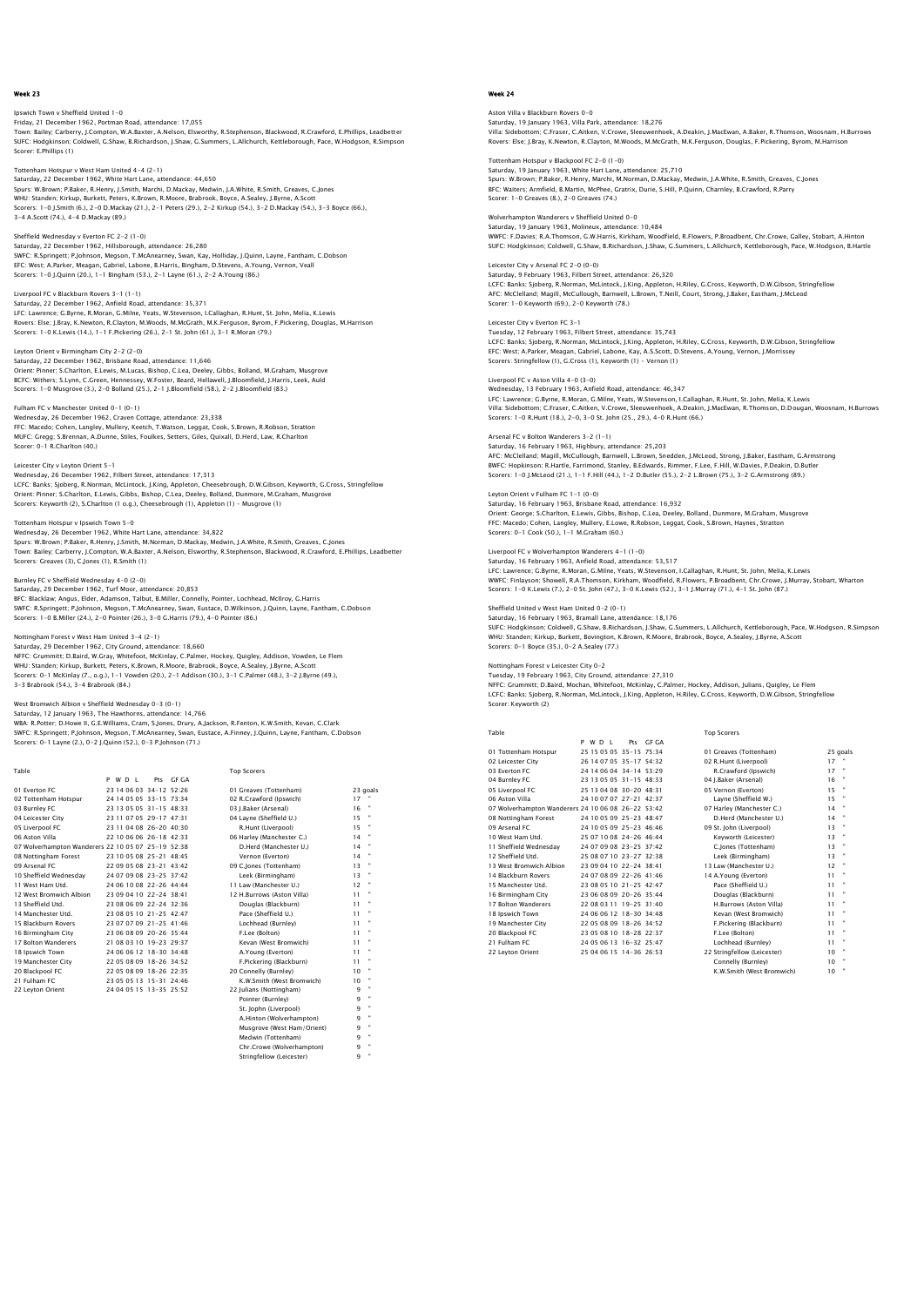## Ipswich Town v Sheffield United 1-0 Friday, 21 December 1962, Portman Road, attendance: 17,055 Town: Bailey; Carberry, J.Compton, W.A.Baxter, A.Nelson, Elsworthy, R.Stephenson, Blackwood, R.Crawford, E.Phillips, Leadbetter SUFC: Hodgkinson; Coldwell, G.Shaw, B.Richardson, J.Shaw, G.Summers, L.Allchurch, Kettleborough, Pace, W.Hodgson, R.Simpson Scorer: E.Phillips (1)

n Hotspur v West Ham United 4-4 (2-1) Saturday, 22 December 1962, White Hart Lane, attendance: 44,650 Spurs: W.Brown; P.Baker, R.Henry, J.Smith, Marchi, D.Mackay, Medwin, J.A.White, R.Smith, Greaves, C.Jones WHU: Standen; Kirkup, Burkett, Peters, K.Brown, R.Moore, Brabrook, Boyce, A.Sealey, J.Byrne, A.Scott<br>Scorers: 1–0 J.Smith (6.), 2–0 D.Mackay (21.), 2–1 Peters (29.), 2–2 Kirkup (54.), 3–2 D.Mackay (54.), 3–3 Boyce (66.),<br>3

## Sheffield Wednesday v Everton FC 2-2 (1-0) Saturday, 22 December 1962, Hillsborough, attendance: 26,280<br>SWFC: R.Springett; P.Johnson, Megson, T.McAnearney, Swan, Kay, Holliday, J.Quinn, Layne, Fantham, C.Dobson<br>EFC: West: A.Parker, Meagan, Gabriel, Labone, B.Harris Scorers: 1-0 J.Quinn (20.), 1-1 Bingham (53.), 2-1 Layne (61.), 2-2 A.Young (86.)

Liverpool FC v Blackburn Rovers 3-1 (1-1) Saturday, 22 December 1962, Anfield Road, attendance: 35,371 LFC: Lawrence; G.Byrne, R.Moran, G.Milne, Yeats, W.Stevenson, I.Callaghan, R.Hunt, St. John, Melia, K.Lewis<br>Rovers: Else; J.Bray, K.Newton, R.Clayton, M.Woods, M.McGrath, M.K.Ferguson, Byrom, F.Pickering, Douglas, M.Harris

## Leyton Orient v Birmingham City 2-2 (2-0)

Saturday, 22 December 1962, Brisbane Road, attendance: 11,646<br>Orient: Pinner, S.Charlton, E.Lewis, M.Lucas, Bishop, C.Lea, Deeley, Gibbs, Bolland, M.Graham, Musgrove<br>BCFC: Withers; S.Lynn, C.Green, Hennessey, W.Foster, Bea

## Fulham FC v Manchester United 0-1 (0-1)

Wednesday, 26 December 1962, Craven Cottage, attendance: 23,338 FFC: Macedo; Cohen, Langley, Mullery, Keetch, T.Watson, Leggat, Cook, S.Brown, R.Robson, Stratton MUFC: Gregg; S.Brennan, A.Dunne, Stiles, Foulkes, Setters, Giles, Quixall, D.Herd, Law, R.Charlton Scorer: 0-1 R.Charlton (40.)

## Leicester City v Leyton Orient 5-1

Wednesday, 26 December 1962, Filbert Street, attendance: 17,313 LCFC: Banks; Sjoberg, R.Norman, McLintock, J.King, Appleton, Cheesebrough, D.W.Gibson, Keyworth, G.Cross, Stringfellow Orient: Pinner; S.Charlton, E.Lewis, Gibbs, Bishop, C.Lea, Deeley, Bolland, Dunmore, M.Graham, Musgrove Scorers: Keyworth (2), S.Charlton (1 o.g.), Cheesebrough (1), Appleton (1) – Musgrove (1)

## Tottenham Hotspur v Ipswich Town 5-0

Wednesday, 26 December 1962, White Hart Lane, attendance: 34,822 Spurs: W.Brown; P.Baker, R.Henry, J.Smith, M.Norman, D.Mackay, Medwin, J.A.White, R.Smith, Greaves, C.Jones<br>Town: Bailey; Carberry, J.Compton, W.A.Baxter, A.Nelson, Elsworthy, R.Stephenson, Blackwood, R.Crawford, E.Phillip Scorers: Greaves (3), C.Jones (1), R.Smith (1), Scorers: Creaves (3), C.Jones (1), R.Smith (1)

### Burnley FC v Sheffield Wednesday 4-0 (2-0)

Saturday, 29 December 1962, Turf Moor, attendance: 20,853 BFC: Blacklaw; Angus, Elder, Adamson, Talbut, B.Miller, Connelly, Pointer, Lochhead, McIlroy, G.Harris<br>SWFC: R.Springett; P.Johnson, Megson, T.McAnearney, Swan, Eustace, D.Wilkinson, J.Quinn, Layne, Fantham, C.Dobson Scorers: 1-0 B.Miller (24.), 2-0 Pointer (26.), 3-0 G.Harris (79.), 4-0 Pointer (86.)

### Nottingham Forest v West Ham United 3-4 (2-1)

Saturday, 29 December 1962, City Ground, attendance: 18,660 NFFC: Grummitt; D.Baird, W.Gray, Whitefoot, McKinlay, C.Palmer, Hockey, Quigley, Addison, Vowden, Le Flem<br>WHU: Standen; Kirkup, Burkett, Peters, K.Brown, R.Moore, Brabrook, Boyce, A.Sealey, J.Byrne, A.Scott<br>Scorers: 0–1 Mc 3-3 Brabrook (54.), 3-4 Brabrook (84.)

West Bromwich Albion v Sheffield Wednesday 0–3 (0–1)<br>Saturday, 12 January 1963, The Hawthorns, attendance: 14,766<br>WBA: R.Potter; D.Howe II, G.E.Williams, Cram, S.Jones, Drury, A.Jackson, R.Fenton, K.W.Smith, Kevan, C.Clark Scorers: 0-1 Layne (2.), 0-2 J.Quinn (52.), 0-3 P.Johnson (71.)

| Table                                              |         |                         |           | <b>Top Scorers</b>         |    |          |
|----------------------------------------------------|---------|-------------------------|-----------|----------------------------|----|----------|
|                                                    | P W D I |                         | Pts GE GA |                            |    |          |
| 01 Everton EC                                      |         | 23 14 06 03 34-12 52:26 |           | 01 Greaves (Tottenham)     |    | 23 goals |
| 02 Tottenham Hotspur                               |         | 24 14 05 05 33-15 73:34 |           | 02 R.Crawford (Ipswich)    | 17 |          |
| 03 Burnley FC                                      |         | 23 13 05 05 31-15 48:33 |           | 03 J.Baker (Arsenal)       | 16 |          |
| 04 Leicester City                                  |         | 23 11 07 05 29-17 47:31 |           | 04 Lavne (Sheffield U.)    | 15 |          |
| 05 Liverpool FC                                    |         | 23 11 04 08 26-20 40:30 |           | R.Hunt (Liverpool)         | 15 |          |
| 06 Aston Villa                                     |         | 22 10 06 06 26-18 42:33 |           | 06 Harley (Manchester C.)  | 14 |          |
| 07 Wolverhampton Wanderers 22 10 05 07 25-19 52:38 |         |                         |           | D.Herd (Manchester U.)     | 14 |          |
| 08 Nottingham Forest                               |         | 23 10 05 08 25-21 48:45 |           | Vernon (Everton)           | 14 |          |
| 09 Arsenal FC                                      |         | 22 09 05 08 23-21 43:42 |           | 09 C.lones (Tottenham)     | 13 |          |
| 10 Sheffield Wednesday                             |         | 24 07 09 08 23-25 37:42 |           | Leek (Birmingham)          | 13 |          |
| 11 West Ham Utd.                                   |         | 24 06 10 08 22-26 44:44 |           | 11 Law (Manchester U.)     | 12 |          |
| 12 West Bromwich Albion                            |         | 23 09 04 10 22-24 38:41 |           | 12 H.Burrows (Aston Villa) | 11 |          |
| 13 Sheffield Utd.                                  |         | 23 08 06 09 22-24 32:36 |           | Douglas (Blackburn)        | 11 |          |
| 14 Manchester Utd.                                 |         | 23 08 05 10 21-25 42:47 |           | Pace (Sheffield U.)        | 11 |          |
| 15 Blackburn Rovers                                |         | 23 07 07 09 21-25 41:46 |           | Lochhead (Burnley)         | 11 |          |
| 16 Birmingham City                                 |         | 23.06.08.09.20-26.35:44 |           | F.Lee (Bolton)             | 11 |          |
| 17 Bolton Wanderers                                |         | 21 08 03 10 19-23 29:37 |           | Kevan (West Bromwich)      | 11 |          |
| 18 Ipswich Town                                    |         | 24 06 06 12 18-30 34:48 |           | A.Young (Everton)          | 11 |          |
| 19 Manchester City                                 |         | 22 05 08 09 18-26 34:52 |           | F.Pickering (Blackburn)    | 11 |          |
| 20 Blackpool FC                                    |         | 22 05 08 09 18-26 22:35 |           | 20 Connelly (Burnley)      | 10 |          |
| 21 Fulham FC                                       |         | 23 05 05 13 15-31 24:46 |           | K.W.Smith (West Bromwich)  | 10 |          |
| 22 Leyton Orient                                   |         | 24 04 05 15 13-35 25:52 |           | 22 Julians (Nottingham)    | 9  |          |
|                                                    |         |                         |           | Pointer (Burnley)          | 9  | ×        |
|                                                    |         |                         |           | St. Jophn (Liverpool)      | 9  |          |
|                                                    |         |                         |           | A.Hinton (Wolverhampton)   | 9  |          |
|                                                    |         |                         |           | Musgrove (West Ham/Orient) | q  |          |
|                                                    |         |                         |           | Medwin (Tottenham)         | 9  |          |
|                                                    |         |                         |           | Chr.Crowe (Wolverhampton)  | q  |          |
|                                                    |         |                         |           | Stringfellow (Leicester)   | q  |          |

## Week 24

# Aston Villa v Blackburn Rovers 0–0<br>Saturday, 19 January 1963, Villa Park, attendance: 18,276<br>Villa: Sidebotton; C.Fraser, C.Aitken, V.Crowe, Sleeuwenhoek, A.Deakin, J.MacEwan, A.Baker, R.Thomson, Woosnam, H.Burrows<br>Villa:

Tottenham Hotspur v Blackpool FC 2–0 (1–0)<br>Saturday, 19 January 1963, White Hart Lane, attendance: 25,710<br>Spurs: W.Brown; P.Baker, R.Henry, Marchi, M.Norman, D.Mackay, Medwin, J.A.White, R.Smith, Greaves, C.Jones BFC: Waiters; Armfield, B.Martin, McPhee, Gratrix, Durie, S.Hill, P.Quinn, Charnley, B.Crawford, R.Parry Scorer: 1-0 Greaves (8.), 2-0 Greaves (74.)

#### Wolverhampton Wanderers v Sheffield United 0-0 Saturday, 19 January 1963, Molineux, attendance: 10,484 WWFC: F.Davies; R.A.Thomson, G.W.Harris, Kirkham, Woodfield, R.Flowers, P.Broadbent, Chr.Crowe, Galley, Stobart, A.Hinton SUFC: Hodgkinson; Coldwell, G.Shaw, B.Richardson, J.Shaw, G.Summers, L.Allchurch, Kettleborough, Pace, W.Hodgson, B.Hartle

Leicester City v Arsenal FC 2-0 (0-0) Saturday, 9 February 1963, Filbert Street, attendance: 26,320 LCFC: Banks; Sjoberg, R.Norman, McLintock, J.King, Appleton, H.Riley, G.Cross, Keyworth, D.W.Gibson, Stringfellow AFC: McClelland; Magill, McCullough, Barnwell, L.Brown, T.Neill, Court, Strong, J.Baker, Eastham, J.McLeod Scorer: 1-0 Keyworth (69.), 2-0 Keyworth (78.)

#### Leicester City v Everton FC 3-1 Tuesday, 12 February 1963, Filbert Street, attendance: 35,743

LCFC: Banks; Sjoberg, R.Norman, McLintock, J.King, Appleton, H.Riley, G.Cross, Keyworth, D.W.Gibson, Stringfellow<br>EFC: West; A.Parker, Meagan, Gabriel, Labone, Kay, A.S.Scott, D.Stevens, A.Young, Vernon, J.Morrissey<br>Scorer

### Liverpool FC v Aston Villa 4-0 (3-0)

Wednesday, 13 February 1963, Anfield Road, attendance: 46,347<br>LFC: Lawrence; C.Byrne, R.Moran, G.Milne, Yeats, W.Stevenson, I.Callaghan, R.Hunt, St. John, Melia, K.Lewis<br>Villa: Sidebottom; C.Fraser, C.Aitken, V.Crowe, Slee

#### Arsenal FC v Bolton Wanderers 3-2 (1-1)

Saturday, 16 February 1963, Highbury, attendance: 25,203<br>AFC: McClelland; Magill, McCullough, Barnwell, L.Brown, Snedden, J.McLeod, Strong, J.Baker, Eastham, G.Armstrong<br>BWFC: Hopkinson; R.Hartle, Farrimond, Stanley, B.Edw

#### Leyton Orient v Fulham FC 1-1 (0-0)

Saturday, 16 February 1963, Brisbane Road, attendance: 16,932 Orient: George; S.Charlton, E.Lewis, Gibbs, Bishop, C.Lea, Deeley, Bolland, Dunmore, M.Graham, Musgrove FFC: Macedo; Cohen, Langley, Mullery, E.Lowe, R.Robson, Leggat, Cook, S.Brown, Haynes, Stratton Scorers: 0-1 Cook (50.), 1-1 M.Graham (60.)

#### Liverpool FC v Wolverhampton Wanderers 4-1 (1-0)

Saturday, 16 February 1963, Anfield Road, attendance: 53,517<br>LFC: Lawrence; G.Byrne, R.Moran, G.Milne, Yeats, W.Stevenson, I.Callaghan, R.Hunt, St. John, Melia, K.Lewis<br>WWFC: Finlayson; Showell, R.A.Thomson, Kirkham, Woodf

#### Sheffield United v West Ham United 0-2 (0-1)

Saturday, 16 February 1963, Bramall Lane, attendance: 18,176<br>SUFC: Hodgkinson; Coldwell, G.Shaw, B.Richardson, J.Shaw, G.Summers, L.Allchurch, Kettleborough, Pace, W.Hodgson, R.Simpsor<br>WHU: Standen; Kirkup, Burkett, Boving

Nottingham Forest v Leicester City 0–2<br>Tuesday, 19 February 1963, City Ground, attendance: 27,310<br>NFFC: Grummitt; D.Baird, Mochan, Whitefoot, McKinlay, C.Palmer, Hockey, Addison, Julians, Quigley, Le Flem<br>LCFC: Banks; Sjob Scorer: Keyworth (2)

| Table                                              |  |         |                           |       | <b>Top Scorers</b> |
|----------------------------------------------------|--|---------|---------------------------|-------|--------------------|
|                                                    |  | P W D I | Pr<                       | GE GA |                    |
| 01 Tottenham Hotspur                               |  |         | 25 15 05 05 35-15 75:34   |       | 01 Greaves         |
| 02 Leicester City                                  |  |         | 26 14 07 05 35-17 54:32   |       | 02 R.Hunt (        |
| 03 Everton EC                                      |  |         | 24 14 06 04 34-14 53:29   |       | R.Crawf            |
| 04 Burnley FC                                      |  |         | 23 13 05 05 31 - 15 48:33 |       | 04 I.Baker (       |
| 05 Liverpool FC                                    |  |         | 25 13 04 08 30-20 48:31   |       | 05 Vernon          |
| 06 Aston Villa                                     |  |         | 24 10 07 07 27-21 42:37   |       | Layne (S           |
| 07 Wolverhampton Wanderers 24 10 06 08 26-22 53:42 |  |         |                           |       | 07 Harley (I       |
| 08 Nottingham Forest                               |  |         | 24 10 05 09 25-23 48:47   |       | D.Herd (           |
| 09 Arsenal FC                                      |  |         | 24 10 05 09 25-23 46:46   |       | 09 St. John        |
| 10 West Ham Utd.                                   |  |         | 25 07 10 08 24-26 46:44   |       | Kevwort            |
| 11 Sheffield Wednesdav                             |  |         | 24 07 09 08 23-25 37:42   |       | C.lones            |
| 12 Sheffield Utd.                                  |  |         | 25 08 07 10 23-27 32:38   |       | Leek (Bir          |

| 01 Tottenham Hotspur                               | 25 15 05 05 35-15 75:34   |  | 01 Greaves (Tottenham)      |    | 25 goals |
|----------------------------------------------------|---------------------------|--|-----------------------------|----|----------|
| 02 Leicester City                                  | 26 14 07 05 35-17 54:32   |  | 02 R.Hunt (Liverpool)       | 17 |          |
| 03 Everton FC                                      | 24 14 06 04 34-14 53:29   |  | R.Crawford (Ipswich)        | 17 | ×        |
| 04 Burnley FC                                      | 23 13 05 05 31 - 15 48:33 |  | 04 J.Baker (Arsenal)        | 16 |          |
| 05 Liverpool FC                                    | 25 13 04 08 30-20 48:31   |  | 05 Vernon (Everton)         | 15 |          |
| 06 Aston Villa                                     | 24 10 07 07 27-21 42:37   |  | Lavne (Sheffield W.)        | 15 |          |
| 07 Wolverhampton Wanderers 24 10 06 08 26-22 53:42 |                           |  | 07 Harley (Manchester C.)   | 14 |          |
| 08 Nottingham Forest                               | 24 10 05 09 25-23 48:47   |  | D.Herd (Manchester U.)      | 14 |          |
| 09 Arsenal FC                                      | 24 10 05 09 25-23 46:46   |  | 09 St. John (Liverpool)     | 13 |          |
| 10 West Ham Utd.                                   | 25 07 10 08 24-26 46:44   |  | Kevworth (Leicester)        | 13 | ×        |
| 11 Sheffield Wednesdav                             | 24 07 09 08 23-25 37:42   |  | C.lones (Tottenham)         | 13 |          |
| 12 Sheffield Utd.                                  | 25 08 07 10 23-27 32:38   |  | Leek (Birmingham)           | 13 | ×        |
| 13 West Bromwich Albion                            | 23 09 04 10 22-24 38:41   |  | 13 Law (Manchester U.)      | 12 |          |
| 14 Blackburn Rovers                                | 24 07 08 09 22-26 41:46   |  | 14 A.Young (Everton)        | 11 |          |
| 15 Manchester Utd.                                 | 23 08 05 10 21-25 42:47   |  | Pace (Sheffield U.)         | 11 |          |
| 16 Birmingham City                                 | 23 06 08 09 20-26 35:44   |  | Douglas (Blackburn)         | 11 |          |
| 17 Bolton Wanderers                                | 22 08 03 11 19-25 31:40   |  | H.Burrows (Aston Villa)     | 11 |          |
| 18 Ipswich Town                                    | 24 06 06 12 18-30 34:48   |  | Kevan (West Bromwich)       | 11 |          |
| 19 Manchester City                                 | 22 05 08 09 18-26 34:52   |  | F.Pickering (Blackburn)     | 11 |          |
| 20 Blackpool FC                                    | 23 05 08 10 18-28 22:37   |  | F.Lee (Bolton)              | 11 |          |
| 21 Fulham FC                                       | 24 05 06 13 16-32 25:47   |  | Lochhead (Burnley)          | 11 |          |
| 22 Leyton Orient                                   | 25 04 06 15 14-36 26:53   |  | 22 Stringfellow (Leicester) | 10 |          |
|                                                    |                           |  | Connelly (Burnley)          | 10 |          |
|                                                    |                           |  | K.W.Smith (West Bromwich)   | 10 |          |
|                                                    |                           |  |                             |    |          |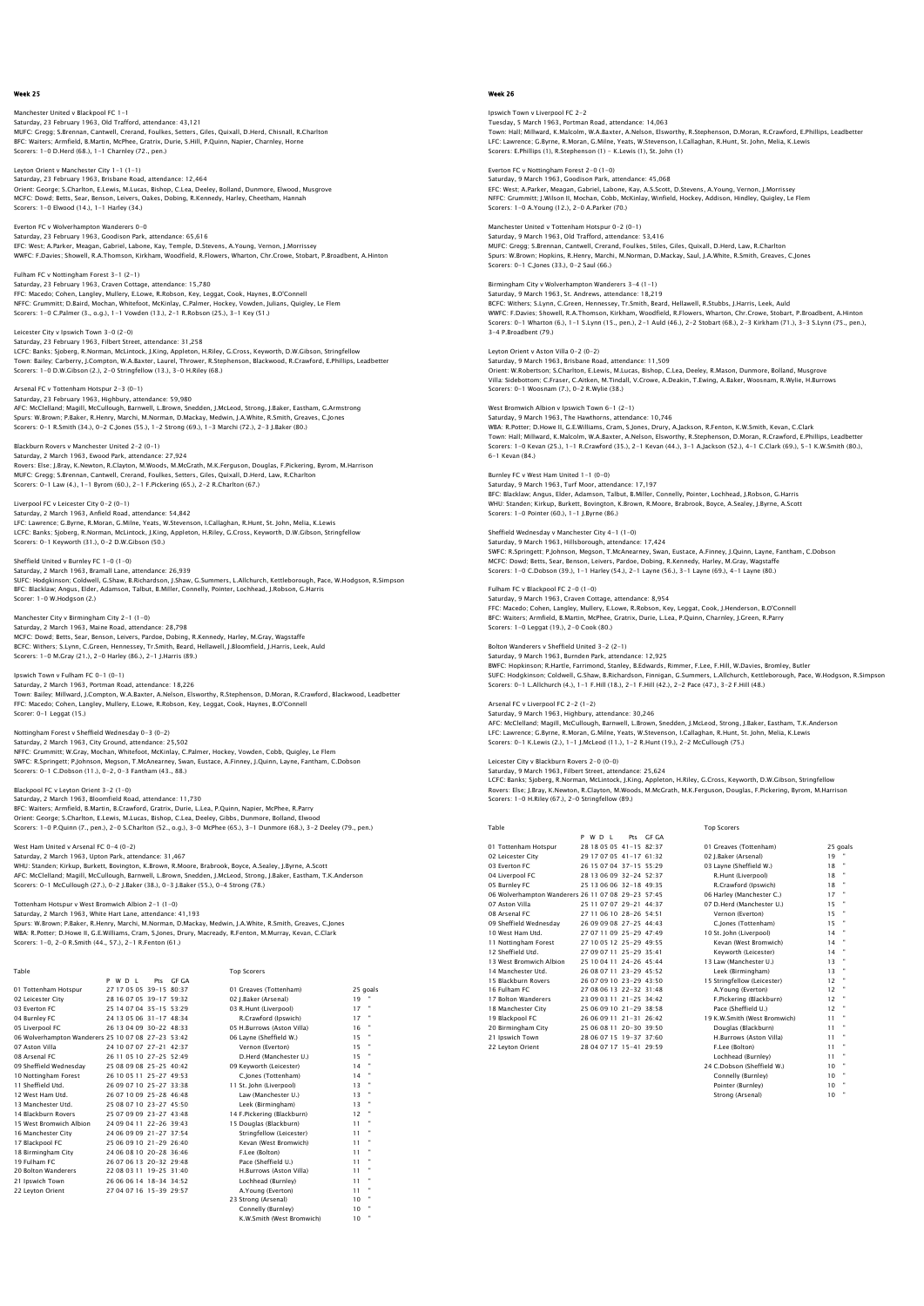Manchester United v Blackpool FC 1-1 Saturday, 23 February 1963, Old Trafford, attendance: 43,121 MUFC: Gregg; S.Brennan, Cantwell, Crerand, Foulkes, Setters, Giles, Quixall, D.Herd, Chisnall, R.Charlton BFC: Waiters; Armfield, B.Martin, McPhee, Gratrix, Durie, S.Hill, P.Quinn, Napier, Charnley, Horne Scorers: 1-0 D.Herd (68.), 1-1 Charnley (72., pen.)

Leyton Orient v Manchester City 1-1 (1-1) Saturday, 23 February 1963, Brisbane Road, attendance: 12,464 Orient: George; S.Charlton, E.Lewis, M.Lucas, Bishop, C.Lea, Deeley, Bolland, Dunmore, Elwood, Musgrove MCFC: Dowd; Betts, Sear, Benson, Leivers, Oakes, Dobing, R.Kennedy, Harley, Cheetham, Hannah Scorers: 1-0 Elwood (14.), 1-1 Harley (34.)

Everton FC v Wolverhampton Wanderers 0-0 Saturday, 23 February 1963, Goodison Park, attendance: 65,616 EFC: West; A.Parker, Meagan, Gabriel, Labone, Kay, Temple, D.Stevens, A.Young, Vernon, J.Morrissey WWFC: F.Davies; Showell, R.A.Thomson, Kirkham, Woodfield, R.Flowers, Wharton, Chr.Crowe, Stobart, P.Broadbent, A.Hinton

Fulham FC v Nottingham Forest 3-1 (2-1) Saturday, 23 February 1963, Craven Cottage, attendance: 15,780<br>FFC: Macedo; Cohen, Langley, Mullery, E.Lowe, R.Robson, Key, Leggat, Cook, Haynes, B.O'Connell<br>NFFC: Grummitt; D.Baird, Mochan, Whitefoot, McKinlay, C.Palmer,

Leicester City v Ipswich Town 3-0 (2-0) Saturday, 23 February 1963, Filbert Street, attendance: 31,258<br>LCFC: Banks; Sjoberg, R.Norman, McLintock, J.King, Appleton, H.Riley, G.Cross, Keyworth, D.W.Gibson, Stringfellow<br>Town: Bailey, Carberry, J.Compton, W.A.Baxter

#### Arsenal FC v Tottenham Hotspur 2-3 (0-1)

Saturday, 23 February 1963, Highbury, attendance: 59,980<br>AFC: McClelland; Magill, McCullough, Barnwell, L.Brown, Snedden, J.McLeod, Strong, J.Baker, Eastham, G.Armstrong<br>Spurs: W.Brown; P.Baker, R.Henry, Marchi, M.Norman,

## Blackburn Rovers v Manchester United 2-2 (0-1)

Saturday, 2 March 1963, Ewood Park, attendance: 27,924<br>Rovers: Else: J.Bray, K.Newton, R.Clayton, M.Woods, M.McGrath, M.K.Ferguson, Douglas, F.Pickering, Byrom, M.Harrison<br>MUFC: Gregg: S.Brennan, Cantwell, Crerand, Foulkes

Liverpool FC v Leicester City 0-2 (0-1) Saturday, 2 March 1963, Anfield Road, attendance: 54,842<br>LFC: Lawrence; G.Byrne, R.Moran, G.Milne, Yeats, W.Stevenson, I.Callaghan, R.Hunt, St. John, Melia, K.Lewis<br>LCFC: Banks; Sjoberg, R.Norman, McLintock, J.King, Applet Scorers: 0-1 Keyworth (31.), 0-2 D.W.Gibson (50.)

Sheffield United v Burnley FC 1–0 (1–0)<br>Saturday, 2 March 1963, Bramall Lane, attendance: 26,939<br>SUFC: Hodgkinson; Coldwell, G.Shaw, B.Richardson, J.Shaw, G.Summers, L.Allchurch, Kettleborough, Pace, W.Hodgson, R.Simpson<br>S Scorer: 1-0 W.Hodgson (2.)

## Manchester City v Birmingham City 2-1 (1-0)

Saturday, 2 March 1963, Maine Road, attendance: 28,798 MCFC: Dowd; Betts, Sear, Benson, Leivers, Pardoe, Dobing, R.Kennedy, Harley, M.Gray, Wagstaffe BCFC: Withers; S.Lynn, C.Green, Hennessey, Tr.Smith, Beard, Hellawell, J.Bloomfield, J.Harris, Leek, Auld Scorers: 1-0 M.Gray (21.), 2-0 Harley (86.), 2-1 J.Harris (89.)

Ipswich Town v Fulham FC 0-1 (0-1)

Saturday, 2 March 1963, Portman Road, attendance: 18,226 Town: Bailey; Millward, J.Compton, W.A.Baxter, A.Nelson, Elsworthy, R.Stephenson, D.Moran, R.Crawford, Blackwood, Leadbetter FFC: Macedo; Cohen, Langley, Mullery, E.Lowe, R.Robson, Key, Leggat, Cook, Haynes, B.O'Connell Scorer: 0-1 Leggat (15.)

## Nottingham Forest v Sheffield Wednesday 0-3 (0-2)

Saturday, 2 March 1963, City Ground, attendance: 25,502 NFFC: Grummitt; W.Gray, Mochan, Whitefoot, McKinlay, C.Palmer, Hockey, Vowden, Cobb, Quigley, Le Flem<br>SWFC: R.Springett; P.Johnson, Megson, T.McAnearney, Swan, Eustace, A.Finney, J.Quinn, Layne, Fantham, C.Dobson<br>Scorers:

#### Blackpool FC v Leyton Orient 3-2 (1-0)

Saturday, 2 March 1963, Bloomfield Road, attendance: 11,730 BFC: Waiters; Armfield, B.Martin, B.Crawford, Gratrix, Durie, L.Lea, P.Quinn, Napier, McPhee, R.Parry<br>Orient: George; S.Charlton, E.Lewis, M.Lucas, Bishop, C.Lea, Deeley, Gibbs, Dummore, Bolland, Elwood<br>Scorers: 1–0 P.Quin

#### West Ham United v Arsenal FC 0-4 (0-2)

Saturday, 2 March 1963, Upton Park, attendance: 31,467<br>WHU: Standen; Kirkup, Burkett, Bovington, K.Brown, R.Moore, Brabrook, Boyce, A.Sealey, J.Byrne, A.Scott<br>AFC: MCClelland; Magill, MCCullough, Barnwell, L.Brown, Snedden

## Tottenham Hotspur v West Bromwich Albion 2-1 (1-0)

Saturday, 2 March 1963, White Hart Lane, attendance: 41,193<br>Spurs: W.Brown; P.Baker, R.Henry, Marchi, M.Norman, D.Mackay, Medwin, J.A.White, R.Smith, Greaves, C.Jones<br>WBA: R.Potter: D.Howe II, G.E.Williams, Cram, S.Jones,

| Table                                              |         |                         |           | <b>Top Scorers</b>         |          |   |
|----------------------------------------------------|---------|-------------------------|-----------|----------------------------|----------|---|
|                                                    | P W D I |                         | Pts GE GA |                            |          |   |
| 01 Tottenham Hotspur                               |         | 27 17 05 05 39-15 80:37 |           | 01 Greaves (Tottenham)     | 25 goals |   |
| 02 Leicester City                                  |         | 28 16 07 05 39-17 59:32 |           | 02 I.Baker (Arsenal)       | $19 -$   |   |
| 03 Everton EC                                      |         | 25 14 07 04 35-15 53:29 |           | 03 R.Hunt (Liverpool)      | 17       | × |
| 04 Burnley FC                                      |         | 24 13 05 06 31-17 48:34 |           | R.Crawford (Ipswich)       | 17       | × |
| 05 Liverpool FC                                    |         | 26 13 04 09 30-22 48:33 |           | 05 H.Burrows (Aston Villa) | 16       |   |
| 06 Wolverhampton Wanderers 25 10 07 08 27-23 53:42 |         |                         |           | 06 Lavne (Sheffield W.)    | 15       |   |
| 07 Aston Villa                                     |         | 24 10 07 07 27-21 42:37 |           | Vernon (Everton)           | 15       |   |
| 08 Arsenal FC                                      |         | 26 11 05 10 27-25 52:49 |           | D.Herd (Manchester U.)     | 15       |   |
| 09 Sheffield Wednesday                             |         | 25 08 09 08 25-25 40:42 |           | 09 Keyworth (Leicester)    | 14       |   |
| 10 Nottingham Forest                               |         | 26 10 05 11 25-27 49:53 |           | C.Jones (Tottenham)        | 14       |   |
| 11 Sheffield Utd.                                  |         | 26.09.07.10.25-27.33:38 |           | 11 St. John (Liverpool)    | 13       |   |
| 12 West Ham Utd.                                   |         | 26 07 10 09 25-28 46:48 |           | Law (Manchester U.)        | 13       |   |
| 13 Manchester Utd.                                 |         | 25 08 07 10 23-27 45:50 |           | Leek (Birmingham)          | 13       |   |
| 14 Blackburn Rovers                                |         | 25 07 09 09 23-27 43:48 |           | 14 F.Pickering (Blackburn) | 12       |   |
| 15 West Bromwich Albion                            |         | 24 09 04 11 22-26 39:43 |           | 15 Douglas (Blackburn)     | 11       |   |
| 16 Manchester City                                 |         | 24 06 09 09 21-27 37:54 |           | Stringfellow (Leicester)   | 11       |   |
| 17 Blackpool FC                                    |         | 25 06 09 10 21-29 26:40 |           | Kevan (West Bromwich)      | 11       |   |
| 18 Birmingham City                                 |         | 24 06 08 10 20-28 36:46 |           | F.Lee (Bolton)             | 11       |   |
| 19 Fulham FC                                       |         | 26 07 06 13 20-32 29:48 |           | Pace (Sheffield U.)        | 11       |   |
| 20 Bolton Wanderers                                |         | 22 08 03 11 19-25 31:40 |           | H.Burrows (Aston Villa)    | 11       |   |
| 21 Ipswich Town                                    |         | 26 06 06 14 18-34 34:52 |           | Lochhead (Burnley)         | 11       |   |
| 22 Leyton Orient                                   |         | 27 04 07 16 15-39 29:57 |           | A.Young (Everton)          | 11       |   |
|                                                    |         |                         |           | 23 Strong (Arsenal)        | 10       |   |
|                                                    |         |                         |           | Connelly (Burnley)         | 10       |   |
|                                                    |         |                         |           | K.W.Smith (West Bromwich)  | 10       |   |
|                                                    |         |                         |           |                            |          |   |

## Week 26

Ipswich Town v Liverpool FC 2-2 Tuesday, 5 March 1963, Portman Road, attendance: 14,063 Town: Hall; Millward, K.Malcolm, W.A.Baxter, A.Nelson, Elsworthy, R.Stephenson, D.Moran, R.Crawford, E.Phillips, Leadbetter LFC: Lawrence; G.Byrne, R.Moran, G.Milne, Yeats, W.Stevenson, I.Callaghan, R.Hunt, St. John, Melia, K.Lewis Scorers: E.Phillips (1), R.Stephenson (1) - K.Lewis (1), St. John (1)

Everton FC v Nottingham Forest 2-0 (1-0) Saturday, 9 March 1963, Goodison Park, attendance: 45,068 EFC: West; A.Parker, Meagan, Gabriel, Labone, Kay, A.S.Scott, D.Stevens, A.Young, Vernon, J.Morrissey NFFC: Grummitt; J.Wilson II, Mochan, Cobb, McKinlay, Winfield, Hockey, Addison, Hindley, Quigley, Le Flem Scorers: 1-0 A.Young (12.), 2-0 A.Parker (70.)

Manchester United v Tottenham Hotspur 0-2 (0-1) Saturday, 9 March 1963, Old Trafford, attendance: 53,416 MUFC: Gregg; S.Brennan, Cantwell, Crerand, Foulkes, Stiles, Giles, Quixall, D.Herd, Law, R.Charlton<br>Spurs: W.Brown; Hopkins, R.Henry, Marchi, M.Norman, D.Mackay, Saul, J.A.White, R.Smith, Greaves, C.Jones<br>Scorers: 0–1 C.Jo

Birmingham City v Wolverhampton Wanderers 3-4 (1-1) Saturday, 9 March 1963, St. Andrews, attendance: 18,219 BCFC: Withers; S.Lynn, C.Green, Hennessey, Tr.Smith, Beard, Hellawell, R.Stubbs, J.Harris, Leek, Auld<br>WWFC: F.Davies; Showell, R.A.Thomson, Kirkham, Woodfield, R.Flowers, Wharton, Chr.Crowe, Stobart, P.Broadbent, A.Hinton<br> 3-4 P.Broadbent (79.)

Leyton Orient v Aston Villa 0-2 (0-2) Saturday, 9 March 1963, Brisbane Road, attendance: 11,509 Orient: W.Robertson; S.Charlton, E.Lewis, M.Lucas, Bishop, C.Lea, Deeley, R.Mason, Dunmore, Bolland, Musgrove Villa: Sidebottom; C.Fraser, C.Aitken, M.Tindall, V.Crowe, A.Deakin, T.Ewing, A.Baker, Woosnam, R.Wylie, H.Burrows Scorers: 0-1 Woosnam (7.), 0-2 R.Wylie (38.)

West Bromwich Albion v Ipswich Town 6–1 (2–1)<br>Saturday, 9 March 1963, The Hawthorns, attendance: 10,746<br>WBA: R.Potter: D.Howe II, G.E.Williams, Cram, S.Jones, Drury, A.Jackson, R.Fenton, K.W.Smith, Kevan, C.Clark<br>Town: Hal Scorers: 1-0 Kevan (25.), 1-1 R.Crawford (35.), 2-1 Kevan (44.), 3-1 A.Jackson (52.), 4-1 C.Clark (69.), 5-1 K.W.Smith (80.), 6-1 Kevan (84.)

Burnley FC v West Ham United 1-1 (0-0) Saturday, 9 March 1963, Turf Moor, attendance: 17,197 BFC: Blacklaw; Angus, Elder, Adamson, Talbut, B.Miller, Connelly, Pointer, Lochhead, J.Robson, G.Harris WHU: Standen; Kirkup, Burkett, Bovington, K.Brown, R.Moore, Brabrook, Boyce, A.Sealey, J.Byrne, A.Scott Scorers: 1-0 Pointer (60.), 1-1 J.Byrne (86.)

#### Sheffield Wednesday v Manchester City 4-1 (1-0) Saturday, 9 March 1963, Hillsborough, attendance: 17,424

SWFC: R.Springett; P.Johnson, Megson, T.McAnearney, Swan, Eustace, A.Finney, J.Quinn, Layne, Fantham, C.Dobsor<br>MCFC: Dowd; Betts, Sear, Benson, Leivers, Pardoe, Dobing, R.Kennedy, Harley, M.Cray, Wagstaffe<br>Scorers: 1–0 C.D

Fulham FC v Blackpool FC 2-0 (1-0) Saturday, 9 March 1963, Craven Cottage, attendance: 8,954 FFC: Macedo; Cohen, Langley, Mullery, E.Lowe, R.Robson, Key, Leggat, Cook, J.Henderson, B.O'Connell BFC: Waiters; Armfield, B.Martin, McPhee, Gratrix, Durie, L.Lea, P.Quinn, Charnley, J.Green, R.Parry Scorers: 1-0 Leggat (19.), 2-0 Cook (80.)

#### Bolton Wanderers v Sheffield United 3-2 (2-1)

Saturday, 9 March 1963, Burnden Park, attendance: 12,925<br>BWFC: Hopkinson; R.Hartle, Farrimond, Stanley, B.Edwards, Rimmer, F.Lee, F.Hill, W.Davies, Bromley, Butler<br>SUFC: Hodgkinson; Coldwell, G.Shaw, B.Richardson, Finnigan

Arsenal FC v Liverpool FC 2–2 (1–2)<br>Saturday, 9 March 1963, Highbury, attendance: 30,246<br>AFC: IacClelland: Magill, McCullough, Barnwell, L.Brown, Snedden, J.McLeod, Strong, J.Baker, Eastham, T.K.Andersor<br>LFC: Lawrence; G.B

Leicester City v Blackburn Rovers 2–0 (0–0)<br>Saturday, 9 March 1963, Filbert Street, atterdance: 25,624<br>LCFC: Banks; Sjoberg, R.Norman, McLintock, J.King, Appleton, H.Riley, G.Cross, Keyworth, D.W.Gibson, Stringfellow<br>Rover Scorers: 1-0 H.Riley (67.), 2-0 Stringfellow (89.)

|                                                    | P W D I | Pts                       | GE GA |                              |           |           |
|----------------------------------------------------|---------|---------------------------|-------|------------------------------|-----------|-----------|
| 01 Tottenham Hotspur                               |         | 28 18 05 05 41-15 82:37   |       | 01 Greaves (Tottenham)       |           | 25 goals  |
| 02 Leicester City                                  |         | 29 17 07 05 41-17 61:32   |       | 02 J.Baker (Arsenal)         | 19        |           |
| 03 Everton EC                                      |         | 26 15 07 04 37-15 55:29   |       | 03 Layne (Sheffield W.)      | 18        |           |
| 04 Liverpool FC                                    |         | 28 13 06 09 32-24 52:37   |       | R.Hunt (Liverpool)           | 18        | ×         |
| 05 Burnley FC                                      |         | 25 13 06 06 32-18 49:35   |       | R.Crawford (Ipswich)         | 18        | $\bullet$ |
| 06 Wolverhampton Wanderers 26 11 07 08 29-23 57:45 |         |                           |       | 06 Harley (Manchester C.)    | 17        | $\bullet$ |
| 07 Aston Villa                                     |         | 25 11 07 07 29-21 44:37   |       | 07 D.Herd (Manchester U.)    | 15        |           |
| 08 Arsenal FC                                      |         | 27 11 06 10 28-26 54 51   |       | Vernon (Everton)             | 15        |           |
| 09 Sheffield Wednesday                             |         | 26 09 09 08 27-25 44:43   |       | C.Jones (Tottenham)          | 15        | ×         |
| 10 West Ham Utd.                                   |         | 27 07 11 09 25-29 47:49   |       | 10 St. John (Liverpool)      | 14        |           |
| 11 Nottingham Forest                               |         | 27 10 05 12 25-29 49:55   |       | Kevan (West Bromwich)        | 14        | $\bullet$ |
| 12 Sheffield Utd.                                  |         | 27 09 07 11 25-29 35:41   |       | Keyworth (Leicester)         | 14        |           |
| 13 West Bromwich Albion                            |         | 25 10 04 11 24-26 45:44   |       | 13 Law (Manchester U.)       | 13        | $\bullet$ |
| 14 Manchester Utd.                                 |         | 26.08.07.11 23-29 45:52   |       | Leek (Birmingham)            | 13        |           |
| 15 Blackburn Rovers                                |         | 26.07.09.10.23-29.43:50   |       | 15 Stringfellow (Leicester)  | 12        |           |
| 16 Fulham FC                                       |         | 27 08 06 13 22-32 31:48   |       | A.Young (Everton)            | 12        | ×         |
| 17 Bolton Wanderers                                |         | 23 09 03 11 21 - 25 34:42 |       | F.Pickering (Blackburn)      | 12        |           |
| 18 Manchester City                                 |         | 25 06 09 10 21-29 38:58   |       | Pace (Sheffield U.)          | $12^{12}$ | ٠         |
| 19 Blackpool FC                                    |         | 26 06 09 11 21 - 31 26:42 |       | 19 K.W.Smith (West Bromwich) | 11        |           |
| 20 Birmingham City                                 |         | 25 06 08 11 20-30 39:50   |       | Douglas (Blackburn)          | 11        |           |
| 21 Ipswich Town                                    |         | 28 06 07 15 19-37 37:60   |       | H.Burrows (Aston Villa)      | 11        |           |
| 22 Leyton Orient                                   |         | 28 04 07 17 15-41 29:59   |       | F.Lee (Bolton)               | 11        |           |
|                                                    |         |                           |       | Lochhead (Rurnley)           | 11        |           |

| 01 Greaves (Tottenham)       | 25 qo |   |
|------------------------------|-------|---|
| 02 I.Baker (Arsenal)         | 19    |   |
| 03 Lavne (Sheffield W.)      | 18    | ľ |
| R.Hunt (Liverpool)           | 18    | 1 |
| R.Crawford (Ipswich)         | 18    | 1 |
| 06 Harley (Manchester C.)    | 17    | ł |
| 07 D.Herd (Manchester U.)    | 15    | í |
| Vernon (Everton)             | 15    | 1 |
| C.lones (Tottenham)          | 15    | ł |
| 10 St. John (Liverpool)      | 14    | ł |
| Kevan (West Bromwich)        | 14    | ۱ |
| Keyworth (Leicester)         | 14    | í |
| 13 Law (Manchester U.)       | 13    | 1 |
| Leek (Birmingham)            | 13    | I |
| 15 Stringfellow (Leicester)  | 12    | 1 |
| A.Young (Everton)            | 12    | ł |
| F.Pickering (Blackburn)      | 12    | í |
| Pace (Sheffield U.)          | 12    | 1 |
| 19 K.W.Smith (West Bromwich) | 11    | 1 |
| Douglas (Blackburn)          | 11    | ł |
| H.Burrows (Aston Villa)      | 11    | l |
| F.Lee (Bolton)               | 11    | 1 |
| Lochhead (Burnley)           | 11    | ł |
| 24 C.Dobson (Sheffield W.)   | 10    | ľ |
| Connelly (Burnley)           | 10    | 1 |
| Pointer (Burnley)            | 10    | l |
| Strong (Arsenal)             | 10    | ï |
|                              |       |   |

## Table Top Scorers

|                                                    |  |  | <b>FWIJI</b> FINIFIA                               |  |
|----------------------------------------------------|--|--|----------------------------------------------------|--|
| 1 Tottenham Hotspur                                |  |  | 28 18 05 05 41 - 15 82:37                          |  |
| 2 Leicester City                                   |  |  | 29 17 07 05 41-17 61:32                            |  |
| 3 Everton FC                                       |  |  |                                                    |  |
| 04 Liverpool FC                                    |  |  | 26 15 07 04 37-15 55:29<br>28 13 06 09 32-24 52:37 |  |
| 35 Burnley FC                                      |  |  | 25 13 06 06 32-18 49:35                            |  |
| 06 Wolverhampton Wanderers 26 11 07 08 29-23 57:45 |  |  |                                                    |  |
| 07 Aston Villa                                     |  |  | 25 11 07 07 29-21 44:37                            |  |
| 08 Arsenal FC                                      |  |  | 27 11 06 10 28-26 54:51                            |  |
| 09 Sheffield Wednesday 26 09 09 08 27-25 44:43     |  |  |                                                    |  |
| 10 West Ham Utd.                                   |  |  | 27 07 11 09 25-29 47:49                            |  |
| 11 Nottingham Forest 27 10 05 12 25-29 49:55       |  |  |                                                    |  |
| 2 Sheffield Utd.                                   |  |  | 27 09 07 11 25-29 35:41                            |  |
| 3 West Bromwich Albion                             |  |  | 25 10 04 11 24-26 45:44                            |  |
| 14 Manchester Utd.                                 |  |  | 26 08 07 11 23-29 45:52                            |  |
| 15 Blackburn Rovers 26 07 09 10 23-29 43:50        |  |  |                                                    |  |
| 16 Fulham FC                                       |  |  | 27 08 06 13 22-32 31:48                            |  |
| 17 Bolton Wanderers                                |  |  | 23 09 03 11 21 - 25 34:42                          |  |
| 18 Manchester City                                 |  |  | 25.06.09.10.21-29.38:58                            |  |
| 9 Blackpool FC                                     |  |  | 26 06 09 11 21 - 31 26:42                          |  |
| 20 Birmingham City                                 |  |  | 25 06 08 11 20-30 39:50                            |  |
| 21 Ipswich Town                                    |  |  | 28 06 07 15 19-37 37:60                            |  |
| 22 Leyton Orient                                   |  |  | 28 04 07 17 15-41 29:59                            |  |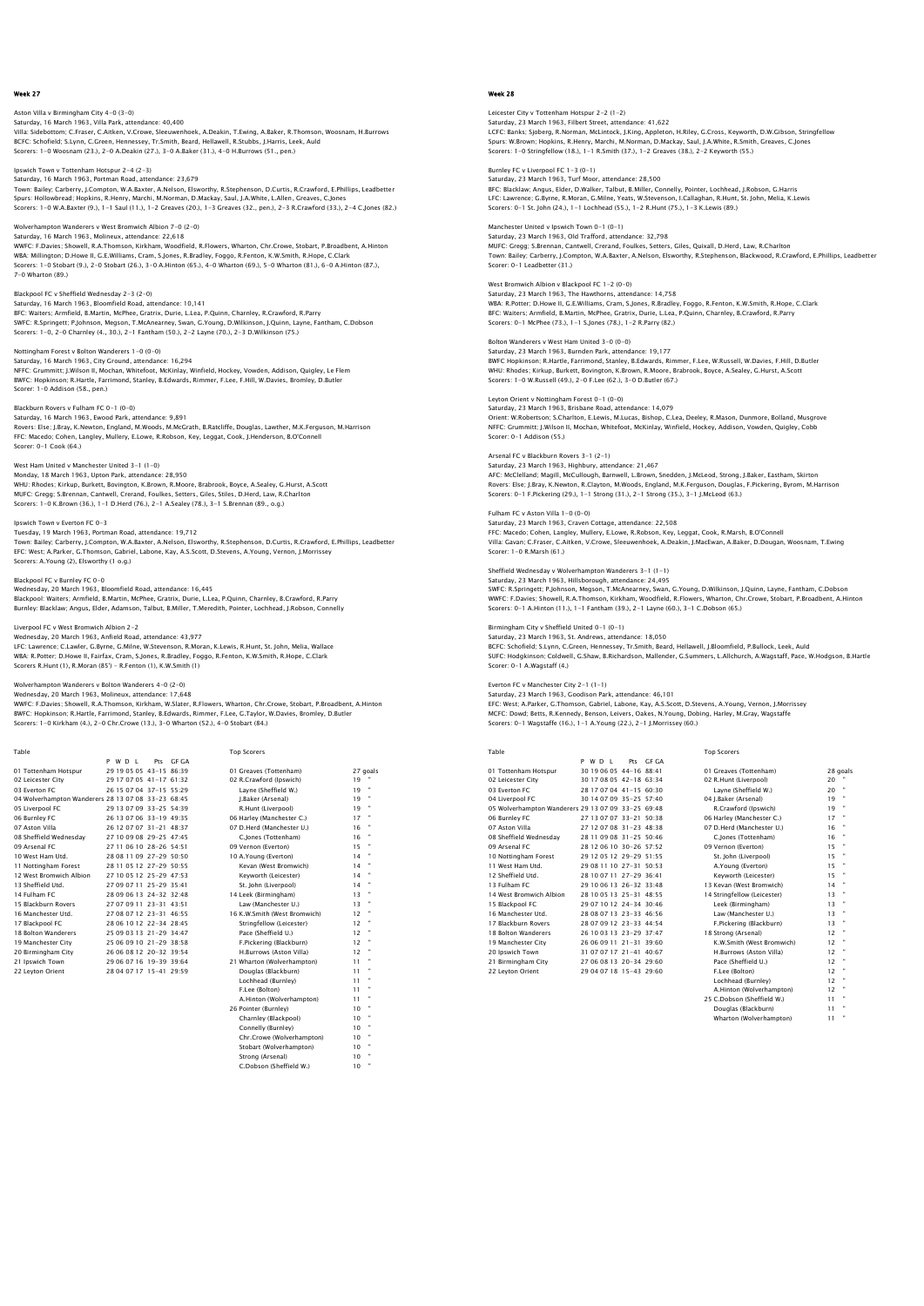Aston Villa v Birmingham City 4–0 (3–0)<br>Saturday, 16 March 1963, Villa Park, attendance: 40,400<br>Villa: Sidebottom; C.Fraser, C.Aitken, V.Crowe, Sleeuwenhoek, A.Deakin, T.Ewing, A.Baker, R.Thomson, Woosnam, H.Burrows BCFC: Schofield; S.Lynn, C.Green, Hennessey, Tr.Smith, Beard, Hellawell, R.Stubbs, J.Harris, Leek, Auld Scorers: 1-0 Woosnam (23.), 2-0 A.Deakin (27.), 3-0 A.Baker (31.), 4-0 H.Burrows (51., pen.)

Ipswich Town v Tottenham Hotspur 2-4 (2-3)

Saturday, 16 March 1963, Portman Road, attendance: 23,679 Town: Bailey; Carberry, J.Compton, W.A.Baxter, A.Nelson, Elsworthy, R.Stephenson, D.Curtis, R.Crawford, E.Phillips, Leadbetter<br>Spurs: Hollowbread; Hopkins, R.Henry, Marchi, M.Norman, D.Mackay, Saul, J.A.White, L.Allen, Gre

#### Wolverhampton Wanderers v West Bromwich Albion 7-0 (2-0) Saturday, 16 March 1963, Molineux, attendance: 22,618

WWFC: F.Davies; Showell, R.A.Thomson, Kirkham, Woodfield, R.Flowers, Wharton, Chr.Crowe, Stobart, P.Broadbent, A.Hinton<br>WBA: Millington; D.Howe II, G.E.Williams, Cram, S.Jones, R.Bradley, Foggo, R.Fenton, K.W.Smith, R.Hope 7-0 Wharton (89.)

Blackpool FC v Sheffield Wednesday 2-3 (2-0) Saturday, 16 March 1963, Bloomfield Road, attendance: 10,141<br>BFC: Waiters; Armfield, B.Martin, McPhee, Gratrix, Durie, L.Lea, P.Quinn, Charnley, R.Crawford, R.Parry<br>SWFC: R.Springett; P.Johnson, Megson, T.McAnearney, Swan,

## Nottingham Forest v Bolton Wanderers 1-0 (0-0)

Saturday, 16 March 1963, City Ground, attendance: 16,294<br>NFFC: Grummitt; J.Wilson II, Mochan, Whitefoot, McKinlay, Winfield, Hockey, Vowden, Addison, Quigley, Le Flem<br>BWFC: Hopkinson; R.Hartle, Farrimond, Stanley, B.Edward Scorer: 1-0 Addison (58., pen.)

Blackburn Rovers v Fulham FC 0-1 (0-0)<br>Saturday, 16 March 1963, Ewood Park, attendance: 9,891<br>Rovers: Else; J.Bray, K.Newton, England, M.Woods, M.McGrath, B.Ratcliffe, Douglas, Lawther, M.K.Ferguson, M.Harrison FFC: Macedo; Cohen, Langley, Mullery, E.Lowe, R.Robson, Key, Leggat, Cook, J.Henderson, B.O'Connell Scorer: 0-1 Cook (64.)

## West Ham United v Manchester United 3-1 (1-0)

Monday, 18 March 1963, Upton Park, attendance: 28,950 WHU: Rhodes; Kirkup, Burkett, Bovington, K.Brown, R.Moore, Brabrook, Boyce, A.Sealey, G.Hurst, A.Scott MUFC: Gregg; S.Brennan, Cantwell, Crerand, Foulkes, Setters, Giles, Stiles, D.Herd, Law, R.Charlton Scorers: 1-0 K.Brown (36.), 1-1 D.Herd (76.), 2-1 A.Sealey (78.), 3-1 S.Brennan (89., o.g.)

#### n v Everton FC 0-3

Tuesday, 19 March 1963, Portman Road, attendance: 19,712 Town: Bailey; Carberry, J.Compton, W.A.Baxter, A.Nelson, Elsworthy, R.Stephenson, D.Curtis, R.Crawford, E.Phillips, Leadbetter EFC: West; A.Parker, G.Thomson, Gabriel, Labone, Kay, A.S.Scott, D.Stevens, A.Young, Vernon, J.Morrissey Scorers: A.Young (2), Elsworthy (1 o.g.)

#### Blackpool FC v Burnley FC 0-0

Wednesday, 20 March 1963, Bloomfield Road, attendance: 16,445 Blackpool: Waiters; Armfield, B.Martin, McPhee, Gratrix, Durie, L.Lea, P.Quinn, Charnley, B.Crawford, R.Parry Burnley: Blacklaw; Angus, Elder, Adamson, Talbut, B.Miller, T.Meredith, Pointer, Lochhead, J.Robson, Connelly

#### Liverpool FC v West Bromwich Albion 2-2

Wednesday, 20 March 1963, Anfield Road, attendance: 43,977 LFC: Lawrence; C.Lawler, G.Byrne, G.Milne, W.Stevenson, R.Moran, K.Lewis, R.Hunt, St. John, Melia, Wallace WBA: R.Potter; D.Howe II, Fairfax, Cram, S.Jones, R.Bradley, Foggo, R.Fenton, K.W.Smith, R.Hope, C.Clark<br>Scorers R.Hunt (1), R.Moran (85') – R.Fenton (1), K.W.Smith (1)

#### Wolverhampton Wanderers v Bolton Wanderers 4-0 (2-0) Wednesday, 20 March 1963, Molineux, attendance: 17,648

WWFC: F.Davies; Showell, R.A.Thomson, Kirkham, W.Slater, R.Flowers, Wharton, Chr.Crowe, Stobart, P.Broadbent, A.Hinton<br>BWFC: Hopkinson; R.Hartle, Farrimond, Stanley, B.Edwards, Rimmer, F.Lee, G.Taylor, W.Davies, Bromley, D

| Table                                              |                         |           | <b>Top Scorers</b>           |          |  |
|----------------------------------------------------|-------------------------|-----------|------------------------------|----------|--|
|                                                    | P W D I                 | Pts GE GA |                              |          |  |
| 01 Tottenham Hotspur                               | 29 19 05 05 43-15 86:39 |           | 01 Greaves (Tottenham)       | 27 goals |  |
| 02 Leicester City                                  | 29 17 07 05 41-17 61:32 |           | 02 R.Crawford (Ipswich)      | 19       |  |
| 03 Everton EC                                      | 26 15 07 04 37-15 55:29 |           | Lavne (Sheffield W.)         | 19       |  |
| 04 Wolverhampton Wanderers 28 13 07 08 33-23 68:45 |                         |           | I.Baker (Arsenal)            | 19       |  |
| 05 Liverpool FC                                    | 29 13 07 09 33-25 54:39 |           | R.Hunt (Liverpool)           | 19       |  |
| 06 Burnley FC                                      | 26 13 07 06 33-19 49:35 |           | 06 Harley (Manchester C.)    | 17       |  |
| 07 Aston Villa                                     | 26 12 07 07 31-21 48:37 |           | 07 D.Herd (Manchester U.)    | 16       |  |
| 08 Sheffield Wednesdav                             | 27 10 09 08 29-25 47:45 |           | C.lones (Tottenham)          | 16       |  |
| 09 Arsenal FC                                      | 27 11 06 10 28-26 54:51 |           | 09 Vernon (Everton)          | 15       |  |
| 10 West Ham Utd.                                   | 28 08 11 09 27-29 50:50 |           | 10 A.Young (Everton)         | 14       |  |
| 11 Nottingham Forest                               | 28 11 05 12 27-29 50:55 |           | Kevan (West Bromwich)        | 14       |  |
| 12 West Bromwich Albion                            | 27 10 05 12 25-29 47:53 |           | Kevworth (Leicester)         | 14       |  |
| 13 Sheffield Utd.                                  | 27 09 07 11 25-29 35:41 |           | St. John (Liverpool)         | 14       |  |
| 14 Fulham FC                                       | 28 09 06 13 24-32 32:48 |           | 14 Leek (Birmingham)         | 13       |  |
| 15 Blackburn Rovers                                | 27 07 09 11 23-31 43:51 |           | Law (Manchester U.)          | 13       |  |
| 16 Manchester Utd.                                 | 27 08 07 12 23-31 46:55 |           | 16 K.W.Smith (West Bromwich) | 12       |  |
| 17 Blackpool FC                                    | 28 06 10 12 22-34 28:45 |           | Stringfellow (Leicester)     | 12       |  |
| 18 Bolton Wanderers                                | 25 09 03 13 21-29 34:47 |           | Pace (Sheffield U.)          | 12       |  |
| 19 Manchester City                                 | 25 06 09 10 21-29 38:58 |           | F.Pickering (Blackburn)      | 12       |  |
| 20 Birmingham City                                 | 26 06 08 12 20-32 39:54 |           | H.Burrows (Aston Villa)      | 12       |  |
| 21 Ipswich Town                                    | 29 06 07 16 19-39 39:64 |           | 21 Wharton (Wolverhampton)   | 11       |  |
| 22 Levton Orient                                   | 28 04 07 17 15-41 29:59 |           | Douglas (Blackburn)          | 11       |  |
|                                                    |                         |           | Lochhead (Burnley)           | 11       |  |
|                                                    |                         |           | F.Lee (Bolton)               | 11       |  |
|                                                    |                         |           | A.Hinton (Wolverhampton)     | 11       |  |
|                                                    |                         |           | 26 Pointer (Burnley)         | 10       |  |
|                                                    |                         |           | Charnley (Blackpool)         | 10       |  |
|                                                    |                         |           | Connelly (Burnley)           | 10       |  |
|                                                    |                         |           | Chr.Crowe (Wolverhampton)    | 10       |  |

 Stobart (Wolverhampton) 10 " Strong (Arsenal) 10 " C.Dobson (Sheffield W.) 10 "

### Week 28

Leicester City v Tottenham Hotspur 2–2 (1–2)<br>Saturday, 23 March 1963, Filbert Street, attendance: 41,622<br>LCFC: Banks; Sjoberg, R.Norman, McLintock, J.King, Appleton, H.Riley, G.Cross, Keyworth, D.W.Gibson, Stringfellow Spurs: W.Brown; Hopkins, R.Henry, Marchi, M.Norman, D.Mackay, Saul, J.A.White, R.Smith, Greaves, C.Jones Scorers: 1-0 Stringfellow (18.), 1-1 R.Smith (37.), 1-2 Greaves (38.), 2-2 Keyworth (55.)

Burnley FC v Liverpool FC 1-3 (0-1) Saturday, 23 March 1963, Turf Moor, attendance: 28,500

BFC: Blacklaw; Angus, Elder, D.Walker, Talbut, B.Miller, Connelly, Pointer, Lochhead, J.Robson, G.Harris LFC: Lawrence; G.Byrne, R.Moran, G.Milne, Yeats, W.Stevenson, I.Callaghan, R.Hunt, St. John, Melia, K.Lewis Scorers: 0-1 St. John (24.), 1-1 Lochhead (55.), 1-2 R.Hunt (75.), 1-3 K.Lewis (89.)

Manchester United v Ipswich Town 0-1 (0-1) Saturday, 23 March 1963, Old Trafford, attendance: 32,798 MUFC: Gregg; S.Brennan, Cantwell, Crerand, Foulkes, Setters, Giles, Quixall, D.Herd, Law, R.Charlton<br>Town: Bailey; Carberry, J.Compton, W.A.Baxter, A.Nelson, Elsworthy, R.Stephenson, Blackwood, R.Crawford, E.Phillips, Lead

West Bromwich Albion v Blackpool FC 1-2 (0-0) Saturday, 23 March 1963, The Hawthorns, attendance: 14,758 WBA: R.Potter; D.Howe II, G.E.Williams, Cram, S.Jones, R.Bradley, Foggo, R.Fenton, K.W.Smith, R.Hope, C.Clark<br>BFC: Waiters; Armfield, B.Martin, McPhee, Gratrix, Durie, L.Lea, P.Quinn, Charnley, B.Crawford, R.Parry<br>Scorers:

Bolton Wanderers v West Ham United 3-0 (0-0) Saturday, 23 March 1963, Burnden Park, attendance: 19,177 BWFC Hopkinson; R.Hartle, Farrimond, Stanley, B.Edwards, Rimmer, F.Lee, W.Russell, W.Davies, F.Hill, D.Butleı<br>WHU: Rhodes; Kirkup, Burkett, Bovington, K.Brown, R.Moore, Brabrook, Boyce, A.Sealey, G.Hurst, A.Scott<br>Scorers:

Leyton Orient v Nottingham Forest 0-1 (0-0) Saturday, 23 March 1963, Brisbane Road, attendance: 14,079<br>Orient: W.Robertson; S.Charlton, E.Lewis, M.Lucas, Bishop, C.Lea, Deeley, R.Mason, Dunmore, Bolland, Musgrove<br>NFFC: Grummitt; J.Wilson II, Mochan, Whitefoot, McKin Scorer: 0-1 Addison (55.)

Arsenal FC v Blackburn Rovers 3–1 (2–1)<br>Saturday, 23 March 1963, Highbury, attendance: 21,467<br>AFC: MCClelland; Magill, MCCullough, Barnwell, L.Brown, Snedden, J.McLeod, Strong, J.Baker, Eastham, Skirton<br>Rovers: Else: J.Bra Scorers: 0-1 F.Pickering (29.), 1-1 Strong (31.), 2-1 Strong (35.), 3-1 J.McLeod (63.)

Saturday, 23 March 1963, Craven Cottage, attendance: 22,508<br>FFC: Macedo; Cohen, Langley, Mullery, E.Lowe, R.Robson, Key, Leggat, Cook, R.Marsh, B.O'Connell<br>Villa: Gavan: C.Fraser, C.Aitken, V.Crowe, Sleeuwenhoek, A.Deakin, Scorer: 1-0 R.Marsh (61.)

## esday v Wolverhampton Wanderers 3-1 (1-1)

Saturday, 23 March 1963, Hillsborough, attendance: 24,495 SWFC: R.Springett; P.Johnson, Megson, T.McAnearney, Swan, G.Young, D.Wilkinson, J.Quinn, Layne, Fantham, C.Dobson WWFC: F.Davies; Showell, R.A.Thomson, Kirkham, Woodfield, R.Flowers, Wharton, Chr.Crowe, Stobart, P.Broadbent, A.Hinton Scorers: 0-1 A.Hinton (11.), 1-1 Fantham (39.), 2-1 Layne (60.), 3-1 C.Dobson (65.)

#### Birmingham City v Sheffield United 0-1 (0-1) Saturday, 23 March 1963, St. Andrews, attendance: 18,050

BCFC: Schofield; S.Lynn, C.Green, Hennessey, Tr.Smith, Beard, Hellawell, J.Bloomfield, P.Bullock, Leek, Auld SUFC: Hodgkinson; Coldwell, G.Shaw, B.Richardson, Mallender, G.Summers, L.Allchurch, A.Wagstaff, Pace, W.Hodgson, B.Hartle Scorer: 0-1 A.Wagstaff (4.)

## Everton FC v Manchester City 2-1 (1-1)

Fulham FC v Aston Villa 1-0 (0-0)

Saturday, 23 March 1963, Goodison Park, attendance: 46,101 EFC: West; A.Parker, G.Thomson, Gabriel, Labone, Kay, A.S.Scott, D.Stevens, A.Young, Vernon, J.Morrissey<br>MCFC: Dowd; Betts, R.Kennedy, Benson, Leivers, Oakes, N.Young, Dobing, Harley, M.Gray, Wagstaffe<br>Scorers: 0–1 Wagstaf

Table Top Scorers

|                                                    | P W D I<br>Pts            | GE GA |                             |          |                |
|----------------------------------------------------|---------------------------|-------|-----------------------------|----------|----------------|
| 01 Tottenham Hotspur                               | 30 19 06 05 44-16 88:41   |       | 01 Greaves (Tottenham)      | 28 goals |                |
| 02 Leicester City                                  | 30 17 08 05 42-18 63:34   |       | 02 R.Hunt (Liverpool)       | 20       |                |
| 03 Everton EC                                      | 28 17 07 04 41-15 60:30   |       | Lavne (Sheffield W.)        | 20       | $\bullet$      |
| 04 Liverpool FC                                    | 30 14 07 09 35-25 57:40   |       | 04 I.Baker (Arsenal)        | 19       | ×              |
| 05 Wolverhampton Wanderers 29 13 07 09 33-25 69:48 |                           |       | R.Crawford (Ipswich)        | 19       | ×              |
| 06 Burnley FC                                      | 27 13 07 07 33-21 50:38   |       | 06 Harley (Manchester C.)   | 17       | ×              |
| 07 Aston Villa                                     | 27 12 07 08 31 - 23 48:38 |       | 07 D.Herd (Manchester U.)   | 16       |                |
| 08 Sheffield Wednesdav                             | 28 11 09 08 31 - 25 50:46 |       | C.lones (Tottenham)         | 16       | $\mathbf{u}$   |
| 09 Arsenal FC                                      | 28 12 06 10 30-26 57:52   |       | 09 Vernon (Everton)         | 15       |                |
| 10 Nottingham Forest                               | 29 12 05 12 29-29 51:55   |       | St. John (Liverpool)        | 15       | ×              |
| 11 West Ham Utd.                                   | 29.08.11.10.27-31.50:53   |       | A.Young (Everton)           | 15       |                |
| 12 Sheffield Utd.                                  | 28 10 07 11 27-29 36:41   |       | Keyworth (Leicester)        | 15       | ×              |
| 13 Fulham FC                                       | 29 10 06 13 26-32 33:48   |       | 13 Kevan (West Bromwich)    | 14       | $\blacksquare$ |
| 14 West Bromwich Albion                            | 28 10 05 13 25-31 48:55   |       | 14 Stringfellow (Leicester) | 13       |                |
| 15 Blackpool FC                                    | 29 07 10 12 24-34 30:46   |       | Leek (Birmingham)           | 13       | ×              |
| 16 Manchester Utd.                                 | 28 08 07 13 23-33 46:56   |       | Law (Manchester U.)         | 13       |                |
| 17 Blackburn Rovers                                | 28 07 09 12 23-33 44:54   |       | F.Pickering (Blackburn)     | 13       | ×              |
| <b>18 Bolton Wanderers</b>                         | 26 10 03 13 23-29 37:47   |       | 18 Strong (Arsenal)         | 12       | ×              |
| 19 Manchester City                                 | 26 06 09 11 21 - 31 39:60 |       | K.W.Smith (West Bromwich)   | 12       |                |
| 20 Ipswich Town                                    | 31 07 07 17 21-41 40:67   |       | H.Burrows (Aston Villa)     | 12       |                |
| 21 Birmingham City                                 | 27 06 08 13 20-34 29:60   |       | Pace (Sheffield U.)         | 12       |                |
| 22 Levton Orient                                   | 29 04 07 18 15-43 29:60   |       | F.Lee (Bolton)              | 12       | $\blacksquare$ |
|                                                    |                           |       | Lochhead (Burnley)          | 12       |                |

A.Hinton (Wolverhampton) 12 25 C. Dobson (Sheffield W.) 11 C.Dobson (Shem Wharton (Wolverhampton) 11 "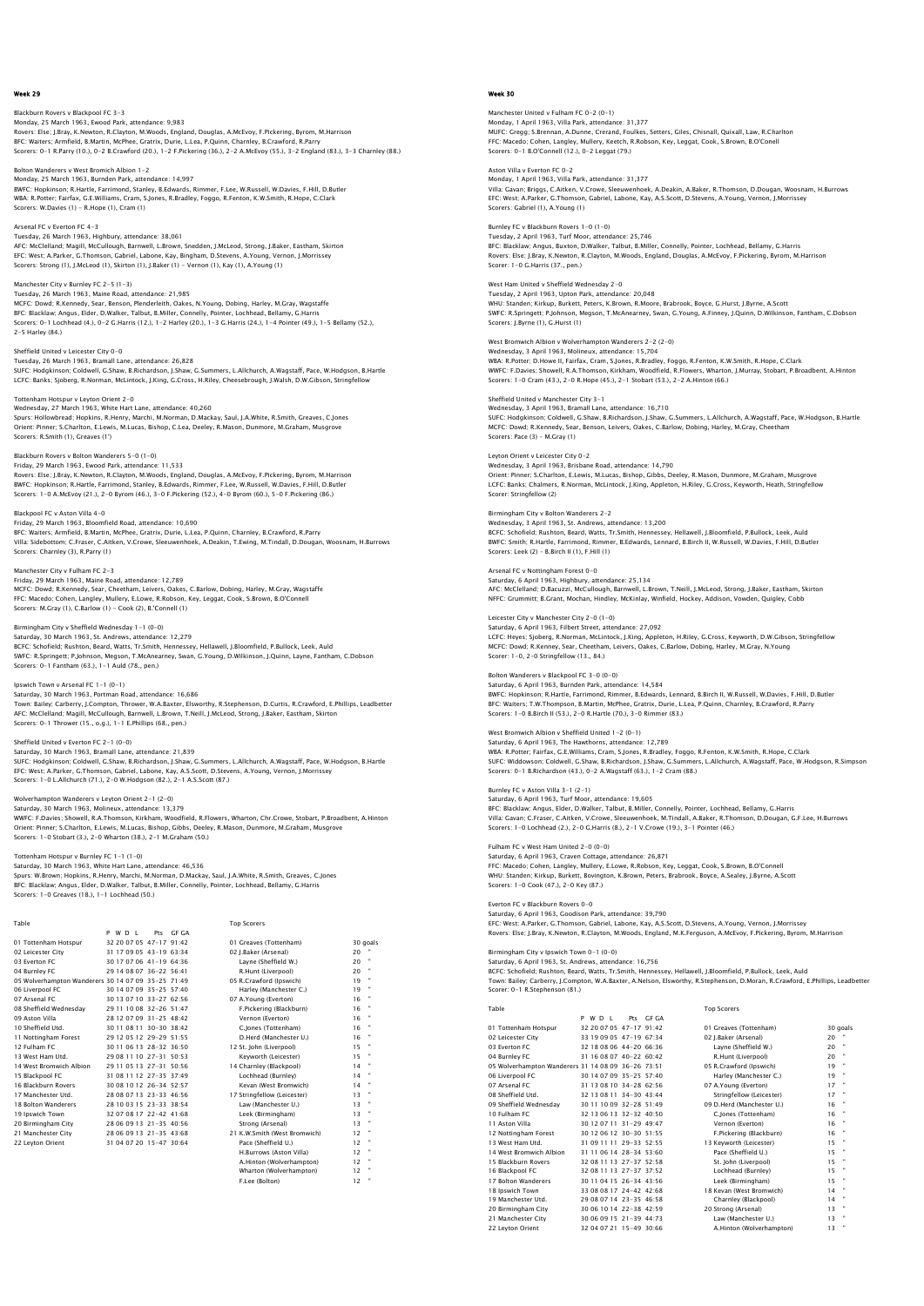Blackburn Rovers v Blackpool FC 3-3 Monday, 25 March 1963, Ewood Park, attendance: 9,983 Rovers: Else; J.Bray, K.Newton, R.Clayton, M.Woods, England, Douglas, A.McEvoy, F.Pickering, Byrom, M.Harrison BFC: Waiters; Armfield, B.Martin, McPhee, Gratrix, Durie, L.Lea, P.Quinn, Charnley, B.Crawford, R.Parry<br>Scorers: 0–1 R.Parry (10.), 0–2 B.Crawford (20.), 1–2 F.Pickering (36.), 2–2 A.McEvoy (55.), 3–2 England (83.), 3–3 Ch

Bolton Wanderers v West Bromich Albion 1-2 Monday, 25 March 1963, Burnden Park, attendance: 14,997 BWFC: Hopkinson; R.Hartle, Farrimond, Stanley, B.Edwards, Rimmer, F.Lee, W.Russell, W.Davies, F.Hill, D.Butler WBA: R.Potter; Fairfax, G.E.Williams, Cram, S.Jones, R.Bradley, Foggo, R.Fenton, K.W.Smith, R.Hope, C.Clark Scorers: W.Davies (1) - R.Hope (1), Cram (1)

Arsenal FC v Everton FC 4-3 Tuesday, 26 March 1963, Highbury, attendance: 38,061 AFC: McClelland; Magill, McCullough, Barnwell, L.Brown, Snedden, J.McLeod, Strong, J.Baker, Eastham, Skirton<br>EFC: West; A.Parker, G.Thomson, Gabriel, Labone, Kay, Bingham, D.Stevens, A.Young, Vernon, J.Morrissey<br>Scorers: S

Manchester City v Burnley FC 2-5 (1-3) Tuesday, 26 March 1963, Maine Road, attendance: 21,985 MCFC: Dowd; R.Kennedy, Sear, Benson, Plenderleith, Oakes, N.Young, Dobing, Harley, M.Gray, Wagstaffe<br>BFC: Blacklaw; Angus, Elder, D.Walker, Talbut, B.Miller, Connelly, Pointer, Lochhead, Bellamy, G.Harris<br>Scorers: 0–1 Loch 2-5 Harley (84.)

Sheffield United v Leicester City 0-0 Tuesday, 26 March 1963, Bramall Lane, attendance: 26,828<br>SUFC: Hodgkinson; Coldwell, G.Shaw, B.Richardson, J.Shaw, G.Summers, L.Allchurch, A.Wagstaff, Pace, W.Hodgson, B.Hartle<br>LCFC: Banks; Sjoberg, R.Norman, McLintock, J.

Tottenham Hotspur v Leyton Orient 2-0 Wednesday, 27 March 1963, White Hart Lane, attendance: 40,260 Spurs: Hollowbread; Hopkins, R.Henry, Marchi, M.Norman, D.Mackay, Saul, J.A.White, R.Smith, Greaves, C.Jones Orient: Pinner; S.Charlton, E.Lewis, M.Lucas, Bishop, C.Lea, Deeley, R.Mason, Dunmore, M.Graham, Musgrove Scorers: R.Smith (1), Greaves (1')

Blackburn Rovers v Bolton Wanderers 5–0 (1–0)<br>Friday, 29 March 1963, Ewood Park, attendance: 11,533<br>Rovers: Else; J.Bray, K.Newton, R.Clayton, M.Woods, England, Douglas, A.McEvoy, F.Pickering, Byrom, M.Harrison<br>BWFC: Hopki Scorers: 1-0 A.McEvoy (21.), 2-0 Byrom (46.), 3-0 F.Pickering (52.), 4-0 Byrom (60.), 5-0 F.Pickering (86.)

Blackpool FC v Aston Villa 4-0 Friday, 29 March 1963, Bloomfield Road, attendance: 10,690<br>BFC: Waiters; Armfield, B.Martin, McPhee, Gratrix, Durie, L.Lea, P.Quinn, Charnley, B.Crawford, R.Parry<br>Villa: Sidebottom; C.Fraser, C.Aitken, V.Crowe, Sleeuwenhoe Scorers: Charnley (3), R.Parry (1)

Manchester City v Fulham FC 2-3 Friday, 29 March 1963, Maine Road, attendance: 12,789 MCFC: Dowd; R.Kennedy, Sear, Cheetham, Leivers, Oakes, C.Barlow, Dobing, Harley, M.Gray, Wagstaffe FFC: Macedo; Cohen, Langley, Mullery, E.Lowe, R.Robson, Key, Leggat, Cook, S.Brown, B.O'Connell Scorers: M.Gray (1), C.Barlow (1) - Cook (2), B.'Connell (1)

Birmingham City v Sheffield Wednesday 1-1 (0-0)

Saturday, 30 March 1963, St. Andrews, attendance: 12,279 BCFC: Schofield; Rushton, Beard, Watts, Tr.Smith, Hennessey, Hellawell, J.Bloomfield, P.Bullock, Leek, Auld SWFC: R.Springett; P.Johnson, Megson, T.McAnearney, Swan, G.Young, D.Wilkinson, J.Quinn, Layne, Fantham, C.Dobson Scorers: 0-1 Fantham (63.), 1-1 Auld (78., pen.)

Ipswich Town v Arsenal FC 1-1 (0-1) Saturday, 30 March 1963, Portman Road, attendance: 16,686 Town: Bailey; Carberry, J.Compton, Thrower, W.A.Baxter, Elsworthy, R.Stephenson, D.Curtis, R.Crawford, E.Phillips, Leadbetter<br>AFC: MCClelland; Magill, McCullough, Barnwell, L.Brown, T.Neill, J.McLeod, Strong, J.Baker, East

Sheffield United v Everton FC 2-1 (0-0)

Saturday, 30 March 1963, Bramall Lane, attendance: 21,839<br>SUFC: Hodgkinson; Coldwell, G.Shaw, B.Richardson, J.Shaw, G.Summers, L.Allchurch, A.Wagstaff, Pace, W.Hodgson, B.Hartle<br>EFC: West; A.Parker, G.Thomson, Gabriel, Lab

Wolverhampton Wanderers v Leyton Orient 2-1 (2-0)

Saturday, 30 March 1963, Molineux, attendance: 13,379<br>WWFC: F.Davies; Showell, R.A.Thomson, Kirkham, Woodfield, R.Flowers, Wharton, Chr.Crowe, Stobart, P.Broadbent, A.Hinton<br>Orien: Pinner; S.Charlton, E.Lewis, M.Lucas, Bis

Tottenham Hotspur v Burnley FC 1–1 (1–0)<br>Saturday, 30 March 1963, White Hart Lane, attendance: 46,536<br>Spurs: W.Brown; Hopkins, R.Henry, Marchi, M.Norman, D.Mackay, Saul, J.A.White, R.Smith, Greaves, C.Jones<br>BFC: Blacklaw; Scorers: 1-0 Greaves (18.), 1-1 Lochhead (50.)

| Table                                              |         |                           |           | <b>Top Scorers</b>           |    |          |
|----------------------------------------------------|---------|---------------------------|-----------|------------------------------|----|----------|
|                                                    | P W D I |                           | Pts GF GA |                              |    |          |
| 01 Tottenham Hotspur                               |         | 32 20 07 05 47-17 91:42   |           | 01 Greaves (Tottenham)       |    | 30 goals |
| 02 Leicester City                                  |         | 31 17 09 05 43-19 63:34   |           | 02 I.Baker (Arsenal)         | 20 |          |
| 03 Everton EC                                      |         | 30 17 07 06 41-19 64:36   |           | Lavne (Sheffield W.)         | 20 |          |
| 04 Burnley FC                                      |         | 29 14 08 07 36-22 56:41   |           | R.Hunt (Liverpool)           | 20 |          |
| 05 Wolverhampton Wanderers 30 14 07 09 35-25 71:49 |         |                           |           | 05 R.Crawford (Ipswich)      | 19 |          |
| 06 Liverpool FC                                    |         | 30 14 07 09 35-25 57:40   |           | Harley (Manchester C.)       | 19 |          |
| 07 Arsenal FC                                      |         | 30 13 07 10 33-27 62:56   |           | 07 A.Young (Everton)         | 16 |          |
| 08 Sheffield Wednesdav                             |         | 29 11 10 08 32-26 51:47   |           | F.Pickering (Blackburn)      | 16 |          |
| 09 Aston Villa                                     |         | 28 12 07 09 31 - 25 48:42 |           | Vernon (Everton)             | 16 |          |
| 10 Sheffield Utd.                                  |         | 30 11 08 11 30-30 38:42   |           | C.lones (Tottenham)          | 16 |          |
| 11 Nottingham Forest                               |         | 29 12 05 12 29-29 51:55   |           | D.Herd (Manchester U.)       | 16 |          |
| 12 Fulham FC                                       |         | 30 11 06 13 28-32 36:50   |           | 12 St. John (Liverpool)      | 15 |          |
| 13 West Ham Utd.                                   |         | 29 08 11 10 27-31 50:53   |           | Kevworth (Leicester)         | 15 |          |
| 14 West Bromwich Albion                            |         | 29 11 05 13 27-31 50:56   |           | 14 Charnley (Blackpool)      | 14 |          |
| 15 Blackpool FC                                    |         | 31 08 11 12 27-35 37:49   |           | Lochhead (Burnley)           | 14 |          |
| 16 Blackburn Rovers                                |         | 30 08 10 12 26-34 52:57   |           | Kevan (West Bromwich)        | 14 |          |
| 17 Manchester Utd.                                 |         | 28 08 07 13 23-33 46:56   |           | 17 Stringfellow (Leicester)  | 13 |          |
| 18 Bolton Wanderers                                |         | 28 10 03 15 23-33 38:54   |           | Law (Manchester U.)          | 13 |          |
| 19 Ipswich Town                                    |         | 32 07 08 17 22-42 41:68   |           | Leek (Birmingham)            | 13 |          |
| 20 Birmingham City                                 |         | 28 06 09 13 21-35 40:56   |           | Strong (Arsenal)             | 13 |          |
| 21 Manchester City                                 |         | 28 06 09 13 21-35 43:68   |           | 21 K.W.Smith (West Bromwich) | 12 |          |
| 22 Levton Orient                                   |         | 31 04 07 20 15-47 30:64   |           | Pace (Sheffield U.)          | 12 |          |
|                                                    |         |                           |           | H.Burrows (Aston Villa)      | 12 |          |
|                                                    |         |                           |           | A.Hinton (Wolverhampton)     | 12 |          |
|                                                    |         |                           |           | Wharton (Wolverhampton)      | 12 |          |
|                                                    |         |                           |           | F.Lee (Bolton)               | 12 |          |

## Week 30

Manchester United v Fulham FC 0-2 (0-1) Monday, 1 April 1963, Villa Park, attendance: 31,377 MUFC: Gregg; S.Brennan, A.Dunne, Crerand, Foulkes, Setters, Giles, Chisnall, Quixall, Law, R.Charlton FFC: Macedo; Cohen, Langley, Mullery, Keetch, R.Robson, Key, Leggat, Cook, S.Brown, B.O'Conell Scorers: 0-1 B.O'Connell (12.), 0-2 Leggat (79.)

Aston Villa v Everton FC 0-2 Monday, 1 April 1963, Villa Park, attendance: 31,377 Villa: Gavan; Briggs, C.Aitken, V.Crowe, Sleeuwenhoek, A.Deakin, A.Baker, R.Thomson, D.Dougan, Woosnam, H.Burrows EFC: West; A.Parker, G.Thomson, Gabriel, Labone, Kay, A.S.Scott, D.Stevens, A.Young, Vernon, J.Morrissey Scorers: Gabriel (1), A.Young (1)

Burnley FC v Blackburn Rovers 1-0 (1-0) Tuesday, 2 April 1963, Turf Moor, attendance: 25,746 BFC: Blacklaw; Angus, Buxton, D.Walker, Talbut, B.Miller, Connelly, Pointer, Lochhead, Bellamy, G.Harris<br>Rovers: Else; J.Bray, K.Newton, R.Clayton, M.Woods, England, Douglas, A.McEvoy, F.Pickering, Byrom, M.Harrisor<br>Scorer

West Ham United v Sheffield Wednesday 2-0 Tuesday, 2 April 1963, Upton Park, attendance: 20,048<br>WHU: Standen; Kirkup, Burkett, Peters, K.Brown, R.Moore, Brabrook, Boyce, G.Hurst, J.Byrne, A.Scott<br>SWFC: R.Springett; P.Johnson, Megson, T.McAnearney, Swan, G.Young, A

West Bromwich Albion v Wolverhampton Wanderers 2-2 (2-0) Wednesday, 3 April 1963, Molineux, attendance: 15,704 WBA: R.Potter; D.Howe II, Fairfax, Cram, S.Jones, R.Bradley, Foggo, R.Fenton, K.W.Smith, R.Hope, C.Clark<br>WWFC: F.Davies; Showell, R.A.Thomson, Kirkham, Woodfield, R.Flowers, Wharton, J.Murray, Stobart, P.Broadbent, A.Hinto

Sheffield United v Manchester City 3-1 Wednesday, 3 April 1963, Bramall Lane, attendance: 16,710<br>SUFC: Hodgkinson; Coldwell, G.Shaw, B.Richardson, J.Shaw, G.Summers, L.Allchurch, A.Wagstaff, Pace, W.Hodgson, B.Hartle<br>MCFC: Dowd; R.Kennedy, Sear, Benson, Leivers

Leyton Orient v Leicester City 0–2<br>Wednesday, 3 April 1963, Brisbane Road, attendance: 14,790<br>Orient: Pinner; S.Charlton, E.Lewis, M.Lucas, Bishop, Gibbs, Deeley, R.Mason, Dunmore, M.Graham, Musgrove LCFC: Banks; Chalmers, R.Norman, McLintock, J.King, Appleton, H.Riley, G.Cross, Keyworth, Heath, Stringfellow Scorer: Stringfellow (2)

Birmingham City v Bolton Wanderers 2-2 Wednesday, 3 April 1963, St. Andrews, attendance: 13,200<br>BCFC: Schofield; Rushton, Beard, Watts, Tr.Smith, Hennessey, Hellawell, J.Bloomfield, P.Bullock, Leek, Auld<br>BWFC: Smith; R.Hartle, Farrimond, Rimmer, B.Edwards, Lenn Scorers: Leek (2) – B.Birch II (1), F.Hill (1)

Arsenal FC v Nottingham Forest 0-0 Saturday, 6 April 1963, Highbury, attendance: 25,134 AFC: McClelland; D.Bacuzzi, McCullough, Barnwell, L.Brown, T.Neill, J.McLeod, Strong, J.Baker, Eastham, Skirton NFFC: Grummitt; B.Grant, Mochan, Hindley, McKinlay, Winfield, Hockey, Addison, Vowden, Quigley, Cobb

Leicester City v Manchester City 2–0 (1–0)<br>Saturday, 6 April 1963, Filbert Street, attendance: 27,092<br>LCFC: Heyes; Sjoberg, R.Norman, McLintock, J.King, Appleton, H.Riley, G.Cross, Keyworth, D.W.Gibson, Stringfellow<br>LCFC: Scorer: 1-0, 2-0 Stringfellow (13., 84.)

Bolton Wanderers v Blackpool FC 3-0 (0-0) Saturday, 6 April 1963, Burnden Park, attendance: 14,584 BWFC: Hopkinson; R.Hartle, Farrimond, Rimmer, B.Edwards, Lennard, B.Birch II, W.Russell, W.Davies, F.Hill, D.Butler BFC: Waiters; T.W.Thompson, B.Martin, McPhee, Gratrix, Durie, L.Lea, P.Quinn, Charnley, B.Crawford, R.Parry Scorers: 1-0 B.Birch II (53.), 2-0 R.Hartle (70.), 3-0 Rimmer (83.)

West Bromwich Albion v Sheffield United 1-2 (0-1) Saturday, 6 April 1963, The Hawthorns, attendance: 12,789 WBA: R.Potter; Fairfax, G.E.Williams, Cram, S.Jones, R.Bradley, Foggo, R.Fenton, K.W.Smith, R.Hope, C.Clark<br>SUFC: Widdowson; Coldwell, G.Shaw, B.Richardson, J.Shaw, G.Summers, L.Allchurch, A.Wagstaff, Pace, W.Hodgson, R.Si

Burnley FC v Aston Villa 3-1 (2-1) Saturday, 6 April 1963, Turf Moor, attendance: 19,605 BFC: Blacklaw; Angus, Elder, D.Walker, Talbut, B.Miller, Connelly, Pointer, Lochhead, Bellamy, G.Harris<br>Villa: Gavan; C.Fraser, C.Aitken, V.Crowe, Sleeuwenhoek, M.Tindall, A.Baker, R.Thomson, D.Dougan, G.F.Lee, H.Burrows<br>S

Fulham FC v West Ham United 2-0 (0-0) Saturday, 6 April 1963, Craven Cottage, attendance: 26,871<br>FFC: Macedo; Cohen, Langley, Mullery, E.Lowe, R.Robson, Key, Leggat, Cook, S.Brown, B.O'Connell<br>WHU: Standen: Kirkup, Burkett, Bovington, K.Brown, Peters, Brabrook

Everton FC v Blackburn Rovers 0-0 Saturday, 6 April 1963, Goodison Park, attendance: 39,790<br>EFC: West: A.Parker, G.Thomson, Gabriel, Labone, Kay, A.S.Scott, D.Stevens, A.Young, Vernon, J.Morrissey<br>Rovers: Else: J.Bray, K.Newton, R.Clayton, M.Woods, England Birmingham City v Ipswich Town 0-1 (0-0)

Saturday, 6 April 1963, St. Andrews, attendance: 16,756<br>BCFC: Schofield; Rushton, Beard, Watts, Tr.Smith, Hennessey, Hellawell, J.Bloomfield, P.Bullock, Leek, Auld<br>Town: Bailey: Carberry, J.Compton, W.A.Baxter, A.Nelson, E Scorer: 0-1 R.Stephenson (81.)

| Table                                              |         |                         |       | <b>Top Scorers</b>              |                |  |
|----------------------------------------------------|---------|-------------------------|-------|---------------------------------|----------------|--|
|                                                    | P W D I | Pts                     | GE GA |                                 |                |  |
| 01 Tottenham Hotspur                               |         | 32 20 07 05 47-17 91:42 |       | 01 Greaves (Tottenham)          | 30 goals       |  |
| 02 Leicester City                                  |         | 33 19 09 05 47-19 67:34 |       | 20<br>02 J.Baker (Arsenal)      |                |  |
| 03 Everton FC                                      |         | 32 18 08 06 44-20 66:36 |       | 20<br>Layne (Sheffield W.)      |                |  |
| 04 Burnley FC                                      |         | 31 16 08 07 40-22 60:42 |       | 20<br>R.Hunt (Liverpool)        | $\blacksquare$ |  |
| 05 Wolverhampton Wanderers 31 14 08 09 36-26 73:51 |         |                         |       | 05 R.Crawford (Ipswich)<br>19   |                |  |
| 06 Liverpool FC                                    |         | 30 14 07 09 35-25 57:40 |       | 19<br>Harley (Manchester C.)    | $\bullet$      |  |
| 07 Arsenal FC                                      |         | 31 13 08 10 34-28 62:56 |       | 17<br>07 A.Young (Everton)      |                |  |
| 08 Sheffield Utd.                                  |         | 32 13 08 11 34-30 43:44 |       | 17<br>Stringfellow (Leicester)  | $\bullet$      |  |
| 09 Sheffield Wednesdav                             |         | 30 11 10 09 32-28 51:49 |       | 09 D.Herd (Manchester U.)<br>16 | $\blacksquare$ |  |
| 10 Fulham FC                                       |         | 32 13 06 13 32-32 40:50 |       | 16<br>C.lones (Tottenham)       |                |  |
| 11 Aston Villa                                     |         | 30 12 07 11 31-29 49:47 |       | 16<br>Vernon (Everton)          | ×              |  |
| 12 Nottingham Forest                               |         | 30 12 06 12 30-30 51:55 |       | F.Pickering (Blackburn)<br>16   |                |  |
| 13 West Ham Utd.                                   |         | 31 09 11 11 29-33 52:55 |       | 15<br>13 Keyworth (Leicester)   | $\bullet$      |  |
| 14 West Bromwich Albion                            |         | 31 11 06 14 28-34 53:60 |       | 15<br>Pace (Sheffield U.)       |                |  |
| 15 Blackburn Rovers                                |         | 32 08 11 13 27-37 52:58 |       | 15<br>St. John (Liverpool)      |                |  |
| 16 Blackpool FC                                    |         | 32 08 11 13 27-37 37:52 |       | 15<br>Lochhead (Burnley)        | ×              |  |
| 17 Bolton Wanderers                                |         | 30 11 04 15 26-34 43:56 |       | 15<br>Leek (Birmingham)         |                |  |
| 18 Ipswich Town                                    |         | 33 08 08 17 24-42 42:68 |       | 14<br>18 Kevan (West Bromwich)  | $\blacksquare$ |  |
| 19 Manchester Utd.                                 |         | 29.08.07.14 23-35 46:58 |       | 14<br>Charnley (Blackpool)      |                |  |
| 20 Birmingham City                                 |         | 30 06 10 14 22-38 42:59 |       | 13<br>20 Strong (Arsenal)       |                |  |
| 21 Manchester City                                 |         | 30 06 09 15 21-39 44:73 |       | Law (Manchester U.)<br>13       | $\blacksquare$ |  |
| 22 Leyton Orient                                   |         | 32 04 07 21 15-49 30:66 |       | 13<br>A.Hinton (Wolverhampton)  |                |  |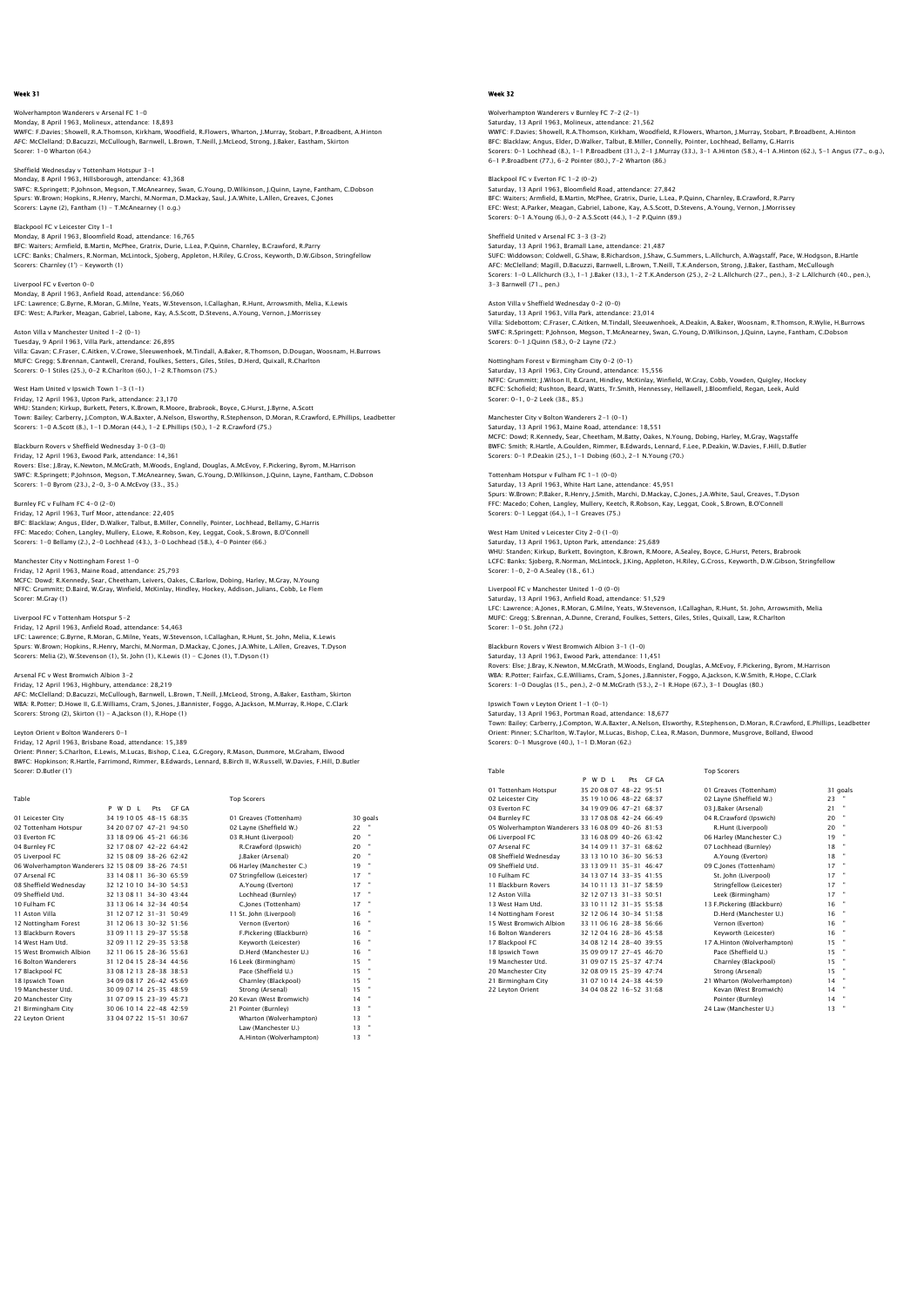## Wolverhampton Wanderers v Arsenal FC 1–0<br>Monday, 8 April 1963, Molineux, attendance: 18,893<br>WWFC: F.Davies; Showell, R.A.Thomson, Kirkham, Woodfield, R.Flowers, Wharton, J.Murray, Stobart, P.Broadbent, A.Hinton AFC: McClelland; D.Bacuzzi, McCullough, Barnwell, L.Brown, T.Neill, J.McLeod, Strong, J.Baker, Eastham, Skirton Scorer: 1-0 Wharton (64.)

# Sheffield Wednesday v Tottenham Hotspur 3-1 Monday, 8 April 1963, Hillsborough, attendance: 43,368 SWFC: R.Springett; P.Johnson, Megson, T.McAnearney, Swan, G.Young, D.Wilkinson, J.Quinn, Layne, Fantham, C.Dobson<br>Spurs: W.Brown; Hopkins, R.Henry, Marchi, M.Norman, D.Mackay, Saul, J.A.White, L.Allen, Greaves, C.Jones<br>Sco

Blackpool FC v Leicester City 1-1 Monday, 8 April 1963, Bloomfield Road, attendance: 16,765 BFC: Waiters; Armfield, B.Martin, McPhee, Gratrix, Durie, L.Lea, P.Quinn, Charnley, B.Crawford, R.Parry LCFC: Banks; Chalmers, R.Norman, McLintock, Sjoberg, Appleton, H.Riley, G.Cross, Keyworth, D.W.Gibson, Stringfellow Scorers: Charnley (1') - Keyworth (1)

### Liverpool FC v Everton 0-0 Monday, 8 April 1963, Anfield Road, attendance: 56,060 LFC: Lawrence; G.Byrne, R.Moran, G.Milne, Yeats, W.Stevenson, I.Callaghan, R.Hunt, Arrowsmith, Melia, K.Lewis EFC: West; A.Parker, Meagan, Gabriel, Labone, Kay, A.S.Scott, D.Stevens, A.Young, Vernon, J.Morrissey

Aston Villa v Manchester United 1-2 (0-1) Tuesday, 9 April 1963, Villa Park, attendance: 26,895<br>Villa: Gavan; C.Fraser, C.Aitken, V.Crowe, Sieuwenhoek, M.Tindall, A.Baker, R.Thomson, D.Dougan, Woosnam, H.Burrows<br>MUFC: Gregg: S.Brennan, Cantwell, Crerand, Foulkes,

## West Ham United v Ipswich Town 1-3 (1-1)

Friday, 12 April 1963, Upton Park, attendance: 23,170 WHU: Standen; Kirkup, Burkett, Peters, K.Brown, R.Moore, Brabrook, Boyce, G.Hurst, J.Byrne, A.Scott<br>Town: Bailey; Carberry, J.Compton, W.A.Baxter, A.Nelson, Elsworthy, R.Stephenson, D.Moran, R.Crawford, E.Phillips, Leadbet

## Blackburn Rovers v Sheffield Wednesday 3-0 (3-0)

Friday, 12 April 1963, Ewood Park, attendance: 14,361 Rovers: Else; J.Bray, K.Newton, M.McGrath, M.Woods, England, Douglas, A.McEvoy, F.Pickering, Byrom, M.Harrison SWFC: R.Springett; P.Johnson, Megson, T.McAnearney, Swan, G.Young, D.Wilkinson, J.Quinn, Layne, Fantham, C.Dobson Scorers: 1-0 Byrom (23.), 2-0, 3-0 A.McEvoy (33., 35.)

## Burnley FC v Fulham FC 4-0 (2-0)

Friday, 12 April 1963, Turf Moor, attendance: 22,405<br>BFC: Blacklaw; Angus, Elder, D.Walker, Talbut, B.Miller, Connelly, Pointer, Lochhead, Bellamy, G.Harris<br>FFC: Macedo; Cohen, Langley, Mullery, E.Lowe, R.Robson, Key, Legg

Manchester City v Nottingham Forest 1–0<br>Friday, 12 April 1963, Maine Road, attendance: 25,793<br>MCFC: Dowd; R.Kennedy, Sear, Cheetham, Leivers, Oakes, C.Barlow, Dobing, Harley, M.Gray, N.Young<br>NFFC: Grummitt; D.Baird, W.Gray Scorer: M.Gray (1)

## Liverpool FC v Tottenham Hotspur 5-2

Friday, 12 April 1963, Anfield Road, attendance: 54,463 LFC: Lawrence; G.Byrne, R.Moran, G.Milne, Yeats, W.Stevenson, I.Callaghan, R.Hunt, St. John, Melia, K.Lewis Spurs: W.Brown; Hopkins, R.Henry, Marchi, M.Norman, D.Mackay, C.Jones, J.A.White, L.Allen, Greaves, T.Dyson Scorers: Melia (2), W.Stevenson (1), St. John (1), K.Lewis (1) - C.Jones (1), T.Dyson (1)

#### Arsenal FC v West Bro

Friday, 12 April 1963, Highbury, attendance: 28,219 AFC: McClelland; D.Bacuzzi, McCullough, Barnwell, L.Brown, T.Neill, J.McLeod, Strong, A.Baker, Eastham, Skirton WBA: R.Potter; D.Howe II, G.E.Williams, Cram, S.Jones, J.Bannister, Foggo, A.Jackson, M.Murray, R.Hope, C.Clark<br>Scorers: Strong (2), Skirton (1) – A.Jackson (1), R.Hope (1)

#### Leyton Orient v Bolton Wanderers 0-1

Friday, 12 April 1963, Brisbane Road, attendance: 15,389 Orient: Pinner; S.Charlton, E.Lewis, M.Lucas, Bishop, C.Lea, G.Gregory, R.Mason, Dunmore, M.Graham, Elwood<br>BWFC: Hopkinson; R.Hartle, Farrimond, Rimmer, B.Edwards, Lennard, B.Birch II, W.Russell, W.Davies, F.Hill, D.Butler

A.Hinton (Wolverhampton) 13 "

| Table                                              |                           |       | <b>Top Scorers</b>          |          |
|----------------------------------------------------|---------------------------|-------|-----------------------------|----------|
|                                                    | P W D I<br>Pts            | GE GA |                             |          |
| 01 Leicester City                                  | 34 19 10 05 48-15 68:35   |       | 01 Greaves (Tottenham)      | 30 goals |
| 02 Tottenham Hotspur                               | 34 20 07 07 47-21 94:50   |       | 02 Layne (Sheffield W.)     | 22       |
| 03 Everton EC                                      | 33 18 09 06 45-21 66:36   |       | 03 R.Hunt (Liverpool)       | ٠<br>20  |
| 04 Burnley FC                                      | 32 17 08 07 42-22 64:42   |       | R.Crawford (Ipswich)        | 20       |
| 05 Liverpool FC                                    | 32 15 08 09 38-26 62:42   |       | J.Baker (Arsenal)           | 20       |
| 06 Wolverhampton Wanderers 32 15 08 09 38-26 74:51 |                           |       | 06 Harley (Manchester C.)   | ٠<br>19  |
| 07 Arsenal FC                                      | 33 14 08 11 36-30 65:59   |       | 07 Stringfellow (Leicester) | 17       |
| 08 Sheffield Wednesdav                             | 32 12 10 10 34-30 54:53   |       | A.Young (Everton)           | 17       |
| 09 Sheffield Utd.                                  | 32 13 08 11 34-30 43:44   |       | Lochhead (Burnley)          | ×<br>17  |
| 10 Fulham FC                                       | 33 13 06 14 32-34 40:54   |       | C.Jones (Tottenham)         | 17       |
| 11 Aston Villa                                     | 31 12 07 12 31 - 31 50:49 |       | 11 St. John (Liverpool)     | 16       |
| 12 Nottingham Forest                               | 31 12 06 13 30-32 51:56   |       | Vernon (Everton)            | ٠<br>16  |
| 13 Blackburn Rovers                                | 33 09 11 13 29-37 55:58   |       | F.Pickering (Blackburn)     | 16       |
| 14 West Ham Utd.                                   | 32 09 11 12 29-35 53:58   |       | Kevworth (Leicester)        | ٠<br>16  |
| 15 West Bromwich Albion                            | 32 11 06 15 28-36 55:63   |       | D.Herd (Manchester U.)      | 16       |
| 16 Bolton Wanderers                                | 31 12 04 15 28-34 44 56   |       | 16 Leek (Birmingham)        | ٠<br>15  |
| 17 Blackpool FC                                    | 33 08 12 13 28-38 38:53   |       | Pace (Sheffield U.)         | 15       |
| 18 Ipswich Town                                    | 34 09 08 17 26-42 45:69   |       | Charnley (Blackpool)        | ٠<br>15  |
| 19 Manchester Utd.                                 | 30 09 07 14 25-35 48:59   |       | Strong (Arsenal)            | 15       |
| 20 Manchester City                                 | 31 07 09 15 23-39 45:73   |       | 20 Kevan (West Bromwich)    | 14       |
| 21 Birmingham City                                 | 30 06 10 14 22-48 42:59   |       | 21 Pointer (Burnley)        | 13       |
| 22 Levton Orient                                   | 33 04 07 22 15-51 30:67   |       | Wharton (Wolverhampton)     | 13       |
|                                                    |                           |       | Law (Manchester U.)         | 13       |

## Week 32

pton Wanderers v Burnley FC 7-2 (2-1) Saturday, 13 April 1963, Molineux, attendance: 21,562 WWFC: F.Davies; Showell, R.A.Thomson, Kirkham, Woodfield, R.Flowers, Wharton, J.Murray, Stobart, P.Broadbent, A.Hinton BFC: Blacklaw; Angus, Elder, D.Walker, Talbut, B.Miller, Connelly, Pointer, Lochhead, Bellamy, G.Harris<br>Scorers: 0–1 Lochhead (8.), 1–1 P.Broadbent (31.), 2–1 J.Murray (33.), 3–1 A.Hinton (58.), 4–1 A.Hinton (62.), 5–1 Ang

Blackpool FC v Everton FC 1-2 (0-2) Saturday, 13 April 1963, Bloomfield Road, attendance: 27,842 BFC: Walters; Armfield, B.Martin, McPhee, Gratrix, Durie, L.Lea, P.Quinn, Charnley, B.Crawford, R.Parry<br>EFC: West; A.Parker, Meagan, Gabriel, Labone, Kay, A.S.Scott, D.Stevens, A.Young, Vernon, J.Morrissey<br>Scorers: 0–1 A.Y

## Sheffield United v Arsenal FC 3-3 (3-2) Saturday, 13 April 1963, Bramall Lane, attendance: 21,487<br>SUFC: Widdowson; Coldwell, G.Shaw, B.Richardson, J.Shaw, G.Summers, L.Allchurch, A.Wagstaff, Pace, W.Hodgson, B.Hartle<br>AFC: McClelland; Magill, D.Bacuzzi, Barnwell, 3-3 Barnwell (71., pen.)

Aston Villa v Sheffield Wednesday 0-2 (0-0) Saturday, 13 April 1963, Villa Park, attendance: 23,014 Villa: Sidebottom; C.Fraser, C.Aitken, M.Tindall, Sleeuwenhoek, A.Deakin, A.Baker, Woosnam, R.Thomson, R.Wylie, H.Burrows SWFC: R.Springett; P.Johnson, Megson, T.McAnearney, Swan, G.Young, D.Wilkinson, J.Quinn, Layne, Fantham, C.Dobson Scorers: 0-1 J.Quinn (58.), 0-2 Layne (72.)

## Nottingham Forest v Birmingham City 0-2 (0-1)

Saturday, 13 April 1963, City Ground, attendance: 15,556 NFFC: Grummitt; J.Wilson II, B.Grant, Hindley, McKinlay, Winfield, W.Gray, Cobb, Vowden, Quigley, Hockey BCFC: Schofield; Rushton, Beard, Watts, Tr.Smith, Hennessey, Hellawell, J.Bloomfield, Regan, Leek, Auld Scorer: 0-1, 0-2 Leek (38., 85.)

## Manchester City v Bolton Wanderers 2-1 (0-1)

Saturday, 13 April 1963, Maine Road, attendance: 18,551 MCFC: Dowd; R.Kennedy, Sear, Cheetham, M.Batty, Oakes, N.Young, Dobing, Harley, M.Gray, Wagstaffe BWFC: Smith; R.Hartle, A.Goulden, Rimmer, B.Edwards, Lennard, F.Lee, P.Deakin, W.Davies, F.Hill, D.Butler  $S_{\text{S}}(70, 100)$  P.D. Executive (25.), 1-1 Dobing (60.), 2-1 N.Young (70.)

## Tottenham Hotspur v Fulham FC 1-1 (0-0)

Saturday, 13 April 1963, White Hart Lane, attendance: 45,951 Spurs: W.Brown; P.Baker, R.Henry, J.Smith, Marchi, D.Mackay, C.Jones, J.A.White, Saul, Greaves, T.Dyson FFC: Macedo; Cohen, Langley, Mullery, Keetch, R.Robson, Kay, Leggat, Cook, S.Brown, B.O'Connell Scorers: 0-1 Leggat (64.), 1-1 Greaves (75.)

#### West Ham United v Leicester City 2-0 (1-0) Saturday, 13 April 1963, Upton Park, attendance: 25,689

WHU: Standen; Kirkup, Burkett, Bovington, K.Brown, R.Moore, A.Sealey, Boyce, G.Hurst, Peters, Brabrook LCFC: Banks; Sjoberg, R.Norman, McLintock, J.King, Appleton, H.Riley, G.Cross, Keyworth, D.W.Gibson, Stringfellow ECFC: Banks; Sjoberg, R.Norman, Mc<br>LCFC: Banks; Sjoberg, R.Norman, Mc<br>Scorer: 1-0, 2-0 A.Sealey (18., 61.)

#### Liverpool FC v Manchester United 1-0 (0-0)

Saturday, 13 April 1963, Anfield Road, attendance: 51,529<br>Saturday, 13 April 1963, Anfield Road, attendance: 51,529<br>J.F.C: Jawrence: A Jones R. Moran. G. Milne. Years. W. Stevenson. J. Callaghan. R. Hunt. St. John. Arrowsm LFC: Lawrence; A.Jones, R.Moran, G.Milne, Yeats, W.Stevenson, I.Callaghan, R.Hunt, St. John, Arrowsmith, Melia<br>MUFC: Gregg; S.Brennan, A.Dunne, Crerand, Foulkes, Setters, Giles, Stiles, Quixall, Law, R.Chariton<br>Scorer: 1–0

#### Blackburn Rovers v West Bromwich Albion 3-1 (1-0)

Saturday, 13 April 1963, Ewood Park, attendance: 11,451<br>Rovers: Else: J.Bray, K.Newton, M.McGrath, M.Woods, England, Douglas, A.McEvoy, F.Pickering, Byrom, M.Harrisor<br>WBA: R.Potter: Fairfax, G.E.Williams, Cram, S.Jones, J.

## Ipswich Town v Leyton Orient 1-1 (0-1)

Saturday, 13 April 1963, Portman Road, attendance: 18,677<br>Town: Bailey; Carberry, J.Compton, W.A.Baxter, A.Nelson, Elsworthy, R.Stephenson, D.Moran, R.Crawford, E.Phillips, Leadbetteı<br>Orient: Pinner; S.Charlton, W.Taylor,

## Table Table **Table** Top Scorers and Top Scorers and Top Scorers and Top Scorers and Top Scorers and Top Scorers and Top Scorers and Top Scorers and Top Scorers and Top Scorers and Top Scorers and Top Scorers and Top Scorer

|                                                    |  | P W D I | Pts                       | GE GA |                             |    |                |
|----------------------------------------------------|--|---------|---------------------------|-------|-----------------------------|----|----------------|
| 01 Tottenham Hotspur                               |  |         | 35 20 08 07 48-22 95:51   |       | 01 Greaves (Tottenham)      |    | 31 goals       |
| 02 Leicester City                                  |  |         | 35 19 10 06 48-22 68:37   |       | 02 Lavne (Sheffield W.)     | 23 |                |
| 03 Everton FC                                      |  |         | 34 19 09 06 47-21 68:37   |       | 03 J.Baker (Arsenal)        | 21 |                |
| 04 Burnley FC                                      |  |         | 33 17 08 08 42-24 66:49   |       | 04 R.Crawford (Ipswich)     | 20 |                |
| 05 Wolverhampton Wanderers 33 16 08 09 40-26 81:53 |  |         |                           |       | R.Hunt (Liverpool)          | 20 |                |
| 06 Liverpool FC                                    |  |         | 33 16 08 09 40-26 63:42   |       | 06 Harley (Manchester C.)   | 19 |                |
| 07 Arsenal FC                                      |  |         | 34 14 09 11 37-31 68:62   |       | 07 Lochhead (Burnley)       | 18 |                |
| 08 Sheffield Wednesdav                             |  |         | 33 13 10 10 36-30 56:53   |       | A.Young (Everton)           | 18 |                |
| 09 Sheffield Utd.                                  |  |         | 33 13 09 11 35-31 46:47   |       | 09 C.lones (Tottenham)      | 17 |                |
| 10 Fulham FC                                       |  |         | 34 13 07 14 33-35 41:55   |       | St. John (Liverpool)        | 17 |                |
| 11 Blackburn Rovers                                |  |         | 34 10 11 13 31-37 58:59   |       | Stringfellow (Leicester)    | 17 |                |
| 12 Aston Villa                                     |  |         | 32 12 07 13 31-33 50:51   |       | Leek (Birmingham)           | 17 |                |
| 13 West Ham Utd.                                   |  |         | 33 10 11 12 31 - 35 55:58 |       | 13 F.Pickering (Blackburn)  | 16 |                |
| 14 Nottingham Forest                               |  |         | 32 12 06 14 30-34 51:58   |       | D.Herd (Manchester U.)      | 16 |                |
| 15 West Bromwich Albion                            |  |         | 33 11 06 16 28-38 56:66   |       | Vernon (Everton)            | 16 |                |
| 16 Bolton Wanderers                                |  |         | 32 12 04 16 28-36 45:58   |       | Kevworth (Leicester)        | 16 |                |
| 17 Blackpool FC                                    |  |         | 34 08 12 14 28-40 39:55   |       | 17 A.Hinton (Wolverhampton) | 15 |                |
| 18 Ipswich Town                                    |  |         | 35 09 09 17 27-45 46:70   |       | Pace (Sheffield U.)         | 15 |                |
| 19 Manchester Utd.                                 |  |         | 31 09 07 15 25-37 47:74   |       | Charnley (Blackpool)        | 15 |                |
| 20 Manchester City                                 |  |         | 32 08 09 15 25-39 47:74   |       | Strong (Arsenal)            | 15 |                |
| 21 Birmingham City                                 |  |         | 31 07 10 14 24-38 44:59   |       | 21 Wharton (Wolverhampton)  | 14 | $\blacksquare$ |
| 22 Levton Orient                                   |  |         | 34 04 08 22 16-52 31:68   |       | Kevan (West Bromwich)       | 14 |                |
|                                                    |  |         |                           |       | Pointer (Burnley)           | 14 |                |
|                                                    |  |         |                           |       | 24 Law (Manchester U.)      | 13 |                |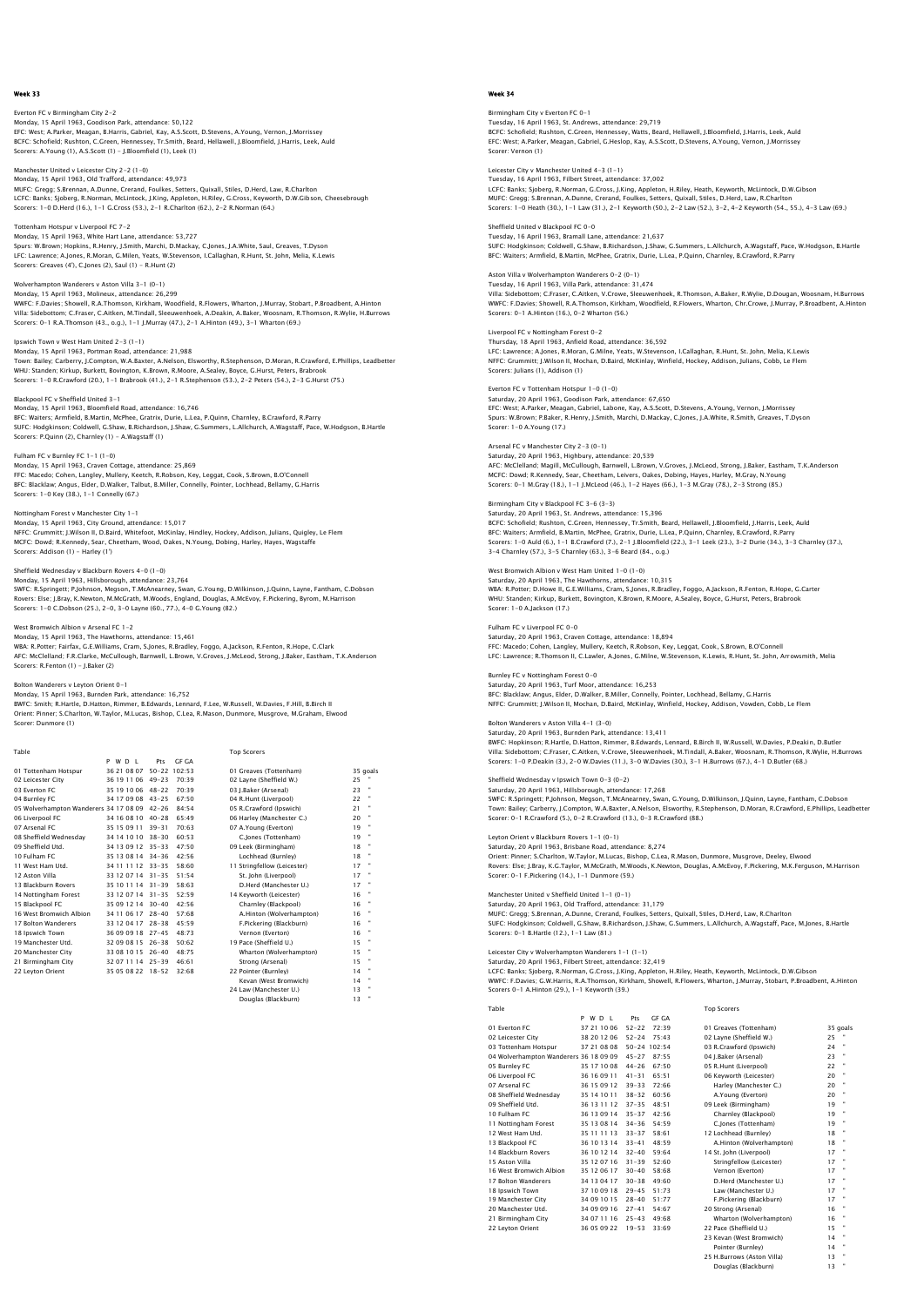Everton FC v Birmingham City 2-2 Monday, 15 April 1963, Goodison Park, attendance: 50,122 EFC: West; A.Parker, Meagan, B.Harris, Gabriel, Kay, A.S.Scott, D.Stevens, A.Young, Vernon, J.Morrissey BCFC: Schofield; Rushton, C.Green, Hennessey, Tr.Smith, Beard, Hellawell, J.Bloomfield, J.Harris, Leek, Auld Scorers: A.Young (1), A.S.Scott (1) - J.Bloomfield (1), Leek (1)

Manchester United v Leicester City 2-2 (1-0) Monday, 15 April 1963, Old Trafford, attendance: 49,973 MUFC: Gregg; S.Brennan, A.Dunne, Crerand, Foulkes, Setters, Quixall, Stiles, D.Herd, Law, R.Charlton LCFC: Banks; Sjoberg, R.Norman, McLintock, J.King, Appleton, H.Riley, G.Cross, Keyworth, D.W.Gibson, Cheesebrough<br>Scorers: 1–0 D.Herd (16.), 1–1 G.Cross (53.), 2–1 R.Charlton (62.), 2–2 R.Norman (64.)

Tottenham Hotspur v Liverpool FC 7-2 Monday, 15 April 1963, White Hart Lane, attendance: 53,727<br>Spurs: W.Brown; Hopkins, R.Henry, J.Smith, Marchi, D.Mackay, C.Jones, J.A.White, Saul, Greaves, T.Dyson<br>LFC: Lawrence; A.Jones, R.Moran, G.Milen, Yeats, W.Stevenso

Wolverhampton Wanderers v Aston Villa 3-1 (0-1) Monday, 15 April 1963, Molineux, attendance: 26,299 WWFC: F.Davies; Showell, R.A.Thomson, Kirkham, Woodfield, R.Flowers, Wharton, J.Murray, Stobart, P.Broadbent, A.Hinton<br>Villa: Sidebottom; C.Fraser, C.Aitken, M.TIndall, Sleeuwenhoek, A.Deakin, A.Baker, Woosnam, R.Thomson,

Ipswich Town v West Ham United 2-3 (1-1) Monday, 15 April 1963, Portman Road, attendance: 21,988<br>Town: Bailey; Carberry, J.Compton, W.A.Baxter, A.Nelson, Elsworthy, R.Stephenson, D.Moran, R.Crawford, E.Phillips, Leadbetter<br>WHU: Standen; Kirkup, Burkett, Bovington

Blackpool FC v Sheffield United 3-1 Monday, 15 April 1963, Bloomfield Road, attendance: 16,746 BFC: Waiters; Armfield, B.Martin, McPhee, Gratrix, Durie, L.Lea, P.Quinn, Charnley, B.Crawford, R.Parry SUFC: Hodgkinson; Coldwell, G.Shaw, B.Richardson, J.Shaw, G.Summers, L.Allchurch, A.Wagstaff, Pace, W.Hodgson, B.Hartle Scorers: P.Quinn (2), Charnley (1) - A.Wagstaff (1)

Fulham FC v Burnley FC 1-1 (1-0) Monday, 15 April 1963, Craven Cottage, attendance: 25,869 FFC: Macedo; Cohen, Langley, Mullery, Keetch, R.Robson, Key, Leggat, Cook, S.Brown, B.O'Connell BFC: Blacklaw; Angus, Elder, D.Walker, Talbut, B.Miller, Connelly, Pointer, Lochhead, Bellamy, G.Harris Scorers: 1-0 Key (38.), 1-1 Connelly (67.)

Nottingham Forest v Manchester City 1-1 Monday, 15 April 1963, City Ground, attendance: 15,017 NFFC: Grummitt; J.Wilson II, D.Baird, Whitefoot, McKinlay, Hindley, Hockey, Addison, Julians, Quigley, Le Flem MCFC: Dowd; R.Kennedy, Sear, Cheetham, Wood, Oakes, N.Young, Dobing, Harley, Hayes, Wagstaffe Scorers: Addison (1) - Harley (1')

## Blackburn Rovers 4-0 (1-0)

Monday, 15 April 1963, Hillsborough, attendance: 23,764 SWFC: R.Springett; P.Johnson, Megson, T.McAnearney, Swan, G.Young, D.Wilkinson, J.Quinn, Layne, Fantham, C.Dobson Rovers: Else; J.Bray, K.Newton, M.McGrath, M.Woods, England, Douglas, A.McEvoy, F.Pickering, Byrom, M.Harrison<br>Scorers: 1–0 C.Dobson (25.), 2–0, 3–0 Layne (60., 77.), 4–0 G.Younq (82.)

#### e<br>Website Bromwich Arsenal FC 1-2 Monday, 15 April 1963, The Hawthorns, attendance: 15,461

WBA: R.Potter; Fairfax, G.E.Williams, Cram, S.Jones, R.Bradley, Foggo, A.Jackson, R.Fenton, R.Hope, C.Clark AFC: McClelland; F.R.Clarke, McCullough, Barnwell, L.Brown, V.Groves, J.McLeod, Strong, J.Baker, Eastham, T.K.Anderson Scorers: R.Fenton (1) - J.Baker (2)

## Bolton Wanderers v Leyton Orient 0-1

Monday, 15 April 1963, Burnden Park, attendance: 16,752 BWFC: Smith; R.Hartle, D.Hatton, Rimmer, B.Edwards, Lennard, F.Lee, W.Russell, W.Davies, F.Hill, B.Birch II<br>Orient: Pinner; S.Charlton, W.Taylor, M.Lucas, Bishop, C.Lea, R.Mason, Dunmore, Musgrove, M.Graham, Elwood<br>Scorer:

| Table                                        |                   |     |                    | <b>Top Scorers</b>          |    |                |
|----------------------------------------------|-------------------|-----|--------------------|-----------------------------|----|----------------|
|                                              | P W D I           | Pts | GE GA              |                             |    |                |
| 01 Tottenham Hotspur                         | 36 21 08 07       |     | $50 - 22$ $102.53$ | 01 Greaves (Tottenham)      |    | 35 goals       |
| 02 Leicester City                            | 36 19 11 06 49-23 |     | 70.39              | 02 Layne (Sheffield W.)     | 25 |                |
| 03 Everton EC                                | 35 19 10 06 48-22 |     | 70.39              | 03 I.Baker (Arsenal)        | 23 |                |
| 04 Burnley FC                                | 34 17 09 08 43-25 |     | 67.50              | 04 R.Hunt (Liverpool)       | 22 | $\blacksquare$ |
| 05 Wolverhampton Wanderers 34 17 08 09 42-26 |                   |     | 84:54              | 05 R.Crawford (Ipswich)     | 21 |                |
| 06 Liverpool FC                              | 34 16 08 10 40-28 |     | 65.49              | 06 Harley (Manchester C.)   | 20 |                |
| 07 Arsenal FC                                | 35 15 09 11 39-31 |     | 70:63              | 07 A.Young (Everton)        | 19 | ×              |
| 08 Sheffield Wednesdav                       | 34 14 10 10 38-30 |     | 60:53              | C.lones (Tottenham)         | 19 | ×              |
| 09 Sheffield Utd.                            | 34 13 09 12 35-33 |     | 47:50              | 09 Leek (Birmingham)        | 18 |                |
| 10 Fulham FC                                 | 35 13 08 14 34-36 |     | 42:56              | Lochhead (Burnley)          | 18 |                |
| 11 West Ham Utd.                             | 34 11 11 12 33-35 |     | 58:60              | 11 Stringfellow (Leicester) | 17 |                |
| 12 Aston Villa                               | 33 12 07 14 31-35 |     | 51:54              | St. John (Liverpool)        | 17 |                |
| 13 Blackburn Rovers                          | 35 10 11 14 31-39 |     | 58.63              | D.Herd (Manchester U.)      | 17 |                |
| 14 Nottingham Forest                         | 33 12 07 14 31-35 |     | 52.59              | 14 Kevworth (Leicester)     | 16 |                |
| 15 Blackpool FC                              | 35 09 12 14 30-40 |     | 42:56              | Charnley (Blackpool)        | 16 |                |
| 16 West Bromwich Albion                      | 34 11 06 17 28-40 |     | 57.68              | A.Hinton (Wolverhampton)    | 16 |                |
| 17 Bolton Wanderers                          | 33 12 04 17 28-38 |     | 45.59              | F.Pickering (Blackburn)     | 16 |                |
| 18 Ipswich Town                              | 36 09 09 18 27-45 |     | 48.73              | Vernon (Everton)            | 16 |                |
| 19 Manchester Utd.                           | 32 09 08 15 26-38 |     | 50.62              | 19 Pace (Sheffield U.)      | 15 |                |
| 20 Manchester City                           | 33 08 10 15 26-40 |     | 48:75              | Wharton (Wolverhampton)     | 15 |                |
| 21 Birmingham City                           | 32 07 11 14 25-39 |     | 46.61              | Strong (Arsenal)            | 15 |                |
| 22 Levton Orient                             | 35 05 08 22 18-52 |     | 32:68              | 22 Pointer (Burnley)        | 14 | ×              |
|                                              |                   |     |                    | Kevan (West Bromwich)       | 14 |                |
|                                              |                   |     |                    | 24 Law (Manchester U.)      | 13 |                |
|                                              |                   |     |                    | Douglas (Blackburn)         | 13 |                |
|                                              |                   |     |                    |                             |    |                |

#### Week 34

am City v Everton FC 0-1 Tuesday, 16 April 1963, St. Andrews, attendance: 29,719 BCFC: Schofield; Rushton, C.Green, Hennessey, Watts, Beard, Hellawell, J.Bloomfield, J.Harris, Leek, Auld EFC: West; A.Parker, Meagan, Gabriel, G.Heslop, Kay, A.S.Scott, D.Stevens, A.Young, Vernon, J.Morrissey Scorer: Vernon (1)

Leicester City v Manchester United 4-3 (1-1) Tuesday, 16 April 1963, Filbert Street, attendance: 37,002 LCFC: Banks; Sjoberg, R.Norman, G.Cross, J.King, Appleton, H.Riley, Heath, Keyworth, McLintock, D.W.Gibson<br>MUFC: Gregg: S.Brennan, A.Dunne, Crerand, Foulkes, Setters, Quixall, Silies, D.Herd, Law, R.Charlton<br>Scorers: 1–0 H

Sheffield United v Blackpool FC 0-0 Tuesday, 16 April 1963, Bramall Lane, attendance: 21,637 SUFC: Hodgkinson; Coldwell, G.Shaw, B.Richardson, J.Shaw, G.Summers, L.Allchurch, A.Wagstaff, Pace, W.Hodgson, B.Hartle BFC: Waiters; Armfield, B.Martin, McPhee, Gratrix, Durie, L.Lea, P.Quinn, Charnley, B.Crawford, R.Parry

Aston Villa v Wolverhampton Wanderers 0-2 (0-1) Tuesday, 16 April 1963, Villa Park, attendance: 31,474 Villa: Sidebottom; C.Fraser, C.Aitken, V.Crowe, Sleeuwenhoek, R.Thomson, A.Baker, R.Wylie, D.Dougan, Woosnam, H.Burrows WWFC: F.Davies; Showell, R.A.Thomson, Kirkham, Woodfield, R.Flowers, Wharton, Chr.Crowe, J.Murray, P.Broadbent, A.Hinton Scorers: 0-1 A.Hinton (16.), 0-2 Wharton (56.)

Liverpool FC v Nottingham Forest 0-2 Thursday, 18 April 1963, Anfield Road, attendance: 36,592 LFC: Lawrence; A.Jones, R.Moran, G.Milne, Yeats, W.Stevenson, I.Callaghan, R.Hunt, St. John, Melia, K.Lewis<br>NFFC: Grummitt; J.Wilson II, Mochan, D.Baird, McKinlay, Winfield, Hockey, Addison, Julians, Cobb, Le Flem<br>Scorers:

Everton FC v Tottenham Hotspur 1-0 (1-0)

Saturday, 20 April 1963, Goodison Park, attendance: 67,650 EFC: West; A.Parker, Meagan, Gabriel, Labone, Kay, A.S.Scott, D.Stevens, A.Young, Vernon, J.Morrissey Spurs: W.Brown; P.Baker, R.Henry, J.Smith, Marchi, D.Mackay, C.Jones, J.A.White, R.Smith, Greaves, T.Dyson Scorer: 1-0 A.Young (17.)

## Arsenal FC v Manchester City 2-3 (0-1)

Saturday, 20 April 1963, Highbury, attendance: 20,539<br>AFC: MCClelland; Magill, McCullough, Barnwell, L.Brown, V.Groves, J.McLeod, Strong, J.Baker, Eastham, T.K.Andersor<br>MCF: Dowd; R.Kennedy, Sear, Cheethan, Leivers, Oakes,

Birmingham City v Blackpool FC 3-6 (3-3)

Saturday, 20 April 1963, St. Andrews, attendance: 15,396<br>BCFC: Schofield; Rushton, C.Green, Hennessey, Tr.Smith, Beard, Hellawell, J.Bloomfield, J.Harris, Leek, Auld<br>BFC: Waiters; Armfield, B.Martin, McPhee, Gratrix, Durie 3-4 Charnley (57.), 3-5 Charnley (63.), 3-6 Beard (84., o.g.)

## ich Albion v West Ham United 1-0 (1-0)

Saturday, 20 April 1963, The Hawthorns, attendance: 10,315 WBA: R.Potter; D.Howe II, G.E.Williams, Cram, S.Jones, R.Bradley, Foggo, A.Jackson, R.Fenton, R.Hope, G.Carter WHU: Standen; Kirkup, Burkett, Bovington, K.Brown, R.Moore, A.Sealey, Boyce, G.Hurst, Peters, Brabrook Scorer: 1-0 A.Jackson (17.)

Fulham FC v Liverpool FC 0-0 Saturday, 20 April 1963, Craven Cottage, attendance: 18,894

FFC: Macedo; Cohen, Langley, Mullery, Keetch, R.Robson, Key, Leggat, Cook, S.Brown, B.O'Connell LFC: Lawrence; R.Thomson II, C.Lawler, A.Jones, G.Milne, W.Stevenson, K.Lewis, R.Hunt, St. John, Arrowsmith, Melia

Saturday, 20 April 1963, Turf Moor, attendance: 16,253 BFC: Blacklaw; Angus, Elder, D.Walker, B.Miller, Connelly, Pointer, Lochhead, Bellamy, G.Harris NFFC: Grummitt; J.Wilson II, Mochan, D.Baird, McKinlay, Winfield, Hockey, Addison, Vowden, Cobb, Le Flem

Saturday, 20 April 1963, Hillsborough, attendance: 17,268 SWFC: R.Springett; P.Johnson, Megson, T.McAnearney, Swan, G.Young, D.Wilkinson, J.Quinn, Layne, Fantham, C.Dobson Town: Bailey; Carberry, J.Compton, W.A.Baxter, A.Nelson, Elsworthy, R.Stephenson, D.Moran, R.Crawford, E.Phillips, Leadbetter Scorer: 0-1 R.Crawford (5.), 0-2 R.Crawford (13.), 0-3 R.Crawford (88.)

Orient: Pinner; S.Charlton, W.Taylor, M.Lucas, Bishop, C.Lea, R.Mason, Dunmore, Musgrove, Deeley, Elwood<br>Rovers: Else; J.Bray, K.G.Taylor, M.McGrath, M.Woods, K.Newton, Douglas, A.McEvoy, F.Pickering, M.K.Ferguson, M.Harri

Saturday, 20 April 1963, Old Trafford, attendance: 31,179<br>MUFC: Gregg; S.Brennan, A.Dunne, Creand, Foulkes, Setters, Quixall, Stiles, D.Herd, Law, R.Charlton<br>SUFC: Hodgkinson; Coldwell, G.Shaw, B.Richardson, J.Shaw, G.Summ

Leicester City v Wolverhampton Wanderers 1-1 (1-1)

Saturday, 20 April 1963, Filbert Street, attendance: 32,419<br>LCFC: Banks; Sjoberg, R.Norman, G.Cross, J.King, Appleton, H.Riley, Heath, Keyworth, McLintock, D.W.Gibson<br>WWFC: F.Davies; G.W.Harris, R.A.Thomson, Kirkham, Showe Scorers 0-1 A.Hinton (29.), 1-1 Keyworth (39.)

 Table Top Scorers P W D L Pts GF GA 01 Everton FC 37 21 10 06 52-22 72:39 01 Greaves (Tottenham) 35 goals 02 Leicester City 38 20 12 06 52-24 75:43 02 Layne (Sheffield W.) 25 " 02 Lettester City and 2012 08 08 50-24 102:54 03 R.Crawford (Ipswich) 25<br>
03 R.Crawford (Ipswich) 24 "<br>
04 Wolverhampton Wanderers 36 18 09 09 45-27 87:55 04 J.Baker (Arsenal) 23 "<br>
05 B.Criewfy FC 35 15 71 008 44-26 67:50 04 Wolverhampton Wanderers 36 18 09 09 45-27 87:55 04 J.Baker (Arsenal) 23 " 05 Burnley FC 35 17 10 08 44-26 67:50 05 R.Hunt (Liverpool) 22 " 06 Liverpool FC 36 16 09 11 41-31 65:51 06 Keyworth (Leicester) 20 " 07 Arsenal FC 36 15 09 12 39-33 72:66 Harley (Manchester C.) 20 " 08 Sheffield Wednesday 35 14 10 11 38-32 60:56 A.Young (Everton) 20<br>
09 Sheffield Utd. 36 13 11 12 37-37 42:56 09 Leek (Birmingham) 10 Fulhann FC<br>
10 Fulhann FC 36 13 09 14 35-37 42:56 Charnley (Blackpool) 19<br>
11 Nottingha 09 Sheffield Utd. 36 13 11 12 37-35 48:51 09 Leek (Birmingham) 19 " 10 Fulham FC 36 13 09 14 35-37 42:56 Charnley (Blackpool) 19 " 11 Nottingham Forest 35 13 08 14 34-36 54:59 C.Jones (Tottenham) 19 " 12 West Ham Utd. 35 11 11 11 13 33-37 58:61 12 Lochhead (Burnley) 18 18<br>13 Blackpool FC 36 10 13 14 33-41 48:59 A.Hinton (Wolverhampton) 18 13 Blackpool FC 36 10 13 14 33-41 48:59 A.Hinton (Wolverhampton) 18<br>14 Blackburg Povers 36 10 12 14 32-40 59:64 14 St. John (Liverpool) 17 14 Blackburn Rovers 1992 - 1992 - 1992 - 14 St. John (Liverpool)<br>15 Aston Villa - 14 35 10 12 14 32–40 - 59:64 14 St. John (Liverpool) 17<br>16 Nest Bromwich Albion - 15 12 06 17 - 30–40 - 58:68 - 14 - 14 - 14 - 14 - 14 - 14 15 Aston Villa 35 12 07 16 31-39 52:60 Stringfellow (Leicester) 17 " 16 West Bromwich Albion 35 12 06 17 30-40 58:68 Vernon (Everton) 17 " 17 Bolton Wanderers 34 13 04 17 30-38 49:60 D.Herd (Manchester U.) 17 18 Ipswich Town 37 10 09 18 29-45 51:73 Law (Manchester U.) 17 " 19 Manchester City 34 09 10 15 28-40 51:77 F.Pickering (Blackburn) 17 " 20 Manchester Utd. 34 09 09 16 27-41 54:67 20 Strong (Arsenal) 16 " 21 Birmingham City 34 07 11 16 25-43 49:68 Wharton (Wolverhampton) 16 " 22 Leyton Orient 36 05 09 22 19-53 33:69 22 Pace (Sheffield U.) 15 " 23 Kevan (West Bromwich) 14<br>Pointer (Burnley) 14 Pointer (Burnley)

25 H.Burrows (Aston Villa) 13 " Douglas (Blackburn) 13 "

rnley FC v Nottingham Forest 0-0

Bolton Wanderers v Aston Villa 4-1 (3-0)

Saturday, 20 April 1963, Burnden Park, attendance: 13,411 BWFC: Hopkinson; R.Hartle, D.Hatton, Rimmer, B.Edwards, Lennard, B.Birch II, W.Russell, W.Davies, P.Deakin, D.Butler Villa: Sidebottom; C.Fraser, C.Aitken, V.Crowe, Sleeuwenhoek, M.Tindall, A.Baker, Woosnam, R.Thomson, R.Wylie, H.Burrows<br>Scorers: 1–0 P.Deakin (3.), 2–0 W.Davies (11.), 3–0 W.Davies (30.), 3–1 H.Burrows (67.), 4–1 D.Butler

Sheffield Wednesday v Ipswich Town 0-3 (0-2)

# Leyton Orient v Blackburn Rovers 1-1 (0-1) Saturday, 20 April 1963, Brisbane Road, attendance: 8,274

Manchester United v Sheffield United 1-1 (0-1)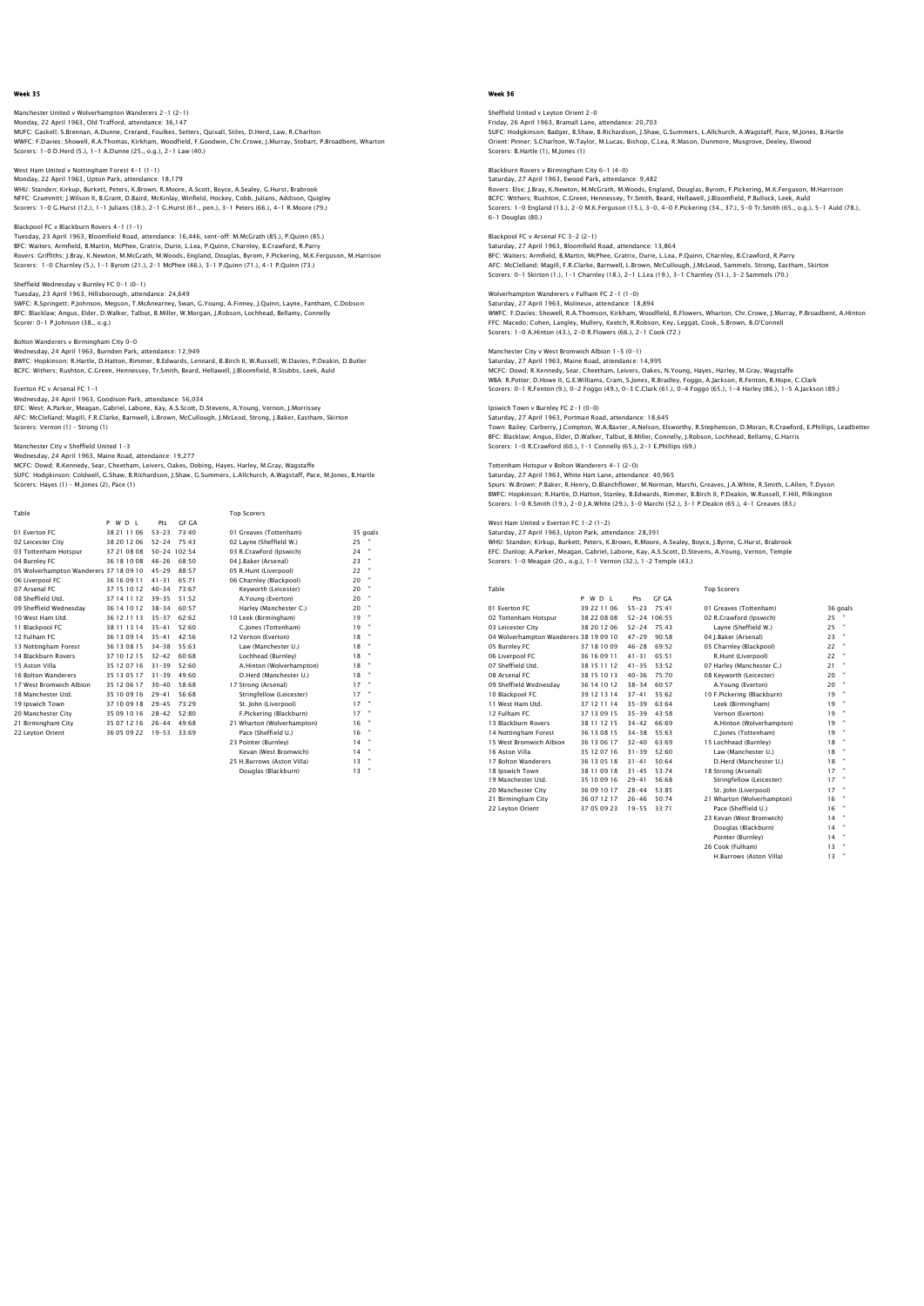## Manchester United v Wolverhampton Wanderers 2–1 (2–1)<br>Monday, 22 April 1963, Old Trafford, attendance: 36,147<br>MUFC: Gaskell: S.Brennan, A.Dunne, Crerand, Foulkes, Setters, Quixall, Stiles, D.Herd, Law, R.Charlton WWFC: F.Davies; Showell, R.A.Thomas, Kirkham, Woodfield, F.Goodwin, Chr.Crowe, J.Murray, Stobart, P.Broadbent, Wharton Scorers: 1-0 D.Herd (5.), 1-1 A.Dunne (25., o.g.), 2-1 Law (40.)

West Ham United v Nottingham Forest 4-1 (1-1) Monday, 22 April 1963, Upton Park, attendance: 18,179

WHU: Standen; Kirkup, Burkett, Peters, K.Brown, R.Moore, A.Scott, Boyce, A.Sealey, G.Hurst, Brabrook<br>NFFC: Grummitt; J.Wilson II, B.Grant, D.Baird, McKinlay, Winfield, Hockey, Cobb, Julians, Addison, Quigley<br>Scorers: 1–0 G

Blackpool FC v Blackburn Rovers 4-1 (1-1) Tuesday, 23 April 1963, Bloomfield Road, attendance: 16,446, sent-off: M.McGrath (85.), P.Quinn (85.) BFC: Waiters; Armfield, B.Martin, McPhee, Gratrix, Durie, L.Lea, P.Quinn, Charnley, B.Crawford, R.Parry<br>Rovers: Griffiths; J.Bray, K.Newton, M.McCrath, M.Woods, England, Douglas, Byrom, F.Pickering, M.K.Ferguson, M.Harriso

#### Sheffield Wednesday v Burnley FC 0-1 (0-1)

Tuesday, 23 April 1963, Hillsborough, attendance: 24,649<br>SWFC: R.Springett; P.Johnson, Megson, T.McAnearney, Swan, G.Young, A.Finney, J.Quinn, Layne, Fantham, C.Dobson<br>BFC: Blacklaw; Angus, Elder, D.Walker, Talbut, B.Mille

Bolton Wanderers v Birmingham City 0-0

Wednesday, 24 April 1963, Burnden Park, attendance: 12,949<br>BWFC: Hopkinson; R.Hartle, D.Hatton, Rimmer, B.Edwards, Lennard, B.Birch II, W.Russell, W.Davies, P.Deakin, D.Butler<br>BCFC: Withers; Rushton, C.Green, Hennessey, Tr

#### Everton FC v Arsenal FC 1-1

Wednesday, 24 April 1963, Goodison Park, attendance: 56,034 EFC: West; A.Parker, Meagan, Gabriel, Labone, Kay, A.S.Scott, D.Stevens, A.Young, Vernon, J.Morrissey AFC: McClelland; Magill, F.R.Clarke, Barnwell, L.Brown, McCullough, J.McLeod, Strong, J.Baker, Eastham, Skirton Scorers: Vernon (1) – Strong (1)

## Manchester City v Sheffield United 1-3<br>Wednesday, 24 April 1063, Maine Boad, attandance: 10.277

Wednesday, 24 April 1963, Maine Road, attendance: 19,277<br>MCFC: Dowd; R.Kennedy, Sear, Cheetham, Leivers, Oakes, Dobing, Hayes, Harley, M.Gray, Wagstaffe<br>SUFC: Hodgkinson; Coldwell, G.Shaw, B.Richardson, J.Shaw, G.Summers, Scorers: Hayes (1) – M.Jones (2), Pace (1)

| Table                                  |             |           |              | <b>Top Scorers</b>         |    |          |
|----------------------------------------|-------------|-----------|--------------|----------------------------|----|----------|
|                                        | P W D I     | Pts       | GE GA        |                            |    |          |
| 01 Everton EC                          | 38 21 11 06 | $53 - 23$ | 73:40        | 01 Greaves (Tottenham)     |    | 35 goals |
| 02 Leicester City                      | 38 20 12 06 | $52 - 24$ | 75:43        | 02 Layne (Sheffield W.)    | 25 |          |
| 03 Tottenham Hotspur                   | 37 21 08 08 |           | 50-24 102:54 | 03 R.Crawford (Ipswich)    | 24 |          |
| 04 Burnley FC                          | 36 18 10 08 | $46 - 26$ | 68:50        | 04 I.Baker (Arsenal)       | 23 |          |
| 05 Wolverhampton Wanderers 37 18 09 10 |             | $45 - 29$ | 88:57        | 05 R.Hunt (Liverpool)      | 22 | ×        |
| 06 Liverpool FC                        | 36 16 09 11 | $41 - 31$ | 65.71        | 06 Charnley (Blackpool)    | 20 |          |
| 07 Arsenal FC                          | 37 15 10 12 | $40 - 34$ | 73:67        | Kevworth (Leicester)       | 20 |          |
| 08 Sheffield Utd.                      | 37 14 11 12 | $39 - 35$ | 51:52        | A.Young (Everton)          | 20 |          |
| 09 Sheffield Wednesday                 | 36 14 10 12 | $38 - 34$ | 60:57        | Harley (Manchester C.)     | 20 |          |
| 10 West Ham Utd.                       | 36 12 11 13 | $35 - 37$ | 62:62        | 10 Leek (Birmingham)       | 19 |          |
| 11 Blackpool FC                        | 38 11 13 14 | $35 - 41$ | 52:60        | C.lones (Tottenham)        | 19 |          |
| 12 Fulham FC                           | 36 13 09 14 | $35 - 41$ | 42.56        | 12 Vernon (Everton)        | 18 |          |
| 13 Nottingham Forest                   | 36 13 08 15 | $34 - 38$ | 55:63        | Law (Manchester U.)        | 18 |          |
| 14 Blackburn Rovers                    | 37 10 12 15 | $32 - 42$ | 60.68        | Lochhead (Burnley)         | 18 |          |
| 15 Aston Villa                         | 35 12 07 16 | $31 - 39$ | 52:60        | A.Hinton (Wolverhampton)   | 18 |          |
| 16 Bolton Wanderers                    | 35 13 05 17 | $31 - 39$ | 49:60        | D.Herd (Manchester U.)     | 18 |          |
| 17 West Bromwich Albion                | 35 12 06 17 | $30 - 40$ | 58:68        | 17 Strong (Arsenal)        | 17 |          |
| 18 Manchester Utd.                     | 35 10 09 16 | $29 - 41$ | 56:68        | Stringfellow (Leicester)   | 17 |          |
| 19 Ipswich Town                        | 37 10 09 18 | $29 - 45$ | 73:29        | St. John (Liverpool)       | 17 |          |
| 20 Manchester City                     | 35 09 10 16 | $28 - 42$ | 52:80        | F.Pickering (Blackburn)    | 17 |          |
| 21 Birmingham City                     | 35 07 12 16 | $26 - 44$ | 49:68        | 21 Wharton (Wolverhampton) | 16 |          |
| 22 Levton Orient                       | 36 05 09 22 | $19 - 53$ | 33:69        | Pace (Sheffield U.)        | 16 |          |
|                                        |             |           |              | 23 Pointer (Burnley)       | 14 |          |
|                                        |             |           |              | Kevan (West Bromwich)      | 14 |          |
|                                        |             |           |              | 25 H.Burrows (Aston Villa) | 13 |          |
|                                        |             |           |              | Douglas (Blackburn)        | 13 | ×        |

### Week 36

Sheffield United v Leyton Orient 2–0<br>Friday, 26 April 1963, Bramall Lane, attendance: 20,703<br>SUFC: Hodgkinson; Badger, B.Shaw, B.Richardson, J.Shaw, G.Summers, L.Allchurch, A.Wagstaff, Pace, M.Jones, B.Hartle Orient: Pinner; S.Charlton, W.Taylor, M.Lucas, Bishop, C.Lea, R.Mason, Dunmore, Musgrove, Deeley, Elwood Scorers: B.Hartle (1), M.Jones (1)

Blackburn Rovers v Birmingham City 6-1 (4-0) Saturday, 27 April 1963, Ewood Park, attendance: 9,482

Rovers: Else; J.Bray, K.Newton, M.McGrath, M.Woods, England, Douglas, Byrom, F.Pickering, M.K.Ferguson, M.Harrison BCFC: Withers; Rushton, C.Green, Hennessey, Tr.Smith, Beard, Hellawell, J.Bloomfield, P.Bullock, Leek, Auld<br>Scorers: 1–0 England (13.), 2–0 M.K.Ferguson (15.), 3–0, 4–0 F.Pickering (34., 37.), 5–0 Tr.Smith (65., o.g.), 5–1

#### Blackpool FC v Arsenal FC 3-2 (2-1)

Saturday, 27 April 1963, Bloomfield Road, attendance: 13,864 BFC: Waiters; Armfield, B.Martin, McPhee, Gratrix, Durie, L.Lea, P.Quinn, Charnley, B.Crawford, R.Parry<br>AFC: McClelland; Magill, F.R.Clarke, Barnwell, L.Brown, McCullough, J.McLeod, Sammels, Strong, Eastham, Skirton<br>Scorer

## Wolverhampton Wanderers v Fulham FC 2-1 (1-0)

Saturday, 27 April 1963, Molineux, attendance: 18,894<br>WWFC: F.Davies; Showell, R.A.Thomson, Kirkham, Woodfield, R.Flowers, Wharton, Chr.Crowe, J.Murray, P.Broadbent, A.Hintor<br>FFC: Macedo; Cohen, Langley, Mullery, Keetch, R Scorers: 1-0 A.Hinton (43.), 2-0 R.Flowers (66.), 2-1 Cook (72.)

## Manchester City v West Bromwich Albion 1-5 (0-1)

Saturday, 27 April 1963, Maine Road, attendance: 14,995<br>MCFC: Dowd; R.Kennedy, Sear, Cheetham, Leivers, Oakes, N.Young, Hayes, Harley, M.Gray, Wagstaffe<br>WBA: R.Potter; D.Howe II, G.E.Williams, Cram, S.Jones, R.Bradley, Fog Scorers: 0-1 R.Fenton (9.), 0-2 Foggo (49.), 0-3 C.Clark (61.), 0-4 Foggo (65.), 1-4 Harley (86.), 1-5 A.Jackson (89.)

## Ipswich Town v Burnley FC 2-1 (0-0)

Saturday, 27 April 1963, Portman Road, attendance: 18,645 Town: Bailey; Carberry, J.Compton, W.A.Baxter, A.Nelson, Elsworthy, R.Stephenson, D.Moran, R.Crawford, E.Phillips, Leadbetter BFC: Blacklaw; Angus, Elder, D.Walker, Talbut, B.Miller, Connelly, J.Robson, Lochhead, Bellamy, G.Harris Scorers: 1-0 R.Crawford (60.), 1-1 Connelly (65.), 2-1 E.Phillips (69.)

## Tottenham Hotspur v Bolton Wanderers 4-1 (2-0)

Saturday, 27 April 1963, White Hart Lane, attendance: 40,965 Spurs: W.Brown; P.Baker, R.Henry, D.Blanchflower, M.Norman, Marchi, Greaves, J.A.White, R.Smith, L.Allen, T.Dyson BWFC: Hopkinson; R.Hartle, D.Hatton, Stanley, B.Edwards, Rimmer, B.Birch II, P.Deakin, W.Russell, F.Hill, Pilkington Scorers: 1-0 R.Smith (19.), 2-0 J.A.White (29.), 3-0 Marchi (52.), 3-1 P.Deakin (65.), 4-1 Greaves (83.)

## West Ham United v Everton FC 1-2 (1-2)

Saturday, 27 April 1963, Upton Park, attendance: 28,391 WHU: Standen; Kirkup, Burkett, Peters, K.Brown, R.Moore, A.Sealey, Boyce, J.Byrne, G.Hurst, Brabrook<br>EFC: Dunlop; A.Parker, Meagan, Gabriel, Labone, Kay, A.S.Scott, D.Stevens, A.Young, Vernon, Temple<br>Scorers: 1–0 Meagan (2

| Table                                  |             |                     | <b>Top Scorers</b>         |                      |
|----------------------------------------|-------------|---------------------|----------------------------|----------------------|
|                                        | PWDL        | <b>GF GA</b><br>Pts |                            |                      |
| 01 Everton EC                          | 39 22 11 06 | $55 - 23$<br>75:41  | 01 Greaves (Tottenham)     | 36 goals             |
| 02 Tottenham Hotspur                   | 38 22 08 08 | 52-24 106:55        | 02 R.Crawford (Ipswich)    | 25                   |
| 03 Leicester City                      | 38 20 12 06 | $52 - 24$<br>75.43  | Layne (Sheffield W.)       | $\mathbf{u}$<br>25   |
| 04 Wolverhampton Wanderers 38 19 09 10 |             | $47 - 29$<br>90:58  | 04 I.Baker (Arsenal)       | 23                   |
| 05 Burnley FC                          | 37 18 10 09 | $46 - 28$<br>69:52  | 05 Charnley (Blackpool)    | ×<br>22              |
| 06 Liverpool FC                        | 36 16 09 11 | 65:51<br>$41 - 31$  | R.Hunt (Liverpool)         | 22                   |
| 07 Sheffield Utd.                      | 38 15 11 12 | $41 - 35$<br>53:52  | 07 Harley (Manchester C.)  | $\blacksquare$<br>21 |
| 08 Arsenal FC                          | 38 15 10 13 | $40 - 36$<br>75:70  | 08 Kevworth (Leicester)    | 20                   |
| 09 Sheffield Wednesdav                 | 36 14 10 12 | $38 - 34$<br>60:57  | A.Young (Everton)          | 20                   |
| 10 Blackpool FC                        | 39 12 13 14 | $37 - 41$<br>55:62  | 10 F.Pickering (Blackburn) | ×<br>19              |
| 11 West Ham Utd.                       | 37 12 11 14 | 63:64<br>$35 - 39$  | Leek (Birmingham)          | 19                   |
| 12 Fulham FC                           | 37 13 09 15 | $35 - 39$<br>43:58  | Vernon (Everton)           | ×<br>19              |
| 13 Blackburn Rovers                    | 38 11 12 15 | $34 - 42$<br>66.69  | A.Hinton (Wolverhampton)   | 19                   |
| 14 Nottingham Forest                   | 36 13 08 15 | $34 - 38$<br>55:63  | C.Jones (Tottenham)        | ×<br>19              |
| 15 West Bromwich Albion                | 36 13 06 17 | $32 - 40$<br>63.69  | 15 Lochhead (Burnley)      | $\blacksquare$<br>18 |
| 16 Aston Villa                         | 35 12 07 16 | $31 - 39$<br>52:60  | Law (Manchester U.)        | $\blacksquare$<br>18 |
| 17 Bolton Wanderers                    | 36 13 05 18 | $31 - 41$<br>50:64  | D.Herd (Manchester U.)     | ×<br>18              |
| 18 Ipswich Town                        | 38 11 09 18 | $31 - 45$<br>53:74  | 18 Strong (Arsenal)        | 17                   |
| 19 Manchester Utd.                     | 35 10 09 16 | $29 - 41$<br>56:68  | Stringfellow (Leicester)   | $\blacksquare$<br>17 |
| 20 Manchester City                     | 36 09 10 17 | 53:85<br>$28 - 44$  | St. John (Liverpool)       | 17                   |
| 21 Birmingham City                     | 36 07 12 17 | $26 - 46$<br>50:74  | 21 Wharton (Wolverhampton) | 16                   |
| 22 Levton Orient                       | 37 05 09 23 | $19 - 55$<br>33:71  | Pace (Sheffield U.)        | 16                   |

23 Marton (Workenhampton) 16<br>23 Kevan (West Bromwich) 14<br>Douglas (Blackburn) 14 Douglas (Blackburn) 14 "<br>
Pointer (Burnley) 14 "<br>
Cook (Fulham) 13 " Pointer (Burnley) 14<br>Cook (Fulham) 13 26 Cook (Fulham) 13<br>
H.Burrows (Aston Villa) 13

H.Burrows (Aston Villa)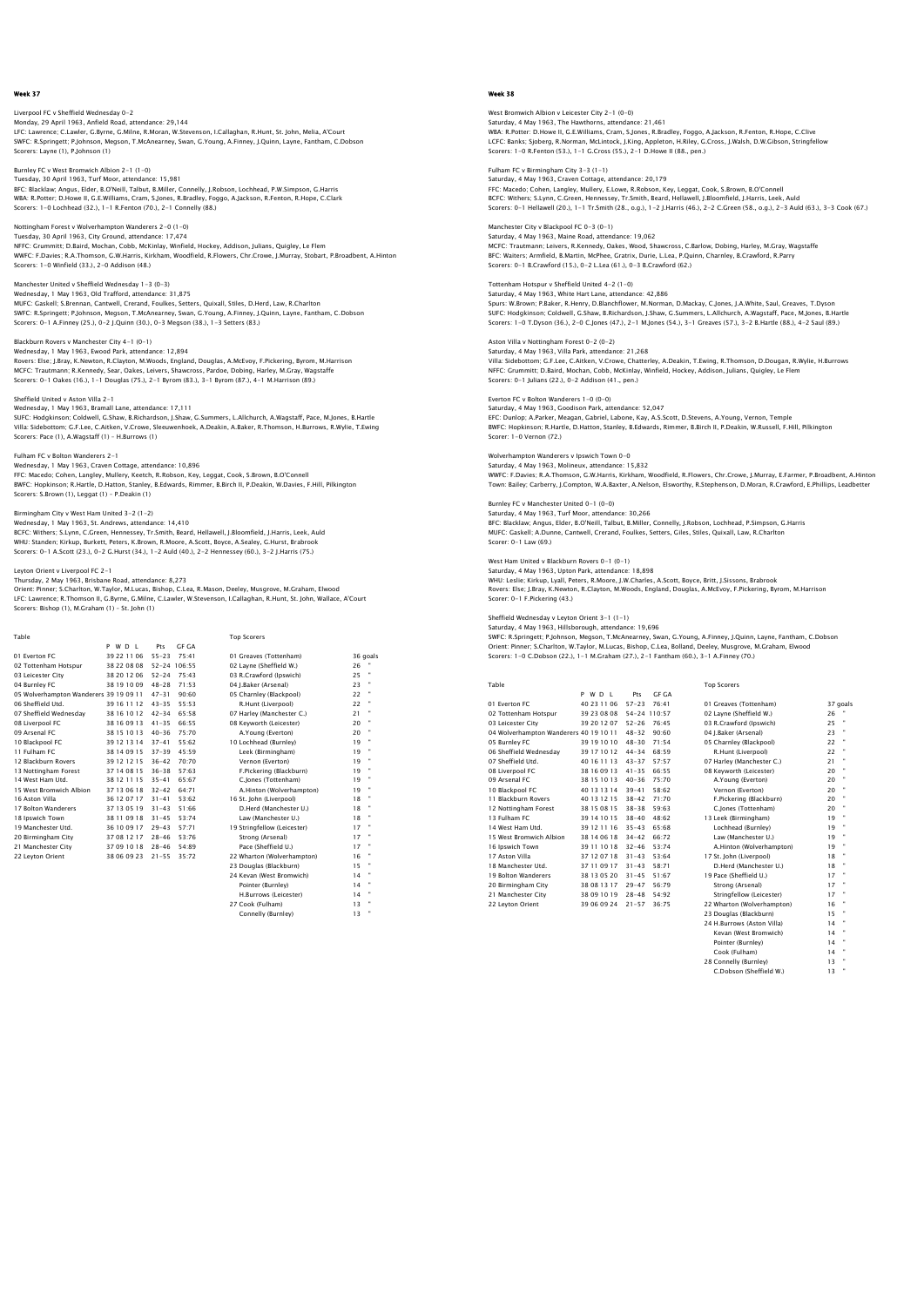Liverpool FC v Sheffield Wednesday 0–2<br>Monday, 29 April 1963, Anfield Road, attendance: 29,144<br>LFC: Lawrence; C.Lawler, G.Byrne, G.Milne, R.Moran, W.Stevenson, I.Callaghan, R.Hunt, St. John, Melia, A'Court SWFC: R.Springett; P.Johnson, Megson, T.McAnearney, Swan, G.Young, A.Finney, J.Quinn, Layne, Fantham, C.Dobson Scorers: Layne (1), P.Johnson (1)

Burnley FC v West Bromwich Albion 2-1 (1-0) Tuesday, 30 April 1963, Turf Moor, attendance: 15,981 BFC: Blacklaw; Angus, Elder, B.O'Neill, Talbut, B.Miller, Connelly, J.Robson, Lochhead, P.W.Simpson, G.Harris<br>WBA: R.Potter; D.Howe II, G.E.Williams, Cram, S.Jones, R.Bradley, Foggo, A.Jackson, R.Fenton, R.Hope, C.Clark<br>Sc

Nottingham Forest v Wolverhampton Wanderers 2-0 (1-0) Tuesday, 30 April 1963, City Ground, attendance: 17,474 NFFC: Grummitt; D.Baird, Mochan, Cobb, McKinlay, Winfield, Hockey, Addison, Julians, Quigley, Le Flem<br>WWFC: F.Davies; R.A.Thomson, G.W.Harris, Kirkham, Woodfield, R.Flowers, Chr.Crowe, J.Murray, Stobart, P.Broadbent, A.Hin Scorers: 1-0 Winfield (33.), 2-0 Addison (48.)

Manchester United v Sheffield Wednesday 1-3 (0-3) Wednesday, 1 May 1963, Old Trafford, attendance: 31,875 MUFC: Gaskell; S.Brennan, Cantwell, Crerand, Foulkes, Setters, Quixall, Stiles, D.Herd, Law, R.Charlton<br>SWFC: R.Springett; P.Johnson, Megson, T.McAnearney, Swan, G.Young, A.Finney, J.Quinn, Layne, Fantham, C.Dobson<br>Scorers

Blackburn Rovers v Manchester City 4-1 (0-1) Wednesday, 1 May 1963, Ewood Park, attendance: 12,894<br>Rovers: Eise ; J.Bray, K.Newton, R.Clayton, M.Woods, England, Douglas, A.McEvoy, F.Pickering, Byrom, M.Harrison<br>MCFC: Trautmann; R.Kennedy, Sear, Oakes, Leivers, Shawcr

### Sheffield United v Aston Villa 2-1

Wednesday, 1 May 1963, Bramall Lane, attendance: 17,111 SUFC: Hodgkinson; Coldwell, G.Shaw, B.Richardson, J.Shaw, G.Summers, L.Allchurch, A.Wagstaff, Pace, M.Jones, B.Hartle Villa: Sidebottom; G.F.Lee, C.Aitken, V.Crowe, Sleeuwenhoek, A.Deakin, A.Baker, R.Thomson, H.Burrows, R.Wylie, T.Ewing Scorers: Pace (1), A.Wagstaff (1) – H.Burrows (1)

Fulham FC v Bolton Wanderers 2-1

Wednesday, 1 May 1963, Craven Cottage, attendance: 10,896

FFC: Macedo; Cohen, Langley, Mullery, Keetch, R.Robson, Key, Leggat, Cook, S.Brown, B.O'Connell BWFC: Hopkinson; R.Hartle, D.Hatton, Stanley, B.Edwards, Rimmer, B.Birch II, P.Deakin, W.Davies, F.Hill, Pilkington Scorers: S.Brown (1), Leggat (1) – P.Deakin (1)

## Birmingham City v West Ham United 3-2 (1-2)

Wednesday, 1 May 1963, St. Andrews, attendance: 14,410<br>BCFC: Withers; S.Lynn, C.Green, Hennessey, Tr.Smith, Beard, Hellawell, J.Bloomfield, J.Harris, Leek, Auld<br>WHU: Standen; Kirkup, Burkett, Peters, K.Brown, R.Moore, A.Sc Scorers: 0-1 A.Scott (23.), 0-2 G.Hurst (34.), 1-2 Auld (40.), 2-2 Hennessey (60.), 3-2 J.Harris (75.)

## Leyton Orient v Liverpool FC 2-1

Thursday, 2 May 1963, Brisbane Road, attendance: 8,273 Orient: Pinner; S.Charlton, W.Taylor, M.Lucas, Bishop, C.Lea, R.Mason, Deeley, Musgrove, M.Graham, Elwood LFC: Lawrence; R.Thomson II, G.Byrne, G.Milne, C.Lawler, W.Stevenson, I.Callaghan, R.Hunt, St. John, Wallace, A'Court Scorers: Bishop (1), M.Graham (1) – St. John (1)

| Table                                  |             |           |              | <b>Top Scorers</b>          |    |          |
|----------------------------------------|-------------|-----------|--------------|-----------------------------|----|----------|
|                                        | PWDL        | Pts       | GE GA        |                             |    |          |
| 01 Everton EC                          | 39 22 11 06 | $55 - 23$ | 75:41        | 01 Greaves (Tottenham)      |    | 36 goals |
| 02 Tottenham Hotspur                   | 38 22 08 08 |           | 52-24 106:55 | 02 Lavne (Sheffield W.)     | 26 |          |
| 03 Leicester City                      | 38 20 12 06 | $52 - 24$ | 75:43        | 03 R.Crawford (Ipswich)     | 25 | ٠        |
| 04 Burnley FC                          | 38 19 10 09 | $48 - 28$ | 71.53        | 04 J.Baker (Arsenal)        | 23 |          |
| 05 Wolverhampton Wanderers 39 19 09 11 |             | $47 - 31$ | 90:60        | 05 Charnley (Blackpool)     | 22 |          |
| 06 Sheffield Utd.                      | 39 16 11 12 | $43 - 35$ | 55:53        | R.Hunt (Liverpool)          | 22 |          |
| 07 Sheffield Wednesdav                 | 38 16 10 12 | $42 - 34$ | 65:58        | 07 Harley (Manchester C.)   | 21 |          |
| 08 Liverpool FC                        | 38 16 09 13 | $41 - 35$ | 66:55        | 08 Kevworth (Leicester)     | 20 |          |
| 09 Arsenal FC                          | 38 15 10 13 | $40 - 36$ | 75:70        | A.Young (Everton)           | 20 |          |
| 10 Blackpool FC                        | 39 12 13 14 | $37 - 41$ | 55.62        | 10 Lochhead (Burnley)       | 19 |          |
| 11 Fulham FC                           | 38 14 09 15 | $37 - 39$ | 45:59        | Leek (Birmingham)           | 19 |          |
| 12 Blackburn Rovers                    | 39 12 12 15 | $36 - 42$ | 70:70        | Vernon (Everton)            | 19 |          |
| 13 Nottingham Forest                   | 37 14 08 15 | $36 - 38$ | 57:63        | F.Pickering (Blackburn)     | 19 |          |
| 14 West Ham Utd.                       | 38 12 11 15 | $35 - 41$ | 65:67        | C.Jones (Tottenham)         | 19 |          |
| 15 West Bromwich Albion                | 37 13 06 18 | $32 - 42$ | 64.71        | A.Hinton (Wolverhampton)    | 19 |          |
| 16 Aston Villa                         | 36 12 07 17 | $31 - 41$ | 53:62        | 16 St. John (Liverpool)     | 18 |          |
| 17 Bolton Wanderers                    | 37 13 05 19 | $31 - 43$ | 51:66        | D.Herd (Manchester U.)      | 18 |          |
| 18 Ipswich Town                        | 38 11 09 18 | $31 - 45$ | 53:74        | Law (Manchester U.)         | 18 |          |
| 19 Manchester Utd.                     | 36 10 09 17 | $29 - 43$ | 57:71        | 19 Stringfellow (Leicester) | 17 |          |
| 20 Birmingham City                     | 37 08 12 17 | $28 - 46$ | 53.76        | Strong (Arsenal)            | 17 |          |
| 21 Manchester City                     | 37 09 10 18 | $28 - 46$ | 54:89        | Pace (Sheffield U.)         | 17 |          |
| 22 Leyton Orient                       | 38 06 09 23 | $21 - 55$ | 35:72        | 22 Wharton (Wolverhampton)  | 16 |          |
|                                        |             |           |              | 23 Douglas (Blackburn)      | 15 |          |
|                                        |             |           |              | 24 Kevan (West Bromwich)    | 14 |          |
|                                        |             |           |              | Pointer (Burnley)           | 14 |          |
|                                        |             |           |              | H.Burrows (Leicester)       | 14 |          |
|                                        |             |           |              | 27 Cook (Fulham)            | 13 |          |
|                                        |             |           |              | Connelly (Burnley)          | 12 |          |

ر......<br>^^ nelly (Burnley)

## Week 38

West Bromwich Albion v Leicester City 2–1 (0–0)<br>Saturday, 4 May 1963, The Hawthorns, attendance: 21,461<br>WBA: R.Potter: D.Howe II, G.E.Williams, Cram, S.Jones, R.Bradley, Foggo, A.Jackson, R.Fenton, R.Hope, C.Clive LCFC: Banks; Sjoberg, R.Norman, McLintock, J.King, Appleton, H.Riley, G.Cross, J.Walsh, D.W.Gibson, Stringfellow Scorers: 1-0 R.Fenton (53.), 1-1 G.Cross (55.), 2-1 D.Howe II (88., pen.)

Fulham FC v Birmingham City 3-3 (1-1) Saturday, 4 May 1963, Craven Cottage, attendance: 20,179 FFC: Macedo; Cohen, Langley, Mullery, E.Lowe, R.Robson, Key, Leggat, Cook, S.Brown, B.O'Connell<br>BCFC: Withers; S.Lynn, C.Green, Hennessey, Tr.Smith, Beard, Hellawell, J.Bloomfield, J.Harris, Leek, Auld<br>Scorers: 0-1 Hellawe

Manchester City v Blackpool FC 0-3 (0-1) Saturday, 4 May 1963, Maine Road, attendance: 19,062 MCFC: Trautmann; Leivers, R.Kennedy, Oakes, Wood, Shawcross, C.Barlow, Dobing, Harley, M.Gray, Wagstaffe<br>BFC: Waiters; Armfield, B.Martin, McPhee, Gratrix, Durie, L.Lea, P.Quinn, Charnley, B.Crawford, R.Parry<br>Scorers: 0–1

Tottenham Hotspur v Sheffield United 4-2 (1-0) Saturday, 4 May 1963, White Hart Lane, attendance: 42,886 Spurs: W.Brown; P.Baker, R.Henry, D.Blanchflower, M.Norman, D.Mackay, C.Jones, J.A.White, Saul, Greaves, T.Dyson<br>SUFC: Hodgkinson; Coldwell, G.Shaw, B.Richardson, J.Shaw, G.Summers, L.Allchurch, A.Wagstaff, Pace, M.Jones,

Aston Villa v Nottingham Forest 0-2 (0-2) Saturday, 4 May 1963, Villa Park, attendance: 21,268 Villa: Sidebottom; G.F.Lee, C.Aitken, V.Crowe, Chatterley, A.Deakin, T.Ewing, R.Thomson, D.Dougan, R.Wylie, H.Burrows<br>NFFC: Grummitt; D.Baird, Mochan, Cobb, McKinlay, Winfield, Hockey, Addison, Julians, Quigley, Le Flem<br>Sc

Everton FC v Bolton Wanderers 1-0 (0-0) Saturday, 4 May 1963, Goodison Park, attendance: 52,047 EFC: Dunlop; A.Parker, Meagan, Gabriel, Labone, Kay, A.S.Scott, D.Stevens, A.Young, Vernon, Temple BWFC: Hopkinson; R.Hartle, D.Hatton, Stanley, B.Edwards, Rimmer, B.Birch II, P.Deakin, W.Russell, F.Hill, Pilkington Scorer: 1-0 Vernon (72.)

Wolverhampton Wanderers v Ipswich Town 0-0

Saturday, 4 May 1963, Molineux, attendance: 15,832 WWFC: F.Davies; R.A.Thomson, G.W.Harris, Kirkham, Woodfield, R.Flowers, Chr.Crowe, J.Murray, E.Farmer, P.Broadbent, A.Hintor<br>Town: Bailey; Carberry, J.Compton, W.A.Baxter, A.Nelson, Elsworthy, R.Stephenson, D.Moran, R.Craw

Burnley FC v Manchester United 0-1 (0-0) Saturday, 4 May 1963, Turf Moor, attendance: 30,266 BFC: Blacklaw; Angus, Elder, B.O'Neill, Talbut, B.Miller, Connelly, J.Robson, Lochhead, P.Simpson, G.Harris MUFC: Gaskell; A.Dunne, Cantwell, Crerand, Foulkes, Setters, Giles, Stiles, Quixall, Law, R.Charlton Scorer: 0-1 Law (69.)

West Ham United v Blackburn Rovers 0–1 (0–1)<br>Saturday, 4 May 1963, Upton Park, attendance: 18,898<br>WHU: Leslie; Kirkup, Lyall, Peters, R.Moore, J.W.Charles, A.Scott, Boyce, Britt, J.Sissons, Brabrook<br>Rovers: Else: J.Bray, K Scorer: 0-1 F.Pickering (43.)

## Sheffield Wednesday v Leyton Orient 3-1 (1-1)

Saturday, 4 May 1963, Hillsborough, attendance: 19,696<br>SWFC: R.Springett; P.Johnson, Megson, T.McAnearney, Swan, G.Young, A.Finney, J.Quinn, Layne, Fantham, C.Dobson<br>Orient: Pinner; S.Charlton, W.Taylor, M.Lucas, Bishop, C Scorers: 1-0 C.Dobson (22.), 1-1 M.Graham (27.), 2-1 Fantham (60.), 3-1 A.Finney (70.)

| Table                                  |             |              |              | <b>Top Scorers</b>         |    |                |
|----------------------------------------|-------------|--------------|--------------|----------------------------|----|----------------|
|                                        | PWDL        | Pts          | <b>GF GA</b> |                            |    |                |
| 01 Everton EC                          | 40 23 11 06 | $57 - 23$    | 76:41        | 01 Greaves (Tottenham)     |    | 37 goals       |
| 02 Tottenham Hotspur                   | 39 23 08 08 | 54-24 110:57 |              | 02 Layne (Sheffield W.)    | 26 |                |
| 03 Leicester City                      | 39 20 12 07 | $52 - 26$    | 76.45        | 03 R.Crawford (Ipswich)    | 25 |                |
| 04 Wolverhampton Wanderers 40 19 10 11 |             | $48 - 32$    | 90:60        | 04 I.Baker (Arsenal)       | 23 | ×              |
| 05 Burnley FC                          | 39 19 10 10 | $48 - 30$    | 71:54        | 05 Charnley (Blackpool)    | 22 | ×              |
| 06 Sheffield Wednesdav                 | 39 17 10 12 | $44 - 34$    | 68:59        | R.Hunt (Liverpool)         | 22 | ×              |
| 07 Sheffield Utd.                      | 40 16 11 13 | $43 - 37$    | 57:57        | 07 Harley (Manchester C.)  | 21 | ×              |
| 08 Liverpool FC                        | 38 16 09 13 | $41 - 35$    | 66:55        | 08 Kevworth (Leicester)    | 20 | ٠              |
| 09 Arsenal FC                          | 38 15 10 13 | $40 - 36$    | 75:70        | A.Young (Everton)          | 20 |                |
| 10 Blackpool FC                        | 40 13 13 14 | $39 - 41$    | 58:62        | Vernon (Everton)           | 20 | ٠              |
| 11 Blackburn Rovers                    | 40 13 12 15 | $38 - 42$    | 71:70        | F.Pickering (Blackburn)    | 20 |                |
| 12 Nottingham Forest                   | 38 15 08 15 | $38 - 38$    | 59:63        | C.Jones (Tottenham)        | 20 | ×              |
| 13 Fulham FC                           | 39 14 10 15 | $38 - 40$    | 48:62        | 13 Leek (Birmingham)       | 19 | ×              |
| 14 West Ham Utd.                       | 39 12 11 16 | $35 - 43$    | 65:68        | Lochhead (Burnley)         | 19 | ×              |
| 15 West Bromwich Albion                | 38 14 06 18 | $34 - 42$    | 66:72        | Law (Manchester U.)        | 19 | ×              |
| 16 Ipswich Town                        | 39 11 10 18 | $32 - 46$    | 53.74        | A.Hinton (Wolverhampton)   | 19 |                |
| 17 Aston Villa                         | 37 12 07 18 | $31 - 43$    | 53:64        | 17 St. John (Liverpool)    | 18 |                |
| 18 Manchester Utd.                     | 37 11 09 17 | $31 - 43$    | 58:71        | D.Herd (Manchester U.)     | 18 |                |
| 19 Bolton Wanderers                    | 38 13 05 20 | $31 - 45$    | 51:67        | 19 Pace (Sheffield U.)     | 17 | ×              |
| 20 Birmingham City                     | 38 08 13 17 | $29 - 47$    | 56:79        | Strong (Arsenal)           | 17 |                |
| 21 Manchester City                     | 38 09 10 19 | $28 - 48$    | 54:92        | Stringfellow (Leicester)   | 17 | $\blacksquare$ |
| 22 Levton Orient                       | 39 06 09 24 | $21 - 57$    | 36:75        | 22 Wharton (Wolverhampton) | 16 |                |
|                                        |             |              |              | 22 Douglas (Blackburg)     | E  |                |

| 01 Greaves (Tottenham)     | 37 goa |    |
|----------------------------|--------|----|
| 02 Layne (Sheffield W.)    | 26     |    |
| 03 R.Crawford (Ipswich)    | 25     | ٠  |
| 04 I.Baker (Arsenal)       | 23     | m  |
| 05 Charnley (Blackpool)    | 22     | m  |
| R.Hunt (Liverpool)         | 22     | m  |
| 07 Harley (Manchester C.)  | 21     | m  |
| 08 Kevworth (Leicester)    | 20     | m  |
| A.Young (Everton)          | 20     | ×  |
| Vernon (Everton)           | 20     | m  |
| F.Pickering (Blackburn)    | 20     | m  |
| C.lones (Tottenham)        | 20     | m  |
| 13 Leek (Birmingham)       | 19     | m  |
| Lochhead (Burnley)         | 19     |    |
| Law (Manchester U.)        | 19     | m  |
| A.Hinton (Wolverhampton)   | 19     | ×, |
| 17 St. John (Liverpool)    | 18     | m  |
| D.Herd (Manchester U.)     | 18     | m  |
| 19 Pace (Sheffield U.)     | 17     | m  |
| Strong (Arsenal)           | 17     | m  |
| Stringfellow (Leicester)   | 17     | m  |
| 22 Wharton (Wolverhampton) | 16     | m  |
| 23 Douglas (Blackburn)     | 15     | m  |
| 24 H.Burrows (Aston Villa) | 14     | m  |
| Kevan (West Bromwich)      | 14     | m  |
| Pointer (Burnley)          | 14     | m  |
| Cook (Fulham)              | 14     | m  |
| 28 Connelly (Burnley)      | 13     | ٠  |
| C.Dobson (Sheffield W.)    | 13     | ×  |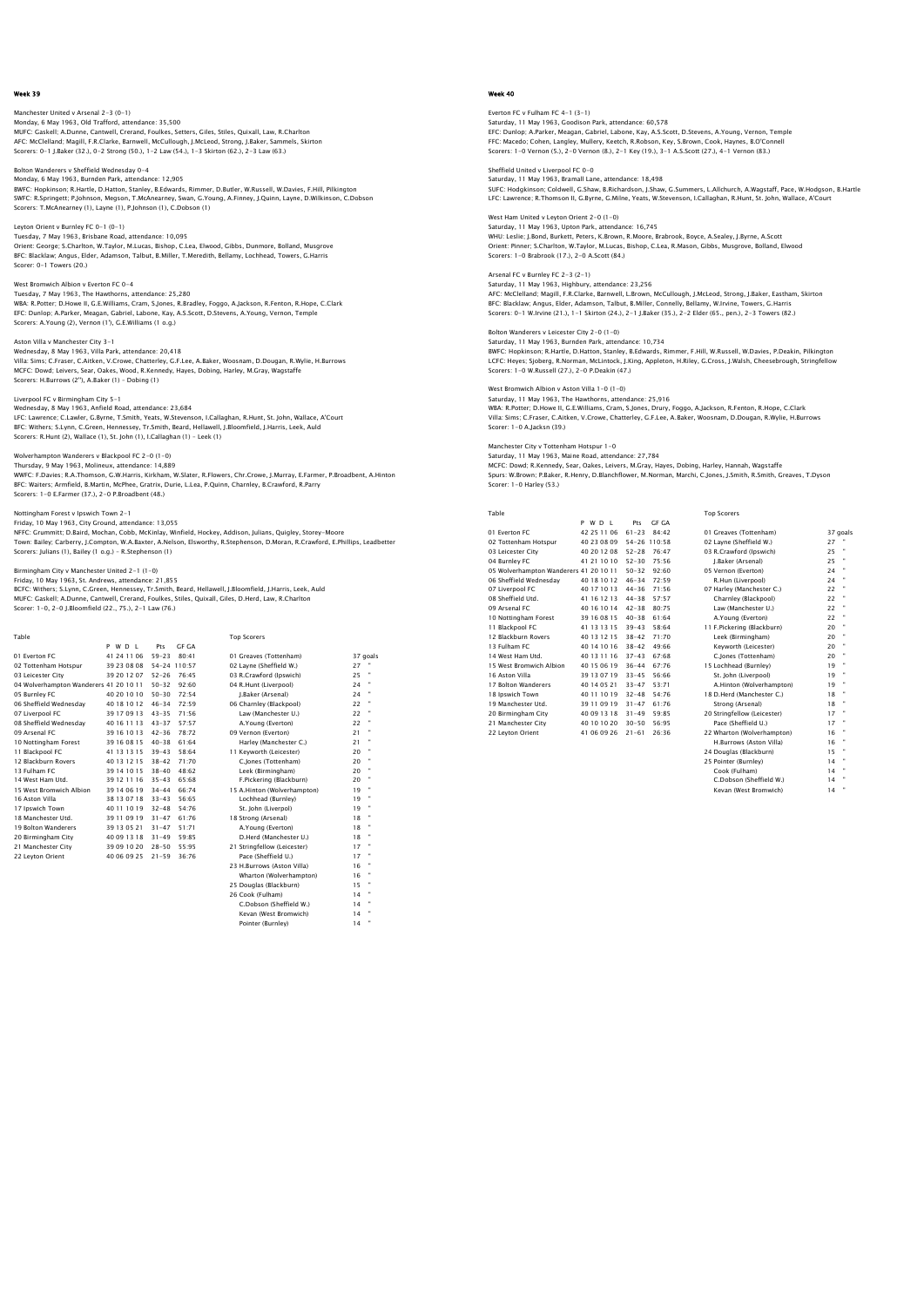Manchester United v Arsenal 2-3 (0-1) Monday, 6 May 1963, Old Trafford, attendance: 35,500 MUFC: Gaskell; A.Dunne, Cantwell, Crerand, Foulkes, Setters, Giles, Stiles, Quixall, Law, R.Charlton AFC: McClelland; Magill, F.R.Clarke, Barnwell, McCullough, J.McLeod, Strong, J.Baker, Sammels, Skirton Scorers: 0-1 J.Baker (32.), 0-2 Strong (50.), 1-2 Law (54.), 1-3 Skirton (62.), 2-3 Law (63.)

rers v Sheffield Wednesday 0-4

Monday, 6 May 1963, Burnden Park, attendance: 12,905 BWFC: Hopkinson; R.Hartle, D.Hatton, Stanley, B.Edwards, Rimmer, D.Butler, W.Russell, W.Davies, F.Hill, Pilkington SWFC: R.Springett; P.Johnson, Megson, T.McAnearney, Swan, G.Young, A.Finney, J.Quinn, Layne, D.Wilkinson, C.Dobson Scorers: T.McAnearney (1), Layne (1), P.Johnson (1), C.Dobson (1)

Leyton Orient v Burnley FC 0-1 (0-1)

Tuesday, 7 May 1963, Brisbane Road, attendance: 10,095<br>Orient: George; S.Charlton, W.Taylor, M.Lucas, Bishop, C.Lea, Elwood, Gibbs, Dunmore, Bolland, Musgrove<br>BFC: Blacklaw; Angus, Elder, Adamson, Talbut, B.Miller, T.Mered

West Bromwich Albion v Everton FC 0-4

Tuesday, 7 May 1963, The Hawthorns, attendance: 25,280<br>WBA: R.Potter; D.Howe II, G.E.Williams, Cram, S.Jones, R.Bradley, Foggo, A.Jackson, R.Fenton, R.Hope, C.Clark<br>EFC: Dunlop; A.Parker, Meagan, Gabriel, Labone, Kay, A.S.

Aston Villa v Manchester City 3-1

Wednesday, 8 May 1963, Villa Park, attendance: 20,418 Villa: Sims; C.Fraser, C.Aitken, V.Crowe, Chatterley, G.F.Lee, A.Baker, Woosnam, D.Dougan, R.Wylie, H.Burrows<br>MCFC: Dowd; Leivers, Sear, Oakes, Wood, R.Kennedy, Hayes, Dobing, Harley, M.Gray, Wagstaffe<br>Scorers: H.Burrows (

#### Liverpool FC v Birmingham City 5-1

Wednesday, 8 May 1963, Anfield Road, attendance: 23,684<br>LFC: Lawrence; C.Lawler, G.Byrne, T.Smrih, Yeats, W.Stevenson, I.Callaghan, R.Hunt, St. John, Wallace, A'Court<br>BFC: Withers; S.Lynn, C.Green, Hennessey, Tr.Smith, Bea

Wolverhampton Wanderers v Blackpool FC 2-0 (1-0)

Wolverhampton wanderers v Blackpoor FC 2-6 (1-6)<br>Thursday, 9 May 1963, Molineux, attendance: 14,889 WWFC: F.Davies; R.A.Thomson, G.W.Harris, Kirkham, W.Slater, R.Flowers, Chr.Crowe, J.Murray, E.Farmer, P.Broadbent, A.Hinton<br>BFC: Waiters; Armfield, B.Martin, McPhee, Gratrix, Durie, L.Lea, P.Quinn, Charnley, B.Crawford, R. Scorers: 1-0 E.Farmer (37.), 2-0 P.Broadbent (48.)

Nottingham Forest v Ipswich Town 2-1

Friday, 10 May 1963, City Ground, attendance: 13,055 NFFC: Grummitt; D.Baird, Mochan, Cobb, McKinlay, Winfield, Hockey, Addison, Julians, Quigley, Storey-Moore Town: Bailey; Carberry, J.Compton, W.A.Baxter, A.Nelson, Elsworthy, R.Stephenson, D.Moran, R.Crawford, E.Phillips, Leadbetter Scorers: Julians (1), Bailey (1 o.g.) – R.Stephenson (1)

#### Birmingham City v Manchester United 2-1 (1-0) Friday, 10 May 1963, St. Andrews, attendance: 21,855

BCFC: Withers; S.Lynn, C.Green, Hennessey, Tr.Smith, Beard, Hellawell, J.Bloomfield, J.Harris, Leek, Auld<br>MUFC: Gaskell; A.Dunne, Cantwell, Crerand, Foulkes, Stiles, Quixall, Giles, D.Herd, Law, R.Charlton<br>Scorer: 1-0, 2-0

| Table                                  |             |                    | <b>Top Scorers</b>          |          |
|----------------------------------------|-------------|--------------------|-----------------------------|----------|
|                                        | PWDL        | GE GA<br>Pts       |                             |          |
| 01 Everton EC                          | 41 24 11 06 | $59 - 23$<br>80.41 | 01 Greaves (Tottenham)      | 37 goals |
| 02 Tottenham Hotspur                   | 39 23 08 08 | 54-24 110:57       | 02 Lavne (Sheffield W.)     | 27       |
| 03 Leicester City                      | 39 20 12 07 | $52 - 26$<br>76:45 | 03 R.Crawford (Ipswich)     | Ħ<br>25  |
| 04 Wolverhampton Wanderers 41 20 10 11 |             | $50 - 32$<br>92:60 | 04 R.Hunt (Liverpool)       | 24       |
| 05 Burnley FC                          | 40 20 10 10 | 72:54<br>$50 - 30$ | J.Baker (Arsenal)           | 24       |
| 06 Sheffield Wednesdav                 | 40 18 10 12 | $46 - 34$<br>72:59 | 06 Charnley (Blackpool)     | 22       |
| 07 Liverpool FC                        | 39 17 09 13 | $43 - 35$<br>71:56 | Law (Manchester U.)         | 22       |
| 08 Sheffield Wednesdav                 | 40 16 11 13 | $43 - 37$<br>57:57 | A.Young (Everton)           | 22       |
| 09 Arsenal FC                          | 39 16 10 13 | $42 - 36$<br>78.72 | 09 Vernon (Everton)         | 21       |
| 10 Nottingham Forest                   | 39 16 08 15 | $40 - 38$<br>61.64 | Harley (Manchester C.)      | 21       |
| 11 Blackpool FC                        | 41 13 13 15 | $39 - 43$<br>58:64 | 11 Kevworth (Leicester)     | 20       |
| 12 Blackburn Rovers                    | 40 13 12 15 | $38 - 42$<br>71:70 | C.Jones (Tottenham)         | 20       |
| 13 Fulham FC                           | 39 14 10 15 | $38 - 40$<br>48:62 | Leek (Birmingham)           | 20       |
| 14 West Ham Utd.                       | 39 12 11 16 | $35 - 43$<br>65:68 | F.Pickering (Blackburn)     | 20       |
| 15 West Bromwich Albion                | 39 14 06 19 | $34 - 44$<br>66:74 | 15 A.Hinton (Wolverhampton) | 19       |
| 16 Aston Villa                         | 38 13 07 18 | $33 - 43$<br>56.65 | Lochhead (Burnley)          | 19       |
| 17 Ipswich Town                        | 40 11 10 19 | $32 - 48$<br>54:76 | St. John (Liverpol)         | 19       |
| 18 Manchester Utd.                     | 39 11 09 19 | 61:76<br>$31 - 47$ | 18 Strong (Arsenal)         | 18       |
| 19 Bolton Wanderers                    | 39 13 05 21 | 51:71<br>$31 - 47$ | A.Young (Everton)           | 18       |
| 20 Birmingham City                     | 40 09 13 18 | $31 - 49$<br>59:85 | D.Herd (Manchester U.)      | 18       |
| 21 Manchester City                     | 39 09 10 20 | $28 - 50$<br>55:95 | 21 Stringfellow (Leicester) | 17       |
| 22 Leyton Orient                       | 40 06 09 25 | $21 - 59$<br>36.76 | Pace (Sheffield U.)         | 17       |
|                                        |             |                    | 23 H.Burrows (Aston Villa)  | 16       |
|                                        |             |                    | Wharton (Wolverhampton)     | 16       |
|                                        |             |                    | 25 Douglas (Blackburn)      | 15       |
|                                        |             |                    | 26 Cook (Fulham)            | 14       |
|                                        |             |                    | C.Dobson (Sheffield W.)     | 14       |
|                                        |             |                    | Kevan (West Bromwich)       | 14       |
|                                        |             |                    | Pointer (Burnley)           | ٠<br>14  |

Week 40

Everton FC v Fulham FC 4–1 (3–1)<br>Saturday, 11 May 1963, Goodison Park, attendance: 60,578<br>EFC: Dunlop; A.Parker, Meagan, Gabriel, Labone, Kay, A.S.Scott, D.Stevens, A.Young, Vernon, Temple FFC: Macedo; Cohen, Langley, Mullery, Keetch, R.Robson, Key, S.Brown, Cook, Haynes, B.O'Connell Scorers: 1-0 Vernon (5.), 2-0 Vernon (8.), 2-1 Key (19.), 3-1 A.S.Scott (27.), 4-1 Vernon (83.)

Sheffield United v Liverpool FC 0-0 Saturday, 11 May 1963, Bramall Lane, attendance: 18,498 SUFC: Hodgkinson; Coldwell, G.Shaw, B.Richardson, J.Shaw, G.Summers, L.Allchurch, A.Wagstaff, Pace, W.Hodgson, B.Hartle<br>LFC: Lawrence; R.Thomson II, G.Byrne, G.Milne, Yeats, W.Stevenson, I.Callaqhan, R.Hunt, St. John, Wall

West Ham United v Leyton Orient 2-0 (1-0) Saturday, 11 May 1963, Upton Park, attendance: 16,745 WHU: Leslie; J.Bond, Burkett, Peters, K.Brown, R.Moore, Brabrook, Boyce, A.Sealey, J.Byrne, A.Scott Orient: Pinner; S.Charlton, W.Taylor, M.Lucas, Bishop, C.Lea, R.Mason, Gibbs, Musgrove, Bolland, Elwood Scorers: 1-0 Brabrook (17.), 2-0 A.Scott (84.)

Arsenal FC v Burnley FC 2-3 (2-1) Saturday, 11 May 1963, Highbury, attendance: 23,256 AFC: McClelland; Magill, F.R.Clarke, Barnwell, L.Brown, McCullough, J.McLeod, Strong, J.Baker, Eastham, Skirtor<br>BFC: Blacklaw; Angus, Elder, Adamson, Talbut, B.Miller, Connelly, Bellamy, W.Irvine, Towers, G.Harris<br>Scorers:

Bolton Wanderers v Leicester City 2-0 (1-0) Saturday, 11 May 1963, Burnden Park, attendance: 10,734<br>BWFC: Hopkinson; R.Hartle, D.Hatton, Stanley, B.Edwards, Rimmer, F.Hill, W.Russell, W.Davies, P.Deakin, Pilkington<br>LCFC: Heyes; Sjoberg, R.Norman, McLintock, J.King,

West Bromwich Albion v Aston Villa 1-0 (1-0)

Saturday, 11 May 1963, The Hawthorns, attendance: 25,916<br>WBA: R.Potter; D.Howe II, G.E.Williams, Cram, S.Jones, Drury, Foggo, A.Jackson, R.Fenton, R.Hope, C.Clark<br>Villa: Sims; C.Fraser, C.Aitken, V.Crowe, Chatterley, G.F.L Scorer: 1-0 A.Jacksn (39.)

Manchester City v Tottenham Hotspur 1-0

Saturday, 11 May 1963, Maine Road, attendance: 27,784 MCFC: Dowd; R.Kennedy, Sear, Oakes, Leivers, M.Gray, Hayes, Dobing, Harley, Hannah, Wagstaffe Spurs: W.Brown; P.Baker, R.Henry, D.Blanchflower, M.Norman, Marchi, C.Jones, J.Smith, R.Smith, Greaves, T.Dyson Scorer: 1-0 Harley (53.)

Table Top Scorers

|                                        | PWDL        | <b>GF GA</b><br>Pts |                                      |       |
|----------------------------------------|-------------|---------------------|--------------------------------------|-------|
| 01 Everton FC                          | 42 25 11 06 | $61 - 23$           | 84.42<br>01 Greaves (Tottenham)      | 37 go |
| 02 Tottenham Hotspur                   | 40 23 08 09 | 54-26 110:58        | 02 Layne (Sheffield W.)              | 27    |
| 03 Leicester City                      | 40 20 12 08 | $52 - 28$           | 76:47<br>03 R.Crawford (Ipswich)     | 25    |
| 04 Burnley FC                          | 41 21 10 10 | $52 - 30$           | 75:56<br>J.Baker (Arsenal)           | 25    |
| 05 Wolverhampton Wanderers 41 20 10 11 |             | $50 - 32$           | 92:60<br>05 Vernon (Everton)         | 24    |
| 06 Sheffield Wednesdav                 | 40 18 10 12 | $46 - 34$           | 72.59<br>R.Hun (Liverpool)           | 24    |
| 07 Liverpool FC                        | 40 17 10 13 | $44 - 36$           | 71:56<br>07 Harley (Manchester C.)   | 22    |
| 08 Sheffield Utd.                      | 41 16 12 13 | $44 - 38$           | 57:57<br>Charnley (Blackpool)        | 22    |
| 09 Arsenal FC                          | 40 16 10 14 | $42 - 38$           | 80:75<br>Law (Manchester U.)         | 22    |
| 10 Nottingham Forest                   | 39 16 08 15 | $40 - 38$           | 61:64<br>A.Young (Everton)           | 22    |
| 11 Blackpool FC                        | 41 13 13 15 | $39 - 43$           | 58:64<br>11 F.Pickering (Blackburn)  | 20    |
| 12 Blackburn Rovers                    | 40 13 12 15 | $38 - 42$           | 71:70<br>Leek (Birmingham)           | 20    |
| 13 Fulham FC                           | 40 14 10 16 | $38 - 42$           | 49:66<br>Keyworth (Leicester)        | 20    |
| 14 West Ham Utd.                       | 40 13 11 16 | $37 - 43$           | 67.68<br>C.lones (Tottenham)         | 20    |
| 15 West Bromwich Albion                | 40 15 06 19 | $36 - 44$           | 67:76<br>15 Lochhead (Burnley)       | 19    |
| 16 Aston Villa                         | 39 13 07 19 | $33 - 45$           | 56:66<br>St. John (Liverpool)        | 19    |
| 17 Bolton Wanderers                    | 40 14 05 21 | $33 - 47$           | 53:71<br>A.Hinton (Wolverhampton)    | 19    |
| 18 Ipswich Town                        | 40 11 10 19 | $32 - 48$           | 54:76<br>18 D.Herd (Manchester C.)   | 18    |
| 19 Manchester Utd.                     | 39 11 09 19 | $31 - 47$           | 61:76<br>Strong (Arsenal)            | 18    |
| 20 Birmingham City                     | 40 09 13 18 | $31 - 49$           | 20 Stringfellow (Leicester)<br>59:85 | 17    |
| 21 Manchester City                     | 40 10 10 20 | $30 - 50$           | 56.95<br>Pace (Sheffield U.)         | 17    |
| 22 Levton Orient                       | 41 06 09 26 | $21 - 61$           | 26.36<br>22 Wharton (Wolverhampton)  | 16    |

01 Greaves (Tottenham) 37 goals 02 Layne (Sheffield W.) 27<br>03 R Crawford (Inswich) 25 03 R.Crawford (Ipswich) 25<br>1 Refer (Arrenal) 25 05 Vernon (Everton)<br>05 Vernon (Everton) 24 " 06 R.Hun (Liverpool) 24 14 Civerpool FC 44<br>
07 Harley (Manchester C.) 22<br>
Charnley (Blacknool) 22 08 Sheffield University (Manufacture U.S.)<br>
Charnley (Blackpool) 22<br>
Law (Manchester U.) 22 09 Arsenal FC 40 16 10 14 42-38 80:75 Law (Manchester U.) 22 " Earr (manchester 3<br>A.Young (Everton) 13 F.Pickering (Blackburn) 20<br>
13 Eek (Birmingham) 20<br>
13 Aeyworth (Leicester) 20<br>
20 "
20 " 16 Aston Villa 39 13 13<br>19 Ast. John (Liverpool) 19<br>19 19 Bolton (Wolverhampton) 19 18 D.Herd (Manchester C.)<br>
Strong (Arsenal) 18<br>
20 Stringfellow (Leicester) 17<br>
Pace (Sheffield U.) 17 22 Leyton Orient 41 06 09 26 21-61 26:36 22 Wharton (Wolverhampton) 16 " H.Burrows (Aston Villa) 16 " 24 Douglas (Blackburn) 15 " 25 Pointer (Burnley) 14 " Cook (Fulham) 14 " C.Dobson (Sheffield W.) 14 "

Kevan (West Bromwich) 14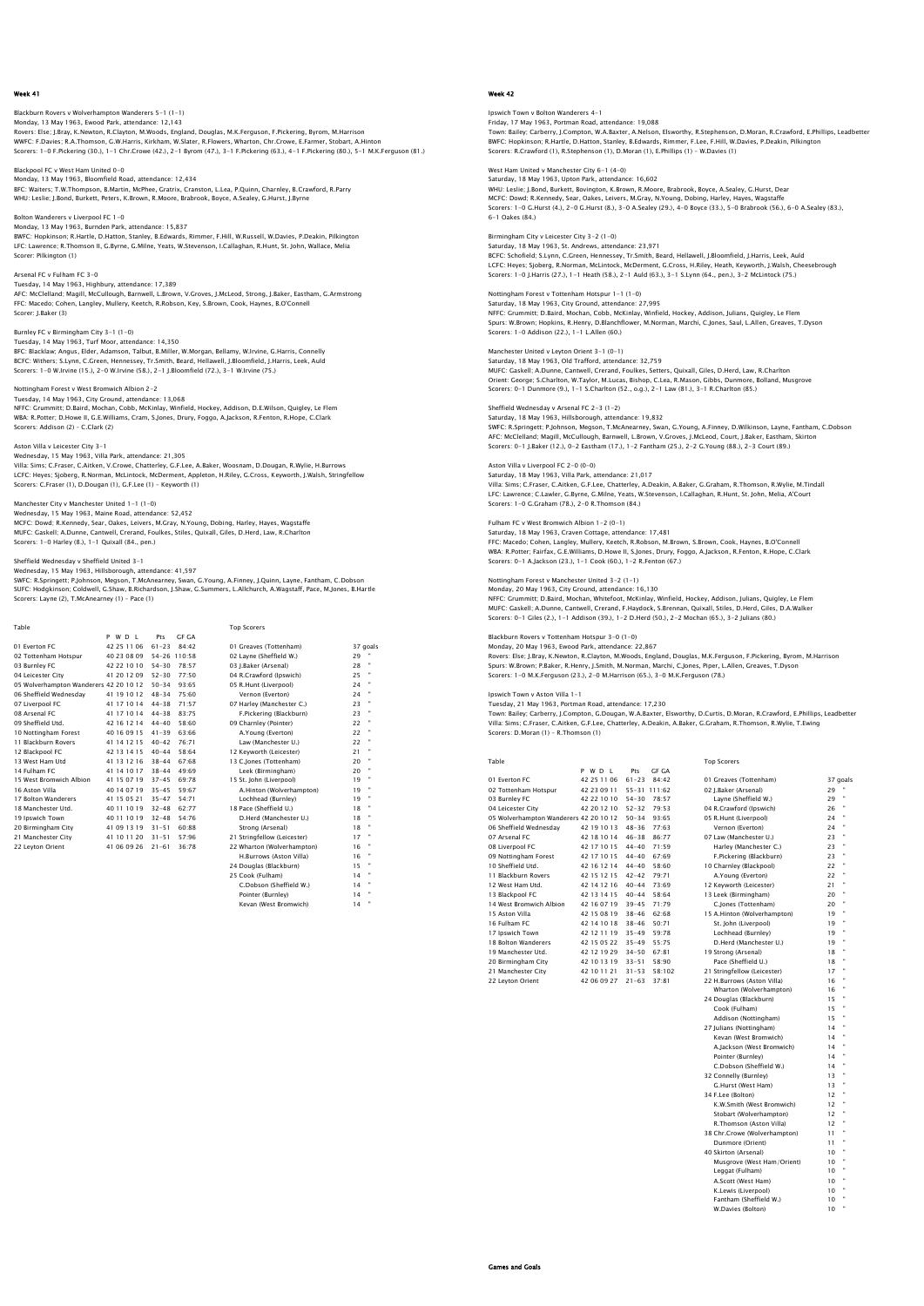Blackburn Rovers v Wolverhampton Wanderers 5–1 (1–1)<br>Monday, 13 May 1963, Ewood Park, attendance: 12,143<br>Rovers: Else: J.Bray, K.Newton, R.Clayton, M.Woods, England, Douglas, M.K.Ferguson, F.Pickering, Byrom, M.Harrison WWFC: F.Davies; R.A.Thomson, G.W.Harris, Kirkham, W.Slater, R.Flowers, Wharton, Chr.Crowe, E.Farmer, Stobart, A.Hinton Scorers: 1-0 F.Pickering (30.), 1-1 Chr.Crowe (42.), 2-1 Byrom (47.), 3-1 F.Pickering (63.), 4-1 F.Pickering (80.), 5-1 M.K.Ferguson (81.)

Blackpool FC v West Ham United 0-0 Monday, 13 May 1963, Bloomfield Road, attendance: 12,434 BFC: Waiters; T.W.Thompson, B.Martin, McPhee, Gratrix, Cranston, L.Lea, P.Quinn, Charnley, B.Crawford, R.Parry<br>WHU: Leslie; J.Bond, Burkett, Peters, K.Brown, R.Moore, Brabrook, Boyce, A.Sealey, G.Hurst, J.Byrne

## Bolton Wanderers v Liverpool FC 1-0

Monday, 13 May 1963, Burnden Park, attendance: 15,837 BWFC: Hopkinson; R.Hartle, D.Hatton, Stanley, B.Edwards, Rimmer, F.Hill, W.Russell, W.Davies, P.Deakin, Pilkington<br>LFC: Lawrence; R.Thomson II, G.Byrne, G.Milne, Yeats, W.Stevenson, I.Callaghan, R.Hunt, St. John, Wallace, Scorer: Pilkington (1)

Arsenal FC v Fulham FC 3-0 Tuesday, 14 May 1963, Highbury, attendance: 17,389 AFC: McClelland; Magill, McCullough, Barnwell, L.Brown, V.Groves, J.McLeod, Strong, J.Baker, Eastham, G.Armstrong FFC: Macedo; Cohen, Langley, Mullery, Keetch, R.Robson, Key, S.Brown, Cook, Haynes, B.O'Connell Scorer: J.Baker (3)

Burnley FC v Birmingham City 3-1 (1-0) Tuesday, 14 May 1963, Turf Moor, attendance: 14,350<br>BFC: Blacklaw; Angus, Elder, Adamson, Talbut, B.Miller, W.Morgan, Bellamy, W.Irvine, G.Harris, Connelly<br>BCFC: Withers; S.Lynn, C.Green, Hennessey, Tr.Smith, Beard, Hellaw

#### Nottingham Forest v West Bromwich Albion 2-2

Tuesday, 14 May 1963, City Ground, attendance: 13,068 NFFC: Grummitt; D.Baird, Mochan, Cobb, McKinlay, Winfield, Hockey, Addison, D.E.Wilson, Quigley, Le Flem WBA: R.Potter; D.Howe II, G.E.Williams, Cram, S.Jones, Drury, Foggo, A.Jackson, R.Fenton, R.Hope, C.Clark Scorers: Addison (2) – C.Clark (2)

## Aston Villa v Leicester City 3-1

Wednesday, 15 May 1963, Villa Park, attendance: 21,305<br>Villa: Sims; C.Fraser, C.Aitken, V.Crowe, Chatterley, G.F.Lee, A.Baker, Woosnam, D.Dougan, R.Wylie, H.Burrows Villa: Sims; C.Fraser, C.Aitken, V.Crowe, Chatterley, G.F.Lee, A.Baker, Woosnam, D.Dougan, R.Wylie, H.Burrows<br>LCFC: Heyes; Sjoberg, R.Norman, McLintock, McDerment, Appleton, H.Riley, G.Cross, Keyworth, J.Walsh, Stringfello

Manchester City v Manchester United 1-1 (1-0)

Wednesday, 15 May 1963, Maine Road, attendance: 52,452<br>MCFC: Dowd; R.Kennedy, Sear, Oakes, Leivers, M.Gray, N.Young, Dobing, Harley, Hayes, Wagstaffe<br>MUFC: Gaskell: A.Dunne, Cantwell, Crerand, Foulkes, Stiles, Quixall, Gil Scorers: 1-0 Harley (8.), 1-1 Quixall (84., pen.)

Sheffield Wednesday v Sheffield United 3–1<br>Wednesday, 15 May 1963, Hillsborough, attendance: 41,597<br>SWFC: R.Springett; P.Johnson, Megson, T.McAnearney, Swan, G.Young, A.Finney, J.Quinn, Layne, Fantham, C.Dobson<br>SUFC: Hodqk Scorers: Layne (2), T.McAnearney (1) – Pace (1)

| Table                                  |             |           |              | <b>Top Scorers</b>          |    |          |
|----------------------------------------|-------------|-----------|--------------|-----------------------------|----|----------|
|                                        | PWDL        | Pts       | <b>GF GA</b> |                             |    |          |
| 01 Everton EC                          | 42 25 11 06 | $61 - 23$ | 84.42        | 01 Greaves (Tottenham)      |    | 37 goals |
| 02 Tottenham Hotspur                   | 40 23 08 09 |           | 54-26 110:58 | 02 Lavne (Sheffield W.)     | 29 |          |
| 03 Burnley FC                          | 42 22 10 10 | $54 - 30$ | 78:57        | 03 I.Baker (Arsenal)        | 28 |          |
| 04 Leicester City                      | 41 20 12 09 | $52 - 30$ | 77:50        | 04 R.Crawford (Ipswich)     | 25 |          |
| 05 Wolverhampton Wanderers 42 20 10 12 |             | $50 - 34$ | 93:65        | 05 R.Hunt (Liverpool)       | 24 |          |
| 06 Sheffield Wednesdav                 | 41 19 10 12 | $48 - 34$ | 75:60        | Vernon (Everton)            | 24 |          |
| 07 Liverpool FC                        | 41 17 10 14 | $44 - 38$ | 71:57        | 07 Harley (Manchester C.)   | 23 |          |
| 08 Arsenal FC                          | 41 17 10 14 | $44 - 38$ | 83:75        | F.Pickering (Blackburn)     | 23 |          |
| 09 Sheffield Utd.                      | 42 16 12 14 | $44 - 40$ | 58.60        | 09 Charnley (Pointer)       | 22 |          |
| 10 Nottingham Forest                   | 40 16 09 15 | $41 - 39$ | 63:66        | A.Young (Everton)           | 22 | ×        |
| 11 Blackburn Rovers                    | 41 14 12 15 | $40 - 42$ | 76:71        | Law (Manchester U.)         | 22 |          |
| 12 Blackpool FC                        | 42 13 14 15 | $40 - 44$ | 58.64        | 12 Keyworth (Leicester)     | 21 |          |
| 13 West Ham Utd                        | 41 13 12 16 | $38 - 44$ | 67:68        | 13 C.Jones (Tottenham)      | 20 |          |
| 14 Fulham FC                           | 41 14 10 17 | $38 - 44$ | 49:69        | Leek (Birmingham)           | 20 |          |
| 15 West Bromwich Albion                | 41 15 07 19 | $37 - 45$ | 69:78        | 15 St. John (Liverpool)     | 19 |          |
| 16 Aston Villa                         | 40 14 07 19 | $35 - 45$ | 59.67        | A.Hinton (Wolverhampton)    | 19 |          |
| 17 Bolton Wanderers                    | 41 15 05 21 | $35 - 47$ | 54.71        | Lochhead (Burnley)          | 19 | ×        |
| 18 Manchester Utd.                     | 40 11 10 19 | $32 - 48$ | 62:77        | 18 Pace (Sheffield U.)      | 18 |          |
| 19 Ipswich Town                        | 40 11 10 19 | $32 - 48$ | 54.76        | D.Herd (Manchester U.)      | 18 |          |
| 20 Birmingham City                     | 41 09 13 19 | $31 - 51$ | 60:88        | Strong (Arsenal)            | 18 |          |
| 21 Manchester City                     | 41 10 11 20 | $31 - 51$ | 57:96        | 21 Stringfellow (Leicester) | 17 |          |
| 22 Leyton Orient                       | 41 06 09 26 | $21 - 61$ | 36.78        | 22 Wharton (Wolverhampton)  | 16 |          |
|                                        |             |           |              | H.Burrows (Aston Villa)     | 16 |          |
|                                        |             |           |              | 24 Douglas (Blackburn)      | 15 |          |
|                                        |             |           |              | 25 Cook (Fulham)            | 14 |          |
|                                        |             |           |              | C.Dobson (Sheffield W.)     | 14 |          |
|                                        |             |           |              | Pointer (Burnley)           | 14 |          |
|                                        |             |           |              | Kevan (West Bromwich)       | 14 | ٠        |

## Week 42

## Ipswich Town v Bolton Wanderers 4–1<br>Friday, 17 May 1963, Portman Road, attendance: 19,088<br>Town: Bailey; Carberry, J.Compton, W.A.Baxter, A.Nelson, Elsworthy, R.Stephenson, D.Moran, R.Crawford, E.Phillips, Leadbetter BWFC: Hopkinson; R.Hartle, D.Hatton, Stanley, B.Edwards, Rimmer, F.Lee, F.Hill, W.Davies, P.Deakin, Pilkington Scorers: R.Crawford (1), R.Stephenson (1), D.Moran (1), E.Phillips (1) – W.Davies (1)

West Ham United v Manchester City 6-1 (4-0) Saturday, 18 May 1963, Upton Park, attendance: 16,602 WHU: Leslie: J.Bond, Burkett, Bovington, K.Brown, R.Moore, Brabrook, Boyce, A.Sealey, G.Hurst, Dear<br>MCFC: Dowd; R.Kennedy, Sear, Oakes, Leivers, M.Gray, N.Young, Dobing, Harley, Hayes, Wagstaffe<br>Scorers: 1–0 G.Hurst (4.),

#### Birmingham City v Leicester City 3-2 (1-0)

Saturday, 18 May 1963, St. Andrews, attendance: 23,971<br>BCFC: Schofield; S.Lynn, C.Green, Hennessey, Tr.Smith, Beard, Hellawell, J.Bloomfield, J.Harris, Leek, Auld<br>LCFC: Heyes; Sjoberg, R.Norman, McLintock, McDerment, G.Cro

Nottingham Forest v Tottenham Hotspur 1-1 (1-0) Saturday, 18 May 1963, City Ground, attendance: 27,995<br>NFFC: Grummitt; D.Baird, Mochan, Cobb, McKinlay, Winfield, Hockey, Addison, Julians, Quigley, Le Flem<br>Spurs: W.Brown: Hopkins, R.Henry, D.Blanchflower, M.Norman, March Scorers: 1-0 Addison (22.), 1-1 L.Allen (60.)

## Manchester United v Leyton Orient 3-1 (0-1)

Saturday, 18 May 1963, Old Trafford, attendance: 32,759 MUFC: Gaskell; A.Dunne, Cantwell, Crerand, Foulkes, Setters, Quixall, Giles, D.Herd, Law, R.Charlton Orient: George; S.Charlton, W.Taylor, M.Lucas, Bishop, C.Lea, R.Mason, Gibbs, Dunmore, Bolland, Musgrove Scorers: 0-1 Dunmore (9.), 1-1 S.Charlton (52., o.g.), 2-1 Law (81.), 3-1 R.Charlton (85.)

Sheffield Wednesday v Arsenal FC 2–3 (1–2)<br>Saturday, 18 May 1963, Hillsborough, attendance: 19,832<br>SWFC: R.Springett; P.Johnson, Megson, T.McAnearney, Swan, G.Young, A.Finney, D.Wilkinson, Layne, Fantham, C.Dobsor<br>SWFC: R. Scorers: 0-1 J.Baker (12.), 0-2 Eastham (17.), 1-2 Fantham (25.), 2-2 G.Young (88.), 2-3 Court (89.)

### Aston Villa v Liverpool FC 2-0 (0-0)

Saturday, 18 May 1963, Villa Park, attendance: 21,017 Villa: Sims; C.Fraser, C.Aitken, G.F.Lee, Chatterley, A.Deakin, A.Baker, G.Graham, R.Thomson, R.Wylie, M.Tindall LFC: Lawrence; C.Lawler, G.Byrne, G.Milne, Yeats, W.Stevenson, I.Callaghan, R.Hunt, St. John, Melia, A'Court Scorers: 1-0 G.Graham (78.), 2-0 R.Thomson (84.)

Fulham FC v West Bromwich Albion 1-2 (0-1)<br>Saturday, 18 May 1963, Craven Cottage, attendance: 17,481<br>FFC: Macedo; Cohen, Langley, Mullery, Keetch, R.Robson, M.Brown, S.Brown, Cook, Haynes, B.O'Connell<br>WBA: R.Potter; Fairfa

#### Nottingham Forest v Manchester United 3-2 (1-1)

Monday, 20 May 1963, City Ground, attendance: 16,130 NFFC: Grummitt; D.Baird, Mochan, Whitefoot, McKinlay, Winfield, Hockey, Addison, Julians, Quigley, Le Flem MUFC: Gaskell; A.Dunne, Cantwell, Crerand, F.Haydock, S.Brennan, Quixall, Stiles, D.Herd, Giles, D.A.Walker Scorers: 0-1 Giles (2.), 1-1 Addison (39.), 1-2 D.Herd (50.), 2-2 Mochan (65.), 3-2 Julians (80.)

#### Blackburn Rovers v Tottenham Hotspur 3-0 (1-0) Monday, 20 May 1963, Ewood Park, attendance: 22,867

Rovers: Else: J.Bray, K.Newton, R.Clayton, M.Woods, England, Douglas, M.K.Ferguson, F.Pickering, Byrom, M.Harrisor<br>Spurs: W.Brown; P.Baker, R.Henry, J.Smith, M.Norman, Marchi, C.Jones, Piper, L.Allen, Greaves, T.Dyson<br>Scor

#### Ipswich Town v Aston Villa 1-1

Tuesday, 21 May 1963, Portman Road, attendance: 17,230<br>Town: Bailey; Carberry, J.Compton, G.Dougan, W.A.Baxter, Elsworthy, D.Curtis, D.Moran, R.Crawford, E.Phillips, Leadbetteı<br>Villa: Sims; C.Fraser, C.Aitken, G.F.Lee, Cha

Top Scorers

| ۰, |  |
|----|--|

|                                        | P W D I     | Pts       | GE GA  |                             |          |                |
|----------------------------------------|-------------|-----------|--------|-----------------------------|----------|----------------|
| 01 Everton FC                          | 42 25 11 06 | $61 - 23$ | 84:42  | 01 Greaves (Tottenham)      | 37 goals |                |
| 02 Tottenham Hotspur                   | 42 23 09 11 | $55 - 31$ | 111.62 | 02 J.Baker (Arsenal)        | 29       |                |
| 03 Burnley FC                          | 42 22 10 10 | $54 - 30$ | 78.57  | Layne (Sheffield W.)        | 29       |                |
| 04 Leicester City                      | 42 20 12 10 | $52 - 32$ | 79:53  | 04 R.Crawford (Ipswich)     | 26       | ×              |
| 05 Wolverhampton Wanderers 42 20 10 12 |             | $50 - 34$ | 93:65  | 05 R.Hunt (Liverpool)       | 24       |                |
| 06 Sheffield Wednesday                 | 42 19 10 13 | $48 - 36$ | 77:63  | Vernon (Everton)            | 24       |                |
| 07 Arsenal FC                          | 42 18 10 14 | $46 - 38$ | 86.77  | 07 Law (Manchester U.)      | 23       | ×              |
| 08 Liverpool FC                        | 42 17 10 15 | $44 - 40$ | 71:59  | Harley (Manchester C.)      | 23       |                |
| 09 Nottingham Forest                   | 42 17 10 15 | $44 - 40$ | 67:69  | F.Pickering (Blackburn)     | 23       |                |
| 10 Sheffield Utd.                      | 42 16 12 14 | $44 - 40$ | 58:60  | 10 Charnley (Blackpool)     | 22       |                |
| 11 Blackburn Rovers                    | 42 15 12 15 | $42 - 42$ | 79:71  | A.Young (Everton)           | 22       |                |
| 12 West Ham Utd.                       | 42 14 12 16 | $40 - 44$ | 73.69  | 12 Keyworth (Leicester)     | 21       | $\blacksquare$ |
| 13 Blackpool FC                        | 42 13 14 15 | $40 - 44$ | 58:64  | 13 Leek (Birmingham)        | 20       |                |
| 14 West Bromwich Albion                | 42 16 07 19 | $39 - 45$ | 71:79  | C.Jones (Tottenham)         | 20       |                |
| 15 Aston Villa                         | 42 15 08 19 | $38 - 46$ | 62:68  | 15 A.Hinton (Wolverhampton) | 19       | ×              |
| 16 Fulham FC                           | 42 14 10 18 | $38 - 46$ | 50:71  | St. John (Liverpool)        | 19       |                |
| 17 Ipswich Town                        | 42 12 11 19 | $35 - 49$ | 59.78  | Lochhead (Burnley)          | 19       |                |
| <b>18 Bolton Wanderers</b>             | 42 15 05 22 | $35 - 49$ | 55:75  | D.Herd (Manchester U.)      | 19       |                |
| 19 Manchester Utd.                     | 42 12 19 29 | $34 - 50$ | 67:81  | 19 Strong (Arsenal)         | 18       |                |
| 20 Birmingham City                     | 42 10 13 19 | $33 - 51$ | 58.90  | Pace (Sheffield U.)         | 18       |                |
| 21 Manchester City                     | 42 10 11 21 | $31 - 53$ | 58:102 | 21 Stringfellow (Leicester) | 17       |                |
| 22 Levton Orient                       | 42 06 09 27 | $21 - 63$ | 37.81  | 22 H.Burrows (Aston Villa)  | 16       |                |

| <b>UI Everton FC</b>                   | 42 25 11 06 | $b1 - 23$ 84:42 |              | 01 Greaves (Tottennam)       |    | 37 goals       |
|----------------------------------------|-------------|-----------------|--------------|------------------------------|----|----------------|
| 02 Tottenham Hotspur                   | 42 23 09 11 |                 | 55-31 111:62 | 02 J.Baker (Arsenal)         | 29 |                |
| 03 Burnley FC                          | 42 22 10 10 | $54 - 30$       | 78:57        | Layne (Sheffield W.)         | 29 | ×              |
| 04 Leicester City                      | 42 20 12 10 | $52 - 32$       | 79:53        | 04 R.Crawford (Ipswich)      | 26 | $\blacksquare$ |
| 05 Wolverhampton Wanderers 42 20 10 12 |             | $50 - 34$       | 93:65        | 05 R.Hunt (Liverpool)        | 24 | ×              |
| 06 Sheffield Wednesday                 | 42 19 10 13 | $48 - 36$       | 77:63        | Vernon (Everton)             | 24 | $\blacksquare$ |
| 07 Arsenal FC                          | 42 18 10 14 | $46 - 38$       | 86:77        | 07 Law (Manchester U.)       | 23 | $\blacksquare$ |
| 08 Liverpool FC                        | 42 17 10 15 | $44 - 40$       | 71:59        | Harley (Manchester C.)       | 23 | ×              |
| 09 Nottingham Forest                   | 42 17 10 15 | $44 - 40$       | 67:69        | F.Pickering (Blackburn)      | 23 | ×              |
| 10 Sheffield Utd.                      | 42 16 12 14 | $44 - 40$       | 58:60        | 10 Charnley (Blackpool)      | 22 | $\blacksquare$ |
| 11 Blackburn Rovers                    | 42 15 12 15 | $42 - 42$       | 79:71        | A.Young (Everton)            | 22 |                |
| 12 West Ham Utd.                       | 42 14 12 16 | $40 - 44$       | 73:69        | 12 Keyworth (Leicester)      | 21 | ×              |
| 13 Blackpool FC                        | 42 13 14 15 | $40 - 44$       | 58:64        | 13 Leek (Birmingham)         | 20 | $\blacksquare$ |
| 14 West Bromwich Albion                | 42 16 07 19 | $39 - 45$       | 71:79        | C.Jones (Tottenham)          | 20 | $\blacksquare$ |
| 15 Aston Villa                         | 42 15 08 19 | $38 - 46$       | 62:68        | 15 A.Hinton (Wolverhampton)  | 19 | $\blacksquare$ |
| 16 Fulham FC                           | 42 14 10 18 | $38 - 46$       | 50:71        | St. John (Liverpool)         | 19 | $\blacksquare$ |
| 17 Ipswich Town                        | 42 12 11 19 | $35 - 49$       | 59:78        | Lochhead (Burnley)           | 19 |                |
| 18 Bolton Wanderers                    | 42 15 05 22 | $35 - 49$       | 55:75        | D.Herd (Manchester U.)       | 19 | $\blacksquare$ |
| 19 Manchester Utd.                     | 42 12 19 29 | $34 - 50$       | 67:81        | 19 Strong (Arsenal)          | 18 | $\mathbf{H}$   |
| 20 Birmingham City                     | 42 10 13 19 | $33 - 51$       | 58:90        | Pace (Sheffield U.)          | 18 |                |
| 21 Manchester City                     | 42 10 11 21 | $31 - 53$       | 58:102       | 21 Stringfellow (Leicester)  | 17 | $\cdot$        |
| 22 Leyton Orient                       | 42 06 09 27 | $21 - 63$       | 37:81        | 22 H.Burrows (Aston Villa)   | 16 | $\blacksquare$ |
|                                        |             |                 |              | Wharton (Wolverhampton)      | 16 |                |
|                                        |             |                 |              | 24 Douglas (Blackburn)       | 15 | $\cdot$        |
|                                        |             |                 |              | Cook (Fulham)                | 15 | $\blacksquare$ |
|                                        |             |                 |              | Addison (Nottingham)         | 15 | $\blacksquare$ |
|                                        |             |                 |              | 27 Julians (Nottingham)      | 14 | $\blacksquare$ |
|                                        |             |                 |              | Kevan (West Bromwich)        | 14 | $\blacksquare$ |
|                                        |             |                 |              | A.Jackson (West Bromwich)    | 14 | ×              |
|                                        |             |                 |              | Pointer (Burnley)            | 14 | $\blacksquare$ |
|                                        |             |                 |              | C.Dobson (Sheffield W.)      | 14 | $\blacksquare$ |
|                                        |             |                 |              | 32 Connelly (Burnley)        | 13 | ×              |
|                                        |             |                 |              | G.Hurst (West Ham)           | 13 | $\blacksquare$ |
|                                        |             |                 |              | 34 F.Lee (Bolton)            | 12 |                |
|                                        |             |                 |              | K.W.Smith (West Bromwich)    | 12 | ×              |
|                                        |             |                 |              | Stobart (Wolverhampton)      | 12 | $\blacksquare$ |
|                                        |             |                 |              | R.Thomson (Aston Villa)      | 12 |                |
|                                        |             |                 |              | 38 Chr.Crowe (Wolverhampton) | 11 | $\blacksquare$ |
|                                        |             |                 |              | Dunmore (Orient)             | 11 | $\blacksquare$ |
|                                        |             |                 |              | 40 Skirton (Arsenal)         | 10 |                |
|                                        |             |                 |              | Musgrove (West Ham/Orient)   | 10 | $\blacksquare$ |
|                                        |             |                 |              | Leggat (Fulham)              | 10 | $\blacksquare$ |
|                                        |             |                 |              | A.Scott (West Ham)           | 10 | $\blacksquare$ |
|                                        |             |                 |              | K.Lewis (Liverpool)          | 10 | $\blacksquare$ |
|                                        |             |                 |              | Fantham (Sheffield W.)       | 10 |                |
|                                        |             |                 |              | W.Davies (Bolton)            | 10 | $\mathbf{u}$   |